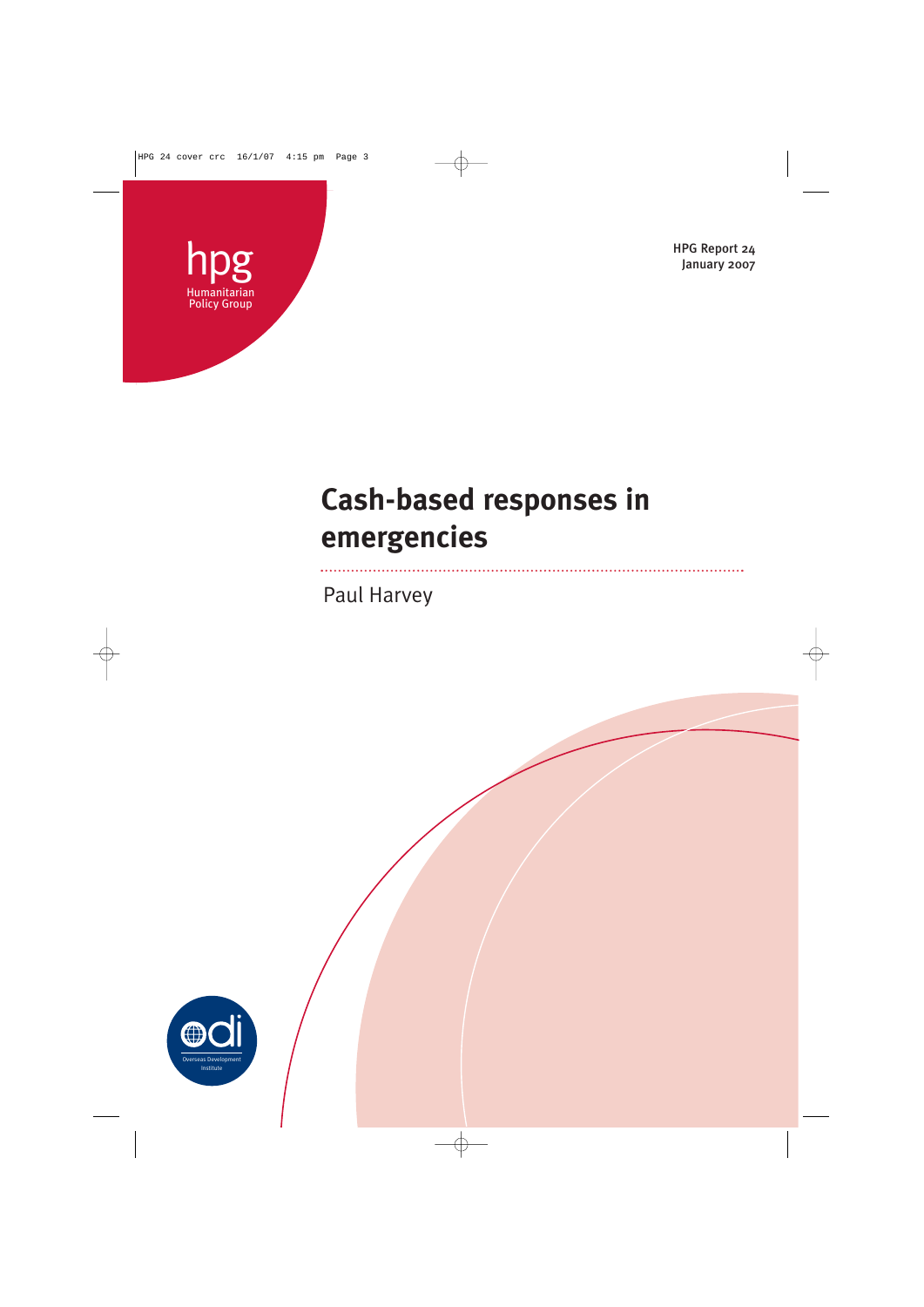



# **Cash-based responses in emergencies**

Paul Harvey

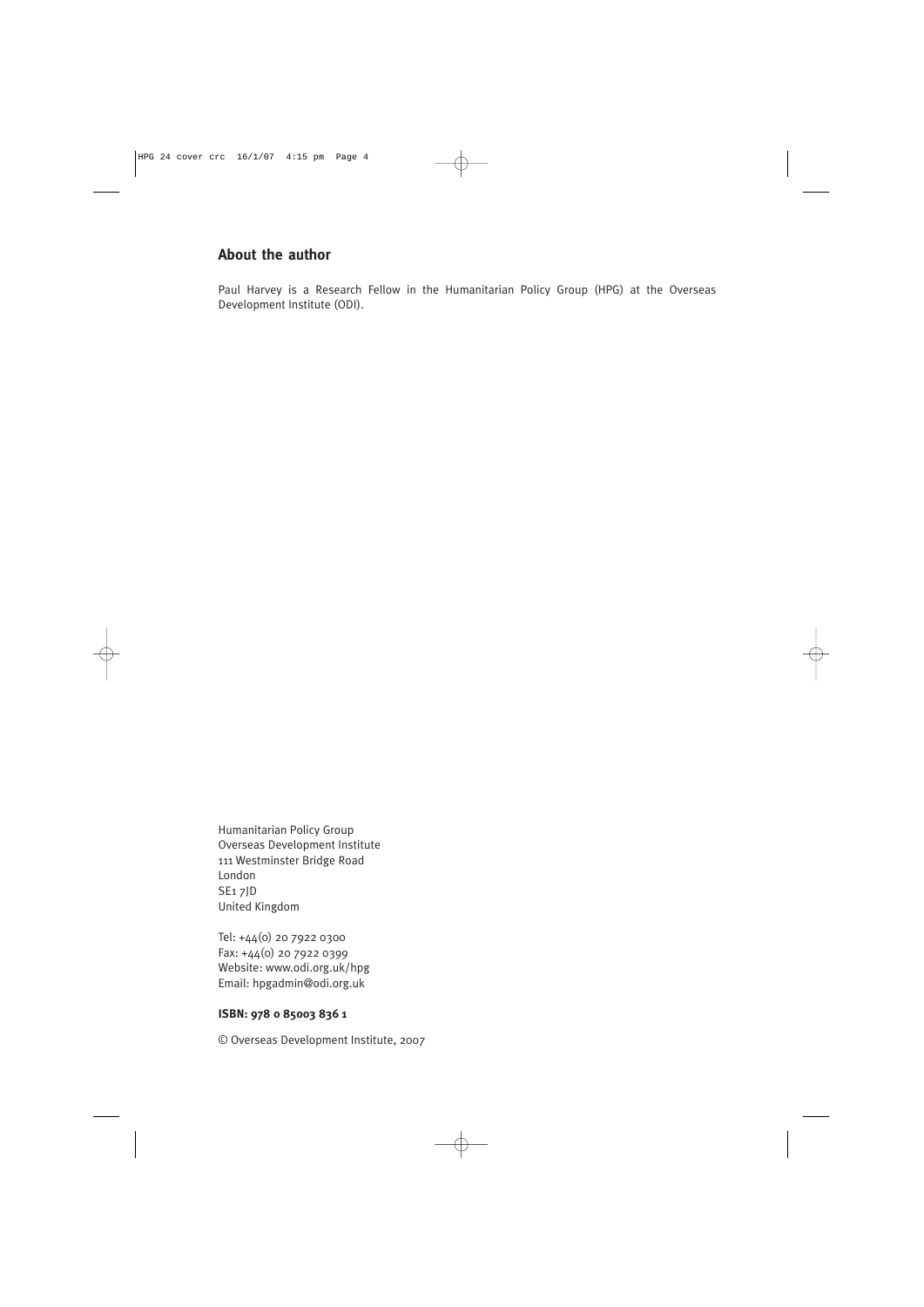# **About the author**

Paul Harvey is a Research Fellow in the Humanitarian Policy Group (HPG) at the Overseas Development Institute (ODI).

Humanitarian Policy Group Overseas Development Institute 111 Westminster Bridge Road London SE1 7JD United Kingdom

Tel: +44(0) 20 7922 0300 Fax: +44(0) 20 7922 0399 Website: www.odi.org.uk/hpg Email: hpgadmin@odi.org.uk

# **ISBN: 978 0 85003 836 1**

© Overseas Development Institute, 2007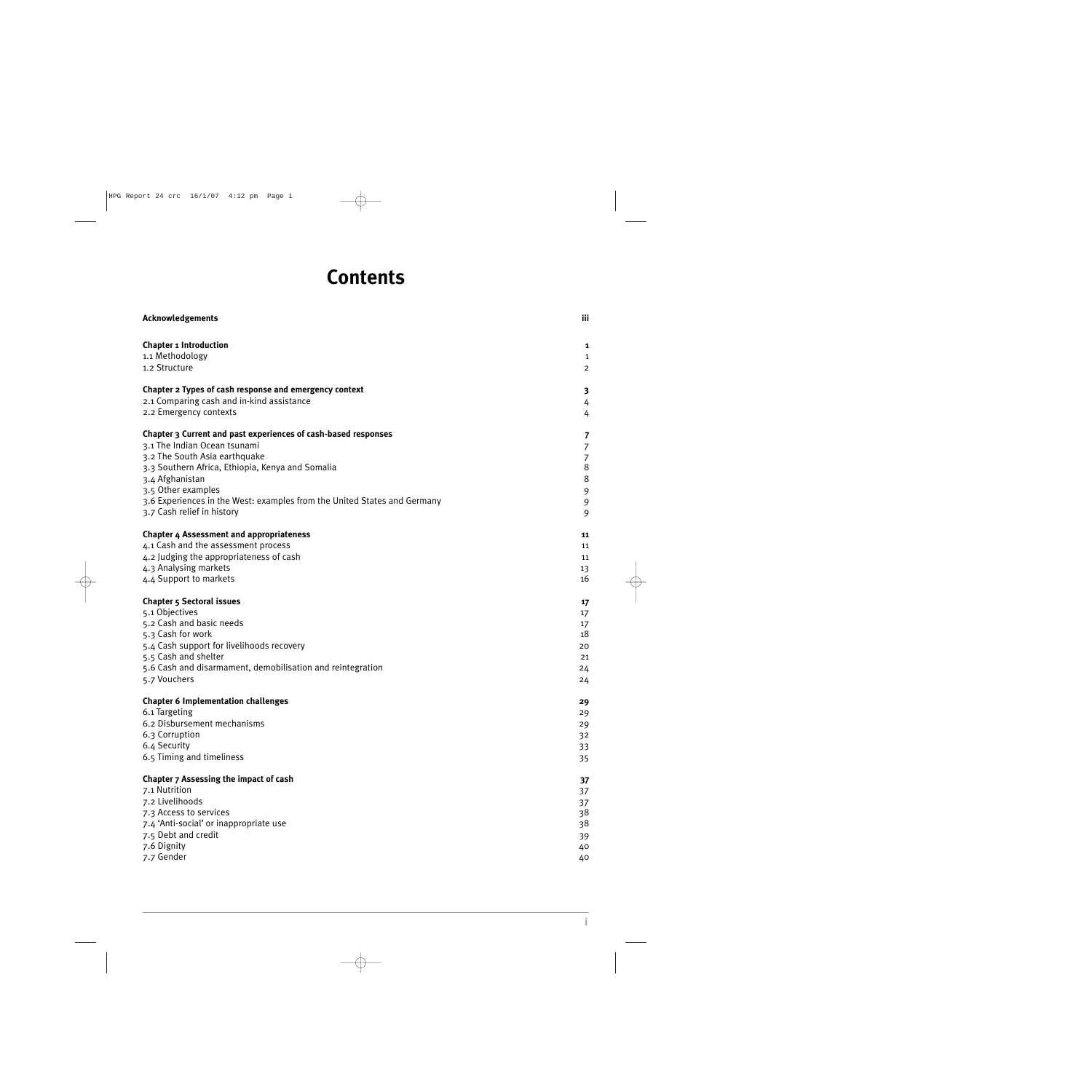# **Contents**

| <b>Acknowledgements</b>                                                  | iii            |
|--------------------------------------------------------------------------|----------------|
| <b>Chapter 1 Introduction</b>                                            | 1              |
| 1.1 Methodology                                                          | $\mathbf{1}$   |
| 1.2 Structure                                                            | $\overline{2}$ |
| Chapter 2 Types of cash response and emergency context                   | 3              |
| 2.1 Comparing cash and in-kind assistance                                | 4              |
| 2.2 Emergency contexts                                                   | 4              |
| Chapter 3 Current and past experiences of cash-based responses           | 7              |
| 3.1 The Indian Ocean tsunami                                             | $\overline{7}$ |
| 3.2 The South Asia earthquake                                            | $\overline{7}$ |
| 3.3 Southern Africa, Ethiopia, Kenya and Somalia                         | $\,8\,$        |
| 3.4 Afghanistan                                                          | $\,8\,$        |
| 3.5 Other examples                                                       | 9              |
| 3.6 Experiences in the West: examples from the United States and Germany | 9              |
| 3.7 Cash relief in history                                               | 9              |
| <b>Chapter 4 Assessment and appropriateness</b>                          | 11             |
| 4.1 Cash and the assessment process                                      | 11             |
| 4.2 Judging the appropriateness of cash                                  | 11             |
| 4.3 Analysing markets                                                    | 13             |
| 4.4 Support to markets                                                   | 16             |
| <b>Chapter 5 Sectoral issues</b>                                         | 17             |
| 5.1 Objectives                                                           | 17             |
| 5.2 Cash and basic needs                                                 | 17             |
| 5.3 Cash for work                                                        | 18             |
| 5.4 Cash support for livelihoods recovery                                | 20             |
| 5.5 Cash and shelter                                                     | 21             |
| 5.6 Cash and disarmament, demobilisation and reintegration               | 24             |
| 5.7 Vouchers                                                             | 24             |
| <b>Chapter 6 Implementation challenges</b>                               | 29             |
| 6.1 Targeting                                                            | 29             |
| 6.2 Disbursement mechanisms                                              | 29             |
| 6.3 Corruption                                                           | 32             |
| 6.4 Security                                                             | 33             |
| 6.5 Timing and timeliness                                                | 35             |
| Chapter 7 Assessing the impact of cash                                   | 37             |
| 7.1 Nutrition                                                            | 37             |
| 7.2 Livelihoods                                                          | 37             |
| 7.3 Access to services                                                   | 38             |
| 7.4 'Anti-social' or inappropriate use                                   | 38             |
| 7.5 Debt and credit                                                      | 39             |
| 7.6 Dignity                                                              | 40             |
| 7.7 Gender                                                               | 40             |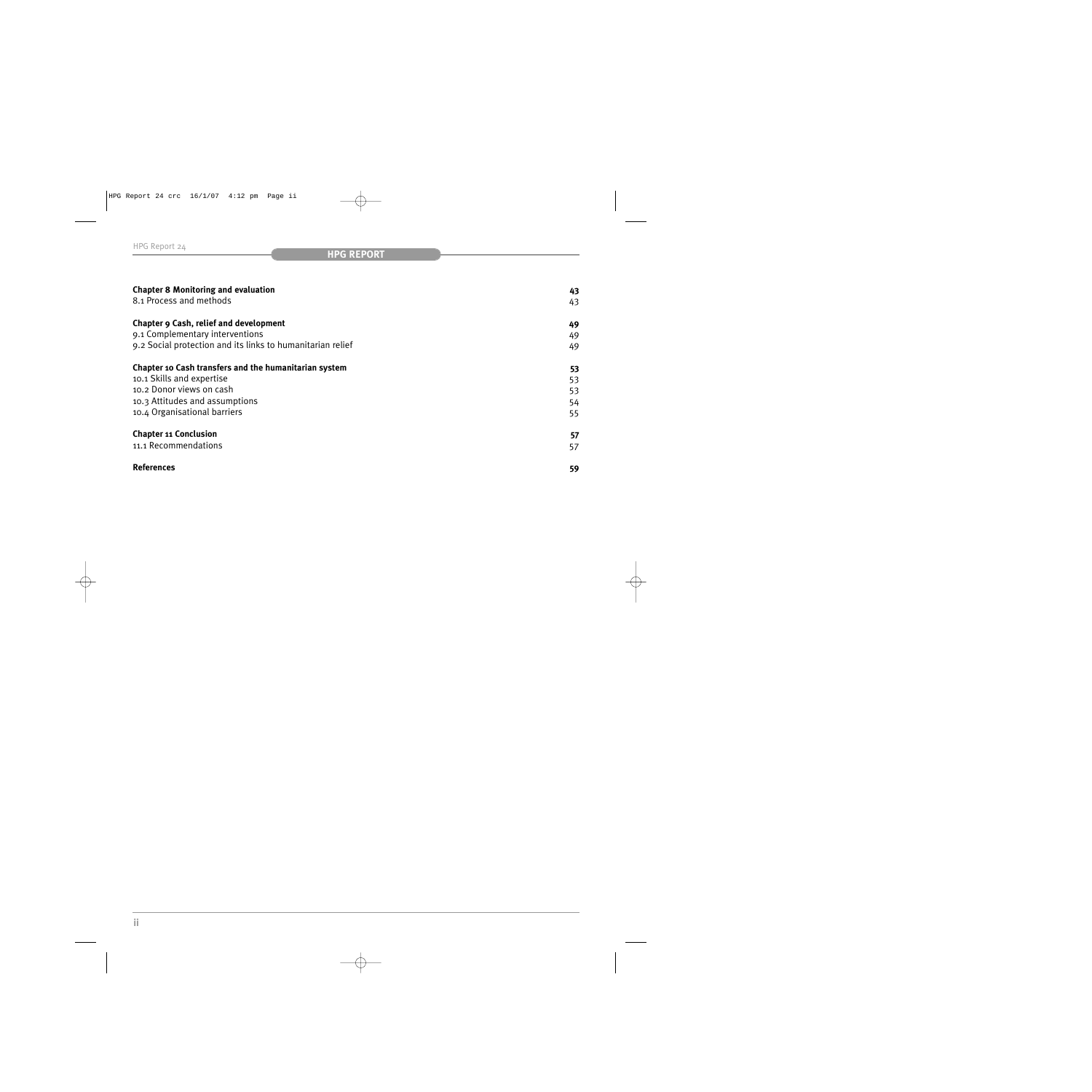| <b>Chapter 8 Monitoring and evaluation</b>                 | 43 |
|------------------------------------------------------------|----|
| 8.1 Process and methods                                    | 43 |
| Chapter 9 Cash, relief and development                     | 49 |
| 9.1 Complementary interventions                            | 49 |
| 9.2 Social protection and its links to humanitarian relief | 49 |
| Chapter 10 Cash transfers and the humanitarian system      | 53 |
| 10.1 Skills and expertise                                  | 53 |
| 10.2 Donor views on cash                                   | 53 |
| 10.3 Attitudes and assumptions                             | 54 |
| 10.4 Organisational barriers                               | 55 |
| <b>Chapter 11 Conclusion</b>                               | 57 |
| 11.1 Recommendations                                       | 57 |
| <b>References</b>                                          | 59 |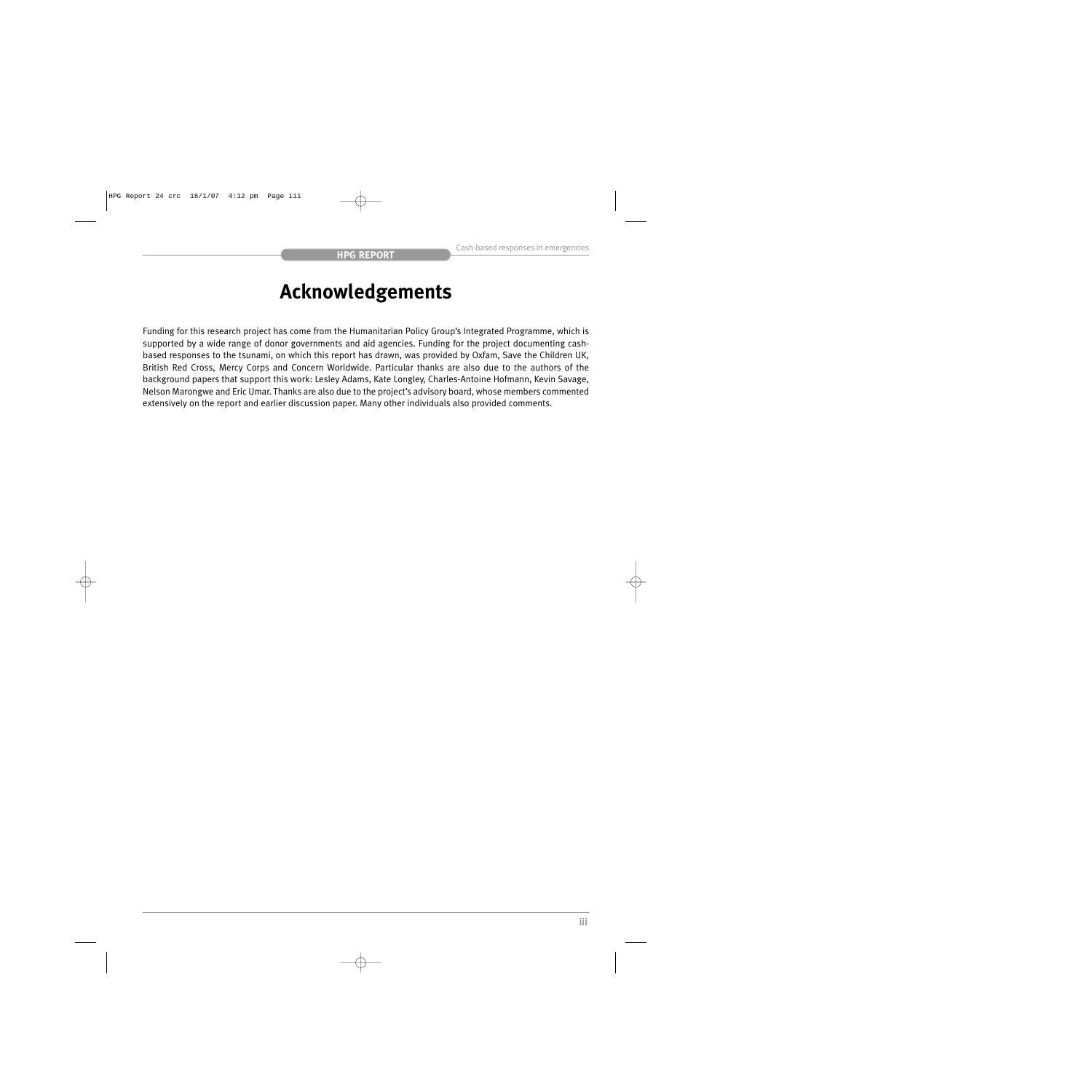# **Acknowledgements**

Funding for this research project has come from the Humanitarian Policy Group's Integrated Programme, which is supported by a wide range of donor governments and aid agencies. Funding for the project documenting cashbased responses to the tsunami, on which this report has drawn, was provided by Oxfam, Save the Children UK, British Red Cross, Mercy Corps and Concern Worldwide. Particular thanks are also due to the authors of the background papers that support this work: Lesley Adams, Kate Longley, Charles-Antoine Hofmann, Kevin Savage, Nelson Marongwe and Eric Umar. Thanks are also due to the project's advisory board, whose members commented extensively on the report and earlier discussion paper. Many other individuals also provided comments.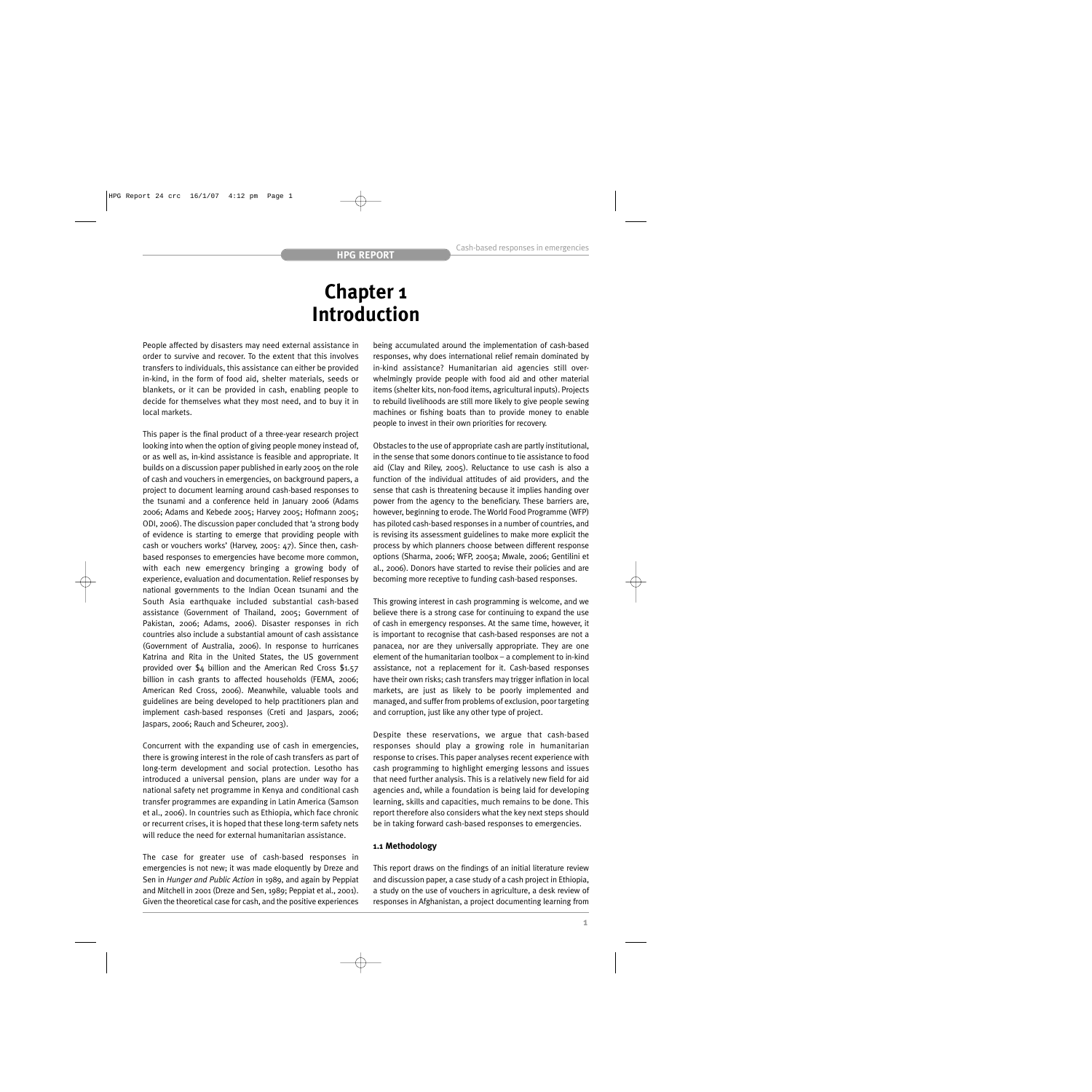# **Chapter 1 Introduction**

People affected by disasters may need external assistance in order to survive and recover. To the extent that this involves transfers to individuals, this assistance can either be provided in-kind, in the form of food aid, shelter materials, seeds or blankets, or it can be provided in cash, enabling people to decide for themselves what they most need, and to buy it in local markets.

This paper is the final product of a three-year research project looking into when the option of giving people money instead of, or as well as, in-kind assistance is feasible and appropriate. It builds on a discussion paper published in early 2005 on the role of cash and vouchers in emergencies, on background papers, a project to document learning around cash-based responses to the tsunami and a conference held in January 2006 (Adams 2006; Adams and Kebede 2005; Harvey 2005; Hofmann 2005; ODI, 2006). The discussion paper concluded that 'a strong body of evidence is starting to emerge that providing people with cash or vouchers works' (Harvey, 2005: 47). Since then, cashbased responses to emergencies have become more common, with each new emergency bringing a growing body of experience, evaluation and documentation. Relief responses by national governments to the Indian Ocean tsunami and the South Asia earthquake included substantial cash-based assistance (Government of Thailand, 2005; Government of Pakistan, 2006; Adams, 2006). Disaster responses in rich countries also include a substantial amount of cash assistance (Government of Australia, 2006). In response to hurricanes Katrina and Rita in the United States, the US government provided over \$4 billion and the American Red Cross \$1.57 billion in cash grants to affected households (FEMA, 2006; American Red Cross, 2006). Meanwhile, valuable tools and guidelines are being developed to help practitioners plan and implement cash-based responses (Creti and Jaspars, 2006; Jaspars, 2006; Rauch and Scheurer, 2003).

Concurrent with the expanding use of cash in emergencies, there is growing interest in the role of cash transfers as part of long-term development and social protection. Lesotho has introduced a universal pension, plans are under way for a national safety net programme in Kenya and conditional cash transfer programmes are expanding in Latin America (Samson et al., 2006). In countries such as Ethiopia, which face chronic or recurrent crises, it is hoped that these long-term safety nets will reduce the need for external humanitarian assistance.

The case for greater use of cash-based responses in emergencies is not new; it was made eloquently by Dreze and Sen in *Hunger and Public Action* in 1989, and again by Peppiat and Mitchell in 2001 (Dreze and Sen, 1989; Peppiat et al., 2001). Given the theoretical case for cash, and the positive experiences

being accumulated around the implementation of cash-based responses, why does international relief remain dominated by in-kind assistance? Humanitarian aid agencies still overwhelmingly provide people with food aid and other material items (shelter kits, non-food items, agricultural inputs). Projects to rebuild livelihoods are still more likely to give people sewing machines or fishing boats than to provide money to enable people to invest in their own priorities for recovery.

Obstacles to the use of appropriate cash are partly institutional, in the sense that some donors continue to tie assistance to food aid (Clay and Riley, 2005). Reluctance to use cash is also a function of the individual attitudes of aid providers, and the sense that cash is threatening because it implies handing over power from the agency to the beneficiary. These barriers are, however, beginning to erode. The World Food Programme (WFP) has piloted cash-based responses in a number of countries, and is revising its assessment guidelines to make more explicit the process by which planners choose between different response options (Sharma, 2006; WFP, 2005a; Mwale, 2006; Gentilini et al., 2006). Donors have started to revise their policies and are becoming more receptive to funding cash-based responses.

This growing interest in cash programming is welcome, and we believe there is a strong case for continuing to expand the use of cash in emergency responses. At the same time, however, it is important to recognise that cash-based responses are not a panacea, nor are they universally appropriate. They are one element of the humanitarian toolbox – a complement to in-kind assistance, not a replacement for it. Cash-based responses have their own risks; cash transfers may trigger inflation in local markets, are just as likely to be poorly implemented and managed, and suffer from problems of exclusion, poor targeting and corruption, just like any other type of project.

Despite these reservations, we argue that cash-based responses should play a growing role in humanitarian response to crises. This paper analyses recent experience with cash programming to highlight emerging lessons and issues that need further analysis. This is a relatively new field for aid agencies and, while a foundation is being laid for developing learning, skills and capacities, much remains to be done. This report therefore also considers what the key next steps should be in taking forward cash-based responses to emergencies.

## **1.1 Methodology**

This report draws on the findings of an initial literature review and discussion paper, a case study of a cash project in Ethiopia, a study on the use of vouchers in agriculture, a desk review of responses in Afghanistan, a project documenting learning from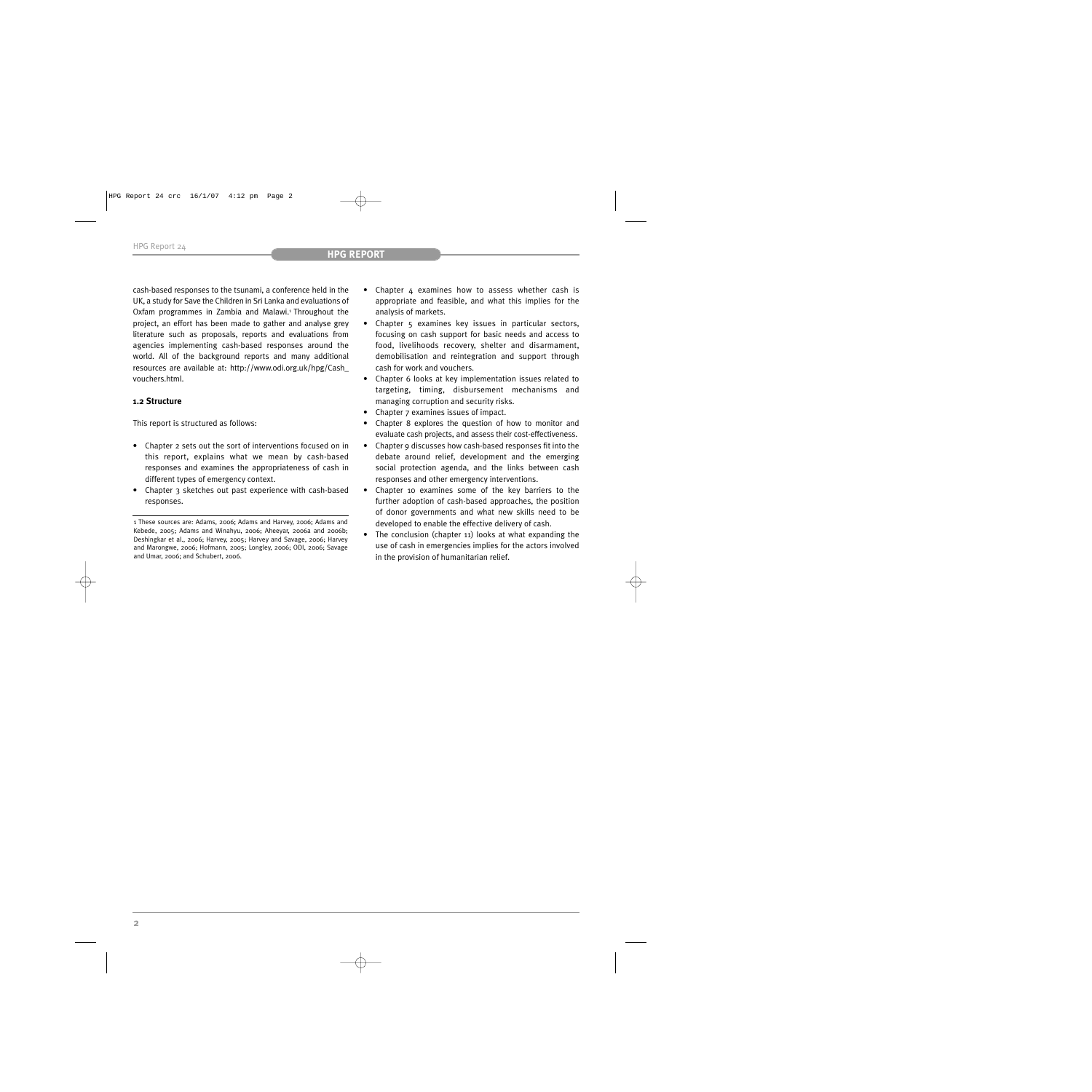cash-based responses to the tsunami, a conference held in the UK, a study for Save the Children in Sri Lanka and evaluations of Oxfam programmes in Zambia and Malawi.<sup>1</sup> Throughout the project, an effort has been made to gather and analyse grey literature such as proposals, reports and evaluations from agencies implementing cash-based responses around the world. All of the background reports and many additional resources are available at: http://www.odi.org.uk/hpg/Cash\_ vouchers.html.

# **1.2 Structure**

This report is structured as follows:

- Chapter 2 sets out the sort of interventions focused on in this report, explains what we mean by cash-based responses and examines the appropriateness of cash in different types of emergency context.
- Chapter 3 sketches out past experience with cash-based responses.
- Chapter 4 examines how to assess whether cash is appropriate and feasible, and what this implies for the analysis of markets.
- Chapter 5 examines key issues in particular sectors, focusing on cash support for basic needs and access to food, livelihoods recovery, shelter and disarmament, demobilisation and reintegration and support through cash for work and vouchers.
- Chapter 6 looks at key implementation issues related to targeting, timing, disbursement mechanisms and managing corruption and security risks.
- Chapter 7 examines issues of impact.
- Chapter 8 explores the question of how to monitor and evaluate cash projects, and assess their cost-effectiveness.
- Chapter 9 discusses how cash-based responses fit into the debate around relief, development and the emerging social protection agenda, and the links between cash responses and other emergency interventions.
- Chapter 10 examines some of the key barriers to the further adoption of cash-based approaches, the position of donor governments and what new skills need to be developed to enable the effective delivery of cash.
- The conclusion (chapter 11) looks at what expanding the use of cash in emergencies implies for the actors involved in the provision of humanitarian relief.

<sup>1</sup> These sources are: Adams, 2006; Adams and Harvey, 2006; Adams and Kebede, 2005; Adams and Winahyu, 2006; Aheeyar, 2006a and 2006b; Deshingkar et al., 2006; Harvey, 2005; Harvey and Savage, 2006; Harvey and Marongwe, 2006; Hofmann, 2005; Longley, 2006; ODI, 2006; Savage and Umar, 2006; and Schubert, 2006.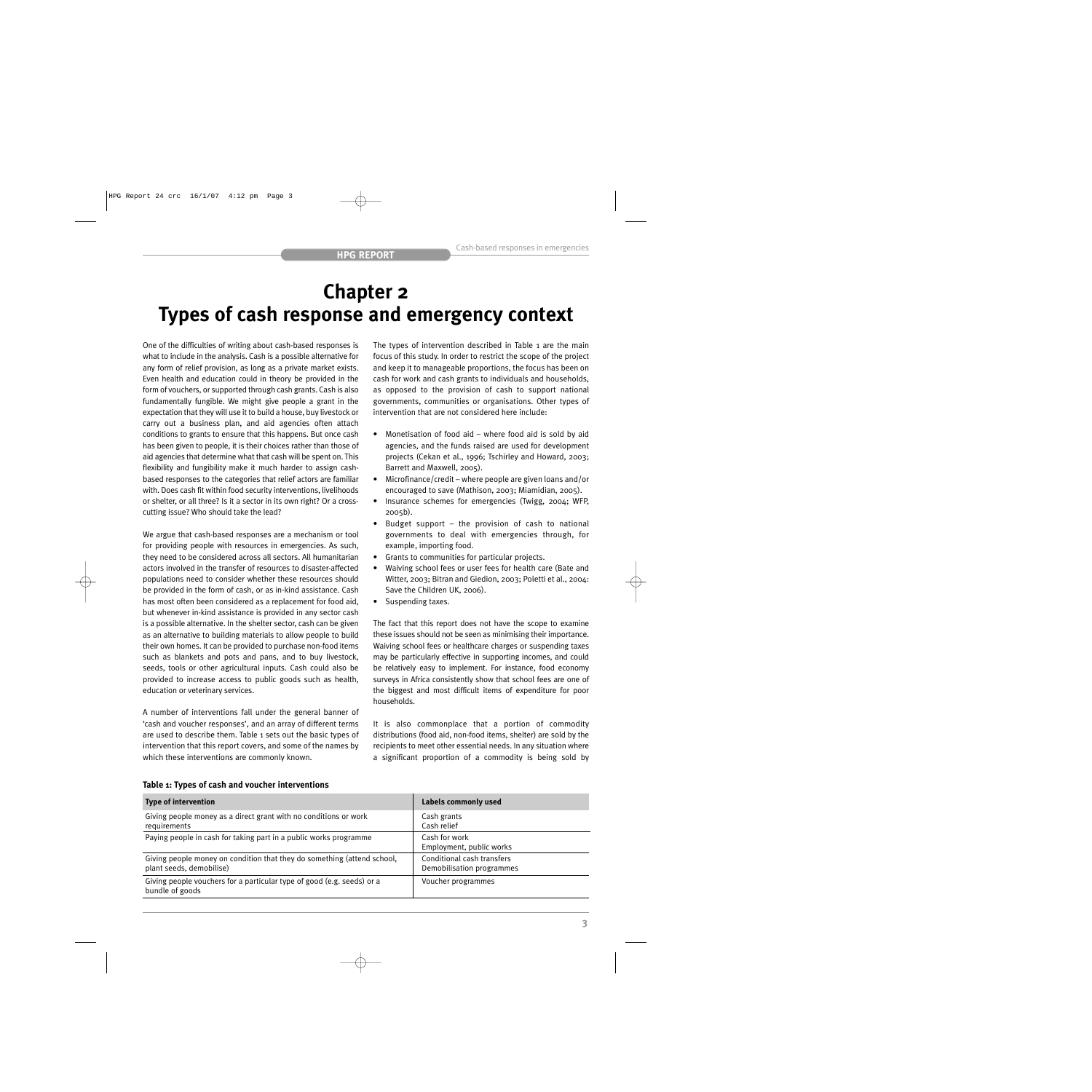# **Chapter 2 Types of cash response and emergency context**

One of the difficulties of writing about cash-based responses is what to include in the analysis. Cash is a possible alternative for any form of relief provision, as long as a private market exists. Even health and education could in theory be provided in the form of vouchers, or supported through cash grants. Cash is also fundamentally fungible. We might give people a grant in the expectation that they will use it to build a house, buy livestock or carry out a business plan, and aid agencies often attach conditions to grants to ensure that this happens. But once cash has been given to people, it is their choices rather than those of aid agencies that determine what that cash will be spent on. This flexibility and fungibility make it much harder to assign cashbased responses to the categories that relief actors are familiar with. Does cash fit within food security interventions, livelihoods or shelter, or all three? Is it a sector in its own right? Or a crosscutting issue? Who should take the lead?

We argue that cash-based responses are a mechanism or tool for providing people with resources in emergencies. As such, they need to be considered across all sectors. All humanitarian actors involved in the transfer of resources to disaster-affected populations need to consider whether these resources should be provided in the form of cash, or as in-kind assistance. Cash has most often been considered as a replacement for food aid, but whenever in-kind assistance is provided in any sector cash is a possible alternative. In the shelter sector, cash can be given as an alternative to building materials to allow people to build their own homes. It can be provided to purchase non-food items such as blankets and pots and pans, and to buy livestock, seeds, tools or other agricultural inputs. Cash could also be provided to increase access to public goods such as health, education or veterinary services.

A number of interventions fall under the general banner of 'cash and voucher responses', and an array of different terms are used to describe them. Table 1 sets out the basic types of intervention that this report covers, and some of the names by which these interventions are commonly known.

The types of intervention described in Table 1 are the main focus of this study. In order to restrict the scope of the project and keep it to manageable proportions, the focus has been on cash for work and cash grants to individuals and households, as opposed to the provision of cash to support national governments, communities or organisations. Other types of intervention that are not considered here include:

- Monetisation of food aid where food aid is sold by aid agencies, and the funds raised are used for development projects (Cekan et al., 1996; Tschirley and Howard, 2003; Barrett and Maxwell, 2005).
- Microfinance/credit where people are given loans and/or encouraged to save (Mathison, 2003; Miamidian, 2005).
- Insurance schemes for emergencies (Twigg, 2004; WFP, 2005b).
- Budget support  $-$  the provision of cash to national governments to deal with emergencies through, for example, importing food.
- Grants to communities for particular projects.
- Waiving school fees or user fees for health care (Bate and Witter, 2003; Bitran and Giedion, 2003; Poletti et al., 2004: Save the Children UK, 2006).
- Suspending taxes.

The fact that this report does not have the scope to examine these issues should not be seen as minimising their importance. Waiving school fees or healthcare charges or suspending taxes may be particularly effective in supporting incomes, and could be relatively easy to implement. For instance, food economy surveys in Africa consistently show that school fees are one of the biggest and most difficult items of expenditure for poor households.

It is also commonplace that a portion of commodity distributions (food aid, non-food items, shelter) are sold by the recipients to meet other essential needs. In any situation where a significant proportion of a commodity is being sold by

# **Table 1: Types of cash and voucher interventions**

| <b>Type of intervention</b>                                                                         | Labels commonly used                                    |
|-----------------------------------------------------------------------------------------------------|---------------------------------------------------------|
| Giving people money as a direct grant with no conditions or work<br>requirements                    | Cash grants<br>Cash relief                              |
| Paying people in cash for taking part in a public works programme                                   | Cash for work<br>Employment, public works               |
| Giving people money on condition that they do something (attend school,<br>plant seeds, demobilise) | Conditional cash transfers<br>Demobilisation programmes |
| Giving people vouchers for a particular type of good (e.g. seeds) or a<br>bundle of goods           | Voucher programmes                                      |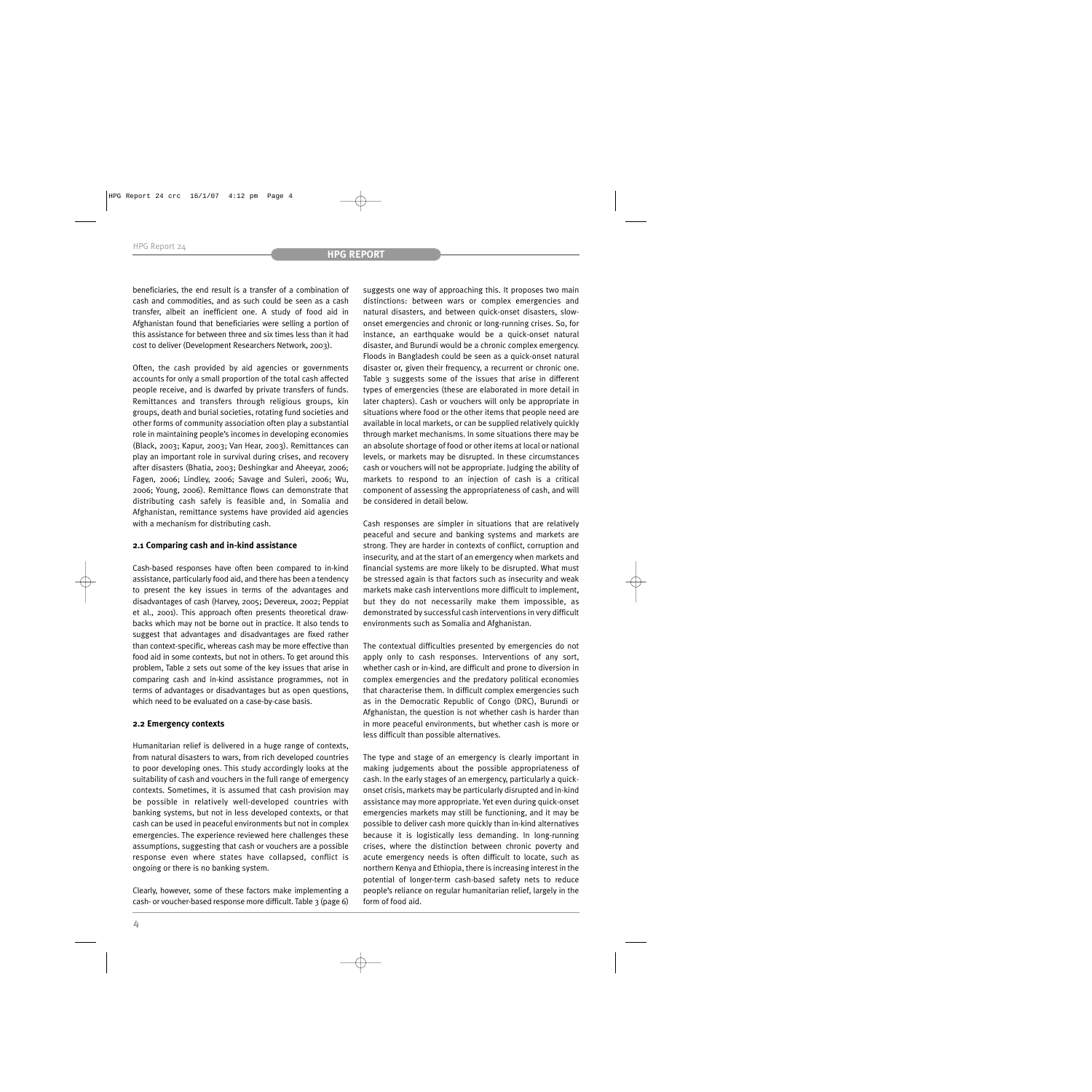beneficiaries, the end result is a transfer of a combination of cash and commodities, and as such could be seen as a cash transfer, albeit an inefficient one. A study of food aid in Afghanistan found that beneficiaries were selling a portion of this assistance for between three and six times less than it had cost to deliver (Development Researchers Network, 2003).

Often, the cash provided by aid agencies or governments accounts for only a small proportion of the total cash affected people receive, and is dwarfed by private transfers of funds. Remittances and transfers through religious groups, kin groups, death and burial societies, rotating fund societies and other forms of community association often play a substantial role in maintaining people's incomes in developing economies (Black, 2003; Kapur, 2003; Van Hear, 2003). Remittances can play an important role in survival during crises, and recovery after disasters (Bhatia, 2003; Deshingkar and Aheeyar, 2006; Fagen, 2006; Lindley, 2006; Savage and Suleri, 2006; Wu, 2006; Young, 2006). Remittance flows can demonstrate that distributing cash safely is feasible and, in Somalia and Afghanistan, remittance systems have provided aid agencies with a mechanism for distributing cash.

## **2.1 Comparing cash and in-kind assistance**

Cash-based responses have often been compared to in-kind assistance, particularly food aid, and there has been a tendency to present the key issues in terms of the advantages and disadvantages of cash (Harvey, 2005; Devereux, 2002; Peppiat et al., 2001). This approach often presents theoretical drawbacks which may not be borne out in practice. It also tends to suggest that advantages and disadvantages are fixed rather than context-specific, whereas cash may be more effective than food aid in some contexts, but not in others. To get around this problem, Table 2 sets out some of the key issues that arise in comparing cash and in-kind assistance programmes, not in terms of advantages or disadvantages but as open questions, which need to be evaluated on a case-by-case basis.

## **2.2 Emergency contexts**

Humanitarian relief is delivered in a huge range of contexts, from natural disasters to wars, from rich developed countries to poor developing ones. This study accordingly looks at the suitability of cash and vouchers in the full range of emergency contexts. Sometimes, it is assumed that cash provision may be possible in relatively well-developed countries with banking systems, but not in less developed contexts, or that cash can be used in peaceful environments but not in complex emergencies. The experience reviewed here challenges these assumptions, suggesting that cash or vouchers are a possible response even where states have collapsed, conflict is ongoing or there is no banking system.

Clearly, however, some of these factors make implementing a cash- or voucher-based response more difficult. Table 3 (page 6)

suggests one way of approaching this. It proposes two main distinctions: between wars or complex emergencies and natural disasters, and between quick-onset disasters, slowonset emergencies and chronic or long-running crises. So, for instance, an earthquake would be a quick-onset natural disaster, and Burundi would be a chronic complex emergency. Floods in Bangladesh could be seen as a quick-onset natural disaster or, given their frequency, a recurrent or chronic one. Table 3 suggests some of the issues that arise in different types of emergencies (these are elaborated in more detail in later chapters). Cash or vouchers will only be appropriate in situations where food or the other items that people need are available in local markets, or can be supplied relatively quickly through market mechanisms. In some situations there may be an absolute shortage of food or other items at local or national levels, or markets may be disrupted. In these circumstances cash or vouchers will not be appropriate. Judging the ability of markets to respond to an injection of cash is a critical component of assessing the appropriateness of cash, and will be considered in detail below.

Cash responses are simpler in situations that are relatively peaceful and secure and banking systems and markets are strong. They are harder in contexts of conflict, corruption and insecurity, and at the start of an emergency when markets and financial systems are more likely to be disrupted. What must be stressed again is that factors such as insecurity and weak markets make cash interventions more difficult to implement, but they do not necessarily make them impossible, as demonstrated by successful cash interventions in very difficult environments such as Somalia and Afghanistan.

The contextual difficulties presented by emergencies do not apply only to cash responses. Interventions of any sort, whether cash or in-kind, are difficult and prone to diversion in complex emergencies and the predatory political economies that characterise them. In difficult complex emergencies such as in the Democratic Republic of Congo (DRC), Burundi or Afghanistan, the question is not whether cash is harder than in more peaceful environments, but whether cash is more or less difficult than possible alternatives.

The type and stage of an emergency is clearly important in making judgements about the possible appropriateness of cash. In the early stages of an emergency, particularly a quickonset crisis, markets may be particularly disrupted and in-kind assistance may more appropriate. Yet even during quick-onset emergencies markets may still be functioning, and it may be possible to deliver cash more quickly than in-kind alternatives because it is logistically less demanding. In long-running crises, where the distinction between chronic poverty and acute emergency needs is often difficult to locate, such as northern Kenya and Ethiopia, there is increasing interest in the potential of longer-term cash-based safety nets to reduce people's reliance on regular humanitarian relief, largely in the form of food aid.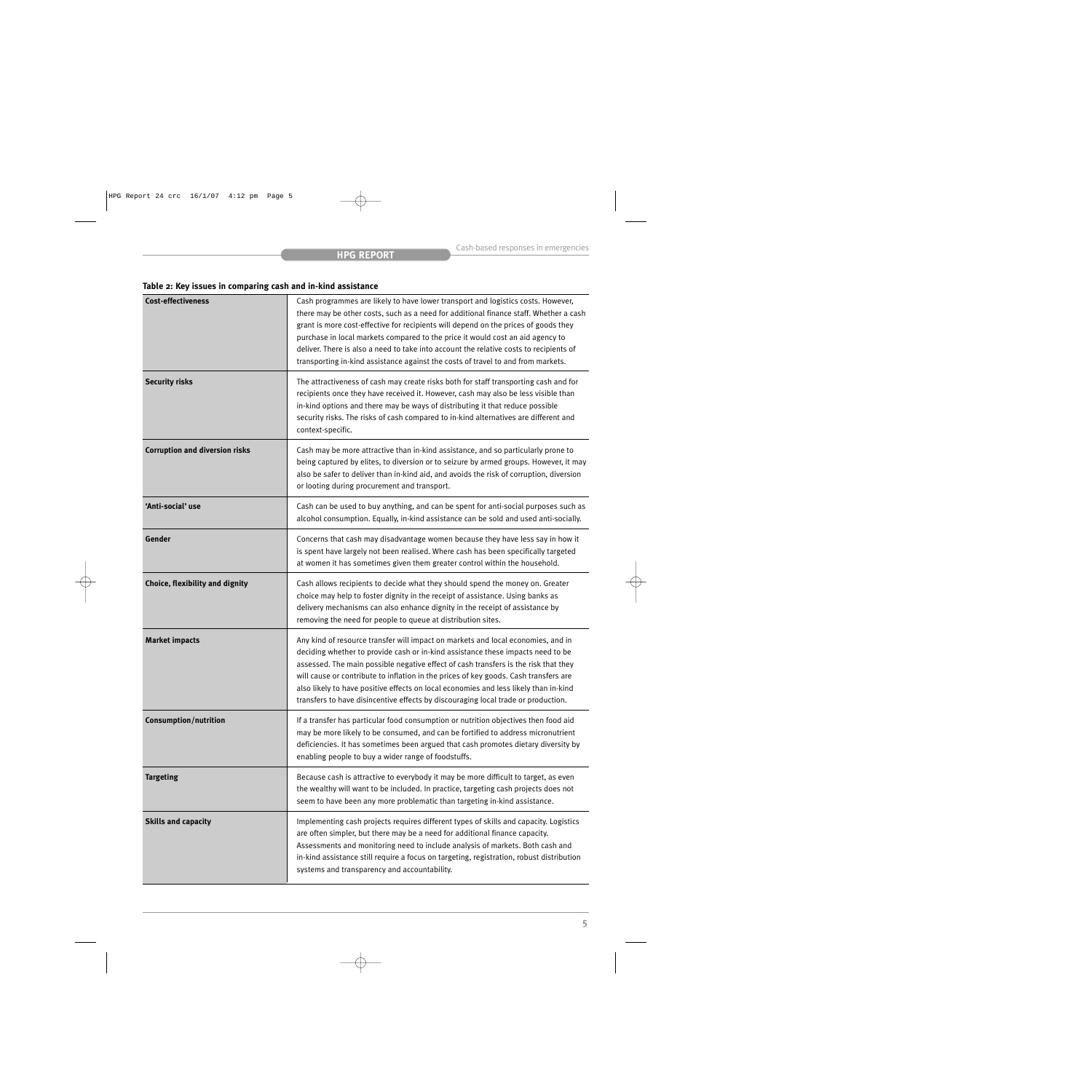# **Table 2: Key issues in comparing cash and in-kind assistance**

| <b>Cost-effectiveness</b>             | Cash programmes are likely to have lower transport and logistics costs. However,<br>there may be other costs, such as a need for additional finance staff. Whether a cash<br>grant is more cost-effective for recipients will depend on the prices of goods they<br>purchase in local markets compared to the price it would cost an aid agency to<br>deliver. There is also a need to take into account the relative costs to recipients of<br>transporting in-kind assistance against the costs of travel to and from markets. |
|---------------------------------------|----------------------------------------------------------------------------------------------------------------------------------------------------------------------------------------------------------------------------------------------------------------------------------------------------------------------------------------------------------------------------------------------------------------------------------------------------------------------------------------------------------------------------------|
| <b>Security risks</b>                 | The attractiveness of cash may create risks both for staff transporting cash and for<br>recipients once they have received it. However, cash may also be less visible than<br>in-kind options and there may be ways of distributing it that reduce possible<br>security risks. The risks of cash compared to in-kind alternatives are different and<br>context-specific.                                                                                                                                                         |
| <b>Corruption and diversion risks</b> | Cash may be more attractive than in-kind assistance, and so particularly prone to<br>being captured by elites, to diversion or to seizure by armed groups. However, it may<br>also be safer to deliver than in-kind aid, and avoids the risk of corruption, diversion<br>or looting during procurement and transport.                                                                                                                                                                                                            |
| 'Anti-social' use                     | Cash can be used to buy anything, and can be spent for anti-social purposes such as<br>alcohol consumption. Equally, in-kind assistance can be sold and used anti-socially.                                                                                                                                                                                                                                                                                                                                                      |
| Gender                                | Concerns that cash may disadvantage women because they have less say in how it<br>is spent have largely not been realised. Where cash has been specifically targeted<br>at women it has sometimes given them greater control within the household.                                                                                                                                                                                                                                                                               |
| Choice, flexibility and dignity       | Cash allows recipients to decide what they should spend the money on. Greater<br>choice may help to foster dignity in the receipt of assistance. Using banks as<br>delivery mechanisms can also enhance dignity in the receipt of assistance by<br>removing the need for people to queue at distribution sites.                                                                                                                                                                                                                  |
| <b>Market impacts</b>                 | Any kind of resource transfer will impact on markets and local economies, and in<br>deciding whether to provide cash or in-kind assistance these impacts need to be<br>assessed. The main possible negative effect of cash transfers is the risk that they<br>will cause or contribute to inflation in the prices of key goods. Cash transfers are<br>also likely to have positive effects on local economies and less likely than in-kind<br>transfers to have disincentive effects by discouraging local trade or production.  |
| <b>Consumption/nutrition</b>          | If a transfer has particular food consumption or nutrition objectives then food aid<br>may be more likely to be consumed, and can be fortified to address micronutrient<br>deficiencies. It has sometimes been argued that cash promotes dietary diversity by<br>enabling people to buy a wider range of foodstuffs.                                                                                                                                                                                                             |
| <b>Targeting</b>                      | Because cash is attractive to everybody it may be more difficult to target, as even<br>the wealthy will want to be included. In practice, targeting cash projects does not<br>seem to have been any more problematic than targeting in-kind assistance.                                                                                                                                                                                                                                                                          |
| <b>Skills and capacity</b>            | Implementing cash projects requires different types of skills and capacity. Logistics<br>are often simpler, but there may be a need for additional finance capacity.<br>Assessments and monitoring need to include analysis of markets. Both cash and<br>in-kind assistance still require a focus on targeting, registration, robust distribution<br>systems and transparency and accountability.                                                                                                                                |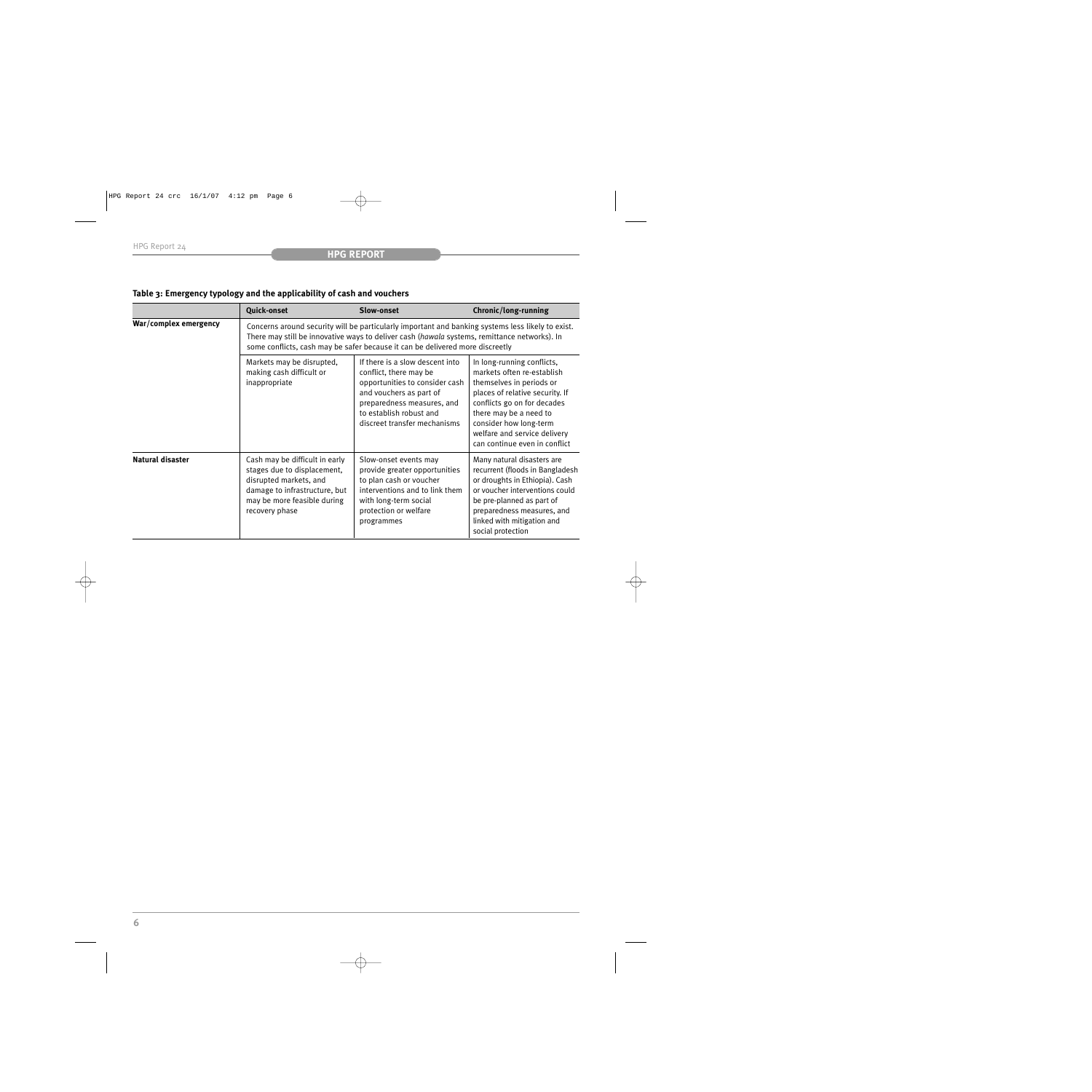|                         | <b>Quick-onset</b>                                                                                                                                                                                                                                                                 | Slow-onset                                                                                                                                                                                                      | Chronic/long-running                                                                                                                                                                                                                                                        |
|-------------------------|------------------------------------------------------------------------------------------------------------------------------------------------------------------------------------------------------------------------------------------------------------------------------------|-----------------------------------------------------------------------------------------------------------------------------------------------------------------------------------------------------------------|-----------------------------------------------------------------------------------------------------------------------------------------------------------------------------------------------------------------------------------------------------------------------------|
| War/complex emergency   | Concerns around security will be particularly important and banking systems less likely to exist.<br>There may still be innovative ways to deliver cash (hawala systems, remittance networks). In<br>some conflicts, cash may be safer because it can be delivered more discreetly |                                                                                                                                                                                                                 |                                                                                                                                                                                                                                                                             |
|                         | Markets may be disrupted,<br>making cash difficult or<br>inappropriate                                                                                                                                                                                                             | If there is a slow descent into<br>conflict, there may be<br>opportunities to consider cash<br>and vouchers as part of<br>preparedness measures, and<br>to establish robust and<br>discreet transfer mechanisms | In long-running conflicts,<br>markets often re-establish<br>themselves in periods or<br>places of relative security. If<br>conflicts go on for decades<br>there may be a need to<br>consider how long-term<br>welfare and service delivery<br>can continue even in conflict |
| <b>Natural disaster</b> | Cash may be difficult in early<br>stages due to displacement,<br>disrupted markets, and<br>damage to infrastructure, but<br>may be more feasible during<br>recovery phase                                                                                                          | Slow-onset events may<br>provide greater opportunities<br>to plan cash or voucher<br>interventions and to link them<br>with long-term social<br>protection or welfare<br>programmes                             | Many natural disasters are<br>recurrent (floods in Bangladesh<br>or droughts in Ethiopia). Cash<br>or voucher interventions could<br>be pre-planned as part of<br>preparedness measures, and<br>linked with mitigation and<br>social protection                             |

# **Table 3: Emergency typology and the applicability of cash and vouchers**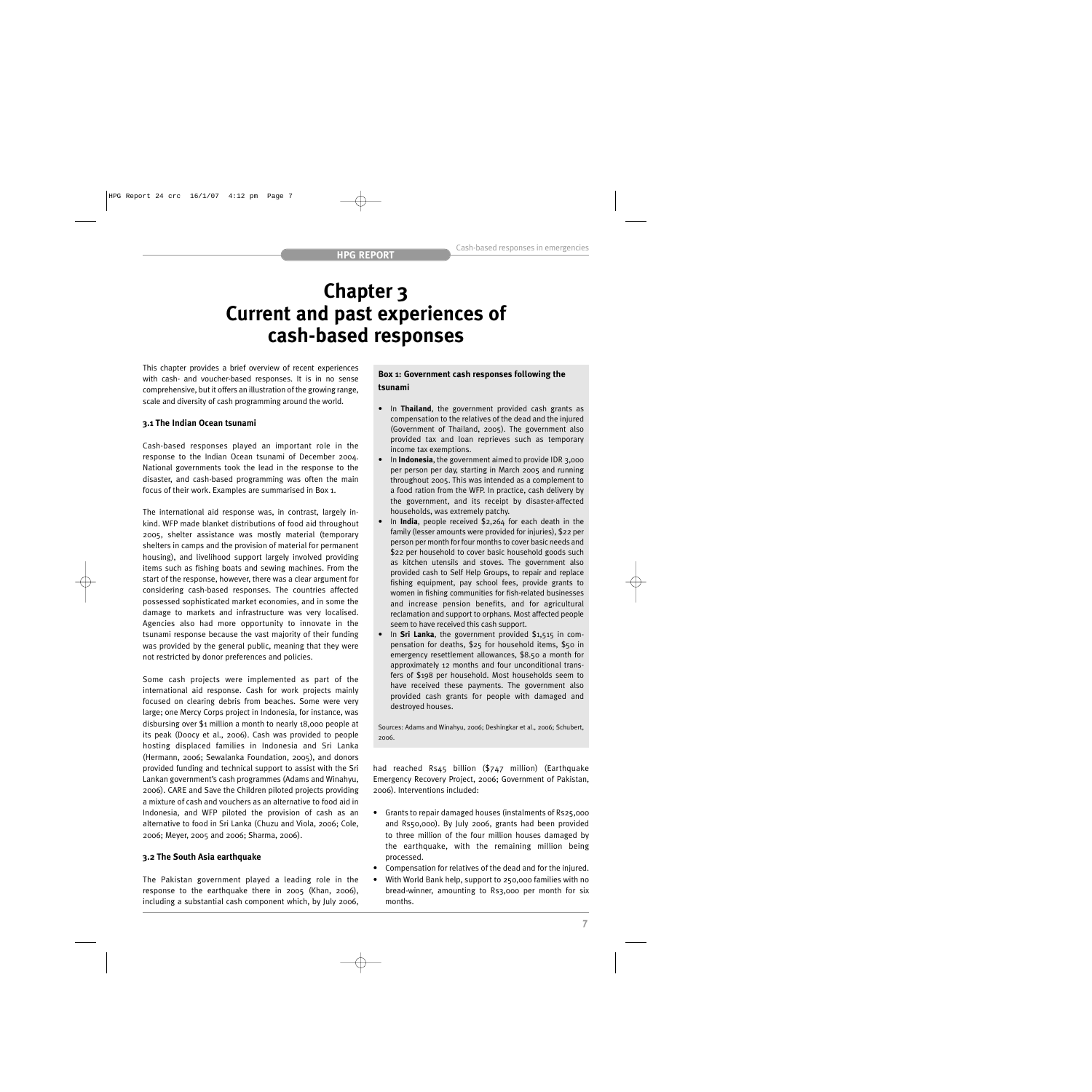# **Chapter 3 Current and past experiences of cash-based responses**

This chapter provides a brief overview of recent experiences with cash- and voucher-based responses. It is in no sense comprehensive, but it offers an illustration of the growing range, scale and diversity of cash programming around the world.

# **3.1 The Indian Ocean tsunami**

Cash-based responses played an important role in the response to the Indian Ocean tsunami of December 2004. National governments took the lead in the response to the disaster, and cash-based programming was often the main focus of their work. Examples are summarised in Box 1.

The international aid response was, in contrast, largely inkind. WFP made blanket distributions of food aid throughout 2005, shelter assistance was mostly material (temporary shelters in camps and the provision of material for permanent housing), and livelihood support largely involved providing items such as fishing boats and sewing machines. From the start of the response, however, there was a clear argument for considering cash-based responses. The countries affected possessed sophisticated market economies, and in some the damage to markets and infrastructure was very localised. Agencies also had more opportunity to innovate in the tsunami response because the vast majority of their funding was provided by the general public, meaning that they were not restricted by donor preferences and policies.

Some cash projects were implemented as part of the international aid response. Cash for work projects mainly focused on clearing debris from beaches. Some were very large; one Mercy Corps project in Indonesia, for instance, was disbursing over \$1 million a month to nearly 18,000 people at its peak (Doocy et al., 2006). Cash was provided to people hosting displaced families in Indonesia and Sri Lanka (Hermann, 2006; Sewalanka Foundation, 2005), and donors provided funding and technical support to assist with the Sri Lankan government's cash programmes (Adams and Winahyu, 2006). CARE and Save the Children piloted projects providing a mixture of cash and vouchers as an alternative to food aid in Indonesia, and WFP piloted the provision of cash as an alternative to food in Sri Lanka (Chuzu and Viola, 2006; Cole, 2006; Meyer, 2005 and 2006; Sharma, 2006).

# **3.2 The South Asia earthquake**

The Pakistan government played a leading role in the response to the earthquake there in 2005 (Khan, 2006), including a substantial cash component which, by July 2006,

# **Box 1: Government cash responses following the tsunami**

- In **Thailand**, the government provided cash grants as compensation to the relatives of the dead and the injured (Government of Thailand, 2005). The government also provided tax and loan reprieves such as temporary income tax exemptions.
- In **Indonesia**, the government aimed to provide IDR 3,000 per person per day, starting in March 2005 and running throughout 2005. This was intended as a complement to a food ration from the WFP. In practice, cash delivery by the government, and its receipt by disaster-affected households, was extremely patchy.
- In **India**, people received \$2,264 for each death in the family (lesser amounts were provided for injuries), \$22 per person per month for four months to cover basic needs and \$22 per household to cover basic household goods such as kitchen utensils and stoves. The government also provided cash to Self Help Groups, to repair and replace fishing equipment, pay school fees, provide grants to women in fishing communities for fish-related businesses and increase pension benefits, and for agricultural reclamation and support to orphans. Most affected people seem to have received this cash support.
- In **Sri Lanka**, the government provided \$1,515 in compensation for deaths, \$25 for household items, \$50 in emergency resettlement allowances, \$8.50 a month for approximately 12 months and four unconditional transfers of \$198 per household. Most households seem to have received these payments. The government also provided cash grants for people with damaged and destroyed houses.

Sources: Adams and Winahyu, 2006; Deshingkar et al., 2006; Schubert, 2006.

had reached Rs45 billion (\$747 million) (Earthquake Emergency Recovery Project, 2006; Government of Pakistan, 2006). Interventions included:

- Grants to repair damaged houses (instalments of Rs25,000 and Rs50,000). By July 2006, grants had been provided to three million of the four million houses damaged by the earthquake, with the remaining million being processed.
- Compensation for relatives of the dead and for the injured.
- With World Bank help, support to 250,000 families with no bread-winner, amounting to Rs3,000 per month for six months.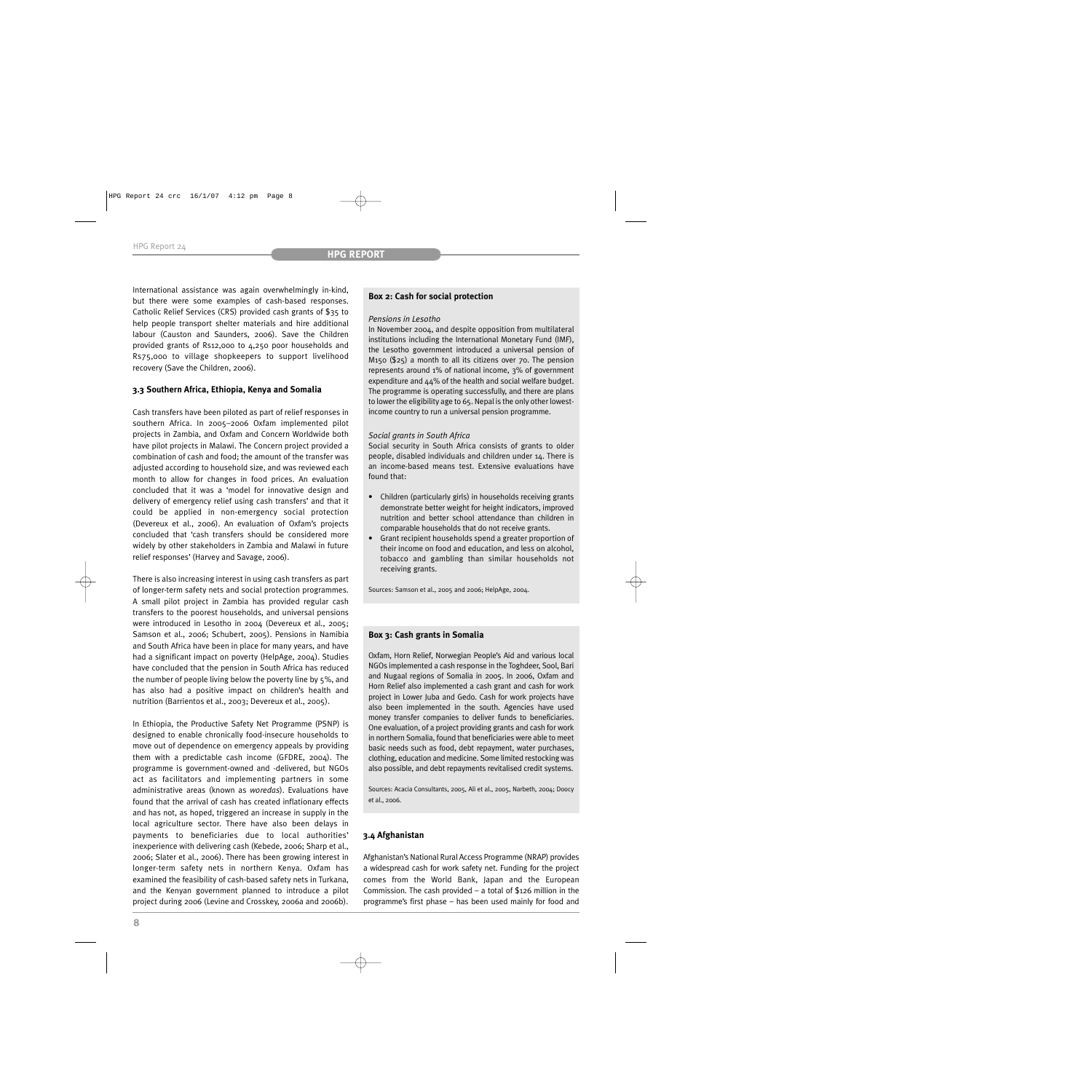International assistance was again overwhelmingly in-kind, but there were some examples of cash-based responses. Catholic Relief Services (CRS) provided cash grants of \$35 to help people transport shelter materials and hire additional labour (Causton and Saunders, 2006). Save the Children provided grants of Rs12,000 to 4,250 poor households and Rs75,000 to village shopkeepers to support livelihood recovery (Save the Children, 2006).

# **3.3 Southern Africa, Ethiopia, Kenya and Somalia**

Cash transfers have been piloted as part of relief responses in southern Africa. In 2005–2006 Oxfam implemented pilot projects in Zambia, and Oxfam and Concern Worldwide both have pilot projects in Malawi. The Concern project provided a combination of cash and food; the amount of the transfer was adjusted according to household size, and was reviewed each month to allow for changes in food prices. An evaluation concluded that it was a 'model for innovative design and delivery of emergency relief using cash transfers' and that it could be applied in non-emergency social protection (Devereux et al., 2006). An evaluation of Oxfam's projects concluded that 'cash transfers should be considered more widely by other stakeholders in Zambia and Malawi in future relief responses' (Harvey and Savage, 2006).

There is also increasing interest in using cash transfers as part of longer-term safety nets and social protection programmes. A small pilot project in Zambia has provided regular cash transfers to the poorest households, and universal pensions were introduced in Lesotho in 2004 (Devereux et al., 2005; Samson et al., 2006; Schubert, 2005). Pensions in Namibia and South Africa have been in place for many years, and have had a significant impact on poverty (HelpAge, 2004). Studies have concluded that the pension in South Africa has reduced the number of people living below the poverty line by 5%, and has also had a positive impact on children's health and nutrition (Barrientos et al., 2003; Devereux et al., 2005).

In Ethiopia, the Productive Safety Net Programme (PSNP) is designed to enable chronically food-insecure households to move out of dependence on emergency appeals by providing them with a predictable cash income (GFDRE, 2004). The programme is government-owned and -delivered, but NGOs act as facilitators and implementing partners in some administrative areas (known as *woredas*). Evaluations have found that the arrival of cash has created inflationary effects and has not, as hoped, triggered an increase in supply in the local agriculture sector. There have also been delays in payments to beneficiaries due to local authorities' inexperience with delivering cash (Kebede, 2006; Sharp et al., 2006; Slater et al., 2006). There has been growing interest in longer-term safety nets in northern Kenya. Oxfam has examined the feasibility of cash-based safety nets in Turkana, and the Kenyan government planned to introduce a pilot project during 2006 (Levine and Crosskey, 2006a and 2006b).

# **Box 2: Cash for social protection**

#### *Pensions in Lesotho*

In November 2004, and despite opposition from multilateral institutions including the International Monetary Fund (IMF), the Lesotho government introduced a universal pension of M150 (\$25) a month to all its citizens over 70. The pension represents around 1% of national income, 3% of government expenditure and 44% of the health and social welfare budget. The programme is operating successfully, and there are plans to lower the eligibility age to 65. Nepal is the only other lowestincome country to run a universal pension programme.

## *Social grants in South Africa*

Social security in South Africa consists of grants to older people, disabled individuals and children under 14. There is an income-based means test. Extensive evaluations have found that:

- Children (particularly girls) in households receiving grants demonstrate better weight for height indicators, improved nutrition and better school attendance than children in comparable households that do not receive grants.
- Grant recipient households spend a greater proportion of their income on food and education, and less on alcohol, tobacco and gambling than similar households not receiving grants.

Sources: Samson et al., 2005 and 2006; HelpAge, 2004.

## **Box 3: Cash grants in Somalia**

Oxfam, Horn Relief, Norwegian People's Aid and various local NGOs implemented a cash response in the Toghdeer, Sool, Bari and Nugaal regions of Somalia in 2005. In 2006, Oxfam and Horn Relief also implemented a cash grant and cash for work project in Lower Juba and Gedo. Cash for work projects have also been implemented in the south. Agencies have used money transfer companies to deliver funds to beneficiaries. One evaluation, of a project providing grants and cash for work in northern Somalia, found that beneficiaries were able to meet basic needs such as food, debt repayment, water purchases, clothing, education and medicine. Some limited restocking was also possible, and debt repayments revitalised credit systems.

Sources: Acacia Consultants, 2005, Ali et al., 2005, Narbeth, 2004; Doocy et al., 2006.

# **3.4 Afghanistan**

Afghanistan's National Rural Access Programme (NRAP) provides a widespread cash for work safety net. Funding for the project comes from the World Bank, Japan and the European Commission. The cash provided – a total of  $$126$  million in the programme's first phase – has been used mainly for food and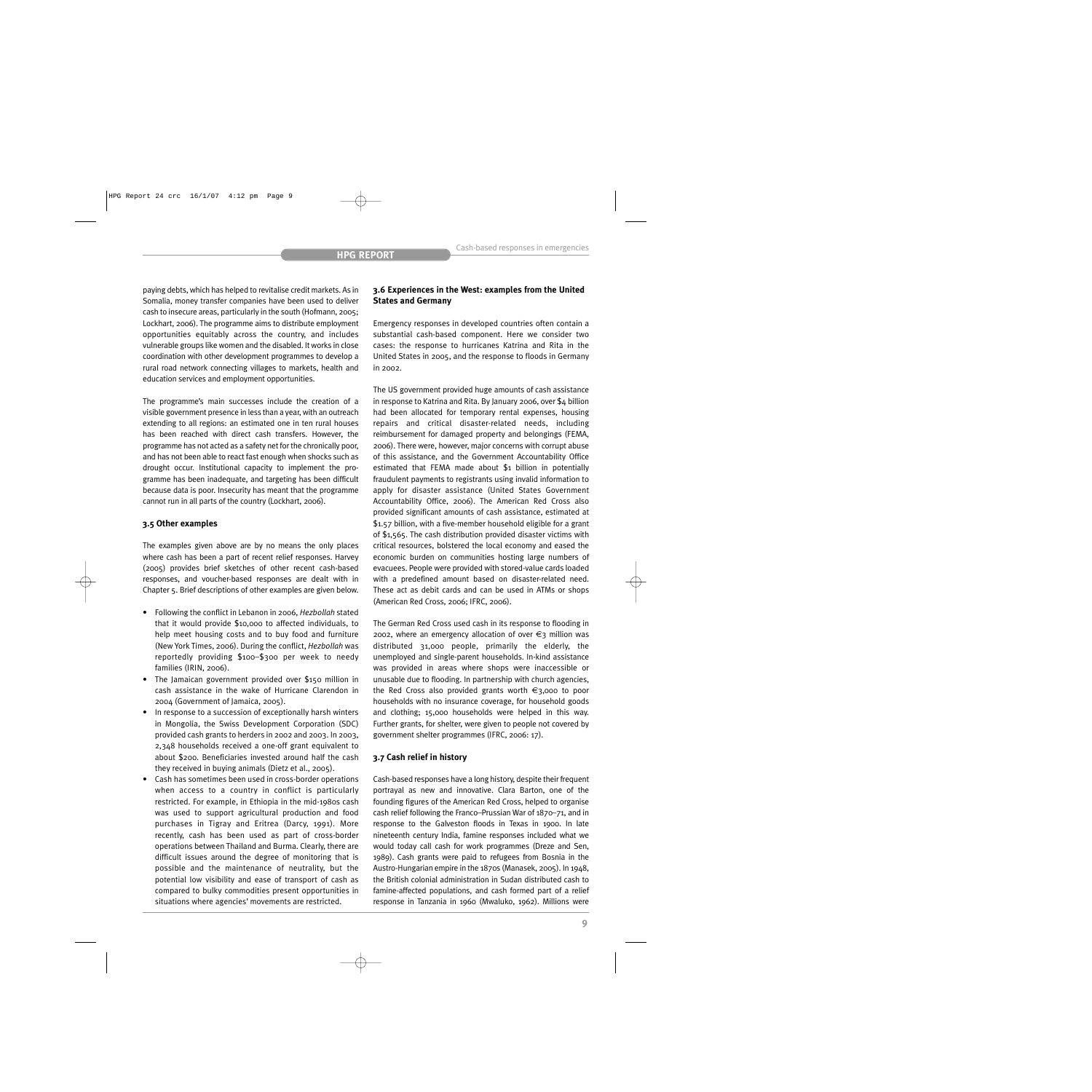paying debts, which has helped to revitalise credit markets. As in Somalia, money transfer companies have been used to deliver cash to insecure areas, particularly in the south (Hofmann, 2005; Lockhart, 2006). The programme aims to distribute employment opportunities equitably across the country, and includes vulnerable groups like women and the disabled. It works in close coordination with other development programmes to develop a rural road network connecting villages to markets, health and education services and employment opportunities.

The programme's main successes include the creation of a visible government presence in less than a year, with an outreach extending to all regions: an estimated one in ten rural houses has been reached with direct cash transfers. However, the programme has not acted as a safety net for the chronically poor, and has not been able to react fast enough when shocks such as drought occur. Institutional capacity to implement the programme has been inadequate, and targeting has been difficult because data is poor. Insecurity has meant that the programme cannot run in all parts of the country (Lockhart, 2006).

## **3.5 Other examples**

The examples given above are by no means the only places where cash has been a part of recent relief responses. Harvey (2005) provides brief sketches of other recent cash-based responses, and voucher-based responses are dealt with in Chapter 5. Brief descriptions of other examples are given below.

- Following the conflict in Lebanon in 2006, *Hezbollah* stated that it would provide \$10,000 to affected individuals, to help meet housing costs and to buy food and furniture (New York Times, 2006). During the conflict, *Hezbollah* was reportedly providing \$100–\$300 per week to needy families (IRIN, 2006).
- The Jamaican government provided over \$150 million in cash assistance in the wake of Hurricane Clarendon in 2004 (Government of Jamaica, 2005).
- In response to a succession of exceptionally harsh winters in Mongolia, the Swiss Development Corporation (SDC) provided cash grants to herders in 2002 and 2003. In 2003, 2,348 households received a one-off grant equivalent to about \$200. Beneficiaries invested around half the cash they received in buying animals (Dietz et al., 2005).
- Cash has sometimes been used in cross-border operations when access to a country in conflict is particularly restricted. For example, in Ethiopia in the mid-1980s cash was used to support agricultural production and food purchases in Tigray and Eritrea (Darcy, 1991). More recently, cash has been used as part of cross-border operations between Thailand and Burma. Clearly, there are difficult issues around the degree of monitoring that is possible and the maintenance of neutrality, but the potential low visibility and ease of transport of cash as compared to bulky commodities present opportunities in situations where agencies' movements are restricted.

# **3.6 Experiences in the West: examples from the United States and Germany**

Emergency responses in developed countries often contain a substantial cash-based component. Here we consider two cases: the response to hurricanes Katrina and Rita in the United States in 2005, and the response to floods in Germany in 2002.

The US government provided huge amounts of cash assistance in response to Katrina and Rita. By January 2006, over \$4 billion had been allocated for temporary rental expenses, housing repairs and critical disaster-related needs, including reimbursement for damaged property and belongings (FEMA, 2006). There were, however, major concerns with corrupt abuse of this assistance, and the Government Accountability Office estimated that FEMA made about \$1 billion in potentially fraudulent payments to registrants using invalid information to apply for disaster assistance (United States Government Accountability Office, 2006). The American Red Cross also provided significant amounts of cash assistance, estimated at \$1.57 billion, with a five-member household eligible for a grant of \$1,565. The cash distribution provided disaster victims with critical resources, bolstered the local economy and eased the economic burden on communities hosting large numbers of evacuees. People were provided with stored-value cards loaded with a predefined amount based on disaster-related need. These act as debit cards and can be used in ATMs or shops (American Red Cross, 2006; IFRC, 2006).

The German Red Cross used cash in its response to flooding in 2002, where an emergency allocation of over  $\epsilon_3$  million was distributed 31,000 people, primarily the elderly, the unemployed and single-parent households. In-kind assistance was provided in areas where shops were inaccessible or unusable due to flooding. In partnership with church agencies, the Red Cross also provided grants worth €3,000 to poor households with no insurance coverage, for household goods and clothing; 15,000 households were helped in this way. Further grants, for shelter, were given to people not covered by government shelter programmes (IFRC, 2006: 17).

## **3.7 Cash relief in history**

Cash-based responses have a long history, despite their frequent portrayal as new and innovative. Clara Barton, one of the founding figures of the American Red Cross, helped to organise cash relief following the Franco–Prussian War of 1870–71, and in response to the Galveston floods in Texas in 1900. In late nineteenth century India, famine responses included what we would today call cash for work programmes (Dreze and Sen, 1989). Cash grants were paid to refugees from Bosnia in the Austro-Hungarian empire in the 1870s (Manasek, 2005). In 1948, the British colonial administration in Sudan distributed cash to famine-affected populations, and cash formed part of a relief response in Tanzania in 1960 (Mwaluko, 1962). Millions were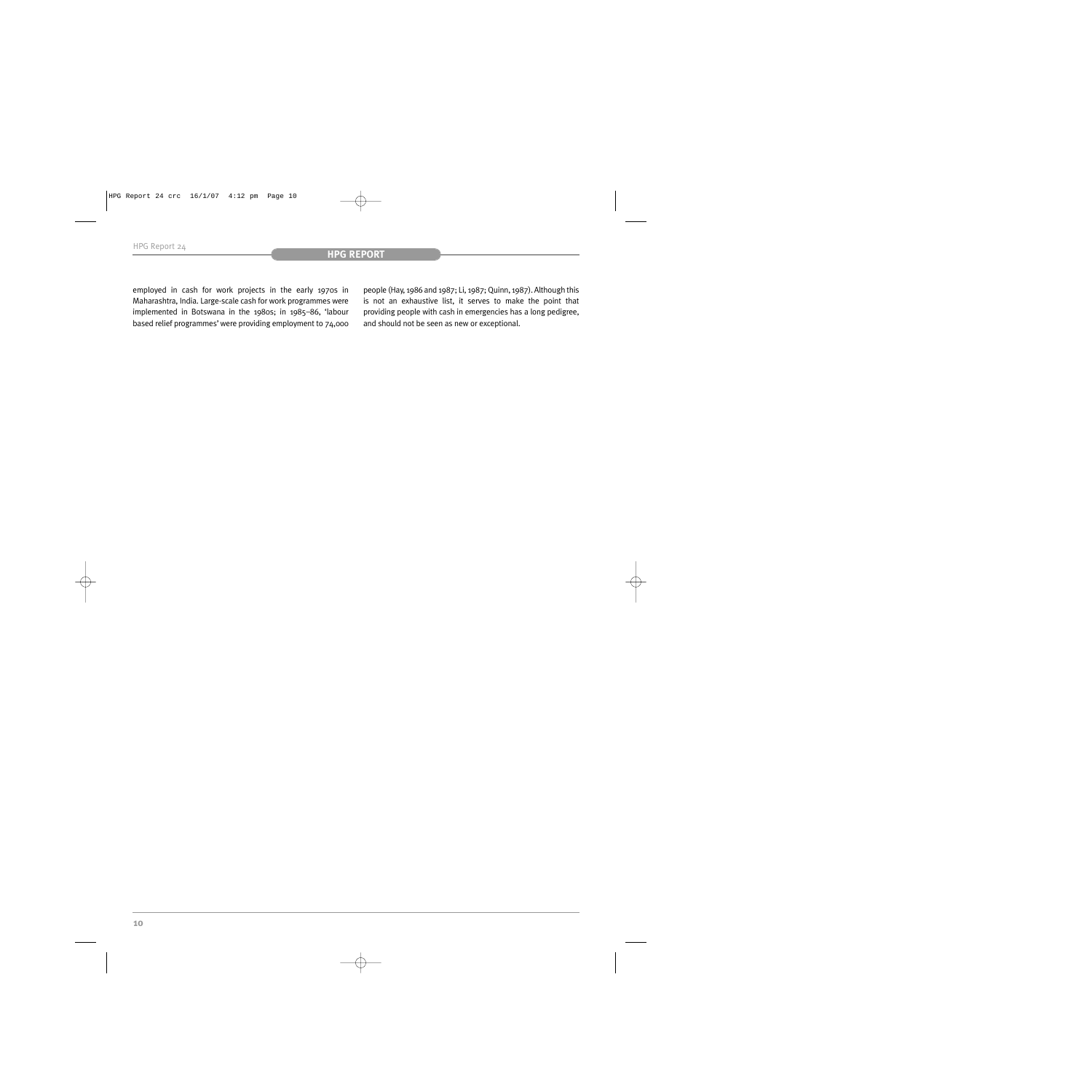employed in cash for work projects in the early 1970s in Maharashtra, India. Large-scale cash for work programmes were implemented in Botswana in the 1980s; in 1985–86, 'labour based relief programmes' were providing employment to 74,000 people (Hay, 1986 and 1987; Li, 1987; Quinn, 1987). Although this is not an exhaustive list, it serves to make the point that providing people with cash in emergencies has a long pedigree, and should not be seen as new or exceptional.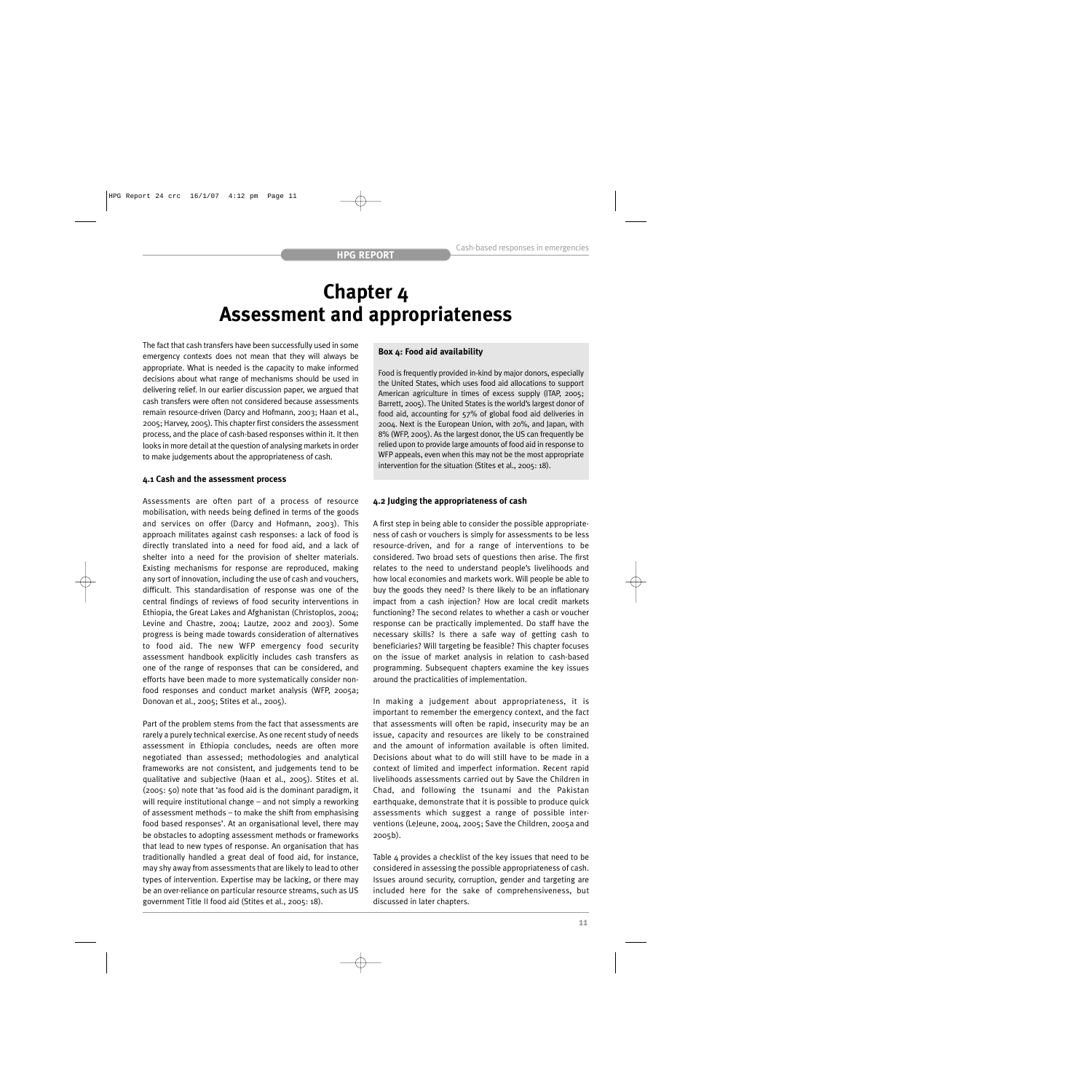# **Chapter 4 Assessment and appropriateness**

The fact that cash transfers have been successfully used in some emergency contexts does not mean that they will always be appropriate. What is needed is the capacity to make informed decisions about what range of mechanisms should be used in delivering relief. In our earlier discussion paper, we argued that cash transfers were often not considered because assessments remain resource-driven (Darcy and Hofmann, 2003; Haan et al., 2005; Harvey, 2005). This chapter first considers the assessment process, and the place of cash-based responses within it. It then looks in more detail at the question of analysing markets in order to make judgements about the appropriateness of cash.

## **4.1 Cash and the assessment process**

Assessments are often part of a process of resource mobilisation, with needs being defined in terms of the goods and services on offer (Darcy and Hofmann, 2003). This approach militates against cash responses: a lack of food is directly translated into a need for food aid, and a lack of shelter into a need for the provision of shelter materials. Existing mechanisms for response are reproduced, making any sort of innovation, including the use of cash and vouchers, difficult. This standardisation of response was one of the central findings of reviews of food security interventions in Ethiopia, the Great Lakes and Afghanistan (Christoplos, 2004; Levine and Chastre, 2004; Lautze, 2002 and 2003). Some progress is being made towards consideration of alternatives to food aid. The new WFP emergency food security assessment handbook explicitly includes cash transfers as one of the range of responses that can be considered, and efforts have been made to more systematically consider nonfood responses and conduct market analysis (WFP, 2005a; Donovan et al., 2005; Stites et al., 2005).

Part of the problem stems from the fact that assessments are rarely a purely technical exercise. As one recent study of needs assessment in Ethiopia concludes, needs are often more negotiated than assessed; methodologies and analytical frameworks are not consistent, and judgements tend to be qualitative and subjective (Haan et al., 2005). Stites et al. (2005: 50) note that 'as food aid is the dominant paradigm, it will require institutional change – and not simply a reworking of assessment methods – to make the shift from emphasising food based responses'. At an organisational level, there may be obstacles to adopting assessment methods or frameworks that lead to new types of response. An organisation that has traditionally handled a great deal of food aid, for instance, may shy away from assessments that are likely to lead to other types of intervention. Expertise may be lacking, or there may be an over-reliance on particular resource streams, such as US government Title II food aid (Stites et al., 2005: 18).

# **Box 4: Food aid availability**

Food is frequently provided in-kind by major donors, especially the United States, which uses food aid allocations to support American agriculture in times of excess supply (ITAP, 2005; Barrett, 2005). The United States is the world's largest donor of food aid, accounting for 57% of global food aid deliveries in 2004. Next is the European Union, with 20%, and Japan, with 8% (WFP, 2005). As the largest donor, the US can frequently be relied upon to provide large amounts of food aid in response to WFP appeals, even when this may not be the most appropriate intervention for the situation (Stites et al., 2005: 18).

# **4.2 Judging the appropriateness of cash**

A first step in being able to consider the possible appropriateness of cash or vouchers is simply for assessments to be less resource-driven, and for a range of interventions to be considered. Two broad sets of questions then arise. The first relates to the need to understand people's livelihoods and how local economies and markets work. Will people be able to buy the goods they need? Is there likely to be an inflationary impact from a cash injection? How are local credit markets functioning? The second relates to whether a cash or voucher response can be practically implemented. Do staff have the necessary skills? Is there a safe way of getting cash to beneficiaries? Will targeting be feasible? This chapter focuses on the issue of market analysis in relation to cash-based programming. Subsequent chapters examine the key issues around the practicalities of implementation.

In making a judgement about appropriateness, it is important to remember the emergency context, and the fact that assessments will often be rapid, insecurity may be an issue, capacity and resources are likely to be constrained and the amount of information available is often limited. Decisions about what to do will still have to be made in a context of limited and imperfect information. Recent rapid livelihoods assessments carried out by Save the Children in Chad, and following the tsunami and the Pakistan earthquake, demonstrate that it is possible to produce quick assessments which suggest a range of possible interventions (LeJeune, 2004, 2005; Save the Children, 2005a and 2005b).

Table 4 provides a checklist of the key issues that need to be considered in assessing the possible appropriateness of cash. Issues around security, corruption, gender and targeting are included here for the sake of comprehensiveness, but discussed in later chapters.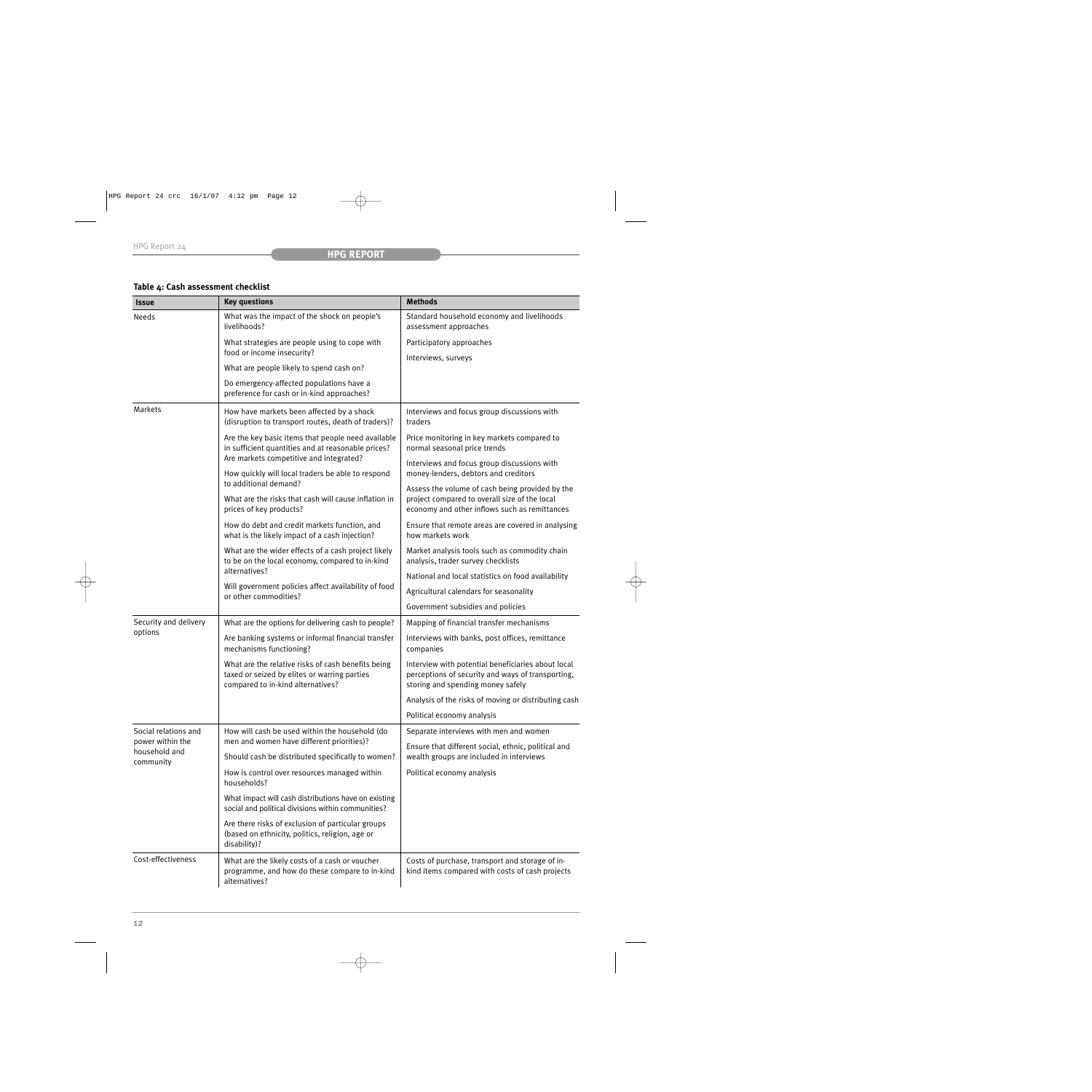# **Table 4: Cash assessment checklist**

| <b>Issue</b>                                                           | <b>Key questions</b>                                                                                                                                                                                     | <b>Methods</b>                                                                                                                                    |
|------------------------------------------------------------------------|----------------------------------------------------------------------------------------------------------------------------------------------------------------------------------------------------------|---------------------------------------------------------------------------------------------------------------------------------------------------|
| Needs                                                                  | What was the impact of the shock on people's<br>livelihoods?                                                                                                                                             | Standard household economy and livelihoods<br>assessment approaches                                                                               |
|                                                                        | What strategies are people using to cope with                                                                                                                                                            | Participatory approaches                                                                                                                          |
|                                                                        | food or income insecurity?                                                                                                                                                                               | Interviews, surveys                                                                                                                               |
|                                                                        | What are people likely to spend cash on?                                                                                                                                                                 |                                                                                                                                                   |
|                                                                        | Do emergency-affected populations have a<br>preference for cash or in-kind approaches?                                                                                                                   |                                                                                                                                                   |
| <b>Markets</b>                                                         | How have markets been affected by a shock<br>(disruption to transport routes, death of traders)?                                                                                                         | Interviews and focus group discussions with<br>traders                                                                                            |
|                                                                        | Are the key basic items that people need available<br>in sufficient quantities and at reasonable prices?<br>Are markets competitive and integrated?<br>How quickly will local traders be able to respond | Price monitoring in key markets compared to<br>normal seasonal price trends                                                                       |
|                                                                        |                                                                                                                                                                                                          | Interviews and focus group discussions with<br>money-lenders, debtors and creditors                                                               |
|                                                                        | to additional demand?<br>What are the risks that cash will cause inflation in<br>prices of key products?                                                                                                 | Assess the volume of cash being provided by the<br>project compared to overall size of the local<br>economy and other inflows such as remittances |
|                                                                        | How do debt and credit markets function, and<br>what is the likely impact of a cash injection?                                                                                                           | Ensure that remote areas are covered in analysing<br>how markets work                                                                             |
|                                                                        | What are the wider effects of a cash project likely<br>to be on the local economy, compared to in-kind                                                                                                   | Market analysis tools such as commodity chain<br>analysis, trader survey checklists                                                               |
|                                                                        | alternatives?<br>Will government policies affect availability of food<br>or other commodities?                                                                                                           | National and local statistics on food availability                                                                                                |
|                                                                        |                                                                                                                                                                                                          | Agricultural calendars for seasonality                                                                                                            |
|                                                                        |                                                                                                                                                                                                          | Government subsidies and policies                                                                                                                 |
| Security and delivery                                                  | What are the options for delivering cash to people?                                                                                                                                                      | Mapping of financial transfer mechanisms                                                                                                          |
| options                                                                | Are banking systems or informal financial transfer<br>mechanisms functioning?                                                                                                                            | Interviews with banks, post offices, remittance<br>companies                                                                                      |
|                                                                        | What are the relative risks of cash benefits being<br>taxed or seized by elites or warring parties<br>compared to in-kind alternatives?                                                                  | Interview with potential beneficiaries about local<br>perceptions of security and ways of transporting,<br>storing and spending money safely      |
|                                                                        |                                                                                                                                                                                                          | Analysis of the risks of moving or distributing cash                                                                                              |
|                                                                        |                                                                                                                                                                                                          | Political economy analysis                                                                                                                        |
| Social relations and<br>power within the<br>household and<br>community | How will cash be used within the household (do                                                                                                                                                           | Separate interviews with men and women                                                                                                            |
|                                                                        | men and women have different priorities)?<br>Should cash be distributed specifically to women?                                                                                                           | Ensure that different social, ethnic, political and<br>wealth groups are included in interviews                                                   |
|                                                                        | How is control over resources managed within<br>households?                                                                                                                                              | Political economy analysis                                                                                                                        |
|                                                                        | What impact will cash distributions have on existing<br>social and political divisions within communities?                                                                                               |                                                                                                                                                   |
|                                                                        | Are there risks of exclusion of particular groups<br>(based on ethnicity, politics, religion, age or<br>disability)?                                                                                     |                                                                                                                                                   |
| Cost-effectiveness                                                     | What are the likely costs of a cash or voucher<br>programme, and how do these compare to in-kind<br>alternatives?                                                                                        | Costs of purchase, transport and storage of in-<br>kind items compared with costs of cash projects                                                |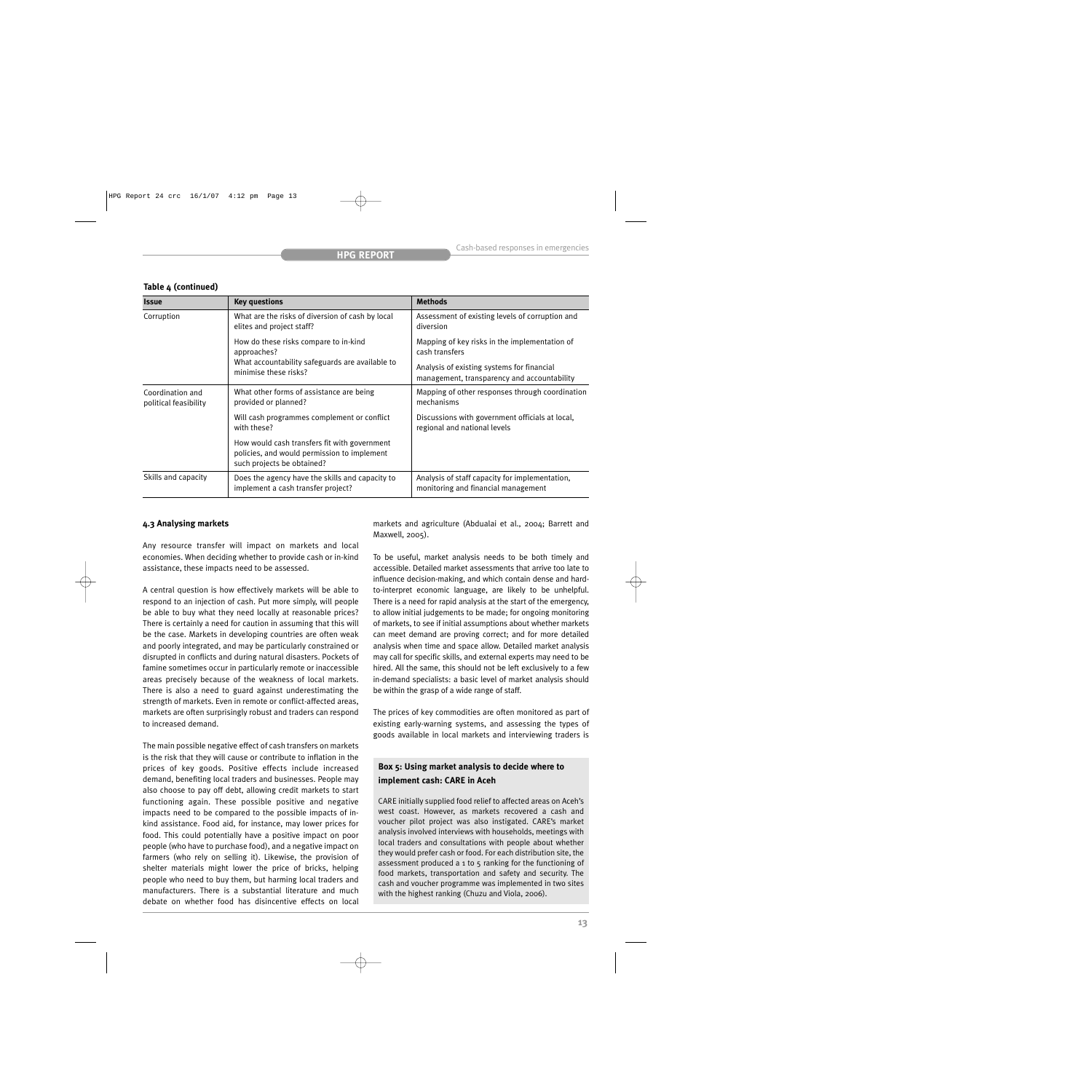| <b>Issue</b>                              | <b>Key questions</b>                                                                                                      | <b>Methods</b>                                                                            |
|-------------------------------------------|---------------------------------------------------------------------------------------------------------------------------|-------------------------------------------------------------------------------------------|
| Corruption                                | What are the risks of diversion of cash by local<br>elites and project staff?                                             | Assessment of existing levels of corruption and<br>diversion                              |
|                                           | How do these risks compare to in-kind<br>approaches?                                                                      | Mapping of key risks in the implementation of<br>cash transfers                           |
|                                           | What accountability safeguards are available to<br>minimise these risks?                                                  | Analysis of existing systems for financial<br>management, transparency and accountability |
| Coordination and<br>political feasibility | What other forms of assistance are being<br>provided or planned?                                                          | Mapping of other responses through coordination<br>mechanisms                             |
|                                           | Will cash programmes complement or conflict<br>with these?                                                                | Discussions with government officials at local,<br>regional and national levels           |
|                                           | How would cash transfers fit with government<br>policies, and would permission to implement<br>such projects be obtained? |                                                                                           |
| Skills and capacity                       | Does the agency have the skills and capacity to<br>implement a cash transfer project?                                     | Analysis of staff capacity for implementation,<br>monitoring and financial management     |

# **Table 4 (continued)**

# **4.3 Analysing markets**

Any resource transfer will impact on markets and local economies. When deciding whether to provide cash or in-kind assistance, these impacts need to be assessed.

A central question is how effectively markets will be able to respond to an injection of cash. Put more simply, will people be able to buy what they need locally at reasonable prices? There is certainly a need for caution in assuming that this will be the case. Markets in developing countries are often weak and poorly integrated, and may be particularly constrained or disrupted in conflicts and during natural disasters. Pockets of famine sometimes occur in particularly remote or inaccessible areas precisely because of the weakness of local markets. There is also a need to guard against underestimating the strength of markets. Even in remote or conflict-affected areas, markets are often surprisingly robust and traders can respond to increased demand.

The main possible negative effect of cash transfers on markets is the risk that they will cause or contribute to inflation in the prices of key goods. Positive effects include increased demand, benefiting local traders and businesses. People may also choose to pay off debt, allowing credit markets to start functioning again. These possible positive and negative impacts need to be compared to the possible impacts of inkind assistance. Food aid, for instance, may lower prices for food. This could potentially have a positive impact on poor people (who have to purchase food), and a negative impact on farmers (who rely on selling it). Likewise, the provision of shelter materials might lower the price of bricks, helping people who need to buy them, but harming local traders and manufacturers. There is a substantial literature and much debate on whether food has disincentive effects on local

markets and agriculture (Abdualai et al., 2004; Barrett and Maxwell, 2005).

To be useful, market analysis needs to be both timely and accessible. Detailed market assessments that arrive too late to influence decision-making, and which contain dense and hardto-interpret economic language, are likely to be unhelpful. There is a need for rapid analysis at the start of the emergency, to allow initial judgements to be made; for ongoing monitoring of markets, to see if initial assumptions about whether markets can meet demand are proving correct; and for more detailed analysis when time and space allow. Detailed market analysis may call for specific skills, and external experts may need to be hired. All the same, this should not be left exclusively to a few in-demand specialists: a basic level of market analysis should be within the grasp of a wide range of staff.

The prices of key commodities are often monitored as part of existing early-warning systems, and assessing the types of goods available in local markets and interviewing traders is

# **Box 5: Using market analysis to decide where to implement cash: CARE in Aceh**

CARE initially supplied food relief to affected areas on Aceh's west coast. However, as markets recovered a cash and voucher pilot project was also instigated. CARE's market analysis involved interviews with households, meetings with local traders and consultations with people about whether they would prefer cash or food. For each distribution site, the assessment produced a 1 to 5 ranking for the functioning of food markets, transportation and safety and security. The cash and voucher programme was implemented in two sites with the highest ranking (Chuzu and Viola, 2006).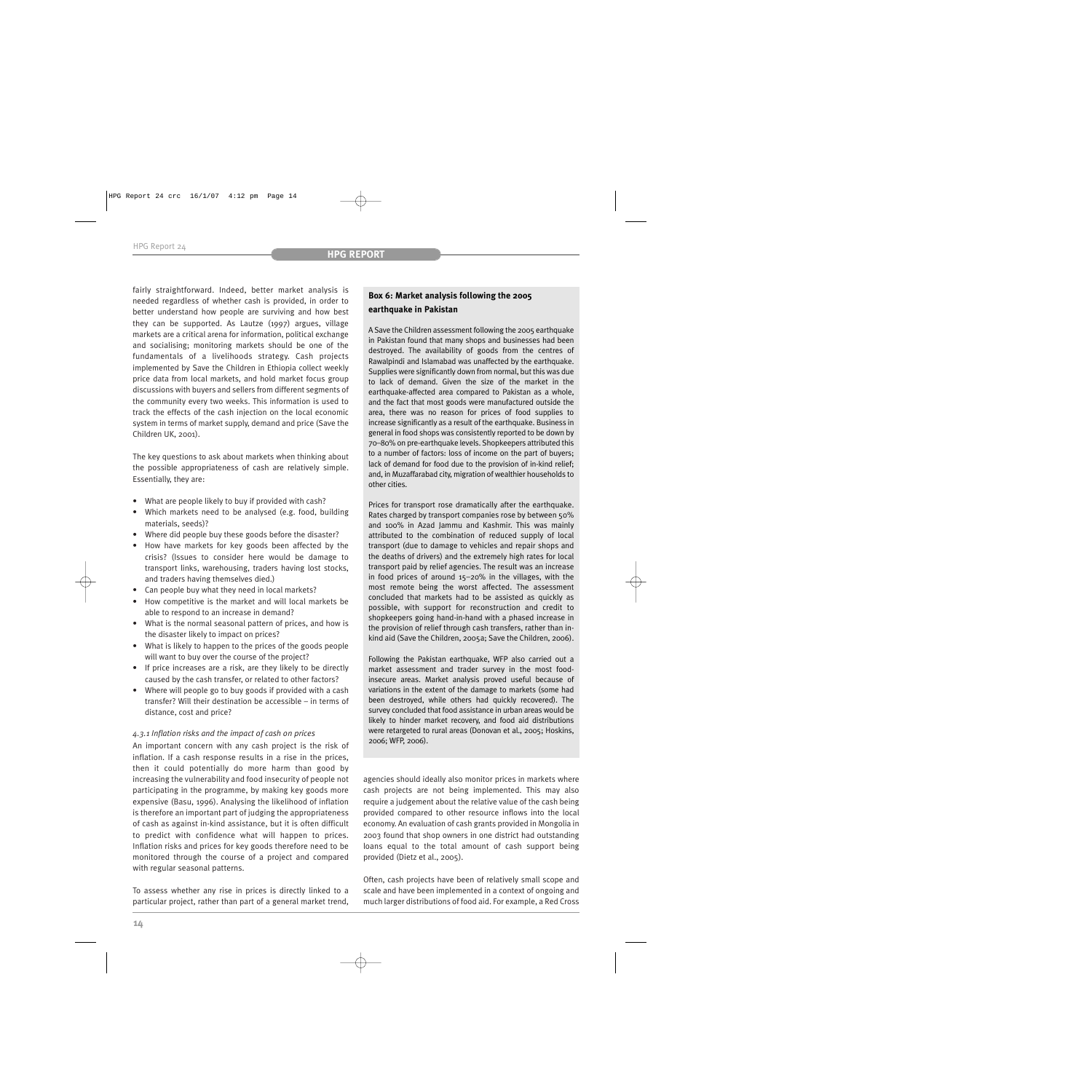fairly straightforward. Indeed, better market analysis is needed regardless of whether cash is provided, in order to better understand how people are surviving and how best they can be supported. As Lautze (1997) argues, village markets are a critical arena for information, political exchange and socialising; monitoring markets should be one of the fundamentals of a livelihoods strategy. Cash projects implemented by Save the Children in Ethiopia collect weekly price data from local markets, and hold market focus group discussions with buyers and sellers from different segments of the community every two weeks. This information is used to track the effects of the cash injection on the local economic system in terms of market supply, demand and price (Save the Children UK, 2001).

The key questions to ask about markets when thinking about the possible appropriateness of cash are relatively simple. Essentially, they are:

- What are people likely to buy if provided with cash?
- Which markets need to be analysed (e.g. food, building materials, seeds)?
- Where did people buy these goods before the disaster?
- How have markets for key goods been affected by the crisis? (Issues to consider here would be damage to transport links, warehousing, traders having lost stocks, and traders having themselves died.)
- Can people buy what they need in local markets?
- How competitive is the market and will local markets be able to respond to an increase in demand?
- What is the normal seasonal pattern of prices, and how is the disaster likely to impact on prices?
- What is likely to happen to the prices of the goods people will want to buy over the course of the project?
- If price increases are a risk, are they likely to be directly caused by the cash transfer, or related to other factors?
- Where will people go to buy goods if provided with a cash transfer? Will their destination be accessible – in terms of distance, cost and price?

#### *4.3.1 Inflation risks and the impact of cash on prices*

An important concern with any cash project is the risk of inflation. If a cash response results in a rise in the prices, then it could potentially do more harm than good by increasing the vulnerability and food insecurity of people not participating in the programme, by making key goods more expensive (Basu, 1996). Analysing the likelihood of inflation is therefore an important part of judging the appropriateness of cash as against in-kind assistance, but it is often difficult to predict with confidence what will happen to prices. Inflation risks and prices for key goods therefore need to be monitored through the course of a project and compared with regular seasonal patterns.

To assess whether any rise in prices is directly linked to a particular project, rather than part of a general market trend,

# **Box 6: Market analysis following the 2005 earthquake in Pakistan**

A Save the Children assessment following the 2005 earthquake in Pakistan found that many shops and businesses had been destroyed. The availability of goods from the centres of Rawalpindi and Islamabad was unaffected by the earthquake. Supplies were significantly down from normal, but this was due to lack of demand. Given the size of the market in the earthquake-affected area compared to Pakistan as a whole, and the fact that most goods were manufactured outside the area, there was no reason for prices of food supplies to increase significantly as a result of the earthquake. Business in general in food shops was consistently reported to be down by 70–80% on pre-earthquake levels. Shopkeepers attributed this to a number of factors: loss of income on the part of buyers; lack of demand for food due to the provision of in-kind relief; and, in Muzaffarabad city, migration of wealthier households to other cities.

Prices for transport rose dramatically after the earthquake. Rates charged by transport companies rose by between 50% and 100% in Azad Jammu and Kashmir. This was mainly attributed to the combination of reduced supply of local transport (due to damage to vehicles and repair shops and the deaths of drivers) and the extremely high rates for local transport paid by relief agencies. The result was an increase in food prices of around 15–20% in the villages, with the most remote being the worst affected. The assessment concluded that markets had to be assisted as quickly as possible, with support for reconstruction and credit to shopkeepers going hand-in-hand with a phased increase in the provision of relief through cash transfers, rather than inkind aid (Save the Children, 2005a; Save the Children, 2006).

Following the Pakistan earthquake, WFP also carried out a market assessment and trader survey in the most foodinsecure areas. Market analysis proved useful because of variations in the extent of the damage to markets (some had been destroyed, while others had quickly recovered). The survey concluded that food assistance in urban areas would be likely to hinder market recovery, and food aid distributions were retargeted to rural areas (Donovan et al., 2005; Hoskins, 2006; WFP, 2006).

agencies should ideally also monitor prices in markets where cash projects are not being implemented. This may also require a judgement about the relative value of the cash being provided compared to other resource inflows into the local economy. An evaluation of cash grants provided in Mongolia in 2003 found that shop owners in one district had outstanding loans equal to the total amount of cash support being provided (Dietz et al., 2005).

Often, cash projects have been of relatively small scope and scale and have been implemented in a context of ongoing and much larger distributions of food aid. For example, a Red Cross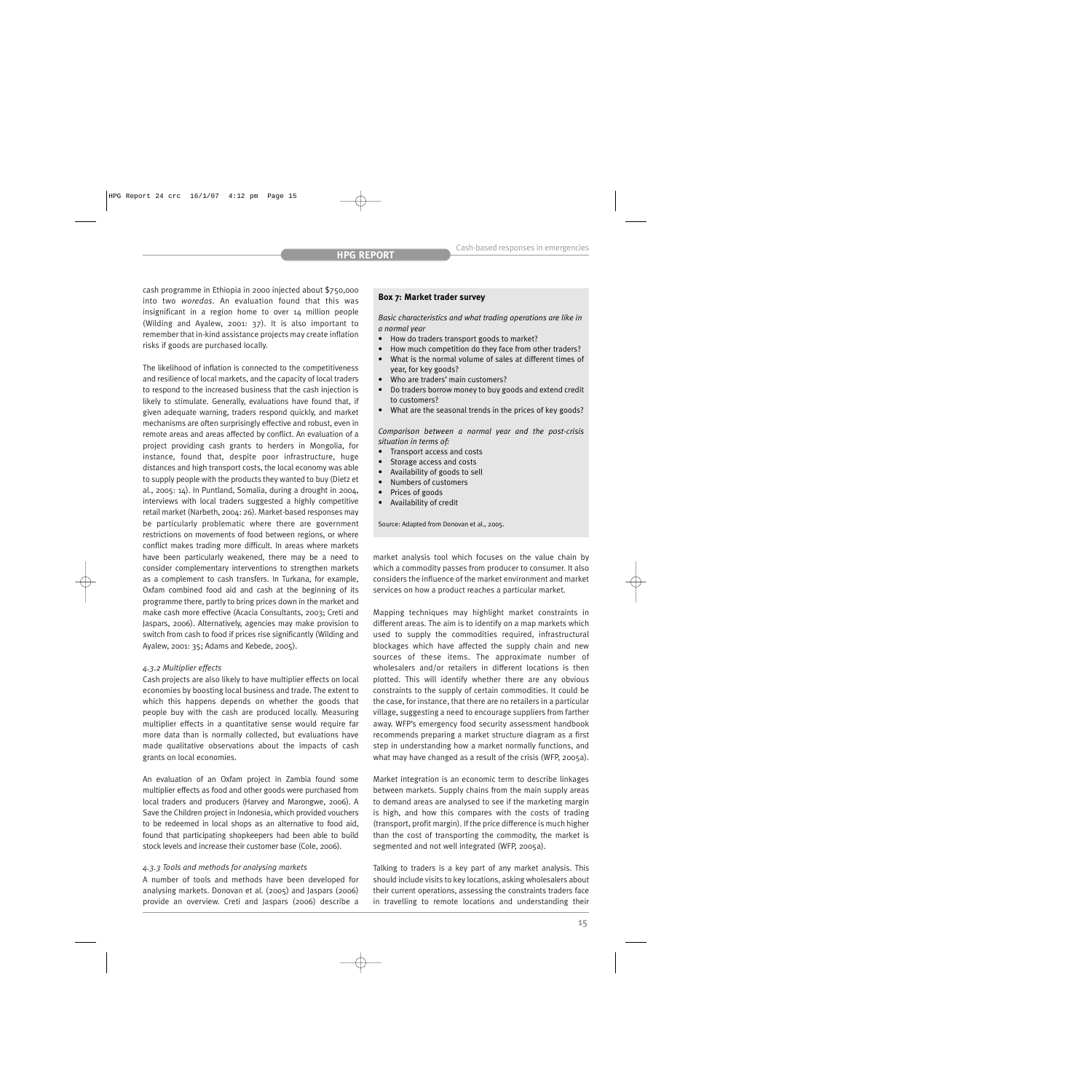cash programme in Ethiopia in 2000 injected about \$750,000 into two *woredas*. An evaluation found that this was insignificant in a region home to over 14 million people (Wilding and Ayalew, 2001: 37). It is also important to remember that in-kind assistance projects may create inflation risks if goods are purchased locally.

The likelihood of inflation is connected to the competitiveness and resilience of local markets, and the capacity of local traders to respond to the increased business that the cash injection is likely to stimulate. Generally, evaluations have found that, if given adequate warning, traders respond quickly, and market mechanisms are often surprisingly effective and robust, even in remote areas and areas affected by conflict. An evaluation of a project providing cash grants to herders in Mongolia, for instance, found that, despite poor infrastructure, huge distances and high transport costs, the local economy was able to supply people with the products they wanted to buy (Dietz et al., 2005: 14). In Puntland, Somalia, during a drought in 2004, interviews with local traders suggested a highly competitive retail market (Narbeth, 2004: 26). Market-based responses may be particularly problematic where there are government restrictions on movements of food between regions, or where conflict makes trading more difficult. In areas where markets have been particularly weakened, there may be a need to consider complementary interventions to strengthen markets as a complement to cash transfers. In Turkana, for example, Oxfam combined food aid and cash at the beginning of its programme there, partly to bring prices down in the market and make cash more effective (Acacia Consultants, 2003; Creti and Jaspars, 2006). Alternatively, agencies may make provision to switch from cash to food if prices rise significantly (Wilding and Ayalew, 2001: 35; Adams and Kebede, 2005).

#### *4.3.2 Multiplier effects*

Cash projects are also likely to have multiplier effects on local economies by boosting local business and trade. The extent to which this happens depends on whether the goods that people buy with the cash are produced locally. Measuring multiplier effects in a quantitative sense would require far more data than is normally collected, but evaluations have made qualitative observations about the impacts of cash grants on local economies.

An evaluation of an Oxfam project in Zambia found some multiplier effects as food and other goods were purchased from local traders and producers (Harvey and Marongwe, 2006). A Save the Children project in Indonesia, which provided vouchers to be redeemed in local shops as an alternative to food aid, found that participating shopkeepers had been able to build stock levels and increase their customer base (Cole, 2006).

#### *4.3.3 Tools and methods for analysing markets*

A number of tools and methods have been developed for analysing markets. Donovan et al. (2005) and Jaspars (2006) provide an overview. Creti and Jaspars (2006) describe a

#### **Box 7: Market trader survey**

*Basic characteristics and what trading operations are like in a normal year*

- How do traders transport goods to market?
- How much competition do they face from other traders?
- What is the normal volume of sales at different times of year, for key goods?
- Who are traders' main customers?
- Do traders borrow money to buy goods and extend credit to customers?
- What are the seasonal trends in the prices of key goods?

*Comparison between a normal year and the post-crisis situation in terms of:*

- Transport access and costs
- Storage access and costs
- Availability of goods to sell
- Numbers of customers
- Prices of goods
- Availability of credit

Source: Adapted from Donovan et al., 2005.

market analysis tool which focuses on the value chain by which a commodity passes from producer to consumer. It also considers the influence of the market environment and market services on how a product reaches a particular market.

Mapping techniques may highlight market constraints in different areas. The aim is to identify on a map markets which used to supply the commodities required, infrastructural blockages which have affected the supply chain and new sources of these items. The approximate number of wholesalers and/or retailers in different locations is then plotted. This will identify whether there are any obvious constraints to the supply of certain commodities. It could be the case, for instance, that there are no retailers in a particular village, suggesting a need to encourage suppliers from farther away. WFP's emergency food security assessment handbook recommends preparing a market structure diagram as a first step in understanding how a market normally functions, and what may have changed as a result of the crisis (WFP, 2005a).

Market integration is an economic term to describe linkages between markets. Supply chains from the main supply areas to demand areas are analysed to see if the marketing margin is high, and how this compares with the costs of trading (transport, profit margin). If the price difference is much higher than the cost of transporting the commodity, the market is segmented and not well integrated (WFP, 2005a).

Talking to traders is a key part of any market analysis. This should include visits to key locations, asking wholesalers about their current operations, assessing the constraints traders face in travelling to remote locations and understanding their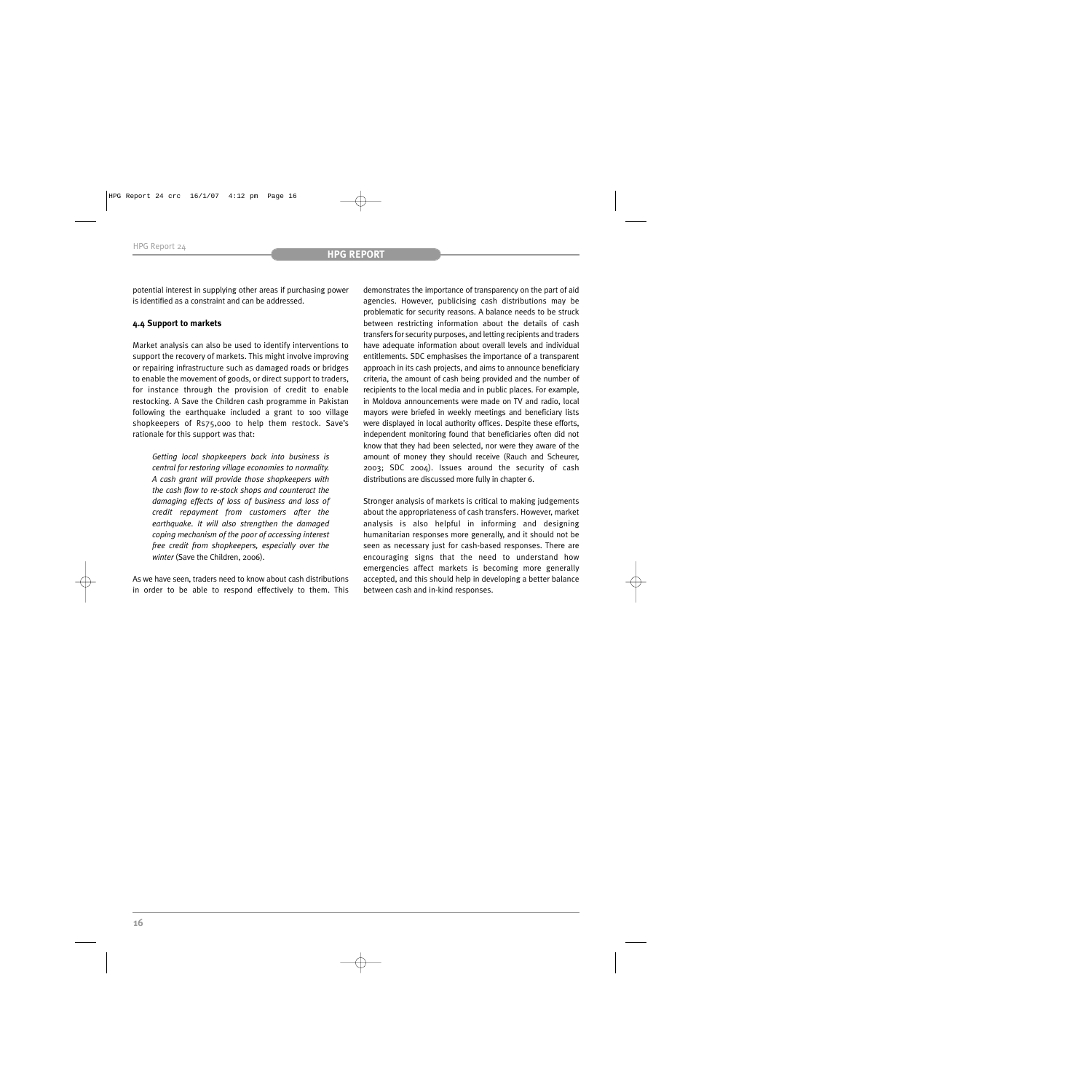potential interest in supplying other areas if purchasing power is identified as a constraint and can be addressed.

# **4.4 Support to markets**

Market analysis can also be used to identify interventions to support the recovery of markets. This might involve improving or repairing infrastructure such as damaged roads or bridges to enable the movement of goods, or direct support to traders, for instance through the provision of credit to enable restocking. A Save the Children cash programme in Pakistan following the earthquake included a grant to 100 village shopkeepers of Rs75,000 to help them restock. Save's rationale for this support was that:

*Getting local shopkeepers back into business is central for restoring village economies to normality. A cash grant will provide those shopkeepers with the cash flow to re-stock shops and counteract the damaging effects of loss of business and loss of credit repayment from customers after the earthquake. It will also strengthen the damaged coping mechanism of the poor of accessing interest free credit from shopkeepers, especially over the winter* (Save the Children, 2006).

As we have seen, traders need to know about cash distributions in order to be able to respond effectively to them. This demonstrates the importance of transparency on the part of aid agencies. However, publicising cash distributions may be problematic for security reasons. A balance needs to be struck between restricting information about the details of cash transfers for security purposes, and letting recipients and traders have adequate information about overall levels and individual entitlements. SDC emphasises the importance of a transparent approach in its cash projects, and aims to announce beneficiary criteria, the amount of cash being provided and the number of recipients to the local media and in public places. For example, in Moldova announcements were made on TV and radio, local mayors were briefed in weekly meetings and beneficiary lists were displayed in local authority offices. Despite these efforts, independent monitoring found that beneficiaries often did not know that they had been selected, nor were they aware of the amount of money they should receive (Rauch and Scheurer, 2003; SDC 2004). Issues around the security of cash distributions are discussed more fully in chapter 6.

Stronger analysis of markets is critical to making judgements about the appropriateness of cash transfers. However, market analysis is also helpful in informing and designing humanitarian responses more generally, and it should not be seen as necessary just for cash-based responses. There are encouraging signs that the need to understand how emergencies affect markets is becoming more generally accepted, and this should help in developing a better balance between cash and in-kind responses.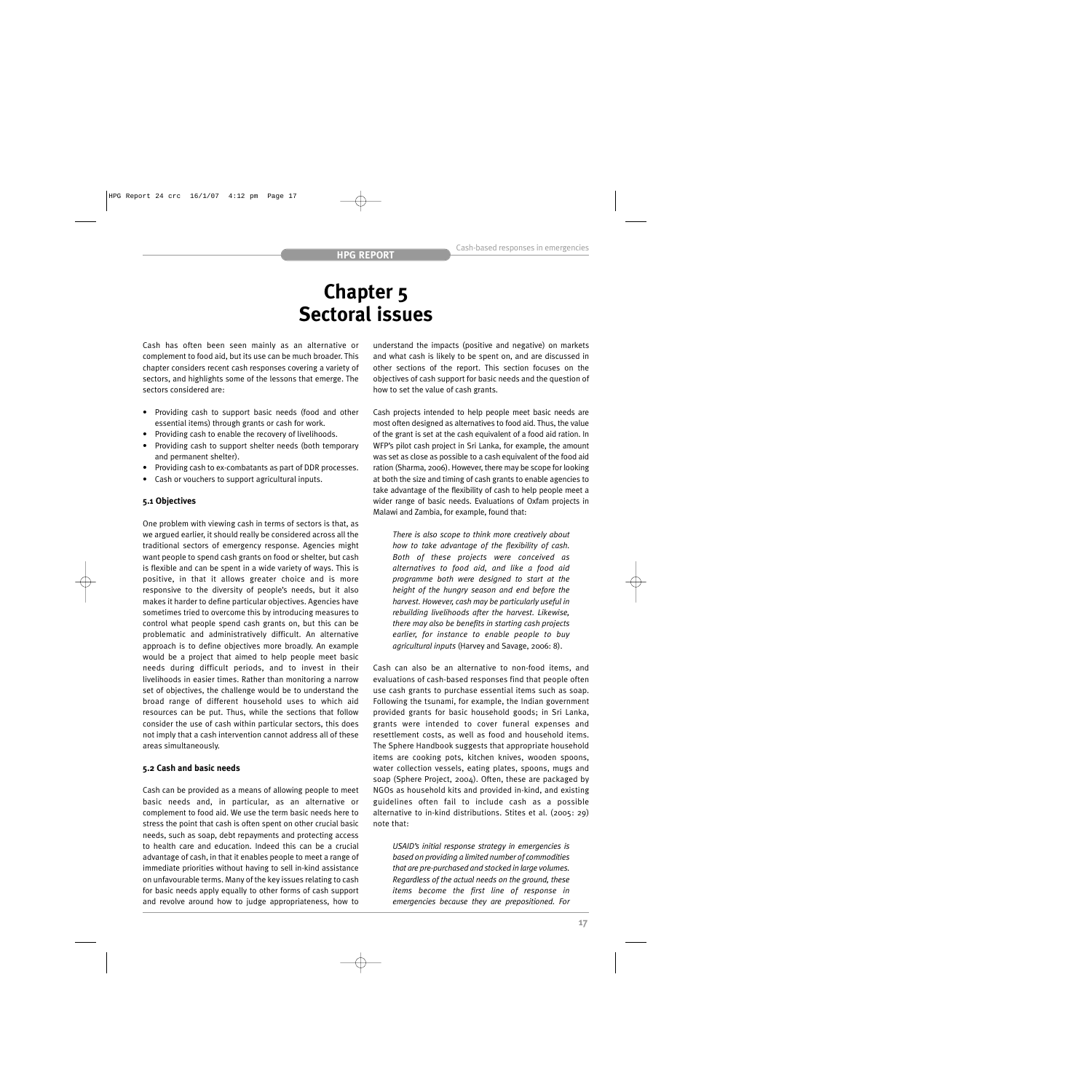# **Chapter 5 Sectoral issues**

Cash has often been seen mainly as an alternative or complement to food aid, but its use can be much broader. This chapter considers recent cash responses covering a variety of sectors, and highlights some of the lessons that emerge. The sectors considered are:

- Providing cash to support basic needs (food and other essential items) through grants or cash for work.
- Providing cash to enable the recovery of livelihoods.
- Providing cash to support shelter needs (both temporary and permanent shelter).
- Providing cash to ex-combatants as part of DDR processes.
- Cash or vouchers to support agricultural inputs.

# **5.1 Objectives**

One problem with viewing cash in terms of sectors is that, as we argued earlier, it should really be considered across all the traditional sectors of emergency response. Agencies might want people to spend cash grants on food or shelter, but cash is flexible and can be spent in a wide variety of ways. This is positive, in that it allows greater choice and is more responsive to the diversity of people's needs, but it also makes it harder to define particular objectives. Agencies have sometimes tried to overcome this by introducing measures to control what people spend cash grants on, but this can be problematic and administratively difficult. An alternative approach is to define objectives more broadly. An example would be a project that aimed to help people meet basic needs during difficult periods, and to invest in their livelihoods in easier times. Rather than monitoring a narrow set of objectives, the challenge would be to understand the broad range of different household uses to which aid resources can be put. Thus, while the sections that follow consider the use of cash within particular sectors, this does not imply that a cash intervention cannot address all of these areas simultaneously.

#### **5.2 Cash and basic needs**

Cash can be provided as a means of allowing people to meet basic needs and, in particular, as an alternative or complement to food aid. We use the term basic needs here to stress the point that cash is often spent on other crucial basic needs, such as soap, debt repayments and protecting access to health care and education. Indeed this can be a crucial advantage of cash, in that it enables people to meet a range of immediate priorities without having to sell in-kind assistance on unfavourable terms. Many of the key issues relating to cash for basic needs apply equally to other forms of cash support and revolve around how to judge appropriateness, how to

understand the impacts (positive and negative) on markets and what cash is likely to be spent on, and are discussed in other sections of the report. This section focuses on the objectives of cash support for basic needs and the question of how to set the value of cash grants.

Cash projects intended to help people meet basic needs are most often designed as alternatives to food aid. Thus, the value of the grant is set at the cash equivalent of a food aid ration. In WFP's pilot cash project in Sri Lanka, for example, the amount was set as close as possible to a cash equivalent of the food aid ration (Sharma, 2006). However, there may be scope for looking at both the size and timing of cash grants to enable agencies to take advantage of the flexibility of cash to help people meet a wider range of basic needs. Evaluations of Oxfam projects in Malawi and Zambia, for example, found that:

*There is also scope to think more creatively about how to take advantage of the flexibility of cash. Both of these projects were conceived as alternatives to food aid, and like a food aid programme both were designed to start at the height of the hungry season and end before the harvest. However, cash may be particularly useful in rebuilding livelihoods after the harvest. Likewise, there may also be benefits in starting cash projects earlier, for instance to enable people to buy agricultural inputs* (Harvey and Savage, 2006: 8).

Cash can also be an alternative to non-food items, and evaluations of cash-based responses find that people often use cash grants to purchase essential items such as soap. Following the tsunami, for example, the Indian government provided grants for basic household goods; in Sri Lanka, grants were intended to cover funeral expenses and resettlement costs, as well as food and household items. The Sphere Handbook suggests that appropriate household items are cooking pots, kitchen knives, wooden spoons, water collection vessels, eating plates, spoons, mugs and soap (Sphere Project, 2004). Often, these are packaged by NGOs as household kits and provided in-kind, and existing guidelines often fail to include cash as a possible alternative to in-kind distributions. Stites et al. (2005: 29) note that:

*USAID's initial response strategy in emergencies is based on providing a limited number of commodities that are pre-purchased and stocked in large volumes. Regardless of the actual needs on the ground, these items become the first line of response in emergencies because they are prepositioned. For*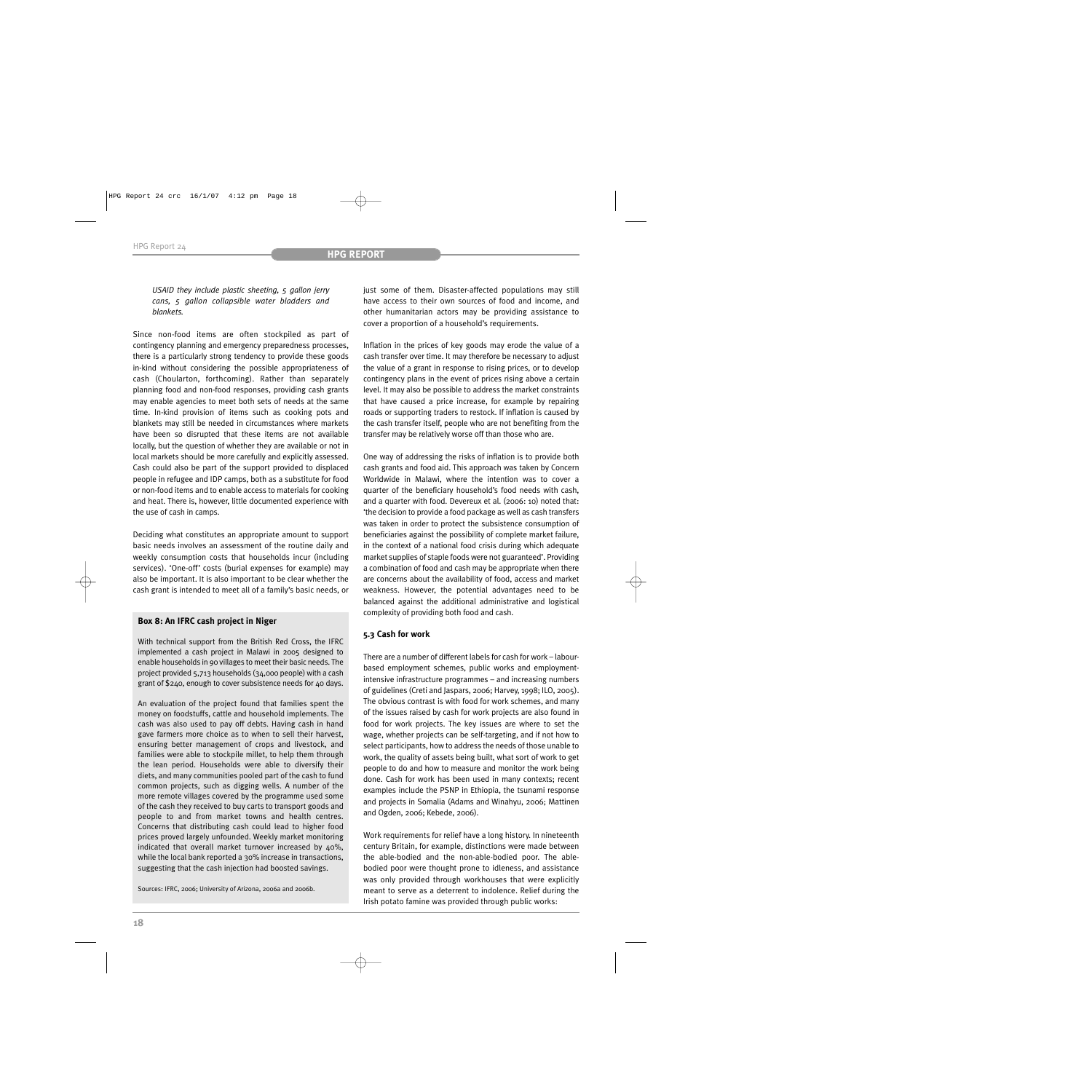*USAID they include plastic sheeting, 5 gallon jerry cans, 5 gallon collapsible water bladders and blankets.*

Since non-food items are often stockpiled as part of contingency planning and emergency preparedness processes, there is a particularly strong tendency to provide these goods in-kind without considering the possible appropriateness of cash (Choularton, forthcoming). Rather than separately planning food and non-food responses, providing cash grants may enable agencies to meet both sets of needs at the same time. In-kind provision of items such as cooking pots and blankets may still be needed in circumstances where markets have been so disrupted that these items are not available locally, but the question of whether they are available or not in local markets should be more carefully and explicitly assessed. Cash could also be part of the support provided to displaced people in refugee and IDP camps, both as a substitute for food or non-food items and to enable access to materials for cooking and heat. There is, however, little documented experience with the use of cash in camps.

Deciding what constitutes an appropriate amount to support basic needs involves an assessment of the routine daily and weekly consumption costs that households incur (including services). 'One-off' costs (burial expenses for example) may also be important. It is also important to be clear whether the cash grant is intended to meet all of a family's basic needs, or

## **Box 8: An IFRC cash project in Niger**

With technical support from the British Red Cross, the IFRC implemented a cash project in Malawi in 2005 designed to enable households in 90 villages to meet their basic needs. The project provided 5,713 households (34,000 people) with a cash grant of \$240, enough to cover subsistence needs for 40 days.

An evaluation of the project found that families spent the money on foodstuffs, cattle and household implements. The cash was also used to pay off debts. Having cash in hand gave farmers more choice as to when to sell their harvest, ensuring better management of crops and livestock, and families were able to stockpile millet, to help them through the lean period. Households were able to diversify their diets, and many communities pooled part of the cash to fund common projects, such as digging wells. A number of the more remote villages covered by the programme used some of the cash they received to buy carts to transport goods and people to and from market towns and health centres. Concerns that distributing cash could lead to higher food prices proved largely unfounded. Weekly market monitoring indicated that overall market turnover increased by 40%, while the local bank reported a 30% increase in transactions, suggesting that the cash injection had boosted savings.

Sources: IFRC, 2006; University of Arizona, 2006a and 2006b.

just some of them. Disaster-affected populations may still have access to their own sources of food and income, and other humanitarian actors may be providing assistance to cover a proportion of a household's requirements.

Inflation in the prices of key goods may erode the value of a cash transfer over time. It may therefore be necessary to adjust the value of a grant in response to rising prices, or to develop contingency plans in the event of prices rising above a certain level. It may also be possible to address the market constraints that have caused a price increase, for example by repairing roads or supporting traders to restock. If inflation is caused by the cash transfer itself, people who are not benefiting from the transfer may be relatively worse off than those who are.

One way of addressing the risks of inflation is to provide both cash grants and food aid. This approach was taken by Concern Worldwide in Malawi, where the intention was to cover a quarter of the beneficiary household's food needs with cash, and a quarter with food. Devereux et al. (2006: 10) noted that: 'the decision to provide a food package as well as cash transfers was taken in order to protect the subsistence consumption of beneficiaries against the possibility of complete market failure, in the context of a national food crisis during which adequate market supplies of staple foods were not guaranteed'. Providing a combination of food and cash may be appropriate when there are concerns about the availability of food, access and market weakness. However, the potential advantages need to be balanced against the additional administrative and logistical complexity of providing both food and cash.

# **5.3 Cash for work**

There are a number of different labels for cash for work – labourbased employment schemes, public works and employmentintensive infrastructure programmes – and increasing numbers of guidelines (Creti and Jaspars, 2006; Harvey, 1998; ILO, 2005). The obvious contrast is with food for work schemes, and many of the issues raised by cash for work projects are also found in food for work projects. The key issues are where to set the wage, whether projects can be self-targeting, and if not how to select participants, how to address the needs of those unable to work, the quality of assets being built, what sort of work to get people to do and how to measure and monitor the work being done. Cash for work has been used in many contexts; recent examples include the PSNP in Ethiopia, the tsunami response and projects in Somalia (Adams and Winahyu, 2006; Mattinen and Ogden, 2006; Kebede, 2006).

Work requirements for relief have a long history. In nineteenth century Britain, for example, distinctions were made between the able-bodied and the non-able-bodied poor. The ablebodied poor were thought prone to idleness, and assistance was only provided through workhouses that were explicitly meant to serve as a deterrent to indolence. Relief during the Irish potato famine was provided through public works: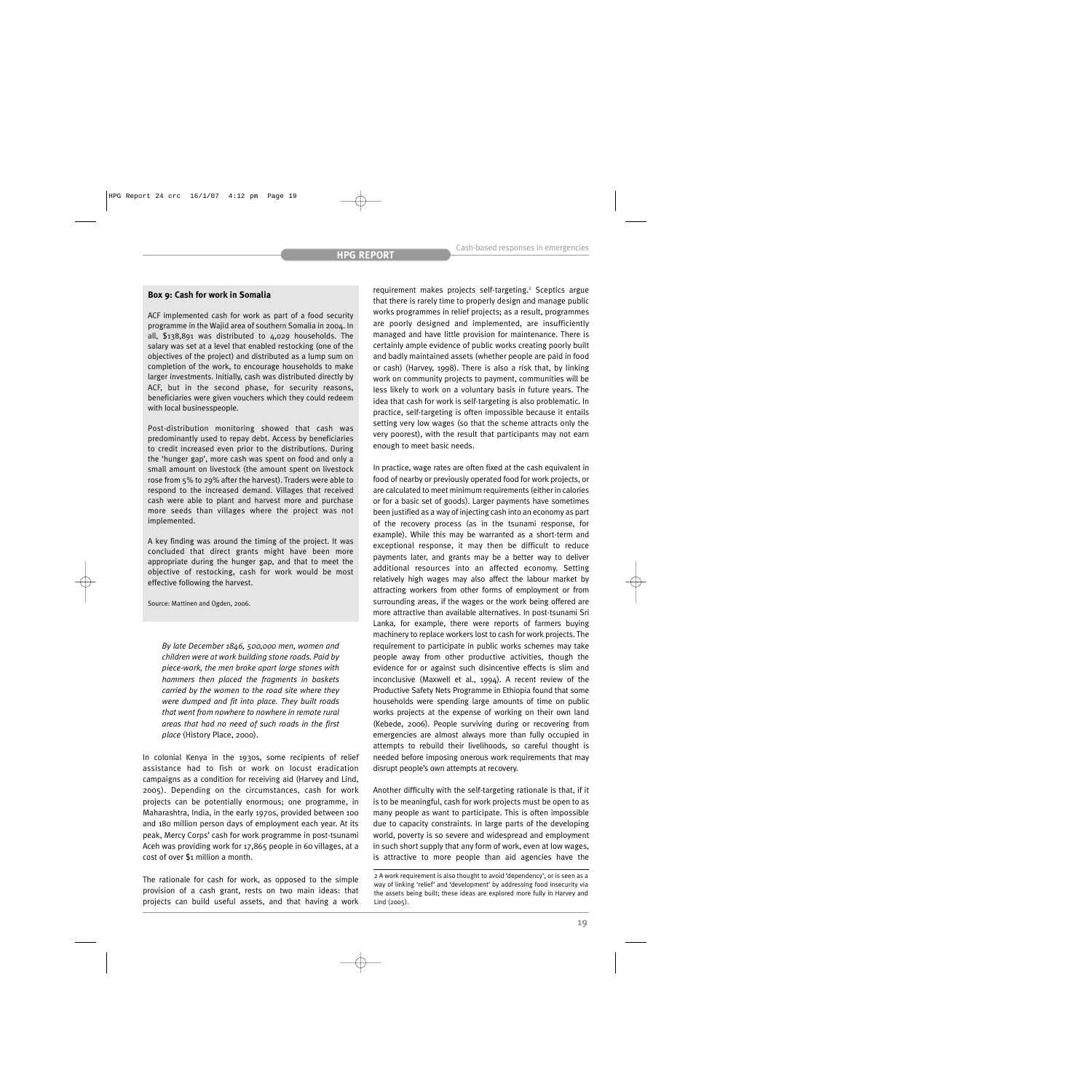#### **Box 9: Cash for work in Somalia**

ACF implemented cash for work as part of a food security programme in the Wajid area of southern Somalia in 2004. In all, \$138,891 was distributed to 4,029 households. The salary was set at a level that enabled restocking (one of the objectives of the project) and distributed as a lump sum on completion of the work, to encourage households to make larger investments. Initially, cash was distributed directly by ACF, but in the second phase, for security reasons, beneficiaries were given vouchers which they could redeem with local businesspeople.

Post-distribution monitoring showed that cash was predominantly used to repay debt. Access by beneficiaries to credit increased even prior to the distributions. During the 'hunger gap', more cash was spent on food and only a small amount on livestock (the amount spent on livestock rose from 5% to 29% after the harvest). Traders were able to respond to the increased demand. Villages that received cash were able to plant and harvest more and purchase more seeds than villages where the project was not implemented.

A key finding was around the timing of the project. It was concluded that direct grants might have been more appropriate during the hunger gap, and that to meet the objective of restocking, cash for work would be most effective following the harvest.

Source: Mattinen and Ogden, 2006.

*By late December 1846, 500,000 men, women and children were at work building stone roads. Paid by piece-work, the men broke apart large stones with hammers then placed the fragments in baskets carried by the women to the road site where they were dumped and fit into place. They built roads that went from nowhere to nowhere in remote rural areas that had no need of such roads in the first place* (History Place, 2000).

In colonial Kenya in the 1930s, some recipients of relief assistance had to fish or work on locust eradication campaigns as a condition for receiving aid (Harvey and Lind, 2005). Depending on the circumstances, cash for work projects can be potentially enormous; one programme, in Maharashtra, India, in the early 1970s, provided between 100 and 180 million person days of employment each year. At its peak, Mercy Corps' cash for work programme in post-tsunami Aceh was providing work for 17,865 people in 60 villages, at a cost of over \$1 million a month.

The rationale for cash for work, as opposed to the simple provision of a cash grant, rests on two main ideas: that projects can build useful assets, and that having a work

requirement makes projects self-targeting.<sup>2</sup> Sceptics argue that there is rarely time to properly design and manage public works programmes in relief projects; as a result, programmes are poorly designed and implemented, are insufficiently managed and have little provision for maintenance. There is certainly ample evidence of public works creating poorly built and badly maintained assets (whether people are paid in food or cash) (Harvey, 1998). There is also a risk that, by linking work on community projects to payment, communities will be less likely to work on a voluntary basis in future years. The idea that cash for work is self-targeting is also problematic. In practice, self-targeting is often impossible because it entails setting very low wages (so that the scheme attracts only the very poorest), with the result that participants may not earn enough to meet basic needs.

In practice, wage rates are often fixed at the cash equivalent in food of nearby or previously operated food for work projects, or are calculated to meet minimum requirements (either in calories or for a basic set of goods). Larger payments have sometimes been justified as a way of injecting cash into an economy as part of the recovery process (as in the tsunami response, for example). While this may be warranted as a short-term and exceptional response, it may then be difficult to reduce payments later, and grants may be a better way to deliver additional resources into an affected economy. Setting relatively high wages may also affect the labour market by attracting workers from other forms of employment or from surrounding areas, if the wages or the work being offered are more attractive than available alternatives. In post-tsunami Sri Lanka, for example, there were reports of farmers buying machinery to replace workers lost to cash for work projects. The requirement to participate in public works schemes may take people away from other productive activities, though the evidence for or against such disincentive effects is slim and inconclusive (Maxwell et al., 1994). A recent review of the Productive Safety Nets Programme in Ethiopia found that some households were spending large amounts of time on public works projects at the expense of working on their own land (Kebede, 2006). People surviving during or recovering from emergencies are almost always more than fully occupied in attempts to rebuild their livelihoods, so careful thought is needed before imposing onerous work requirements that may disrupt people's own attempts at recovery.

Another difficulty with the self-targeting rationale is that, if it is to be meaningful, cash for work projects must be open to as many people as want to participate. This is often impossible due to capacity constraints. In large parts of the developing world, poverty is so severe and widespread and employment in such short supply that any form of work, even at low wages, is attractive to more people than aid agencies have the

<sup>2</sup> A work requirement is also thought to avoid 'dependency', or is seen as a way of linking 'relief' and 'development' by addressing food insecurity via the assets being built; these ideas are explored more fully in Harvey and Lind (2005).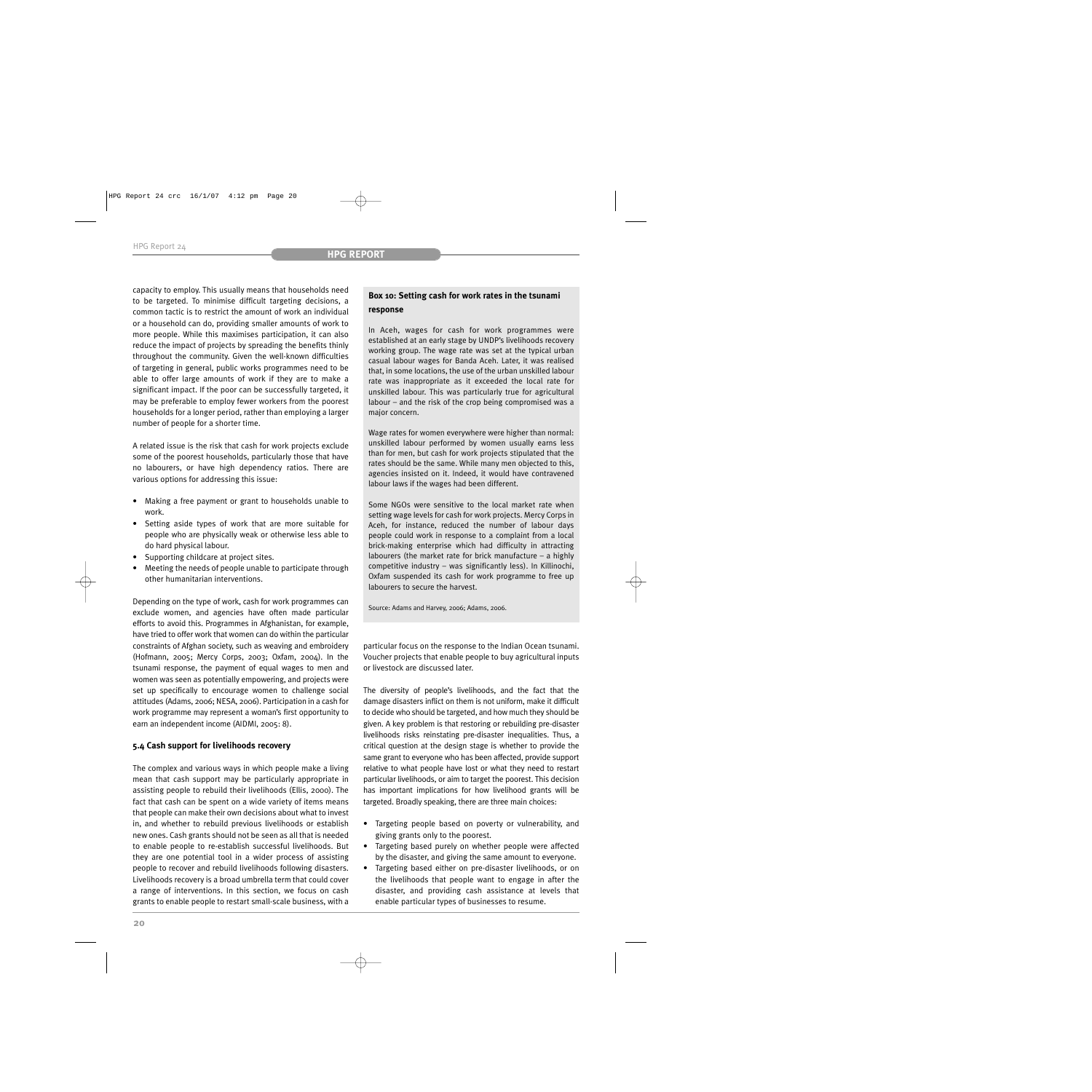capacity to employ. This usually means that households need to be targeted. To minimise difficult targeting decisions, a common tactic is to restrict the amount of work an individual or a household can do, providing smaller amounts of work to more people. While this maximises participation, it can also reduce the impact of projects by spreading the benefits thinly throughout the community. Given the well-known difficulties of targeting in general, public works programmes need to be able to offer large amounts of work if they are to make a significant impact. If the poor can be successfully targeted, it may be preferable to employ fewer workers from the poorest households for a longer period, rather than employing a larger number of people for a shorter time.

A related issue is the risk that cash for work projects exclude some of the poorest households, particularly those that have no labourers, or have high dependency ratios. There are various options for addressing this issue:

- Making a free payment or grant to households unable to work.
- Setting aside types of work that are more suitable for people who are physically weak or otherwise less able to do hard physical labour.
- Supporting childcare at project sites.
- Meeting the needs of people unable to participate through other humanitarian interventions.

Depending on the type of work, cash for work programmes can exclude women, and agencies have often made particular efforts to avoid this. Programmes in Afghanistan, for example, have tried to offer work that women can do within the particular constraints of Afghan society, such as weaving and embroidery (Hofmann, 2005; Mercy Corps, 2003; Oxfam, 2004). In the tsunami response, the payment of equal wages to men and women was seen as potentially empowering, and projects were set up specifically to encourage women to challenge social attitudes (Adams, 2006; NESA, 2006). Participation in a cash for work programme may represent a woman's first opportunity to earn an independent income (AIDMI, 2005: 8).

## **5.4 Cash support for livelihoods recovery**

The complex and various ways in which people make a living mean that cash support may be particularly appropriate in assisting people to rebuild their livelihoods (Ellis, 2000). The fact that cash can be spent on a wide variety of items means that people can make their own decisions about what to invest in, and whether to rebuild previous livelihoods or establish new ones. Cash grants should not be seen as all that is needed to enable people to re-establish successful livelihoods. But they are one potential tool in a wider process of assisting people to recover and rebuild livelihoods following disasters. Livelihoods recovery is a broad umbrella term that could cover a range of interventions. In this section, we focus on cash grants to enable people to restart small-scale business, with a

# **Box 10: Setting cash for work rates in the tsunami response**

In Aceh, wages for cash for work programmes were established at an early stage by UNDP's livelihoods recovery working group. The wage rate was set at the typical urban casual labour wages for Banda Aceh. Later, it was realised that, in some locations, the use of the urban unskilled labour rate was inappropriate as it exceeded the local rate for unskilled labour. This was particularly true for agricultural labour – and the risk of the crop being compromised was a major concern.

Wage rates for women everywhere were higher than normal: unskilled labour performed by women usually earns less than for men, but cash for work projects stipulated that the rates should be the same. While many men objected to this, agencies insisted on it. Indeed, it would have contravened labour laws if the wages had been different.

Some NGOs were sensitive to the local market rate when setting wage levels for cash for work projects. Mercy Corps in Aceh, for instance, reduced the number of labour days people could work in response to a complaint from a local brick-making enterprise which had difficulty in attracting labourers (the market rate for brick manufacture – a highly competitive industry – was significantly less). In Killinochi, Oxfam suspended its cash for work programme to free up labourers to secure the harvest.

Source: Adams and Harvey, 2006; Adams, 2006.

particular focus on the response to the Indian Ocean tsunami. Voucher projects that enable people to buy agricultural inputs or livestock are discussed later.

The diversity of people's livelihoods, and the fact that the damage disasters inflict on them is not uniform, make it difficult to decide who should be targeted, and how much they should be given. A key problem is that restoring or rebuilding pre-disaster livelihoods risks reinstating pre-disaster inequalities. Thus, a critical question at the design stage is whether to provide the same grant to everyone who has been affected, provide support relative to what people have lost or what they need to restart particular livelihoods, or aim to target the poorest. This decision has important implications for how livelihood grants will be targeted. Broadly speaking, there are three main choices:

- Targeting people based on poverty or vulnerability, and giving grants only to the poorest.
- Targeting based purely on whether people were affected by the disaster, and giving the same amount to everyone.
- Targeting based either on pre-disaster livelihoods, or on the livelihoods that people want to engage in after the disaster, and providing cash assistance at levels that enable particular types of businesses to resume.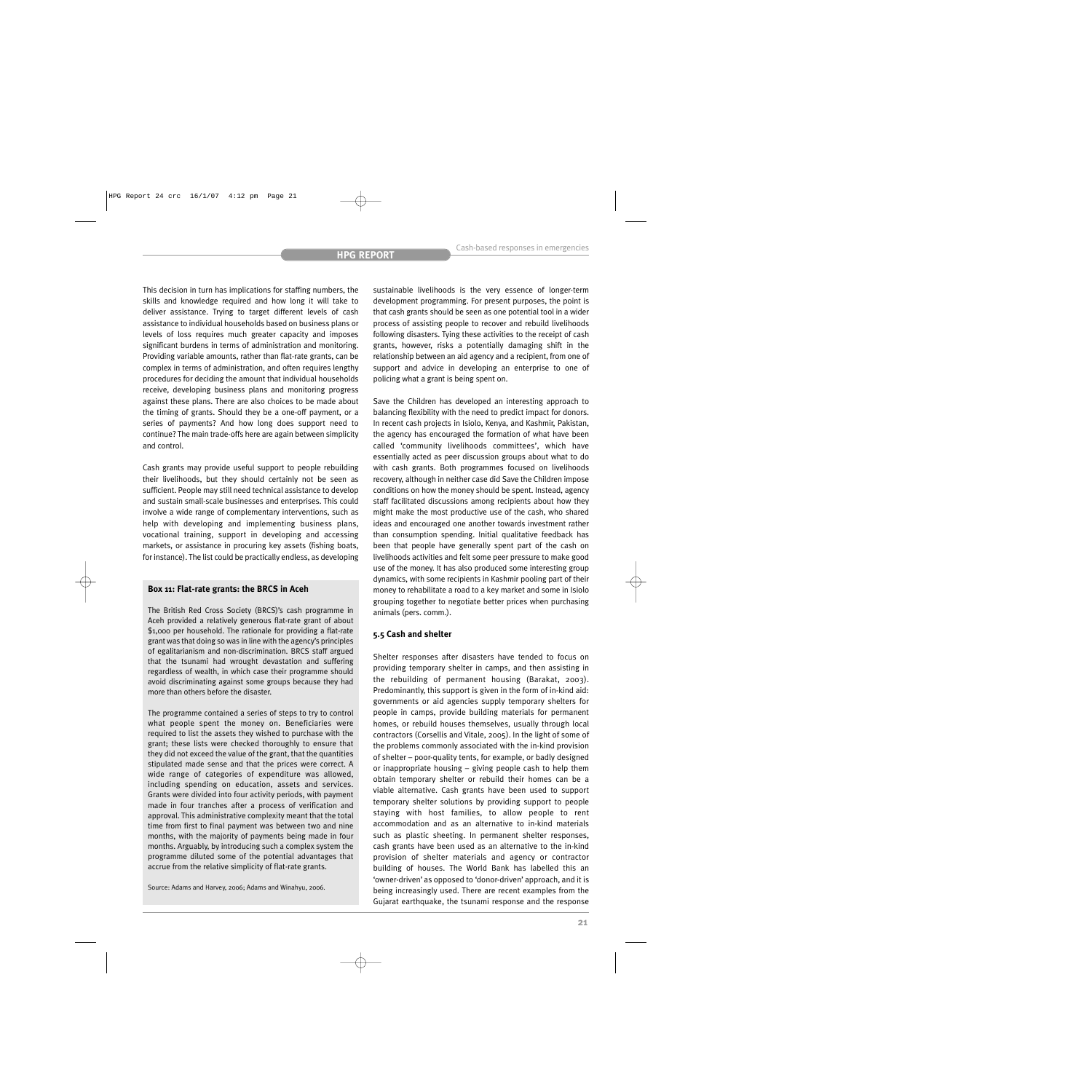This decision in turn has implications for staffing numbers, the skills and knowledge required and how long it will take to deliver assistance. Trying to target different levels of cash assistance to individual households based on business plans or levels of loss requires much greater capacity and imposes significant burdens in terms of administration and monitoring. Providing variable amounts, rather than flat-rate grants, can be complex in terms of administration, and often requires lengthy procedures for deciding the amount that individual households receive, developing business plans and monitoring progress against these plans. There are also choices to be made about the timing of grants. Should they be a one-off payment, or a series of payments? And how long does support need to continue? The main trade-offs here are again between simplicity and control.

Cash grants may provide useful support to people rebuilding their livelihoods, but they should certainly not be seen as sufficient. People may still need technical assistance to develop and sustain small-scale businesses and enterprises. This could involve a wide range of complementary interventions, such as help with developing and implementing business plans, vocational training, support in developing and accessing markets, or assistance in procuring key assets (fishing boats, for instance). The list could be practically endless, as developing

#### **Box 11: Flat-rate grants: the BRCS in Aceh**

The British Red Cross Society (BRCS)'s cash programme in Aceh provided a relatively generous flat-rate grant of about \$1,000 per household. The rationale for providing a flat-rate grant was that doing so was in line with the agency's principles of egalitarianism and non-discrimination. BRCS staff argued that the tsunami had wrought devastation and suffering regardless of wealth, in which case their programme should avoid discriminating against some groups because they had more than others before the disaster.

The programme contained a series of steps to try to control what people spent the money on. Beneficiaries were required to list the assets they wished to purchase with the grant; these lists were checked thoroughly to ensure that they did not exceed the value of the grant, that the quantities stipulated made sense and that the prices were correct. A wide range of categories of expenditure was allowed, including spending on education, assets and services. Grants were divided into four activity periods, with payment made in four tranches after a process of verification and approval. This administrative complexity meant that the total time from first to final payment was between two and nine months, with the majority of payments being made in four months. Arguably, by introducing such a complex system the programme diluted some of the potential advantages that accrue from the relative simplicity of flat-rate grants.

Source: Adams and Harvey, 2006; Adams and Winahyu, 2006.

sustainable livelihoods is the very essence of longer-term development programming. For present purposes, the point is that cash grants should be seen as one potential tool in a wider process of assisting people to recover and rebuild livelihoods following disasters. Tying these activities to the receipt of cash grants, however, risks a potentially damaging shift in the relationship between an aid agency and a recipient, from one of support and advice in developing an enterprise to one of policing what a grant is being spent on.

Save the Children has developed an interesting approach to balancing flexibility with the need to predict impact for donors. In recent cash projects in Isiolo, Kenya, and Kashmir, Pakistan, the agency has encouraged the formation of what have been called 'community livelihoods committees', which have essentially acted as peer discussion groups about what to do with cash grants. Both programmes focused on livelihoods recovery, although in neither case did Save the Children impose conditions on how the money should be spent. Instead, agency staff facilitated discussions among recipients about how they might make the most productive use of the cash, who shared ideas and encouraged one another towards investment rather than consumption spending. Initial qualitative feedback has been that people have generally spent part of the cash on livelihoods activities and felt some peer pressure to make good use of the money. It has also produced some interesting group dynamics, with some recipients in Kashmir pooling part of their money to rehabilitate a road to a key market and some in Isiolo grouping together to negotiate better prices when purchasing animals (pers. comm.).

#### **5.5 Cash and shelter**

Shelter responses after disasters have tended to focus on providing temporary shelter in camps, and then assisting in the rebuilding of permanent housing (Barakat, 2003). Predominantly, this support is given in the form of in-kind aid: governments or aid agencies supply temporary shelters for people in camps, provide building materials for permanent homes, or rebuild houses themselves, usually through local contractors (Corsellis and Vitale, 2005). In the light of some of the problems commonly associated with the in-kind provision of shelter – poor-quality tents, for example, or badly designed or inappropriate housing – giving people cash to help them obtain temporary shelter or rebuild their homes can be a viable alternative. Cash grants have been used to support temporary shelter solutions by providing support to people staying with host families, to allow people to rent accommodation and as an alternative to in-kind materials such as plastic sheeting. In permanent shelter responses, cash grants have been used as an alternative to the in-kind provision of shelter materials and agency or contractor building of houses. The World Bank has labelled this an 'owner-driven' as opposed to 'donor-driven' approach, and it is being increasingly used. There are recent examples from the Gujarat earthquake, the tsunami response and the response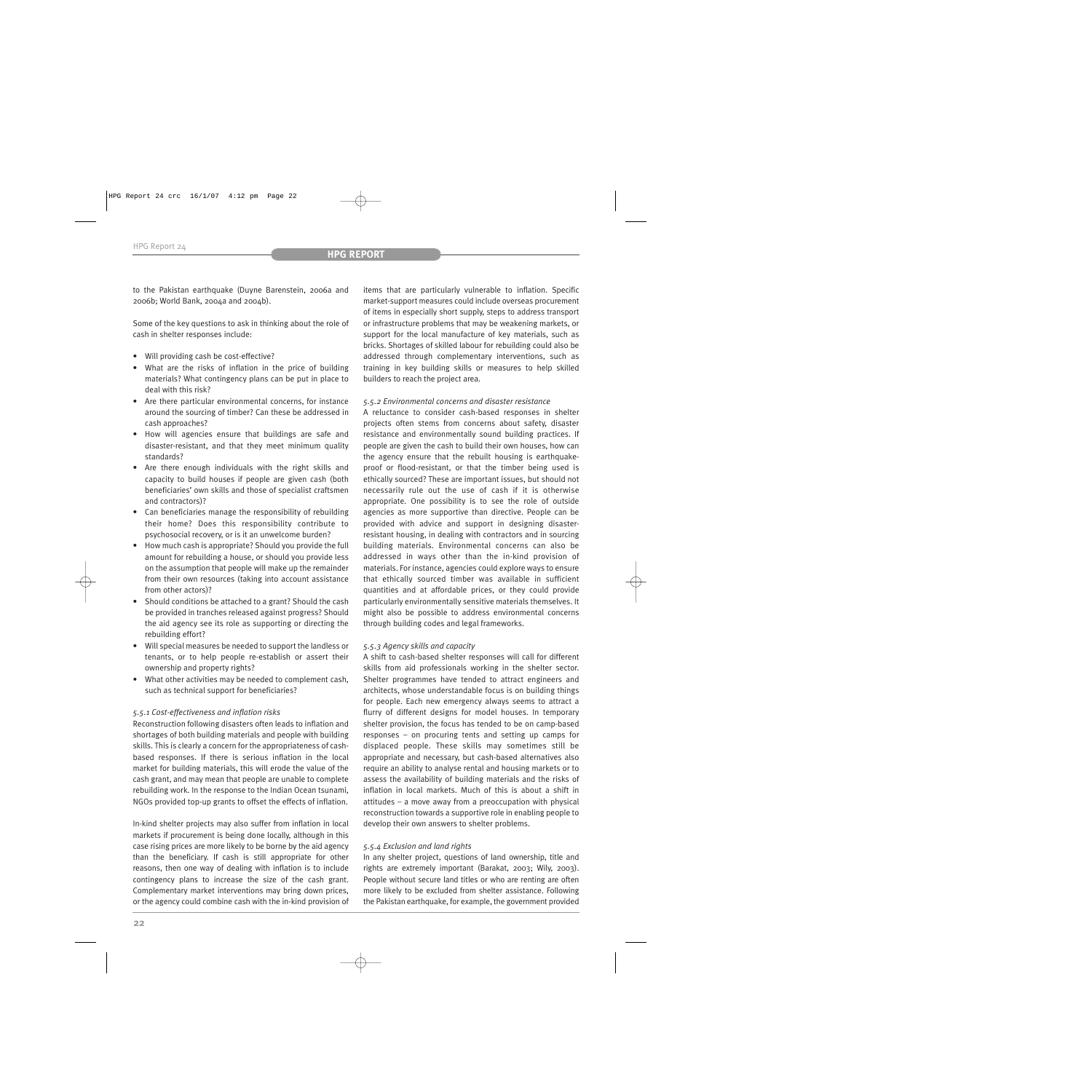to the Pakistan earthquake (Duyne Barenstein, 2006a and 2006b; World Bank, 2004a and 2004b).

Some of the key questions to ask in thinking about the role of cash in shelter responses include:

- Will providing cash be cost-effective?
- What are the risks of inflation in the price of building materials? What contingency plans can be put in place to deal with this risk?
- Are there particular environmental concerns, for instance around the sourcing of timber? Can these be addressed in cash approaches?
- How will agencies ensure that buildings are safe and disaster-resistant, and that they meet minimum quality standards?
- Are there enough individuals with the right skills and capacity to build houses if people are given cash (both beneficiaries' own skills and those of specialist craftsmen and contractors)?
- Can beneficiaries manage the responsibility of rebuilding their home? Does this responsibility contribute to psychosocial recovery, or is it an unwelcome burden?
- How much cash is appropriate? Should you provide the full amount for rebuilding a house, or should you provide less on the assumption that people will make up the remainder from their own resources (taking into account assistance from other actors)?
- Should conditions be attached to a grant? Should the cash be provided in tranches released against progress? Should the aid agency see its role as supporting or directing the rebuilding effort?
- Will special measures be needed to support the landless or tenants, or to help people re-establish or assert their ownership and property rights?
- What other activities may be needed to complement cash, such as technical support for beneficiaries?

# *5.5.1 Cost-effectiveness and inflation risks*

Reconstruction following disasters often leads to inflation and shortages of both building materials and people with building skills. This is clearly a concern for the appropriateness of cashbased responses. If there is serious inflation in the local market for building materials, this will erode the value of the cash grant, and may mean that people are unable to complete rebuilding work. In the response to the Indian Ocean tsunami, NGOs provided top-up grants to offset the effects of inflation.

In-kind shelter projects may also suffer from inflation in local markets if procurement is being done locally, although in this case rising prices are more likely to be borne by the aid agency than the beneficiary. If cash is still appropriate for other reasons, then one way of dealing with inflation is to include contingency plans to increase the size of the cash grant. Complementary market interventions may bring down prices, or the agency could combine cash with the in-kind provision of items that are particularly vulnerable to inflation. Specific market-support measures could include overseas procurement of items in especially short supply, steps to address transport or infrastructure problems that may be weakening markets, or support for the local manufacture of key materials, such as bricks. Shortages of skilled labour for rebuilding could also be addressed through complementary interventions, such as training in key building skills or measures to help skilled builders to reach the project area.

# *5.5.2 Environmental concerns and disaster resistance*

A reluctance to consider cash-based responses in shelter projects often stems from concerns about safety, disaster resistance and environmentally sound building practices. If people are given the cash to build their own houses, how can the agency ensure that the rebuilt housing is earthquakeproof or flood-resistant, or that the timber being used is ethically sourced? These are important issues, but should not necessarily rule out the use of cash if it is otherwise appropriate. One possibility is to see the role of outside agencies as more supportive than directive. People can be provided with advice and support in designing disasterresistant housing, in dealing with contractors and in sourcing building materials. Environmental concerns can also be addressed in ways other than the in-kind provision of materials. For instance, agencies could explore ways to ensure that ethically sourced timber was available in sufficient quantities and at affordable prices, or they could provide particularly environmentally sensitive materials themselves. It might also be possible to address environmental concerns through building codes and legal frameworks.

## *5.5.3 Agency skills and capacity*

A shift to cash-based shelter responses will call for different skills from aid professionals working in the shelter sector. Shelter programmes have tended to attract engineers and architects, whose understandable focus is on building things for people. Each new emergency always seems to attract a flurry of different designs for model houses. In temporary shelter provision, the focus has tended to be on camp-based responses – on procuring tents and setting up camps for displaced people. These skills may sometimes still be appropriate and necessary, but cash-based alternatives also require an ability to analyse rental and housing markets or to assess the availability of building materials and the risks of inflation in local markets. Much of this is about a shift in attitudes – a move away from a preoccupation with physical reconstruction towards a supportive role in enabling people to develop their own answers to shelter problems.

# *5.5.4 Exclusion and land rights*

In any shelter project, questions of land ownership, title and rights are extremely important (Barakat, 2003; Wily, 2003). People without secure land titles or who are renting are often more likely to be excluded from shelter assistance. Following the Pakistan earthquake, for example, the government provided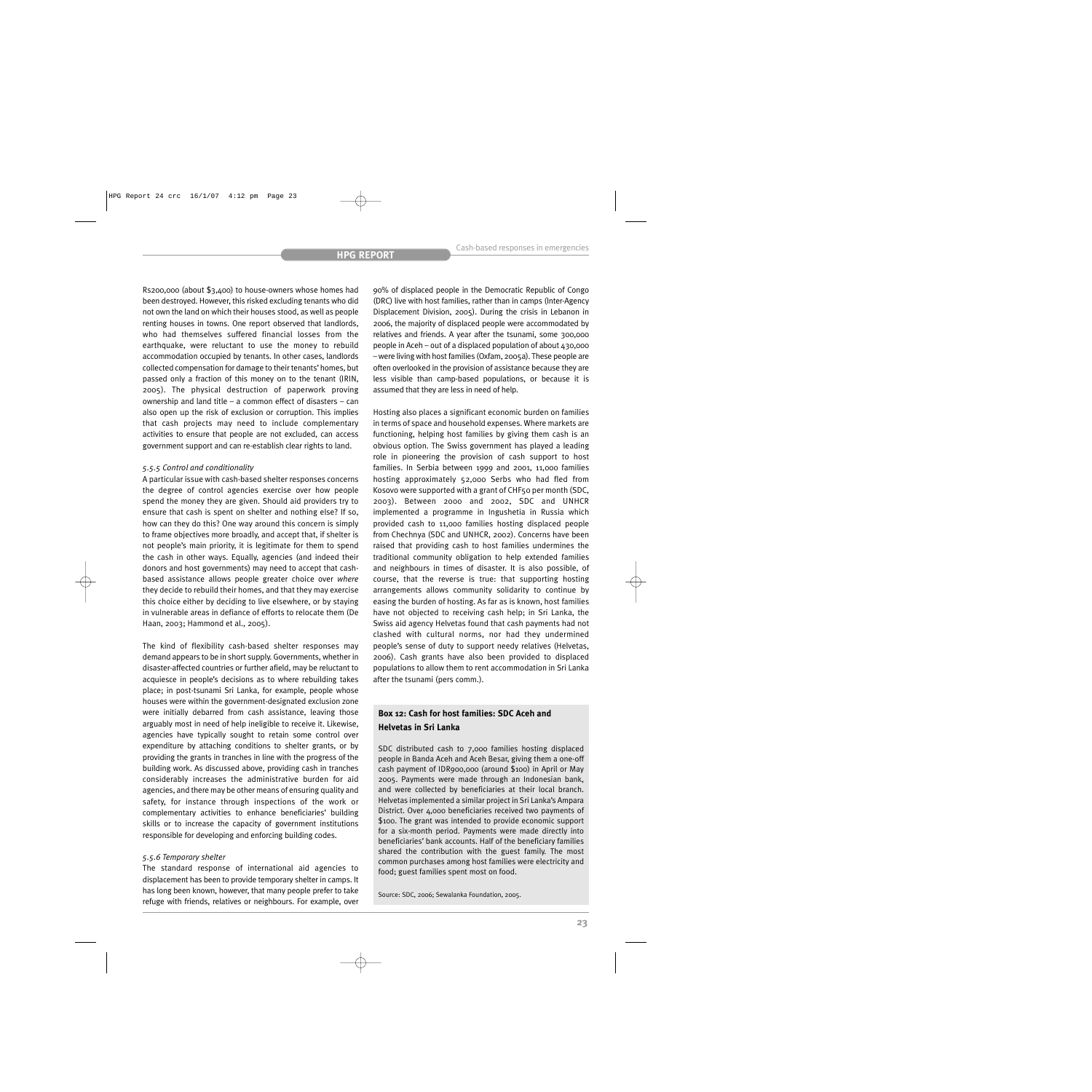Rs200,000 (about \$3,400) to house-owners whose homes had been destroyed. However, this risked excluding tenants who did not own the land on which their houses stood, as well as people renting houses in towns. One report observed that landlords, who had themselves suffered financial losses from the earthquake, were reluctant to use the money to rebuild accommodation occupied by tenants. In other cases, landlords collected compensation for damage to their tenants' homes, but passed only a fraction of this money on to the tenant (IRIN, 2005). The physical destruction of paperwork proving ownership and land title – a common effect of disasters – can also open up the risk of exclusion or corruption. This implies that cash projects may need to include complementary activities to ensure that people are not excluded, can access government support and can re-establish clear rights to land.

#### *5.5.5 Control and conditionality*

A particular issue with cash-based shelter responses concerns the degree of control agencies exercise over how people spend the money they are given. Should aid providers try to ensure that cash is spent on shelter and nothing else? If so, how can they do this? One way around this concern is simply to frame objectives more broadly, and accept that, if shelter is not people's main priority, it is legitimate for them to spend the cash in other ways. Equally, agencies (and indeed their donors and host governments) may need to accept that cashbased assistance allows people greater choice over *where* they decide to rebuild their homes, and that they may exercise this choice either by deciding to live elsewhere, or by staying in vulnerable areas in defiance of efforts to relocate them (De Haan, 2003; Hammond et al., 2005).

The kind of flexibility cash-based shelter responses may demand appears to be in short supply. Governments, whether in disaster-affected countries or further afield, may be reluctant to acquiesce in people's decisions as to where rebuilding takes place; in post-tsunami Sri Lanka, for example, people whose houses were within the government-designated exclusion zone were initially debarred from cash assistance, leaving those arguably most in need of help ineligible to receive it. Likewise, agencies have typically sought to retain some control over expenditure by attaching conditions to shelter grants, or by providing the grants in tranches in line with the progress of the building work. As discussed above, providing cash in tranches considerably increases the administrative burden for aid agencies, and there may be other means of ensuring quality and safety, for instance through inspections of the work or complementary activities to enhance beneficiaries' building skills or to increase the capacity of government institutions responsible for developing and enforcing building codes.

#### *5.5.6 Temporary shelter*

The standard response of international aid agencies to displacement has been to provide temporary shelter in camps. It has long been known, however, that many people prefer to take refuge with friends, relatives or neighbours. For example, over 90% of displaced people in the Democratic Republic of Congo (DRC) live with host families, rather than in camps (Inter-Agency Displacement Division, 2005). During the crisis in Lebanon in 2006, the majority of displaced people were accommodated by relatives and friends. A year after the tsunami, some 300,000 people in Aceh – out of a displaced population of about  $430,000$ – were living with host families (Oxfam, 2005a). These people are often overlooked in the provision of assistance because they are less visible than camp-based populations, or because it is assumed that they are less in need of help.

Hosting also places a significant economic burden on families in terms of space and household expenses. Where markets are functioning, helping host families by giving them cash is an obvious option. The Swiss government has played a leading role in pioneering the provision of cash support to host families. In Serbia between 1999 and 2001, 11,000 families hosting approximately 52,000 Serbs who had fled from Kosovo were supported with a grant of CHF50 per month (SDC, 2003). Between 2000 and 2002, SDC and UNHCR implemented a programme in Ingushetia in Russia which provided cash to 11,000 families hosting displaced people from Chechnya (SDC and UNHCR, 2002). Concerns have been raised that providing cash to host families undermines the traditional community obligation to help extended families and neighbours in times of disaster. It is also possible, of course, that the reverse is true: that supporting hosting arrangements allows community solidarity to continue by easing the burden of hosting. As far as is known, host families have not objected to receiving cash help; in Sri Lanka, the Swiss aid agency Helvetas found that cash payments had not clashed with cultural norms, nor had they undermined people's sense of duty to support needy relatives (Helvetas, 2006). Cash grants have also been provided to displaced populations to allow them to rent accommodation in Sri Lanka after the tsunami (pers comm.).

# **Box 12: Cash for host families: SDC Aceh and Helvetas in Sri Lanka**

SDC distributed cash to 7,000 families hosting displaced people in Banda Aceh and Aceh Besar, giving them a one-off cash payment of IDR900,000 (around \$100) in April or May 2005. Payments were made through an Indonesian bank, and were collected by beneficiaries at their local branch. Helvetas implemented a similar project in Sri Lanka's Ampara District. Over 4,000 beneficiaries received two payments of \$100. The grant was intended to provide economic support for a six-month period. Payments were made directly into beneficiaries' bank accounts. Half of the beneficiary families shared the contribution with the guest family. The most common purchases among host families were electricity and food; guest families spent most on food.

Source: SDC, 2006; Sewalanka Foundation, 2005.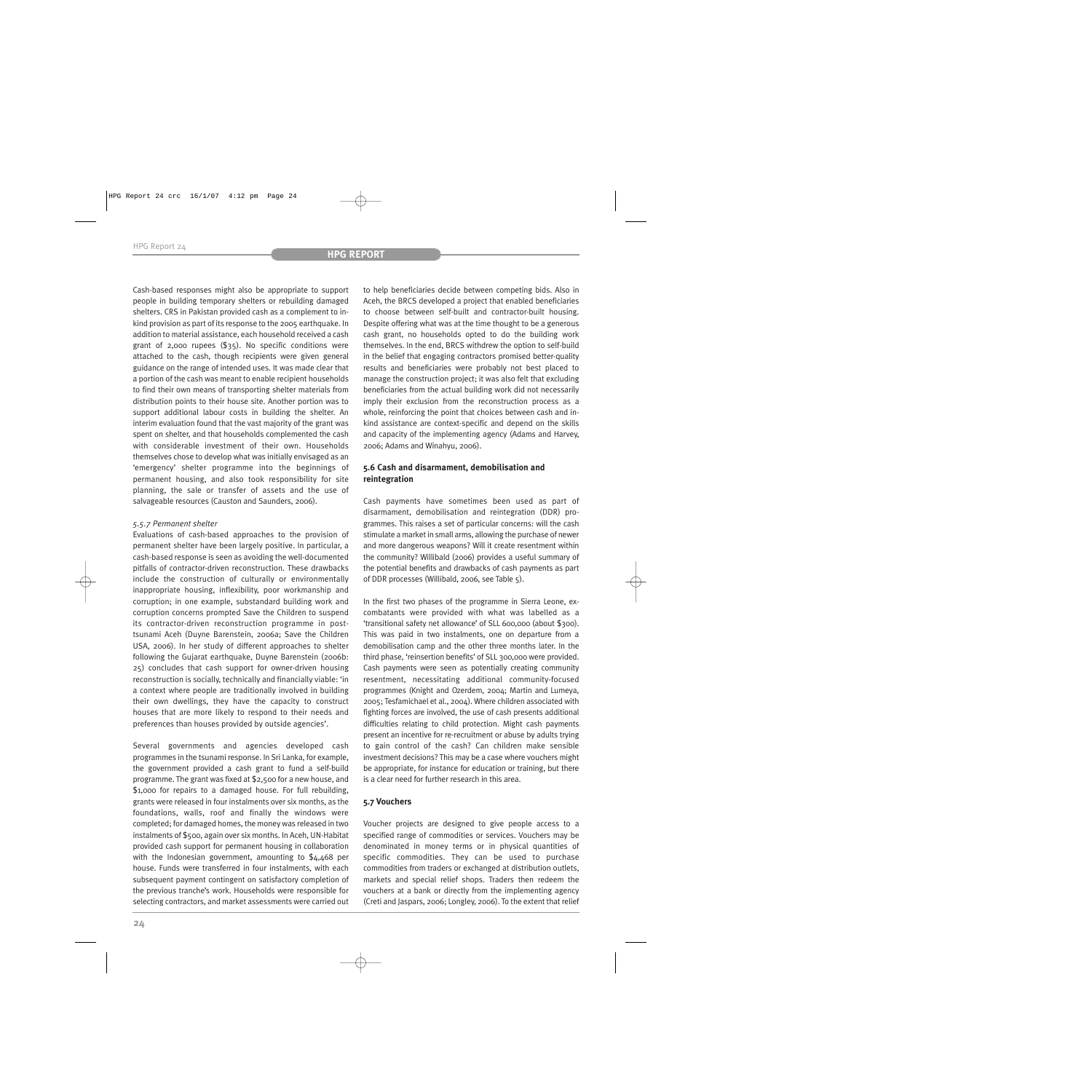Cash-based responses might also be appropriate to support people in building temporary shelters or rebuilding damaged shelters. CRS in Pakistan provided cash as a complement to inkind provision as part of its response to the 2005 earthquake. In addition to material assistance, each household received a cash grant of 2,000 rupees (\$35). No specific conditions were attached to the cash, though recipients were given general guidance on the range of intended uses. It was made clear that a portion of the cash was meant to enable recipient households to find their own means of transporting shelter materials from distribution points to their house site. Another portion was to support additional labour costs in building the shelter. An interim evaluation found that the vast majority of the grant was spent on shelter, and that households complemented the cash with considerable investment of their own. Households themselves chose to develop what was initially envisaged as an 'emergency' shelter programme into the beginnings of permanent housing, and also took responsibility for site planning, the sale or transfer of assets and the use of salvageable resources (Causton and Saunders, 2006).

# *5.5.7 Permanent shelter*

Evaluations of cash-based approaches to the provision of permanent shelter have been largely positive. In particular, a cash-based response is seen as avoiding the well-documented pitfalls of contractor-driven reconstruction. These drawbacks include the construction of culturally or environmentally inappropriate housing, inflexibility, poor workmanship and corruption; in one example, substandard building work and corruption concerns prompted Save the Children to suspend its contractor-driven reconstruction programme in posttsunami Aceh (Duyne Barenstein, 2006a; Save the Children USA, 2006). In her study of different approaches to shelter following the Gujarat earthquake, Duyne Barenstein (2006b: 25) concludes that cash support for owner-driven housing reconstruction is socially, technically and financially viable: 'in a context where people are traditionally involved in building their own dwellings, they have the capacity to construct houses that are more likely to respond to their needs and preferences than houses provided by outside agencies'.

Several governments and agencies developed cash programmes in the tsunami response. In Sri Lanka, for example, the government provided a cash grant to fund a self-build programme. The grant was fixed at \$2,500 for a new house, and \$1,000 for repairs to a damaged house. For full rebuilding, grants were released in four instalments over six months, as the foundations, walls, roof and finally the windows were completed; for damaged homes, the money was released in two instalments of \$500, again over six months. In Aceh, UN-Habitat provided cash support for permanent housing in collaboration with the Indonesian government, amounting to \$4,468 per house. Funds were transferred in four instalments, with each subsequent payment contingent on satisfactory completion of the previous tranche's work. Households were responsible for selecting contractors, and market assessments were carried out to help beneficiaries decide between competing bids. Also in Aceh, the BRCS developed a project that enabled beneficiaries to choose between self-built and contractor-built housing. Despite offering what was at the time thought to be a generous cash grant, no households opted to do the building work themselves. In the end, BRCS withdrew the option to self-build in the belief that engaging contractors promised better-quality results and beneficiaries were probably not best placed to manage the construction project; it was also felt that excluding beneficiaries from the actual building work did not necessarily imply their exclusion from the reconstruction process as a whole, reinforcing the point that choices between cash and inkind assistance are context-specific and depend on the skills and capacity of the implementing agency (Adams and Harvey, 2006; Adams and Winahyu, 2006).

# **5.6 Cash and disarmament, demobilisation and reintegration**

Cash payments have sometimes been used as part of disarmament, demobilisation and reintegration (DDR) programmes. This raises a set of particular concerns: will the cash stimulate a market in small arms, allowing the purchase of newer and more dangerous weapons? Will it create resentment within the community? Willibald (2006) provides a useful summary of the potential benefits and drawbacks of cash payments as part of DDR processes (Willibald, 2006, see Table 5).

In the first two phases of the programme in Sierra Leone, excombatants were provided with what was labelled as a 'transitional safety net allowance' of SLL 600,000 (about \$300). This was paid in two instalments, one on departure from a demobilisation camp and the other three months later. In the third phase, 'reinsertion benefits' of SLL 300,000 were provided. Cash payments were seen as potentially creating community resentment, necessitating additional community-focused programmes (Knight and Ozerdem, 2004; Martin and Lumeya, 2005; Tesfamichael et al., 2004). Where children associated with fighting forces are involved, the use of cash presents additional difficulties relating to child protection. Might cash payments present an incentive for re-recruitment or abuse by adults trying to gain control of the cash? Can children make sensible investment decisions? This may be a case where vouchers might be appropriate, for instance for education or training, but there is a clear need for further research in this area.

# **5.7 Vouchers**

Voucher projects are designed to give people access to a specified range of commodities or services. Vouchers may be denominated in money terms or in physical quantities of specific commodities. They can be used to purchase commodities from traders or exchanged at distribution outlets, markets and special relief shops. Traders then redeem the vouchers at a bank or directly from the implementing agency (Creti and Jaspars, 2006; Longley, 2006). To the extent that relief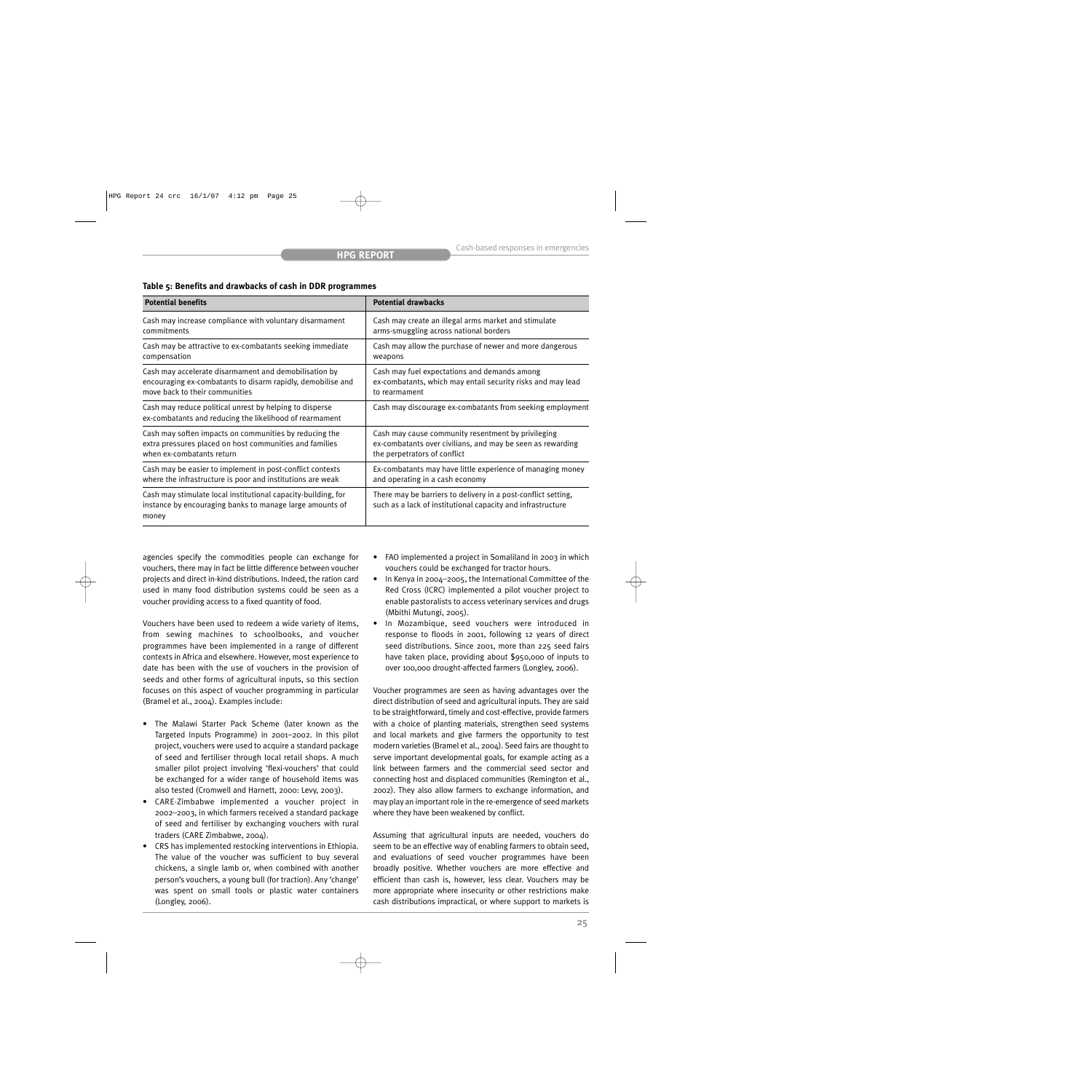## **Table 5: Benefits and drawbacks of cash in DDR programmes**

| <b>Potential benefits</b>                                                                                                          | <b>Potential drawbacks</b>                                                                                                   |
|------------------------------------------------------------------------------------------------------------------------------------|------------------------------------------------------------------------------------------------------------------------------|
| Cash may increase compliance with voluntary disarmament                                                                            | Cash may create an illegal arms market and stimulate                                                                         |
| commitments                                                                                                                        | arms-smuggling across national borders                                                                                       |
| Cash may be attractive to ex-combatants seeking immediate                                                                          | Cash may allow the purchase of newer and more dangerous                                                                      |
| compensation                                                                                                                       | weapons                                                                                                                      |
| Cash may accelerate disarmament and demobilisation by                                                                              | Cash may fuel expectations and demands among                                                                                 |
| encouraging ex-combatants to disarm rapidly, demobilise and                                                                        | ex-combatants, which may entail security risks and may lead                                                                  |
| move back to their communities                                                                                                     | to rearmament                                                                                                                |
| Cash may reduce political unrest by helping to disperse<br>ex-combatants and reducing the likelihood of rearmament                 | Cash may discourage ex-combatants from seeking employment                                                                    |
| Cash may soften impacts on communities by reducing the                                                                             | Cash may cause community resentment by privileging                                                                           |
| extra pressures placed on host communities and families                                                                            | ex-combatants over civilians, and may be seen as rewarding                                                                   |
| when ex-combatants return                                                                                                          | the perpetrators of conflict                                                                                                 |
| Cash may be easier to implement in post-conflict contexts                                                                          | Ex-combatants may have little experience of managing money                                                                   |
| where the infrastructure is poor and institutions are weak                                                                         | and operating in a cash economy                                                                                              |
| Cash may stimulate local institutional capacity-building, for<br>instance by encouraging banks to manage large amounts of<br>money | There may be barriers to delivery in a post-conflict setting,<br>such as a lack of institutional capacity and infrastructure |

agencies specify the commodities people can exchange for vouchers, there may in fact be little difference between voucher projects and direct in-kind distributions. Indeed, the ration card used in many food distribution systems could be seen as a voucher providing access to a fixed quantity of food.

Vouchers have been used to redeem a wide variety of items, from sewing machines to schoolbooks, and voucher programmes have been implemented in a range of different contexts in Africa and elsewhere. However, most experience to date has been with the use of vouchers in the provision of seeds and other forms of agricultural inputs, so this section focuses on this aspect of voucher programming in particular (Bramel et al., 2004). Examples include:

- The Malawi Starter Pack Scheme (later known as the Targeted Inputs Programme) in 2001–2002. In this pilot project, vouchers were used to acquire a standard package of seed and fertiliser through local retail shops. A much smaller pilot project involving 'flexi-vouchers' that could be exchanged for a wider range of household items was also tested (Cromwell and Harnett, 2000: Levy, 2003).
- CARE-Zimbabwe implemented a voucher project in 2002–2003, in which farmers received a standard package of seed and fertiliser by exchanging vouchers with rural traders (CARE Zimbabwe, 2004).
- CRS has implemented restocking interventions in Ethiopia. The value of the voucher was sufficient to buy several chickens, a single lamb or, when combined with another person's vouchers, a young bull (for traction). Any 'change' was spent on small tools or plastic water containers (Longley, 2006).
- FAO implemented a project in Somaliland in 2003 in which vouchers could be exchanged for tractor hours.
- In Kenya in 2004–2005, the International Committee of the Red Cross (ICRC) implemented a pilot voucher project to enable pastoralists to access veterinary services and drugs (Mbithi Mutungi, 2005).
- In Mozambique, seed vouchers were introduced in response to floods in 2001, following 12 years of direct seed distributions. Since 2001, more than 225 seed fairs have taken place, providing about \$950,000 of inputs to over 100,000 drought-affected farmers (Longley, 2006).

Voucher programmes are seen as having advantages over the direct distribution of seed and agricultural inputs. They are said to be straightforward, timely and cost-effective, provide farmers with a choice of planting materials, strengthen seed systems and local markets and give farmers the opportunity to test modern varieties (Bramel et al., 2004). Seed fairs are thought to serve important developmental goals, for example acting as a link between farmers and the commercial seed sector and connecting host and displaced communities (Remington et al., 2002). They also allow farmers to exchange information, and may play an important role in the re-emergence of seed markets where they have been weakened by conflict.

Assuming that agricultural inputs are needed, vouchers do seem to be an effective way of enabling farmers to obtain seed, and evaluations of seed voucher programmes have been broadly positive. Whether vouchers are more effective and efficient than cash is, however, less clear. Vouchers may be more appropriate where insecurity or other restrictions make cash distributions impractical, or where support to markets is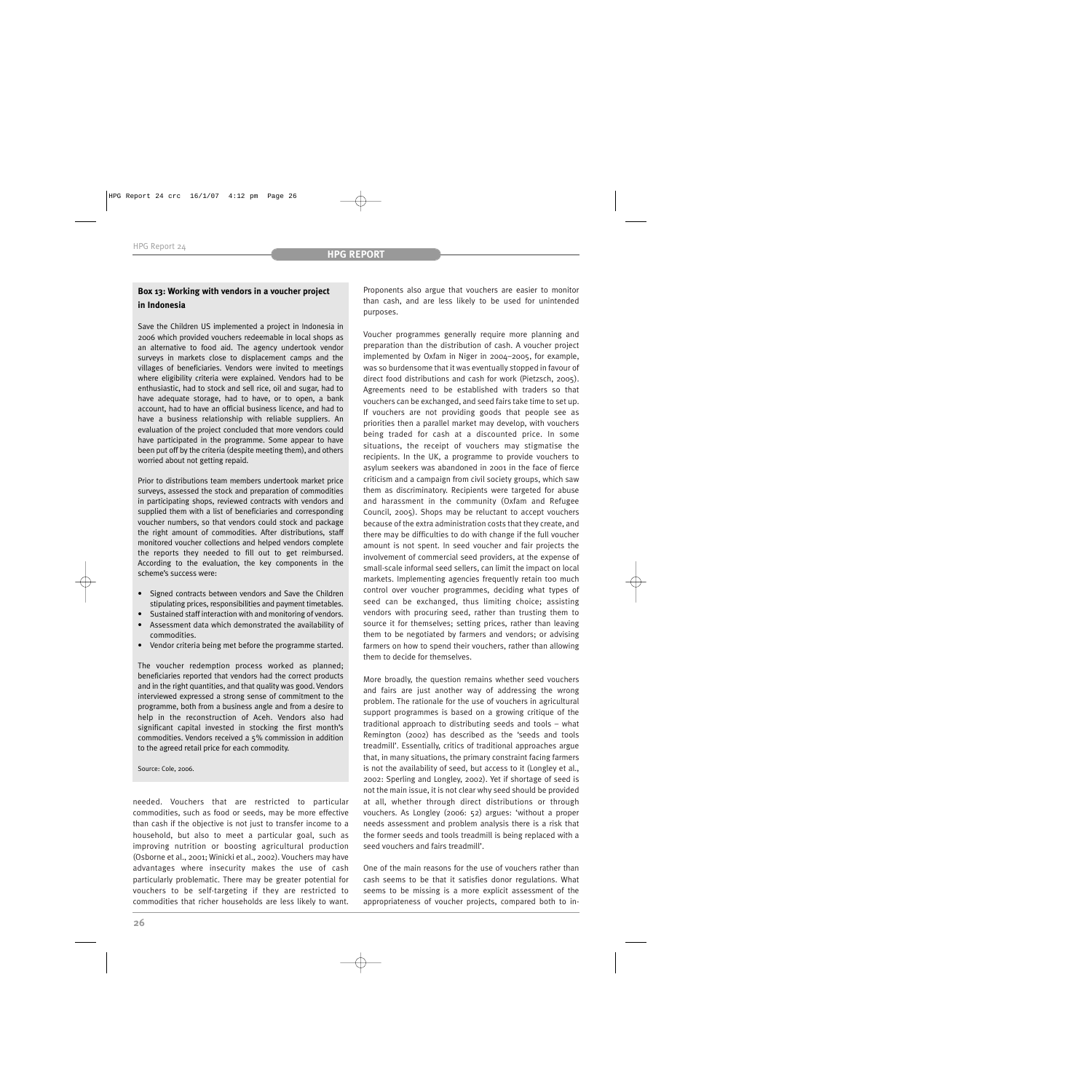# **Box 13: Working with vendors in a voucher project in Indonesia**

Save the Children US implemented a project in Indonesia in 2006 which provided vouchers redeemable in local shops as an alternative to food aid. The agency undertook vendor surveys in markets close to displacement camps and the villages of beneficiaries. Vendors were invited to meetings where eligibility criteria were explained. Vendors had to be enthusiastic, had to stock and sell rice, oil and sugar, had to have adequate storage, had to have, or to open, a bank account, had to have an official business licence, and had to have a business relationship with reliable suppliers. An evaluation of the project concluded that more vendors could have participated in the programme. Some appear to have been put off by the criteria (despite meeting them), and others worried about not getting repaid.

Prior to distributions team members undertook market price surveys, assessed the stock and preparation of commodities in participating shops, reviewed contracts with vendors and supplied them with a list of beneficiaries and corresponding voucher numbers, so that vendors could stock and package the right amount of commodities. After distributions, staff monitored voucher collections and helped vendors complete the reports they needed to fill out to get reimbursed. According to the evaluation, the key components in the scheme's success were:

- Signed contracts between vendors and Save the Children stipulating prices, responsibilities and payment timetables.
- Sustained staff interaction with and monitoring of vendors.
- Assessment data which demonstrated the availability of commodities.
- Vendor criteria being met before the programme started.

The voucher redemption process worked as planned; beneficiaries reported that vendors had the correct products and in the right quantities, and that quality was good. Vendors interviewed expressed a strong sense of commitment to the programme, both from a business angle and from a desire to help in the reconstruction of Aceh. Vendors also had significant capital invested in stocking the first month's commodities. Vendors received a 5% commission in addition to the agreed retail price for each commodity.

#### Source: Cole, 2006.

needed. Vouchers that are restricted to particular commodities, such as food or seeds, may be more effective than cash if the objective is not just to transfer income to a household, but also to meet a particular goal, such as improving nutrition or boosting agricultural production (Osborne et al., 2001; Winicki et al., 2002). Vouchers may have advantages where insecurity makes the use of cash particularly problematic. There may be greater potential for vouchers to be self-targeting if they are restricted to commodities that richer households are less likely to want. Proponents also argue that vouchers are easier to monitor than cash, and are less likely to be used for unintended purposes.

Voucher programmes generally require more planning and preparation than the distribution of cash. A voucher project implemented by Oxfam in Niger in 2004–2005, for example, was so burdensome that it was eventually stopped in favour of direct food distributions and cash for work (Pietzsch, 2005). Agreements need to be established with traders so that vouchers can be exchanged, and seed fairs take time to set up. If vouchers are not providing goods that people see as priorities then a parallel market may develop, with vouchers being traded for cash at a discounted price. In some situations, the receipt of vouchers may stigmatise the recipients. In the UK, a programme to provide vouchers to asylum seekers was abandoned in 2001 in the face of fierce criticism and a campaign from civil society groups, which saw them as discriminatory. Recipients were targeted for abuse and harassment in the community (Oxfam and Refugee Council, 2005). Shops may be reluctant to accept vouchers because of the extra administration costs that they create, and there may be difficulties to do with change if the full voucher amount is not spent. In seed voucher and fair projects the involvement of commercial seed providers, at the expense of small-scale informal seed sellers, can limit the impact on local markets. Implementing agencies frequently retain too much control over voucher programmes, deciding what types of seed can be exchanged, thus limiting choice; assisting vendors with procuring seed, rather than trusting them to source it for themselves; setting prices, rather than leaving them to be negotiated by farmers and vendors; or advising farmers on how to spend their vouchers, rather than allowing them to decide for themselves.

More broadly, the question remains whether seed vouchers and fairs are just another way of addressing the wrong problem. The rationale for the use of vouchers in agricultural support programmes is based on a growing critique of the traditional approach to distributing seeds and tools – what Remington (2002) has described as the 'seeds and tools treadmill'. Essentially, critics of traditional approaches argue that, in many situations, the primary constraint facing farmers is not the availability of seed, but access to it (Longley et al., 2002: Sperling and Longley, 2002). Yet if shortage of seed is not the main issue, it is not clear why seed should be provided at all, whether through direct distributions or through vouchers. As Longley (2006: 52) argues: 'without a proper needs assessment and problem analysis there is a risk that the former seeds and tools treadmill is being replaced with a seed vouchers and fairs treadmill'.

One of the main reasons for the use of vouchers rather than cash seems to be that it satisfies donor regulations. What seems to be missing is a more explicit assessment of the appropriateness of voucher projects, compared both to in-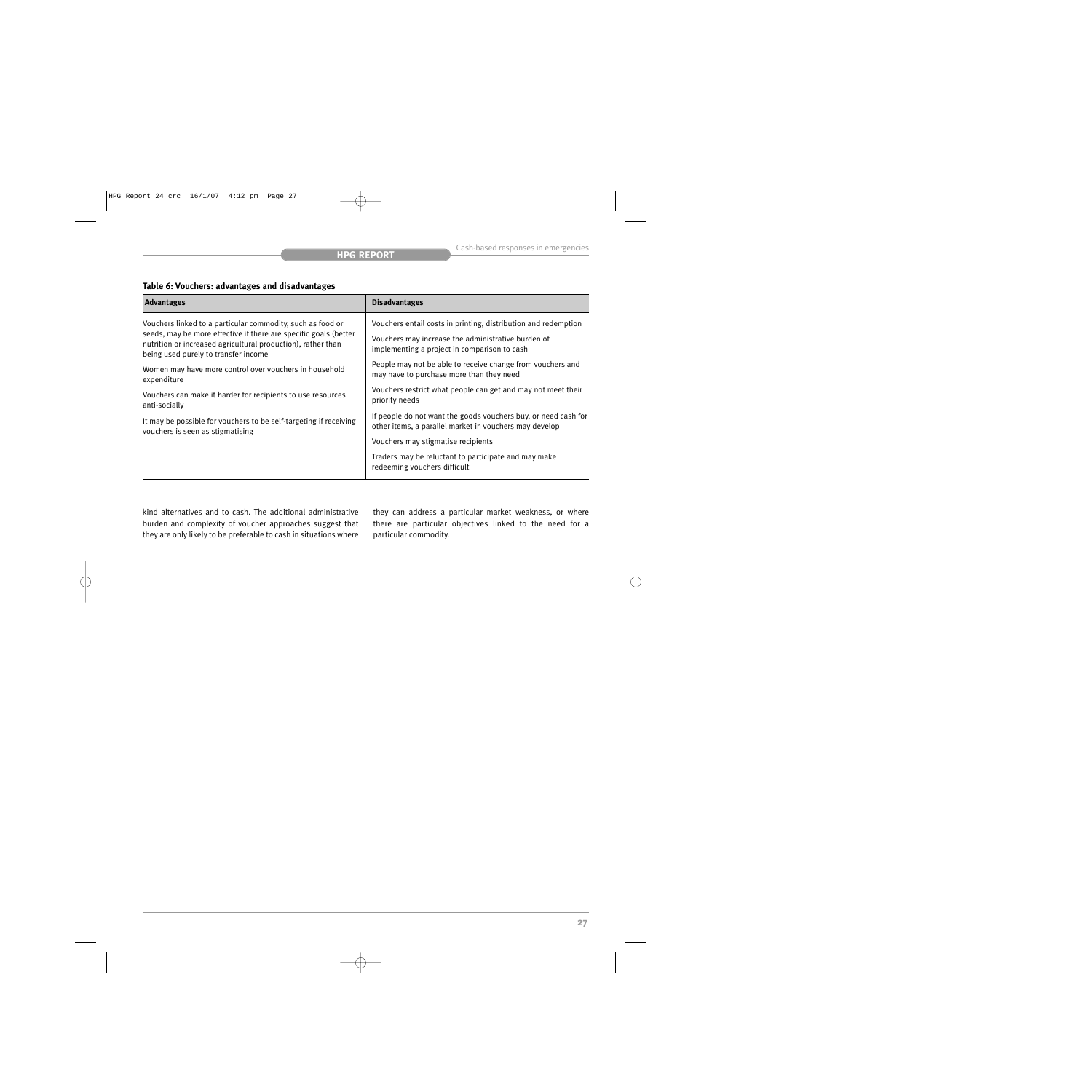# **Table 6: Vouchers: advantages and disadvantages**

| <b>Advantages</b>                                                                                                                                                        | <b>Disadvantages</b>                                                                                                     |
|--------------------------------------------------------------------------------------------------------------------------------------------------------------------------|--------------------------------------------------------------------------------------------------------------------------|
| Vouchers linked to a particular commodity, such as food or                                                                                                               | Vouchers entail costs in printing, distribution and redemption                                                           |
| seeds, may be more effective if there are specific goals (better<br>nutrition or increased agricultural production), rather than<br>being used purely to transfer income | Vouchers may increase the administrative burden of<br>implementing a project in comparison to cash                       |
| Women may have more control over vouchers in household<br>expenditure                                                                                                    | People may not be able to receive change from vouchers and<br>may have to purchase more than they need                   |
| Vouchers can make it harder for recipients to use resources<br>anti-socially                                                                                             | Vouchers restrict what people can get and may not meet their<br>priority needs                                           |
| It may be possible for vouchers to be self-targeting if receiving<br>vouchers is seen as stigmatising                                                                    | If people do not want the goods vouchers buy, or need cash for<br>other items, a parallel market in vouchers may develop |
|                                                                                                                                                                          | Vouchers may stigmatise recipients                                                                                       |
|                                                                                                                                                                          | Traders may be reluctant to participate and may make<br>redeeming vouchers difficult                                     |

kind alternatives and to cash. The additional administrative burden and complexity of voucher approaches suggest that they are only likely to be preferable to cash in situations where

they can address a particular market weakness, or where there are particular objectives linked to the need for a particular commodity.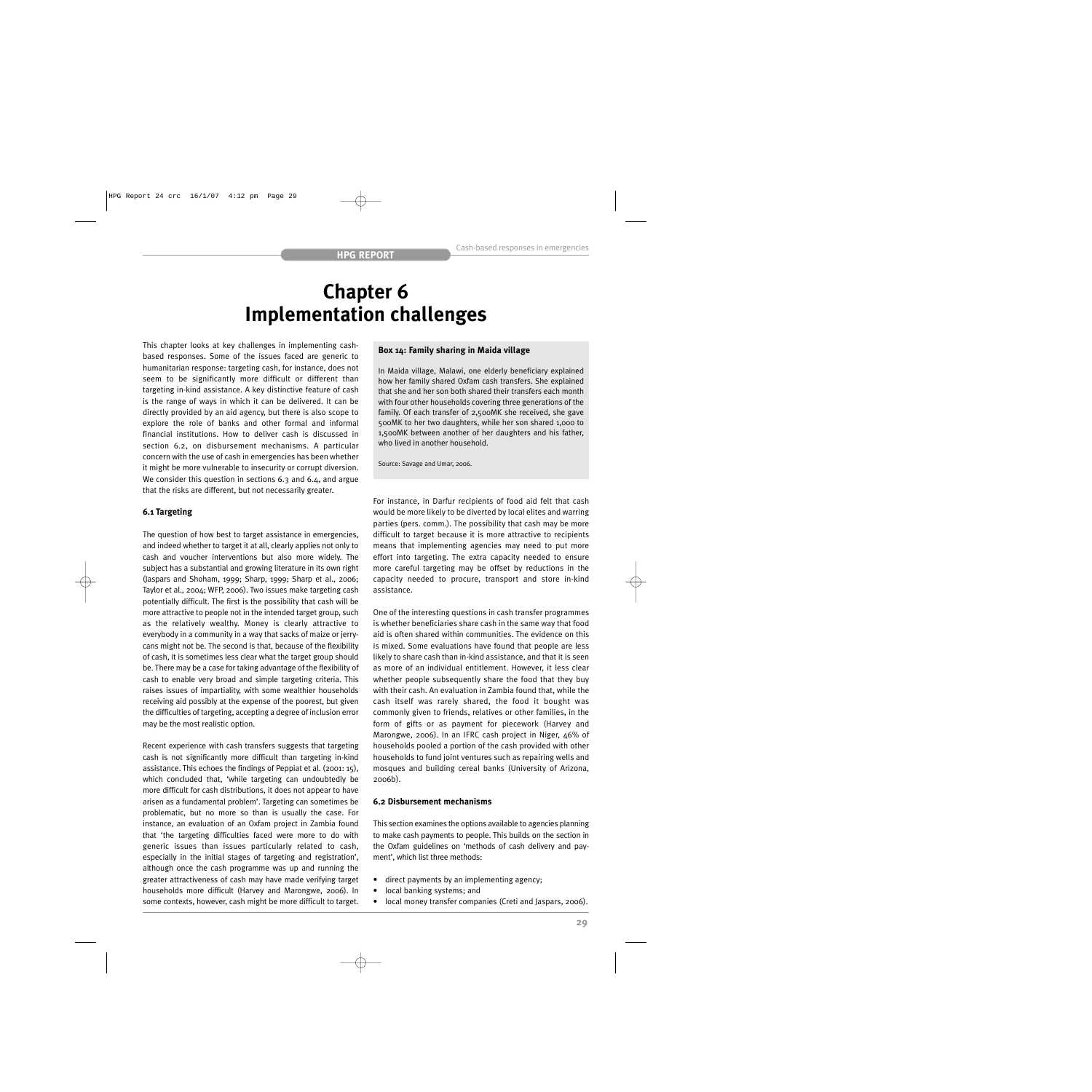# **Chapter 6 Implementation challenges**

This chapter looks at key challenges in implementing cashbased responses. Some of the issues faced are generic to humanitarian response: targeting cash, for instance, does not seem to be significantly more difficult or different than targeting in-kind assistance. A key distinctive feature of cash is the range of ways in which it can be delivered. It can be directly provided by an aid agency, but there is also scope to explore the role of banks and other formal and informal financial institutions. How to deliver cash is discussed in section 6.2, on disbursement mechanisms. A particular concern with the use of cash in emergencies has been whether it might be more vulnerable to insecurity or corrupt diversion. We consider this question in sections 6.3 and 6.4, and argue that the risks are different, but not necessarily greater.

# **6.1 Targeting**

The question of how best to target assistance in emergencies, and indeed whether to target it at all, clearly applies not only to cash and voucher interventions but also more widely. The subject has a substantial and growing literature in its own right (Jaspars and Shoham, 1999; Sharp, 1999; Sharp et al., 2006; Taylor et al., 2004; WFP, 2006). Two issues make targeting cash potentially difficult. The first is the possibility that cash will be more attractive to people not in the intended target group, such as the relatively wealthy. Money is clearly attractive to everybody in a community in a way that sacks of maize or jerrycans might not be. The second is that, because of the flexibility of cash, it is sometimes less clear what the target group should be. There may be a case for taking advantage of the flexibility of cash to enable very broad and simple targeting criteria. This raises issues of impartiality, with some wealthier households receiving aid possibly at the expense of the poorest, but given the difficulties of targeting, accepting a degree of inclusion error may be the most realistic option.

Recent experience with cash transfers suggests that targeting cash is not significantly more difficult than targeting in-kind assistance. This echoes the findings of Peppiat et al. (2001: 15), which concluded that, 'while targeting can undoubtedly be more difficult for cash distributions, it does not appear to have arisen as a fundamental problem'. Targeting can sometimes be problematic, but no more so than is usually the case. For instance, an evaluation of an Oxfam project in Zambia found that 'the targeting difficulties faced were more to do with generic issues than issues particularly related to cash, especially in the initial stages of targeting and registration', although once the cash programme was up and running the greater attractiveness of cash may have made verifying target households more difficult (Harvey and Marongwe, 2006). In some contexts, however, cash might be more difficult to target.

## **Box 14: Family sharing in Maida village**

In Maida village, Malawi, one elderly beneficiary explained how her family shared Oxfam cash transfers. She explained that she and her son both shared their transfers each month with four other households covering three generations of the family. Of each transfer of 2,500MK she received, she gave 500MK to her two daughters, while her son shared 1,000 to 1,500MK between another of her daughters and his father, who lived in another household.

Source: Savage and Umar, 2006.

For instance, in Darfur recipients of food aid felt that cash would be more likely to be diverted by local elites and warring parties (pers. comm.). The possibility that cash may be more difficult to target because it is more attractive to recipients means that implementing agencies may need to put more effort into targeting. The extra capacity needed to ensure more careful targeting may be offset by reductions in the capacity needed to procure, transport and store in-kind assistance.

One of the interesting questions in cash transfer programmes is whether beneficiaries share cash in the same way that food aid is often shared within communities. The evidence on this is mixed. Some evaluations have found that people are less likely to share cash than in-kind assistance, and that it is seen as more of an individual entitlement. However, it less clear whether people subsequently share the food that they buy with their cash. An evaluation in Zambia found that, while the cash itself was rarely shared, the food it bought was commonly given to friends, relatives or other families, in the form of gifts or as payment for piecework (Harvey and Marongwe, 2006). In an IFRC cash project in Niger, 46% of households pooled a portion of the cash provided with other households to fund joint ventures such as repairing wells and mosques and building cereal banks (University of Arizona, 2006b).

## **6.2 Disbursement mechanisms**

This section examines the options available to agencies planning to make cash payments to people. This builds on the section in the Oxfam guidelines on 'methods of cash delivery and payment', which list three methods:

- direct payments by an implementing agency;
- local banking systems; and
- local money transfer companies (Creti and Jaspars, 2006).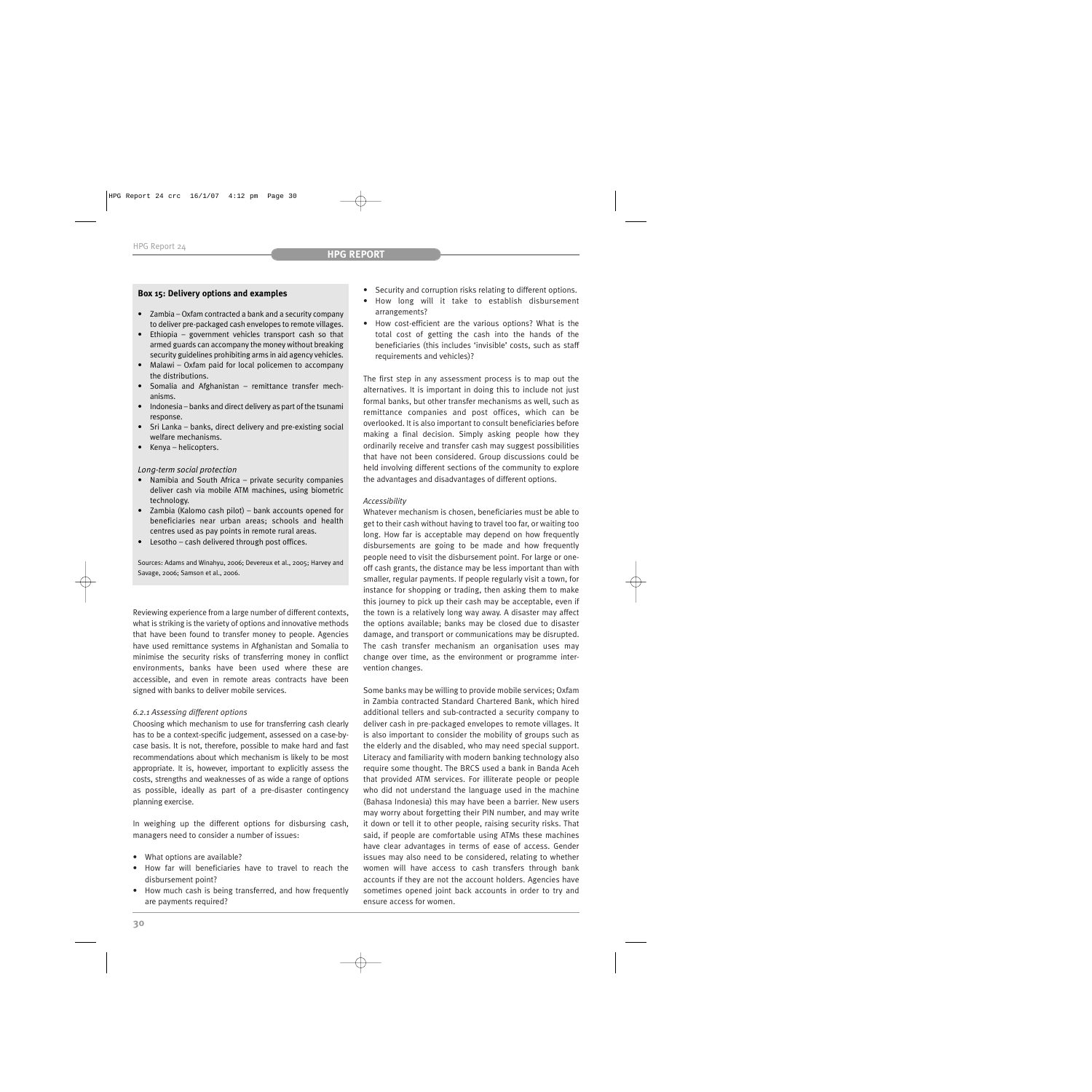## **Box 15: Delivery options and examples**

- Zambia Oxfam contracted a bank and a security company to deliver pre-packaged cash envelopes to remote villages.
- Ethiopia government vehicles transport cash so that armed guards can accompany the money without breaking security guidelines prohibiting arms in aid agency vehicles.
- Malawi Oxfam paid for local policemen to accompany the distributions.
- Somalia and Afghanistan remittance transfer mechanisms.
- Indonesia banks and direct delivery as part of the tsunami response.
- Sri Lanka banks, direct delivery and pre-existing social welfare mechanisms.
- Kenya helicopters.

## *Long-term social protection*

- Namibia and South Africa private security companies deliver cash via mobile ATM machines, using biometric technology.
- Zambia (Kalomo cash pilot) bank accounts opened for beneficiaries near urban areas; schools and health centres used as pay points in remote rural areas.
- Lesotho cash delivered through post offices.

Sources: Adams and Winahyu, 2006; Devereux et al., 2005; Harvey and Savage, 2006; Samson et al., 2006.

Reviewing experience from a large number of different contexts, what is striking is the variety of options and innovative methods that have been found to transfer money to people. Agencies have used remittance systems in Afghanistan and Somalia to minimise the security risks of transferring money in conflict environments, banks have been used where these are accessible, and even in remote areas contracts have been signed with banks to deliver mobile services.

## *6.2.1 Assessing different options*

Choosing which mechanism to use for transferring cash clearly has to be a context-specific judgement, assessed on a case-bycase basis. It is not, therefore, possible to make hard and fast recommendations about which mechanism is likely to be most appropriate. It is, however, important to explicitly assess the costs, strengths and weaknesses of as wide a range of options as possible, ideally as part of a pre-disaster contingency planning exercise.

In weighing up the different options for disbursing cash, managers need to consider a number of issues:

- What options are available?
- How far will beneficiaries have to travel to reach the disbursement point?
- How much cash is being transferred, and how frequently are payments required?
- Security and corruption risks relating to different options.
- How long will it take to establish disbursement arrangements?
- How cost-efficient are the various options? What is the total cost of getting the cash into the hands of the beneficiaries (this includes 'invisible' costs, such as staff requirements and vehicles)?

The first step in any assessment process is to map out the alternatives. It is important in doing this to include not just formal banks, but other transfer mechanisms as well, such as remittance companies and post offices, which can be overlooked. It is also important to consult beneficiaries before making a final decision. Simply asking people how they ordinarily receive and transfer cash may suggest possibilities that have not been considered. Group discussions could be held involving different sections of the community to explore the advantages and disadvantages of different options.

## *Accessibility*

Whatever mechanism is chosen, beneficiaries must be able to get to their cash without having to travel too far, or waiting too long. How far is acceptable may depend on how frequently disbursements are going to be made and how frequently people need to visit the disbursement point. For large or oneoff cash grants, the distance may be less important than with smaller, regular payments. If people regularly visit a town, for instance for shopping or trading, then asking them to make this journey to pick up their cash may be acceptable, even if the town is a relatively long way away. A disaster may affect the options available; banks may be closed due to disaster damage, and transport or communications may be disrupted. The cash transfer mechanism an organisation uses may change over time, as the environment or programme intervention changes.

Some banks may be willing to provide mobile services; Oxfam in Zambia contracted Standard Chartered Bank, which hired additional tellers and sub-contracted a security company to deliver cash in pre-packaged envelopes to remote villages. It is also important to consider the mobility of groups such as the elderly and the disabled, who may need special support. Literacy and familiarity with modern banking technology also require some thought. The BRCS used a bank in Banda Aceh that provided ATM services. For illiterate people or people who did not understand the language used in the machine (Bahasa Indonesia) this may have been a barrier. New users may worry about forgetting their PIN number, and may write it down or tell it to other people, raising security risks. That said, if people are comfortable using ATMs these machines have clear advantages in terms of ease of access. Gender issues may also need to be considered, relating to whether women will have access to cash transfers through bank accounts if they are not the account holders. Agencies have sometimes opened joint back accounts in order to try and ensure access for women.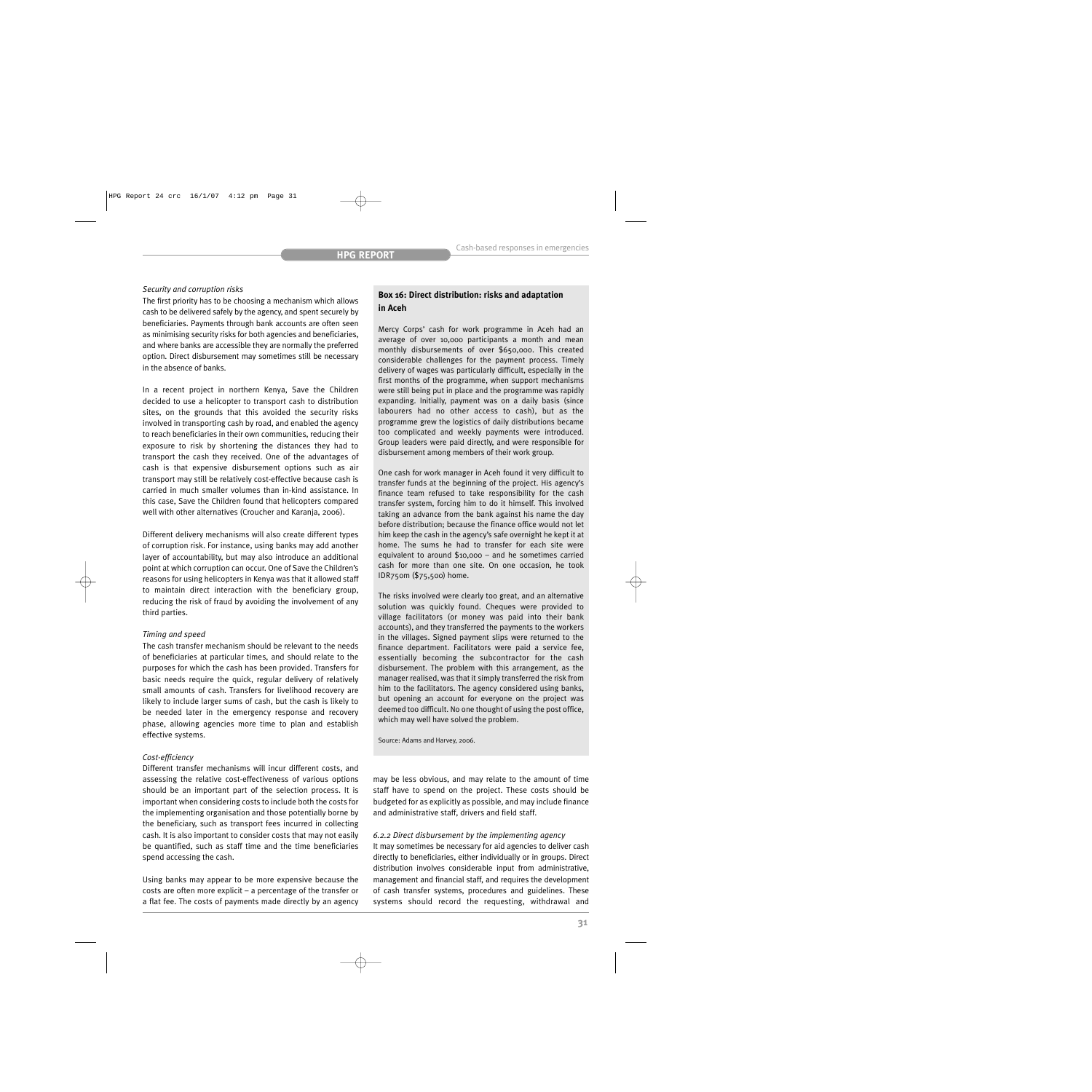### *Security and corruption risks*

The first priority has to be choosing a mechanism which allows cash to be delivered safely by the agency, and spent securely by beneficiaries. Payments through bank accounts are often seen as minimising security risks for both agencies and beneficiaries, and where banks are accessible they are normally the preferred option. Direct disbursement may sometimes still be necessary in the absence of banks.

In a recent project in northern Kenya, Save the Children decided to use a helicopter to transport cash to distribution sites, on the grounds that this avoided the security risks involved in transporting cash by road, and enabled the agency to reach beneficiaries in their own communities, reducing their exposure to risk by shortening the distances they had to transport the cash they received. One of the advantages of cash is that expensive disbursement options such as air transport may still be relatively cost-effective because cash is carried in much smaller volumes than in-kind assistance. In this case, Save the Children found that helicopters compared well with other alternatives (Croucher and Karanja, 2006).

Different delivery mechanisms will also create different types of corruption risk. For instance, using banks may add another layer of accountability, but may also introduce an additional point at which corruption can occur. One of Save the Children's reasons for using helicopters in Kenya was that it allowed staff to maintain direct interaction with the beneficiary group, reducing the risk of fraud by avoiding the involvement of any third parties.

#### *Timing and speed*

The cash transfer mechanism should be relevant to the needs of beneficiaries at particular times, and should relate to the purposes for which the cash has been provided. Transfers for basic needs require the quick, regular delivery of relatively small amounts of cash. Transfers for livelihood recovery are likely to include larger sums of cash, but the cash is likely to be needed later in the emergency response and recovery phase, allowing agencies more time to plan and establish effective systems.

### *Cost-efficiency*

Different transfer mechanisms will incur different costs, and assessing the relative cost-effectiveness of various options should be an important part of the selection process. It is important when considering costs to include both the costs for the implementing organisation and those potentially borne by the beneficiary, such as transport fees incurred in collecting cash. It is also important to consider costs that may not easily be quantified, such as staff time and the time beneficiaries spend accessing the cash.

Using banks may appear to be more expensive because the costs are often more explicit – a percentage of the transfer or a flat fee. The costs of payments made directly by an agency

## **Box 16: Direct distribution: risks and adaptation in Aceh**

Mercy Corps' cash for work programme in Aceh had an average of over 10,000 participants a month and mean monthly disbursements of over \$650,000. This created considerable challenges for the payment process. Timely delivery of wages was particularly difficult, especially in the first months of the programme, when support mechanisms were still being put in place and the programme was rapidly expanding. Initially, payment was on a daily basis (since labourers had no other access to cash), but as the programme grew the logistics of daily distributions became too complicated and weekly payments were introduced. Group leaders were paid directly, and were responsible for disbursement among members of their work group.

One cash for work manager in Aceh found it very difficult to transfer funds at the beginning of the project. His agency's finance team refused to take responsibility for the cash transfer system, forcing him to do it himself. This involved taking an advance from the bank against his name the day before distribution; because the finance office would not let him keep the cash in the agency's safe overnight he kept it at home. The sums he had to transfer for each site were equivalent to around \$10,000 – and he sometimes carried cash for more than one site. On one occasion, he took IDR750m (\$75,500) home.

The risks involved were clearly too great, and an alternative solution was quickly found. Cheques were provided to village facilitators (or money was paid into their bank accounts), and they transferred the payments to the workers in the villages. Signed payment slips were returned to the finance department. Facilitators were paid a service fee, essentially becoming the subcontractor for the cash disbursement. The problem with this arrangement, as the manager realised, was that it simply transferred the risk from him to the facilitators. The agency considered using banks, but opening an account for everyone on the project was deemed too difficult. No one thought of using the post office, which may well have solved the problem.

Source: Adams and Harvey, 2006.

may be less obvious, and may relate to the amount of time staff have to spend on the project. These costs should be budgeted for as explicitly as possible, and may include finance and administrative staff, drivers and field staff.

## *6.2.2 Direct disbursement by the implementing agency*

It may sometimes be necessary for aid agencies to deliver cash directly to beneficiaries, either individually or in groups. Direct distribution involves considerable input from administrative, management and financial staff, and requires the development of cash transfer systems, procedures and guidelines. These systems should record the requesting, withdrawal and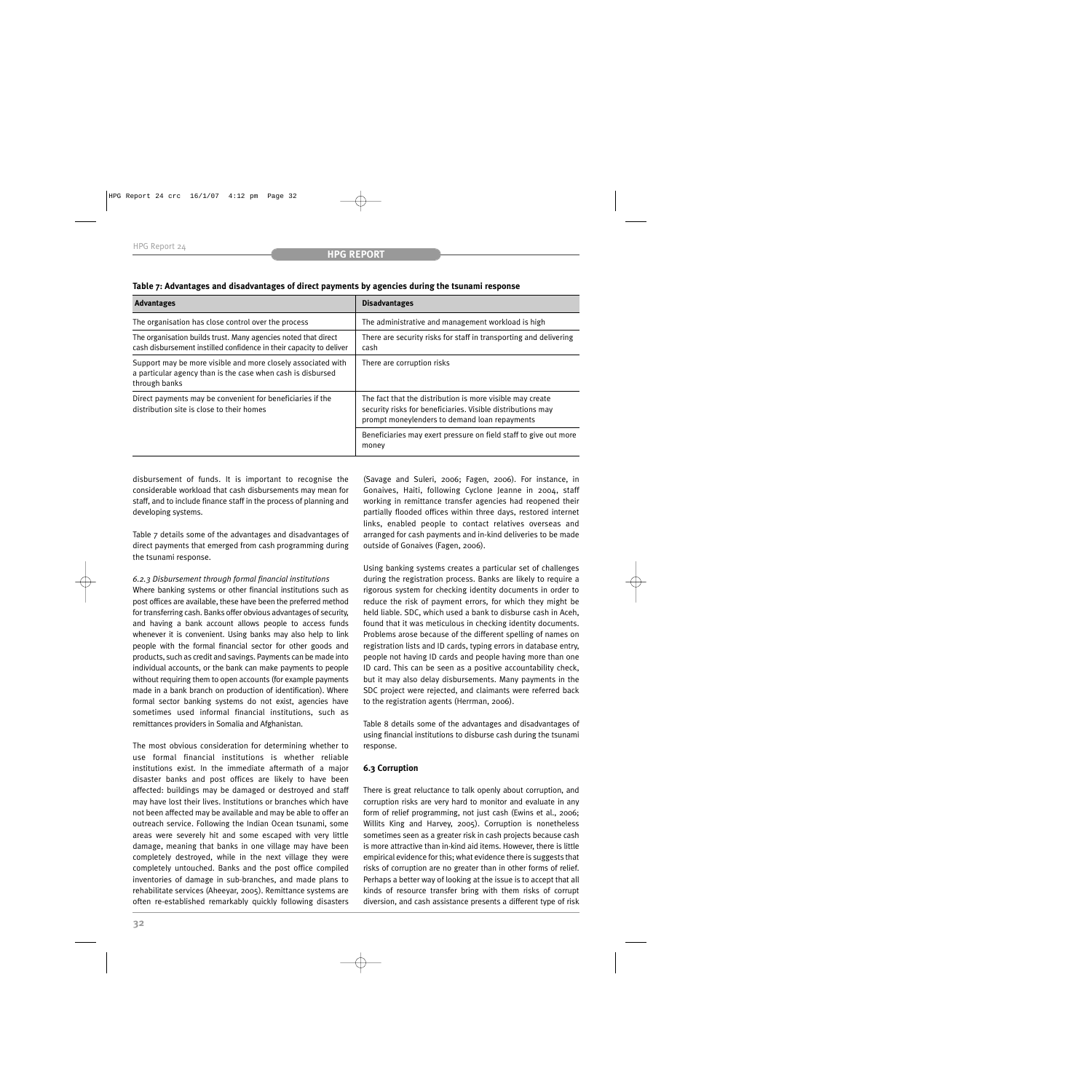| <b>Advantages</b>                                                                                                                            | <b>Disadvantages</b>                                                                                                                                                      |  |
|----------------------------------------------------------------------------------------------------------------------------------------------|---------------------------------------------------------------------------------------------------------------------------------------------------------------------------|--|
| The organisation has close control over the process                                                                                          | The administrative and management workload is high                                                                                                                        |  |
| The organisation builds trust. Many agencies noted that direct<br>cash disbursement instilled confidence in their capacity to deliver        | There are security risks for staff in transporting and delivering<br>cash                                                                                                 |  |
| Support may be more visible and more closely associated with<br>a particular agency than is the case when cash is disbursed<br>through banks | There are corruption risks                                                                                                                                                |  |
| Direct payments may be convenient for beneficiaries if the<br>distribution site is close to their homes                                      | The fact that the distribution is more visible may create<br>security risks for beneficiaries. Visible distributions may<br>prompt moneylenders to demand loan repayments |  |
|                                                                                                                                              | Beneficiaries may exert pressure on field staff to give out more<br>money                                                                                                 |  |

## **Table 7: Advantages and disadvantages of direct payments by agencies during the tsunami response**

disbursement of funds. It is important to recognise the considerable workload that cash disbursements may mean for staff, and to include finance staff in the process of planning and developing systems.

Table 7 details some of the advantages and disadvantages of direct payments that emerged from cash programming during the tsunami response.

## *6.2.3 Disbursement through formal financial institutions*

Where banking systems or other financial institutions such as post offices are available, these have been the preferred method for transferring cash. Banks offer obvious advantages of security, and having a bank account allows people to access funds whenever it is convenient. Using banks may also help to link people with the formal financial sector for other goods and products, such as credit and savings. Payments can be made into individual accounts, or the bank can make payments to people without requiring them to open accounts (for example payments made in a bank branch on production of identification). Where formal sector banking systems do not exist, agencies have sometimes used informal financial institutions, such as remittances providers in Somalia and Afghanistan.

The most obvious consideration for determining whether to use formal financial institutions is whether reliable institutions exist. In the immediate aftermath of a major disaster banks and post offices are likely to have been affected: buildings may be damaged or destroyed and staff may have lost their lives. Institutions or branches which have not been affected may be available and may be able to offer an outreach service. Following the Indian Ocean tsunami, some areas were severely hit and some escaped with very little damage, meaning that banks in one village may have been completely destroyed, while in the next village they were completely untouched. Banks and the post office compiled inventories of damage in sub-branches, and made plans to rehabilitate services (Aheeyar, 2005). Remittance systems are often re-established remarkably quickly following disasters

(Savage and Suleri, 2006; Fagen, 2006). For instance, in Gonaives, Haiti, following Cyclone Jeanne in 2004, staff working in remittance transfer agencies had reopened their partially flooded offices within three days, restored internet links, enabled people to contact relatives overseas and arranged for cash payments and in-kind deliveries to be made outside of Gonaives (Fagen, 2006).

Using banking systems creates a particular set of challenges during the registration process. Banks are likely to require a rigorous system for checking identity documents in order to reduce the risk of payment errors, for which they might be held liable. SDC, which used a bank to disburse cash in Aceh, found that it was meticulous in checking identity documents. Problems arose because of the different spelling of names on registration lists and ID cards, typing errors in database entry, people not having ID cards and people having more than one ID card. This can be seen as a positive accountability check, but it may also delay disbursements. Many payments in the SDC project were rejected, and claimants were referred back to the registration agents (Herrman, 2006).

Table 8 details some of the advantages and disadvantages of using financial institutions to disburse cash during the tsunami response.

## **6.3 Corruption**

There is great reluctance to talk openly about corruption, and corruption risks are very hard to monitor and evaluate in any form of relief programming, not just cash (Ewins et al., 2006; Willits King and Harvey, 2005). Corruption is nonetheless sometimes seen as a greater risk in cash projects because cash is more attractive than in-kind aid items. However, there is little empirical evidence for this; what evidence there is suggests that risks of corruption are no greater than in other forms of relief. Perhaps a better way of looking at the issue is to accept that all kinds of resource transfer bring with them risks of corrupt diversion, and cash assistance presents a different type of risk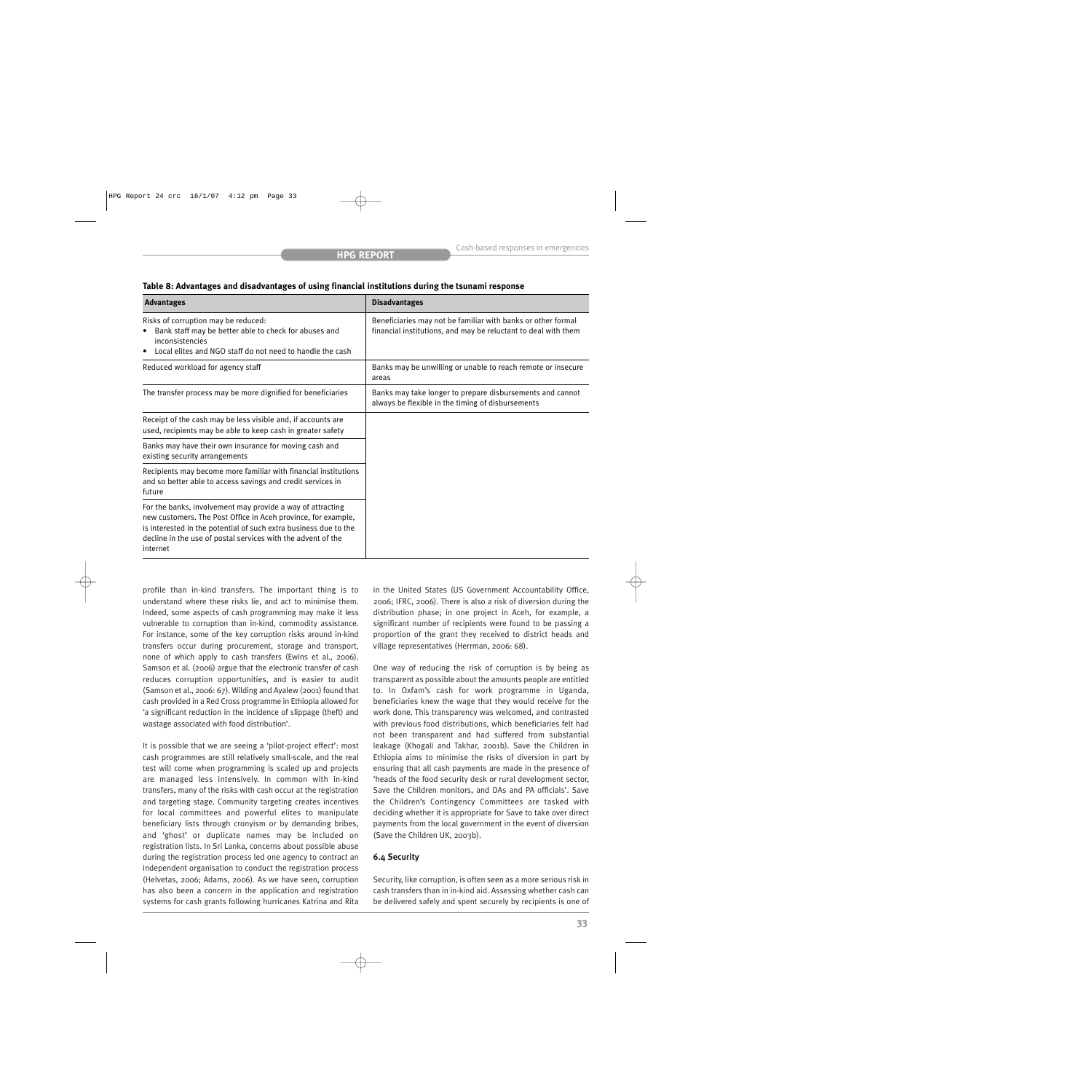| Table 8: Advantages and disadvantages of using financial institutions during the tsunami response |  |
|---------------------------------------------------------------------------------------------------|--|
|---------------------------------------------------------------------------------------------------|--|

| <b>Advantages</b>                                                                                                                                                                                                                                                           | <b>Disadvantages</b>                                                                                                           |
|-----------------------------------------------------------------------------------------------------------------------------------------------------------------------------------------------------------------------------------------------------------------------------|--------------------------------------------------------------------------------------------------------------------------------|
| Risks of corruption may be reduced:<br>Bank staff may be better able to check for abuses and<br>$\bullet$<br>inconsistencies<br>Local elites and NGO staff do not need to handle the cash                                                                                   | Beneficiaries may not be familiar with banks or other formal<br>financial institutions, and may be reluctant to deal with them |
| Reduced workload for agency staff                                                                                                                                                                                                                                           | Banks may be unwilling or unable to reach remote or insecure<br>areas                                                          |
| The transfer process may be more dignified for beneficiaries                                                                                                                                                                                                                | Banks may take longer to prepare disbursements and cannot<br>always be flexible in the timing of disbursements                 |
| Receipt of the cash may be less visible and, if accounts are<br>used, recipients may be able to keep cash in greater safety                                                                                                                                                 |                                                                                                                                |
| Banks may have their own insurance for moving cash and<br>existing security arrangements                                                                                                                                                                                    |                                                                                                                                |
| Recipients may become more familiar with financial institutions<br>and so better able to access savings and credit services in<br>future                                                                                                                                    |                                                                                                                                |
| For the banks, involvement may provide a way of attracting<br>new customers. The Post Office in Aceh province, for example,<br>is interested in the potential of such extra business due to the<br>decline in the use of postal services with the advent of the<br>internet |                                                                                                                                |

profile than in-kind transfers. The important thing is to understand where these risks lie, and act to minimise them. Indeed, some aspects of cash programming may make it less vulnerable to corruption than in-kind, commodity assistance. For instance, some of the key corruption risks around in-kind transfers occur during procurement, storage and transport, none of which apply to cash transfers (Ewins et al., 2006). Samson et al. (2006) argue that the electronic transfer of cash reduces corruption opportunities, and is easier to audit (Samson et al., 2006: 67). Wilding and Ayalew (2001) found that cash provided in a Red Cross programme in Ethiopia allowed for 'a significant reduction in the incidence of slippage (theft) and wastage associated with food distribution'.

It is possible that we are seeing a 'pilot-project effect': most cash programmes are still relatively small-scale, and the real test will come when programming is scaled up and projects are managed less intensively. In common with in-kind transfers, many of the risks with cash occur at the registration and targeting stage. Community targeting creates incentives for local committees and powerful elites to manipulate beneficiary lists through cronyism or by demanding bribes, and 'ghost' or duplicate names may be included on registration lists. In Sri Lanka, concerns about possible abuse during the registration process led one agency to contract an independent organisation to conduct the registration process (Helvetas, 2006; Adams, 2006). As we have seen, corruption has also been a concern in the application and registration systems for cash grants following hurricanes Katrina and Rita

in the United States (US Government Accountability Office, 2006; IFRC, 2006). There is also a risk of diversion during the distribution phase; in one project in Aceh, for example, a significant number of recipients were found to be passing a proportion of the grant they received to district heads and village representatives (Herrman, 2006: 68).

One way of reducing the risk of corruption is by being as transparent as possible about the amounts people are entitled to. In Oxfam's cash for work programme in Uganda, beneficiaries knew the wage that they would receive for the work done. This transparency was welcomed, and contrasted with previous food distributions, which beneficiaries felt had not been transparent and had suffered from substantial leakage (Khogali and Takhar, 2001b). Save the Children in Ethiopia aims to minimise the risks of diversion in part by ensuring that all cash payments are made in the presence of 'heads of the food security desk or rural development sector, Save the Children monitors, and DAs and PA officials'. Save the Children's Contingency Committees are tasked with deciding whether it is appropriate for Save to take over direct payments from the local government in the event of diversion (Save the Children UK, 2003b).

## **6.4 Security**

Security, like corruption, is often seen as a more serious risk in cash transfers than in in-kind aid. Assessing whether cash can be delivered safely and spent securely by recipients is one of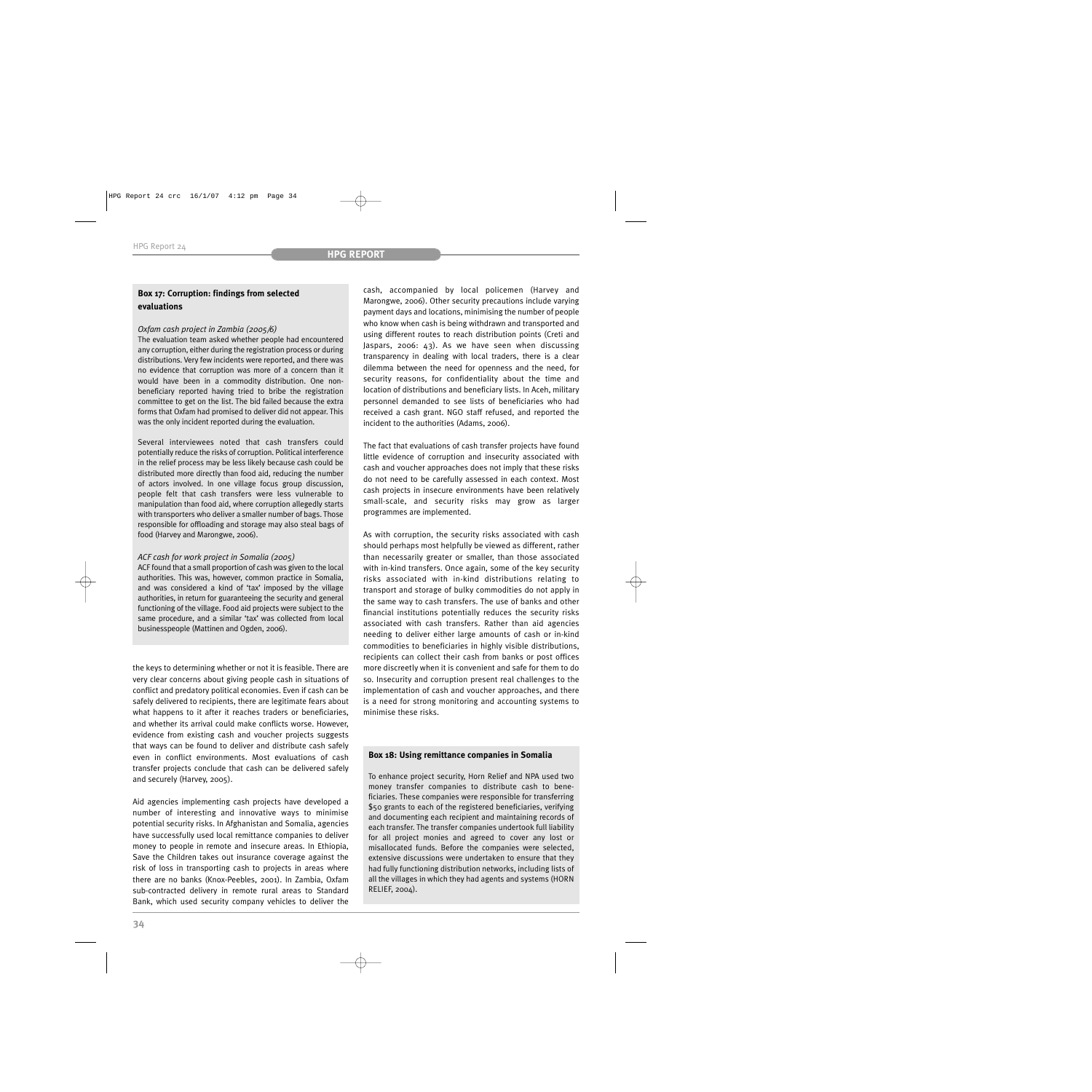## **Box 17: Corruption: findings from selected evaluations**

## *Oxfam cash project in Zambia (2005/6)*

The evaluation team asked whether people had encountered any corruption, either during the registration process or during distributions. Very few incidents were reported, and there was no evidence that corruption was more of a concern than it would have been in a commodity distribution. One nonbeneficiary reported having tried to bribe the registration committee to get on the list. The bid failed because the extra forms that Oxfam had promised to deliver did not appear. This was the only incident reported during the evaluation.

Several interviewees noted that cash transfers could potentially reduce the risks of corruption. Political interference in the relief process may be less likely because cash could be distributed more directly than food aid, reducing the number of actors involved. In one village focus group discussion, people felt that cash transfers were less vulnerable to manipulation than food aid, where corruption allegedly starts with transporters who deliver a smaller number of bags. Those responsible for offloading and storage may also steal bags of food (Harvey and Marongwe, 2006).

## *ACF cash for work project in Somalia (2005)*

ACF found that a small proportion of cash was given to the local authorities. This was, however, common practice in Somalia, and was considered a kind of 'tax' imposed by the village authorities, in return for guaranteeing the security and general functioning of the village. Food aid projects were subject to the same procedure, and a similar 'tax' was collected from local businesspeople (Mattinen and Ogden, 2006).

the keys to determining whether or not it is feasible. There are very clear concerns about giving people cash in situations of conflict and predatory political economies. Even if cash can be safely delivered to recipients, there are legitimate fears about what happens to it after it reaches traders or beneficiaries, and whether its arrival could make conflicts worse. However, evidence from existing cash and voucher projects suggests that ways can be found to deliver and distribute cash safely even in conflict environments. Most evaluations of cash transfer projects conclude that cash can be delivered safely and securely (Harvey, 2005).

Aid agencies implementing cash projects have developed a number of interesting and innovative ways to minimise potential security risks. In Afghanistan and Somalia, agencies have successfully used local remittance companies to deliver money to people in remote and insecure areas. In Ethiopia, Save the Children takes out insurance coverage against the risk of loss in transporting cash to projects in areas where there are no banks (Knox-Peebles, 2001). In Zambia, Oxfam sub-contracted delivery in remote rural areas to Standard Bank, which used security company vehicles to deliver the

cash, accompanied by local policemen (Harvey and Marongwe, 2006). Other security precautions include varying payment days and locations, minimising the number of people who know when cash is being withdrawn and transported and using different routes to reach distribution points (Creti and Jaspars, 2006: 43). As we have seen when discussing transparency in dealing with local traders, there is a clear dilemma between the need for openness and the need, for security reasons, for confidentiality about the time and location of distributions and beneficiary lists. In Aceh, military personnel demanded to see lists of beneficiaries who had received a cash grant. NGO staff refused, and reported the incident to the authorities (Adams, 2006).

The fact that evaluations of cash transfer projects have found little evidence of corruption and insecurity associated with cash and voucher approaches does not imply that these risks do not need to be carefully assessed in each context. Most cash projects in insecure environments have been relatively small-scale, and security risks may grow as larger programmes are implemented.

As with corruption, the security risks associated with cash should perhaps most helpfully be viewed as different, rather than necessarily greater or smaller, than those associated with in-kind transfers. Once again, some of the key security risks associated with in-kind distributions relating to transport and storage of bulky commodities do not apply in the same way to cash transfers. The use of banks and other financial institutions potentially reduces the security risks associated with cash transfers. Rather than aid agencies needing to deliver either large amounts of cash or in-kind commodities to beneficiaries in highly visible distributions, recipients can collect their cash from banks or post offices more discreetly when it is convenient and safe for them to do so. Insecurity and corruption present real challenges to the implementation of cash and voucher approaches, and there is a need for strong monitoring and accounting systems to minimise these risks.

## **Box 18: Using remittance companies in Somalia**

To enhance project security, Horn Relief and NPA used two money transfer companies to distribute cash to beneficiaries. These companies were responsible for transferring \$50 grants to each of the registered beneficiaries, verifying and documenting each recipient and maintaining records of each transfer. The transfer companies undertook full liability for all project monies and agreed to cover any lost or misallocated funds. Before the companies were selected, extensive discussions were undertaken to ensure that they had fully functioning distribution networks, including lists of all the villages in which they had agents and systems (HORN RELIEF, 2004).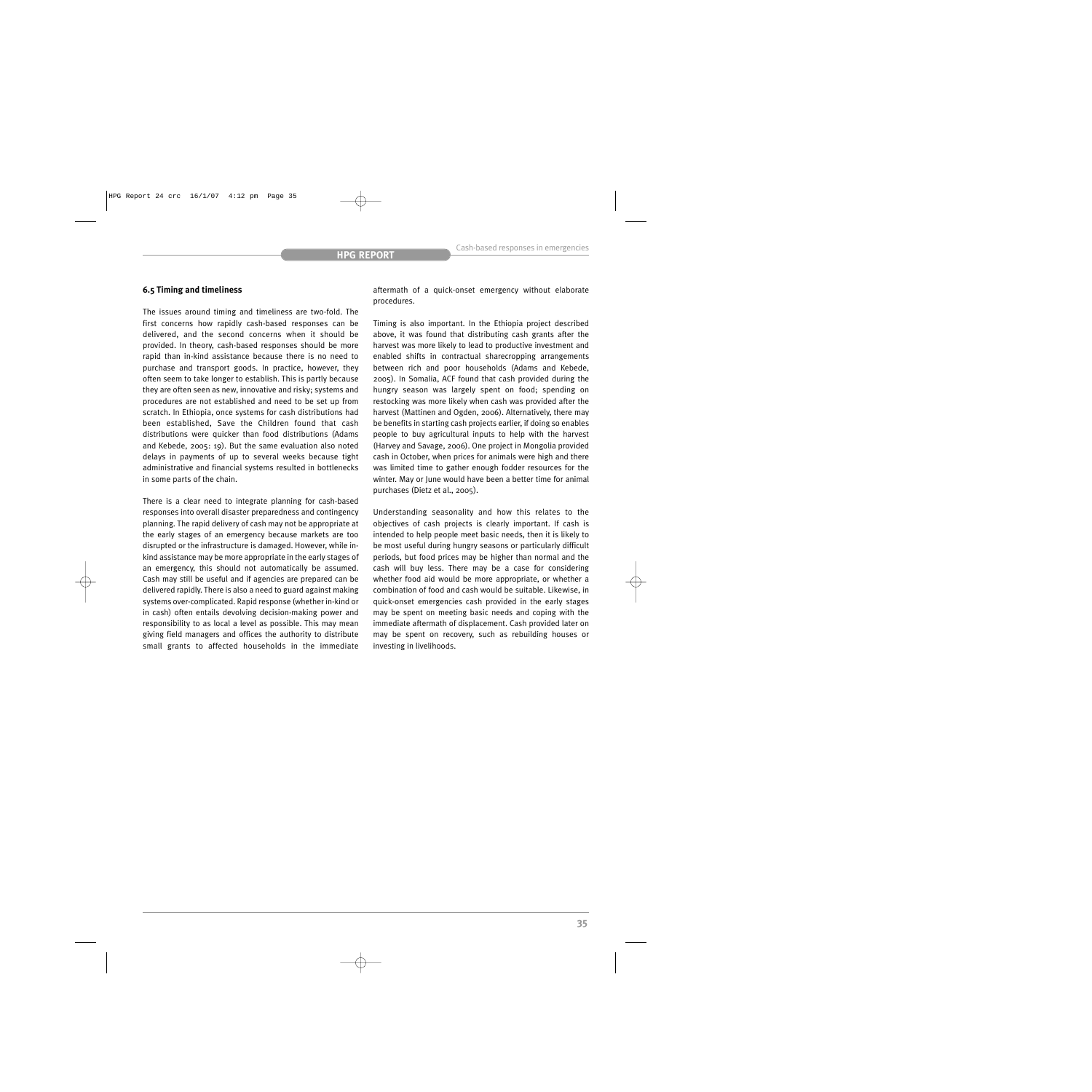### **6.5 Timing and timeliness**

The issues around timing and timeliness are two-fold. The first concerns how rapidly cash-based responses can be delivered, and the second concerns when it should be provided. In theory, cash-based responses should be more rapid than in-kind assistance because there is no need to purchase and transport goods. In practice, however, they often seem to take longer to establish. This is partly because they are often seen as new, innovative and risky; systems and procedures are not established and need to be set up from scratch. In Ethiopia, once systems for cash distributions had been established, Save the Children found that cash distributions were quicker than food distributions (Adams and Kebede, 2005: 19). But the same evaluation also noted delays in payments of up to several weeks because tight administrative and financial systems resulted in bottlenecks in some parts of the chain.

There is a clear need to integrate planning for cash-based responses into overall disaster preparedness and contingency planning. The rapid delivery of cash may not be appropriate at the early stages of an emergency because markets are too disrupted or the infrastructure is damaged. However, while inkind assistance may be more appropriate in the early stages of an emergency, this should not automatically be assumed. Cash may still be useful and if agencies are prepared can be delivered rapidly. There is also a need to guard against making systems over-complicated. Rapid response (whether in-kind or in cash) often entails devolving decision-making power and responsibility to as local a level as possible. This may mean giving field managers and offices the authority to distribute small grants to affected households in the immediate

aftermath of a quick-onset emergency without elaborate procedures.

Timing is also important. In the Ethiopia project described above, it was found that distributing cash grants after the harvest was more likely to lead to productive investment and enabled shifts in contractual sharecropping arrangements between rich and poor households (Adams and Kebede, 2005). In Somalia, ACF found that cash provided during the hungry season was largely spent on food; spending on restocking was more likely when cash was provided after the harvest (Mattinen and Ogden, 2006). Alternatively, there may be benefits in starting cash projects earlier, if doing so enables people to buy agricultural inputs to help with the harvest (Harvey and Savage, 2006). One project in Mongolia provided cash in October, when prices for animals were high and there was limited time to gather enough fodder resources for the winter. May or June would have been a better time for animal purchases (Dietz et al., 2005).

Understanding seasonality and how this relates to the objectives of cash projects is clearly important. If cash is intended to help people meet basic needs, then it is likely to be most useful during hungry seasons or particularly difficult periods, but food prices may be higher than normal and the cash will buy less. There may be a case for considering whether food aid would be more appropriate, or whether a combination of food and cash would be suitable. Likewise, in quick-onset emergencies cash provided in the early stages may be spent on meeting basic needs and coping with the immediate aftermath of displacement. Cash provided later on may be spent on recovery, such as rebuilding houses or investing in livelihoods.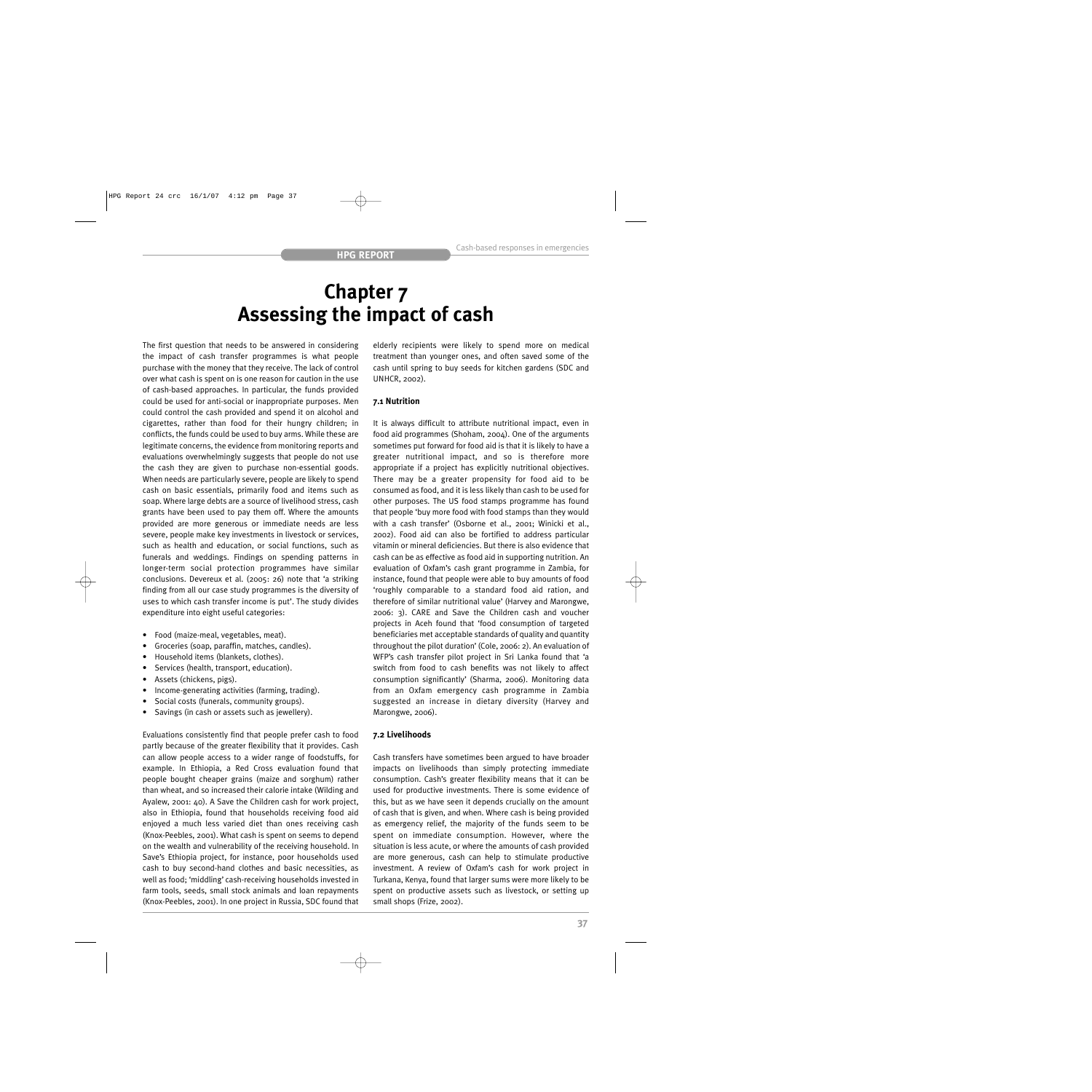## **Chapter 7 Assessing the impact of cash**

The first question that needs to be answered in considering the impact of cash transfer programmes is what people purchase with the money that they receive. The lack of control over what cash is spent on is one reason for caution in the use of cash-based approaches. In particular, the funds provided could be used for anti-social or inappropriate purposes. Men could control the cash provided and spend it on alcohol and cigarettes, rather than food for their hungry children; in conflicts, the funds could be used to buy arms. While these are legitimate concerns, the evidence from monitoring reports and evaluations overwhelmingly suggests that people do not use the cash they are given to purchase non-essential goods. When needs are particularly severe, people are likely to spend cash on basic essentials, primarily food and items such as soap. Where large debts are a source of livelihood stress, cash grants have been used to pay them off. Where the amounts provided are more generous or immediate needs are less severe, people make key investments in livestock or services, such as health and education, or social functions, such as funerals and weddings. Findings on spending patterns in longer-term social protection programmes have similar conclusions. Devereux et al. (2005: 26) note that 'a striking finding from all our case study programmes is the diversity of uses to which cash transfer income is put'. The study divides expenditure into eight useful categories:

- Food (maize-meal, vegetables, meat).
- Groceries (soap, paraffin, matches, candles).
- Household items (blankets, clothes).
- Services (health, transport, education).
- Assets (chickens, pigs).
- Income-generating activities (farming, trading).
- Social costs (funerals, community groups).
- Savings (in cash or assets such as jewellery).

Evaluations consistently find that people prefer cash to food partly because of the greater flexibility that it provides. Cash can allow people access to a wider range of foodstuffs, for example. In Ethiopia, a Red Cross evaluation found that people bought cheaper grains (maize and sorghum) rather than wheat, and so increased their calorie intake (Wilding and Ayalew, 2001: 40). A Save the Children cash for work project, also in Ethiopia, found that households receiving food aid enjoyed a much less varied diet than ones receiving cash (Knox-Peebles, 2001). What cash is spent on seems to depend on the wealth and vulnerability of the receiving household. In Save's Ethiopia project, for instance, poor households used cash to buy second-hand clothes and basic necessities, as well as food; 'middling' cash-receiving households invested in farm tools, seeds, small stock animals and loan repayments (Knox-Peebles, 2001). In one project in Russia, SDC found that elderly recipients were likely to spend more on medical treatment than younger ones, and often saved some of the cash until spring to buy seeds for kitchen gardens (SDC and UNHCR, 2002).

#### **7.1 Nutrition**

It is always difficult to attribute nutritional impact, even in food aid programmes (Shoham, 2004). One of the arguments sometimes put forward for food aid is that it is likely to have a greater nutritional impact, and so is therefore more appropriate if a project has explicitly nutritional objectives. There may be a greater propensity for food aid to be consumed as food, and it is less likely than cash to be used for other purposes. The US food stamps programme has found that people 'buy more food with food stamps than they would with a cash transfer' (Osborne et al., 2001; Winicki et al., 2002). Food aid can also be fortified to address particular vitamin or mineral deficiencies. But there is also evidence that cash can be as effective as food aid in supporting nutrition. An evaluation of Oxfam's cash grant programme in Zambia, for instance, found that people were able to buy amounts of food 'roughly comparable to a standard food aid ration, and therefore of similar nutritional value' (Harvey and Marongwe, 2006: 3). CARE and Save the Children cash and voucher projects in Aceh found that 'food consumption of targeted beneficiaries met acceptable standards of quality and quantity throughout the pilot duration' (Cole, 2006: 2). An evaluation of WFP's cash transfer pilot project in Sri Lanka found that 'a switch from food to cash benefits was not likely to affect consumption significantly' (Sharma, 2006). Monitoring data from an Oxfam emergency cash programme in Zambia suggested an increase in dietary diversity (Harvey and Marongwe, 2006).

### **7.2 Livelihoods**

Cash transfers have sometimes been argued to have broader impacts on livelihoods than simply protecting immediate consumption. Cash's greater flexibility means that it can be used for productive investments. There is some evidence of this, but as we have seen it depends crucially on the amount of cash that is given, and when. Where cash is being provided as emergency relief, the majority of the funds seem to be spent on immediate consumption. However, where the situation is less acute, or where the amounts of cash provided are more generous, cash can help to stimulate productive investment. A review of Oxfam's cash for work project in Turkana, Kenya, found that larger sums were more likely to be spent on productive assets such as livestock, or setting up small shops (Frize, 2002).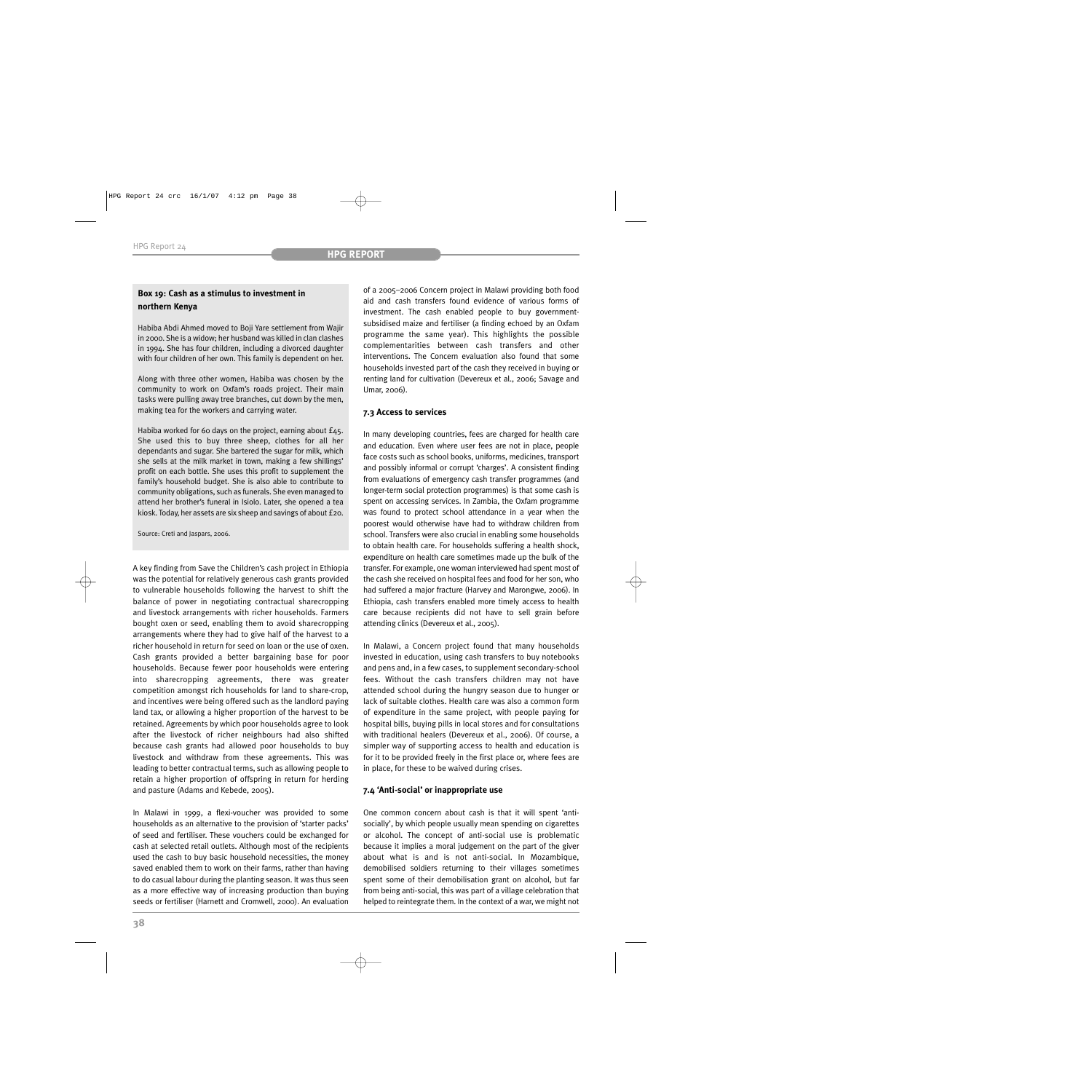## **Box 19: Cash as a stimulus to investment in northern Kenya**

Habiba Abdi Ahmed moved to Boji Yare settlement from Wajir in 2000. She is a widow; her husband was killed in clan clashes in 1994. She has four children, including a divorced daughter with four children of her own. This family is dependent on her.

Along with three other women, Habiba was chosen by the community to work on Oxfam's roads project. Their main tasks were pulling away tree branches, cut down by the men, making tea for the workers and carrying water.

Habiba worked for 60 days on the project, earning about £45. She used this to buy three sheep, clothes for all her dependants and sugar. She bartered the sugar for milk, which she sells at the milk market in town, making a few shillings' profit on each bottle. She uses this profit to supplement the family's household budget. She is also able to contribute to community obligations, such as funerals. She even managed to attend her brother's funeral in Isiolo. Later, she opened a tea kiosk. Today, her assets are six sheep and savings of about £20.

Source: Creti and Jaspars, 2006.

A key finding from Save the Children's cash project in Ethiopia was the potential for relatively generous cash grants provided to vulnerable households following the harvest to shift the balance of power in negotiating contractual sharecropping and livestock arrangements with richer households. Farmers bought oxen or seed, enabling them to avoid sharecropping arrangements where they had to give half of the harvest to a richer household in return for seed on loan or the use of oxen. Cash grants provided a better bargaining base for poor households. Because fewer poor households were entering into sharecropping agreements, there was greater competition amongst rich households for land to share-crop, and incentives were being offered such as the landlord paying land tax, or allowing a higher proportion of the harvest to be retained. Agreements by which poor households agree to look after the livestock of richer neighbours had also shifted because cash grants had allowed poor households to buy livestock and withdraw from these agreements. This was leading to better contractual terms, such as allowing people to retain a higher proportion of offspring in return for herding and pasture (Adams and Kebede, 2005).

In Malawi in 1999, a flexi-voucher was provided to some households as an alternative to the provision of 'starter packs' of seed and fertiliser. These vouchers could be exchanged for cash at selected retail outlets. Although most of the recipients used the cash to buy basic household necessities, the money saved enabled them to work on their farms, rather than having to do casual labour during the planting season. It was thus seen as a more effective way of increasing production than buying seeds or fertiliser (Harnett and Cromwell, 2000). An evaluation

of a 2005–2006 Concern project in Malawi providing both food aid and cash transfers found evidence of various forms of investment. The cash enabled people to buy governmentsubsidised maize and fertiliser (a finding echoed by an Oxfam programme the same year). This highlights the possible complementarities between cash transfers and other interventions. The Concern evaluation also found that some households invested part of the cash they received in buying or renting land for cultivation (Devereux et al., 2006; Savage and Umar, 2006).

## **7.3 Access to services**

In many developing countries, fees are charged for health care and education. Even where user fees are not in place, people face costs such as school books, uniforms, medicines, transport and possibly informal or corrupt 'charges'. A consistent finding from evaluations of emergency cash transfer programmes (and longer-term social protection programmes) is that some cash is spent on accessing services. In Zambia, the Oxfam programme was found to protect school attendance in a year when the poorest would otherwise have had to withdraw children from school. Transfers were also crucial in enabling some households to obtain health care. For households suffering a health shock, expenditure on health care sometimes made up the bulk of the transfer. For example, one woman interviewed had spent most of the cash she received on hospital fees and food for her son, who had suffered a major fracture (Harvey and Marongwe, 2006). In Ethiopia, cash transfers enabled more timely access to health care because recipients did not have to sell grain before attending clinics (Devereux et al., 2005).

In Malawi, a Concern project found that many households invested in education, using cash transfers to buy notebooks and pens and, in a few cases, to supplement secondary-school fees. Without the cash transfers children may not have attended school during the hungry season due to hunger or lack of suitable clothes. Health care was also a common form of expenditure in the same project, with people paying for hospital bills, buying pills in local stores and for consultations with traditional healers (Devereux et al., 2006). Of course, a simpler way of supporting access to health and education is for it to be provided freely in the first place or, where fees are in place, for these to be waived during crises.

## **7.4 'Anti-social' or inappropriate use**

One common concern about cash is that it will spent 'antisocially', by which people usually mean spending on cigarettes or alcohol. The concept of anti-social use is problematic because it implies a moral judgement on the part of the giver about what is and is not anti-social. In Mozambique, demobilised soldiers returning to their villages sometimes spent some of their demobilisation grant on alcohol, but far from being anti-social, this was part of a village celebration that helped to reintegrate them. In the context of a war, we might not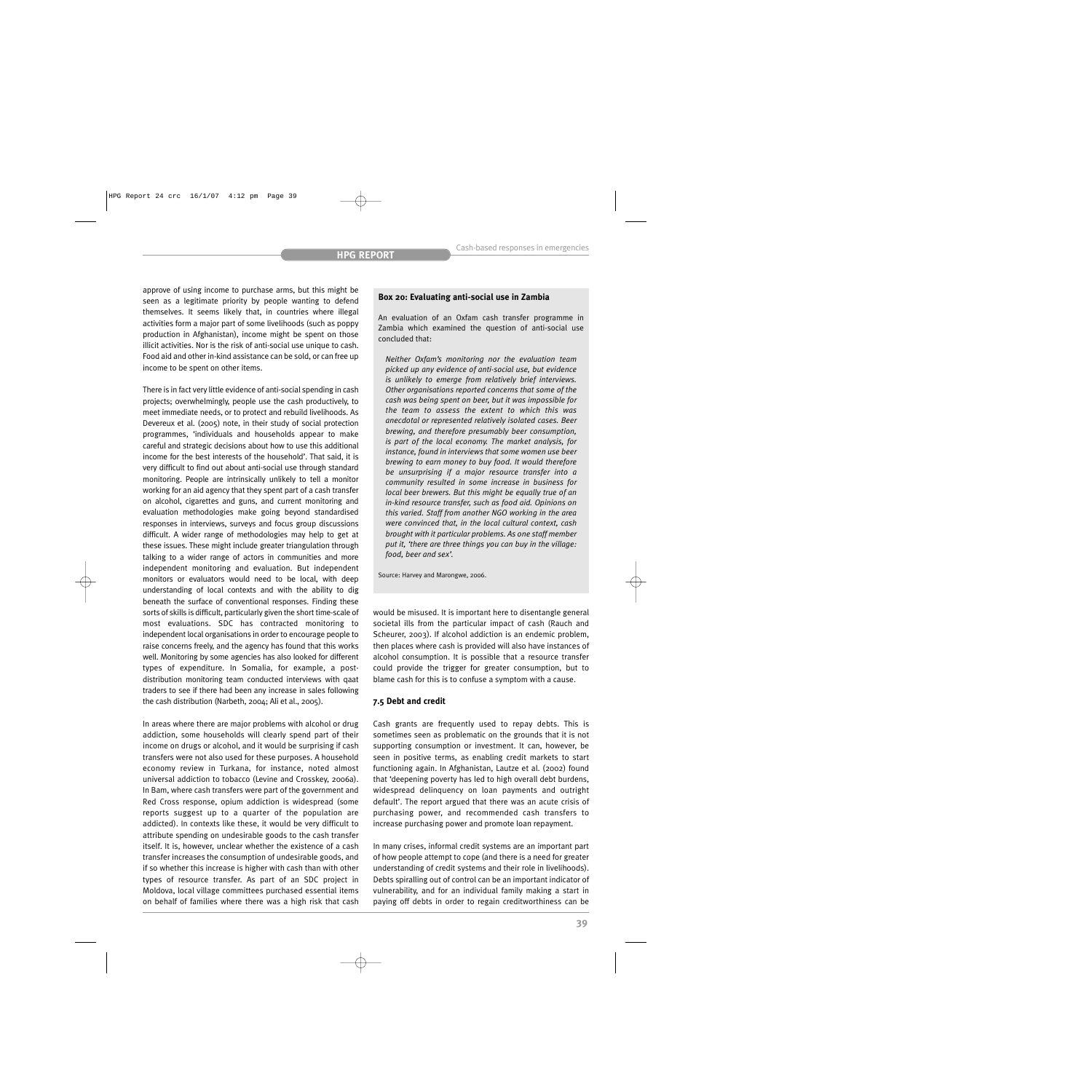approve of using income to purchase arms, but this might be seen as a legitimate priority by people wanting to defend themselves. It seems likely that, in countries where illegal activities form a major part of some livelihoods (such as poppy production in Afghanistan), income might be spent on those illicit activities. Nor is the risk of anti-social use unique to cash. Food aid and other in-kind assistance can be sold, or can free up income to be spent on other items.

There is in fact very little evidence of anti-social spending in cash projects; overwhelmingly, people use the cash productively, to meet immediate needs, or to protect and rebuild livelihoods. As Devereux et al. (2005) note, in their study of social protection programmes, 'individuals and households appear to make careful and strategic decisions about how to use this additional income for the best interests of the household'. That said, it is very difficult to find out about anti-social use through standard monitoring. People are intrinsically unlikely to tell a monitor working for an aid agency that they spent part of a cash transfer on alcohol, cigarettes and guns, and current monitoring and evaluation methodologies make going beyond standardised responses in interviews, surveys and focus group discussions difficult. A wider range of methodologies may help to get at these issues. These might include greater triangulation through talking to a wider range of actors in communities and more independent monitoring and evaluation. But independent monitors or evaluators would need to be local, with deep understanding of local contexts and with the ability to dig beneath the surface of conventional responses. Finding these sorts of skills is difficult, particularly given the short time-scale of most evaluations. SDC has contracted monitoring to independent local organisations in order to encourage people to raise concerns freely, and the agency has found that this works well. Monitoring by some agencies has also looked for different types of expenditure. In Somalia, for example, a postdistribution monitoring team conducted interviews with qaat traders to see if there had been any increase in sales following the cash distribution (Narbeth, 2004; Ali et al., 2005).

In areas where there are major problems with alcohol or drug addiction, some households will clearly spend part of their income on drugs or alcohol, and it would be surprising if cash transfers were not also used for these purposes. A household economy review in Turkana, for instance, noted almost universal addiction to tobacco (Levine and Crosskey, 2006a). In Bam, where cash transfers were part of the government and Red Cross response, opium addiction is widespread (some reports suggest up to a quarter of the population are addicted). In contexts like these, it would be very difficult to attribute spending on undesirable goods to the cash transfer itself. It is, however, unclear whether the existence of a cash transfer increases the consumption of undesirable goods, and if so whether this increase is higher with cash than with other types of resource transfer. As part of an SDC project in Moldova, local village committees purchased essential items on behalf of families where there was a high risk that cash

### **Box 20: Evaluating anti-social use in Zambia**

An evaluation of an Oxfam cash transfer programme in Zambia which examined the question of anti-social use concluded that:

*Neither Oxfam's monitoring nor the evaluation team picked up any evidence of anti-social use, but evidence is unlikely to emerge from relatively brief interviews. Other organisations reported concerns that some of the cash was being spent on beer, but it was impossible for the team to assess the extent to which this was anecdotal or represented relatively isolated cases. Beer brewing, and therefore presumably beer consumption, is part of the local economy. The market analysis, for instance, found in interviews that some women use beer brewing to earn money to buy food. It would therefore be unsurprising if a major resource transfer into a community resulted in some increase in business for local beer brewers. But this might be equally true of an in-kind resource transfer, such as food aid. Opinions on this varied. Staff from another NGO working in the area were convinced that, in the local cultural context, cash brought with it particular problems. As one staff member put it, 'there are three things you can buy in the village: food, beer and sex'.*

Source: Harvey and Marongwe, 2006.

would be misused. It is important here to disentangle general societal ills from the particular impact of cash (Rauch and Scheurer, 2003). If alcohol addiction is an endemic problem, then places where cash is provided will also have instances of alcohol consumption. It is possible that a resource transfer could provide the trigger for greater consumption, but to blame cash for this is to confuse a symptom with a cause.

#### **7.5 Debt and credit**

Cash grants are frequently used to repay debts. This is sometimes seen as problematic on the grounds that it is not supporting consumption or investment. It can, however, be seen in positive terms, as enabling credit markets to start functioning again. In Afghanistan, Lautze et al. (2002) found that 'deepening poverty has led to high overall debt burdens, widespread delinquency on loan payments and outright default'. The report argued that there was an acute crisis of purchasing power, and recommended cash transfers to increase purchasing power and promote loan repayment.

In many crises, informal credit systems are an important part of how people attempt to cope (and there is a need for greater understanding of credit systems and their role in livelihoods). Debts spiralling out of control can be an important indicator of vulnerability, and for an individual family making a start in paying off debts in order to regain creditworthiness can be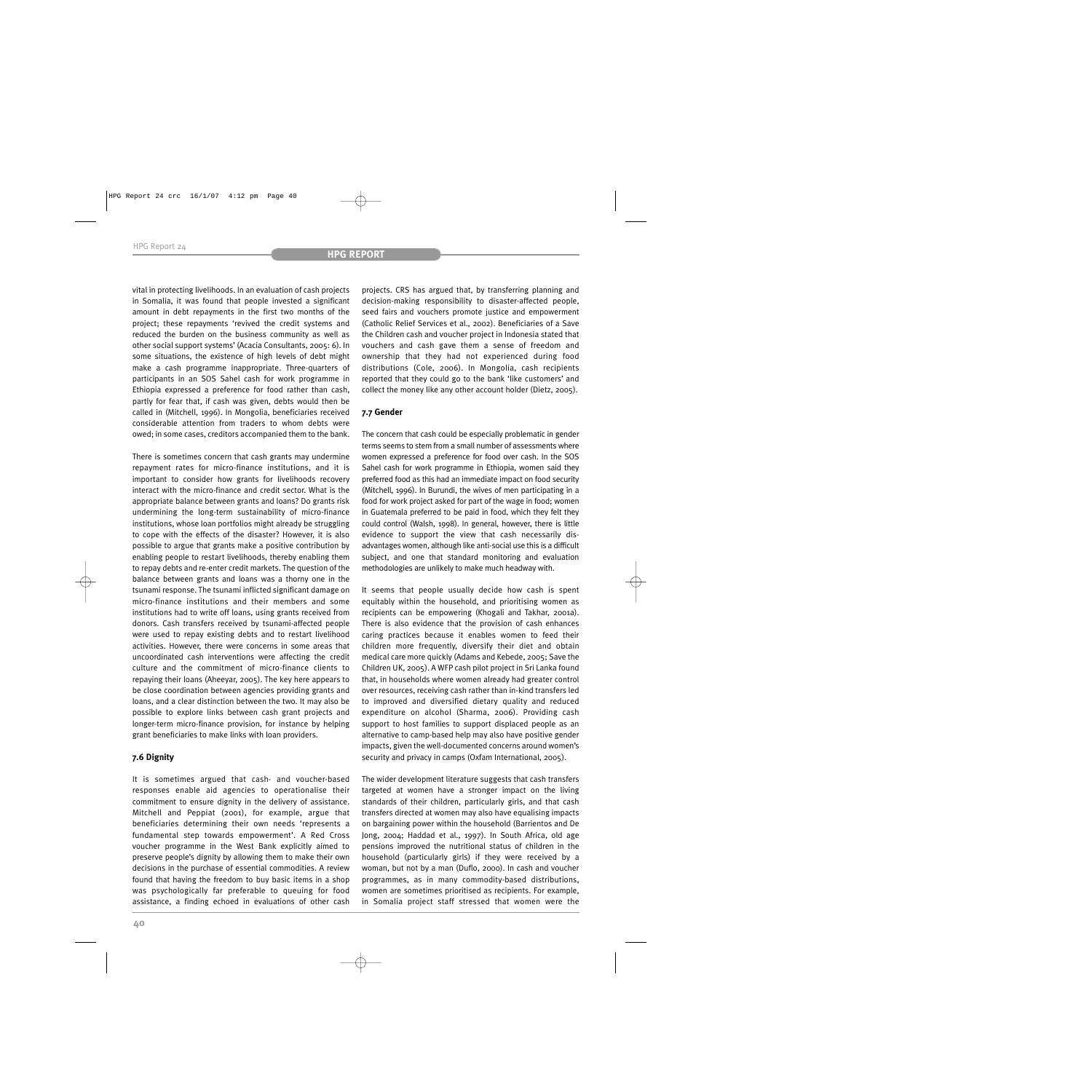vital in protecting livelihoods. In an evaluation of cash projects in Somalia, it was found that people invested a significant amount in debt repayments in the first two months of the project; these repayments 'revived the credit systems and reduced the burden on the business community as well as other social support systems' (Acacia Consultants, 2005: 6). In some situations, the existence of high levels of debt might make a cash programme inappropriate. Three-quarters of participants in an SOS Sahel cash for work programme in Ethiopia expressed a preference for food rather than cash, partly for fear that, if cash was given, debts would then be called in (Mitchell, 1996). In Mongolia, beneficiaries received considerable attention from traders to whom debts were owed; in some cases, creditors accompanied them to the bank.

There is sometimes concern that cash grants may undermine repayment rates for micro-finance institutions, and it is important to consider how grants for livelihoods recovery interact with the micro-finance and credit sector. What is the appropriate balance between grants and loans? Do grants risk undermining the long-term sustainability of micro-finance institutions, whose loan portfolios might already be struggling to cope with the effects of the disaster? However, it is also possible to argue that grants make a positive contribution by enabling people to restart livelihoods, thereby enabling them to repay debts and re-enter credit markets. The question of the balance between grants and loans was a thorny one in the tsunami response. The tsunami inflicted significant damage on micro-finance institutions and their members and some institutions had to write off loans, using grants received from donors. Cash transfers received by tsunami-affected people were used to repay existing debts and to restart livelihood activities. However, there were concerns in some areas that uncoordinated cash interventions were affecting the credit culture and the commitment of micro-finance clients to repaying their loans (Aheeyar, 2005). The key here appears to be close coordination between agencies providing grants and loans, and a clear distinction between the two. It may also be possible to explore links between cash grant projects and longer-term micro-finance provision, for instance by helping grant beneficiaries to make links with loan providers.

## **7.6 Dignity**

It is sometimes argued that cash- and voucher-based responses enable aid agencies to operationalise their commitment to ensure dignity in the delivery of assistance. Mitchell and Peppiat (2001), for example, argue that beneficiaries determining their own needs 'represents a fundamental step towards empowerment'. A Red Cross voucher programme in the West Bank explicitly aimed to preserve people's dignity by allowing them to make their own decisions in the purchase of essential commodities. A review found that having the freedom to buy basic items in a shop was psychologically far preferable to queuing for food assistance, a finding echoed in evaluations of other cash

projects. CRS has argued that, by transferring planning and decision-making responsibility to disaster-affected people, seed fairs and vouchers promote justice and empowerment (Catholic Relief Services et al., 2002). Beneficiaries of a Save the Children cash and voucher project in Indonesia stated that vouchers and cash gave them a sense of freedom and ownership that they had not experienced during food distributions (Cole, 2006). In Mongolia, cash recipients reported that they could go to the bank 'like customers' and collect the money like any other account holder (Dietz, 2005).

## **7.7 Gender**

The concern that cash could be especially problematic in gender terms seems to stem from a small number of assessments where women expressed a preference for food over cash. In the SOS Sahel cash for work programme in Ethiopia, women said they preferred food as this had an immediate impact on food security (Mitchell, 1996). In Burundi, the wives of men participating in a food for work project asked for part of the wage in food; women in Guatemala preferred to be paid in food, which they felt they could control (Walsh, 1998). In general, however, there is little evidence to support the view that cash necessarily disadvantages women, although like anti-social use this is a difficult subject, and one that standard monitoring and evaluation methodologies are unlikely to make much headway with.

It seems that people usually decide how cash is spent equitably within the household, and prioritising women as recipients can be empowering (Khogali and Takhar, 2001a). There is also evidence that the provision of cash enhances caring practices because it enables women to feed their children more frequently, diversify their diet and obtain medical care more quickly (Adams and Kebede, 2005; Save the Children UK, 2005). A WFP cash pilot project in Sri Lanka found that, in households where women already had greater control over resources, receiving cash rather than in-kind transfers led to improved and diversified dietary quality and reduced expenditure on alcohol (Sharma, 2006). Providing cash support to host families to support displaced people as an alternative to camp-based help may also have positive gender impacts, given the well-documented concerns around women's security and privacy in camps (Oxfam International, 2005).

The wider development literature suggests that cash transfers targeted at women have a stronger impact on the living standards of their children, particularly girls, and that cash transfers directed at women may also have equalising impacts on bargaining power within the household (Barrientos and De Jong, 2004; Haddad et al., 1997). In South Africa, old age pensions improved the nutritional status of children in the household (particularly girls) if they were received by a woman, but not by a man (Duflo, 2000). In cash and voucher programmes, as in many commodity-based distributions, women are sometimes prioritised as recipients. For example, in Somalia project staff stressed that women were the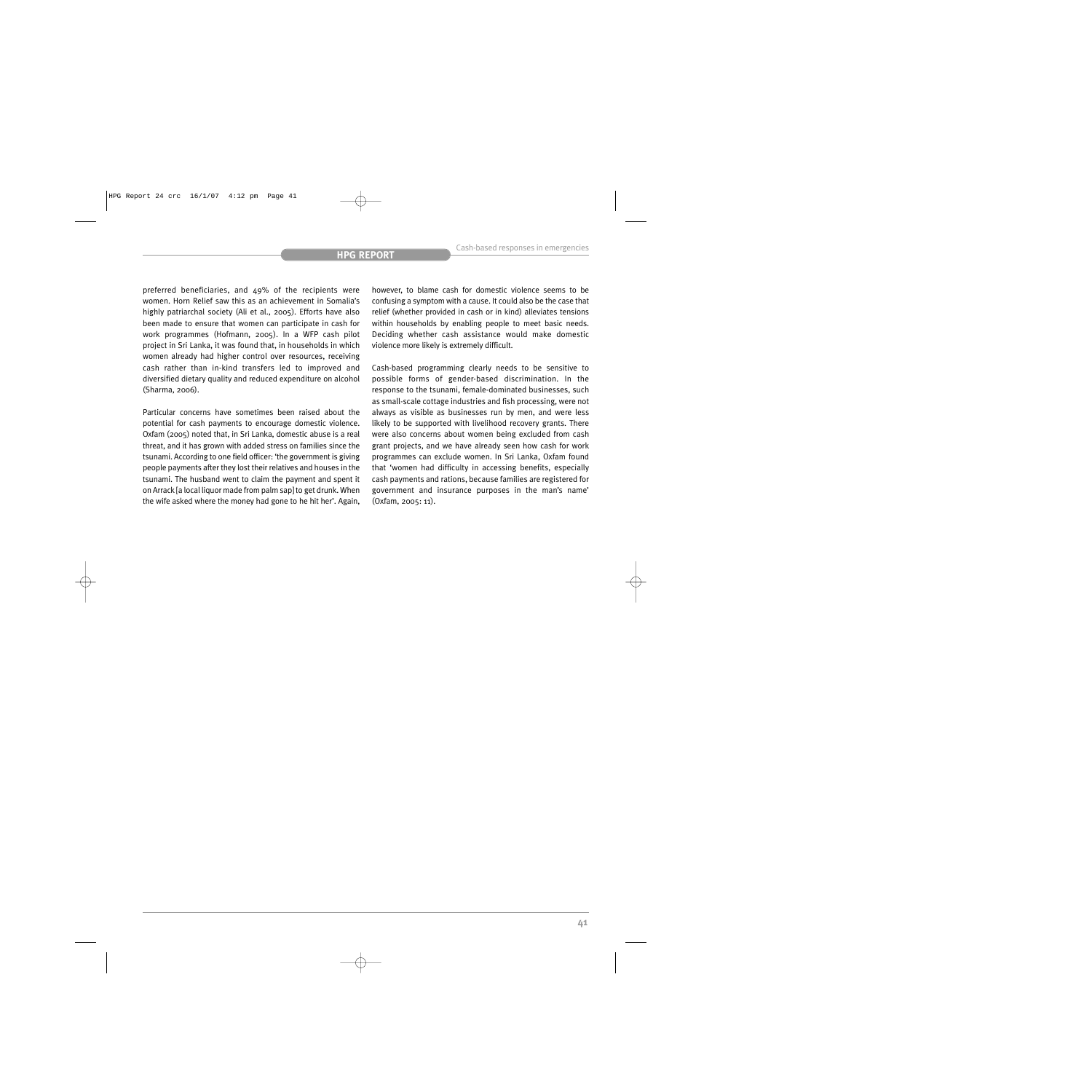preferred beneficiaries, and 49% of the recipients were women. Horn Relief saw this as an achievement in Somalia's highly patriarchal society (Ali et al., 2005). Efforts have also been made to ensure that women can participate in cash for work programmes (Hofmann, 2005). In a WFP cash pilot project in Sri Lanka, it was found that, in households in which women already had higher control over resources, receiving cash rather than in-kind transfers led to improved and diversified dietary quality and reduced expenditure on alcohol (Sharma, 2006).

Particular concerns have sometimes been raised about the potential for cash payments to encourage domestic violence. Oxfam (2005) noted that, in Sri Lanka, domestic abuse is a real threat, and it has grown with added stress on families since the tsunami. According to one field officer: 'the government is giving people payments after they lost their relatives and houses in the tsunami. The husband went to claim the payment and spent it on Arrack [a local liquor made from palm sap] to get drunk. When the wife asked where the money had gone to he hit her'. Again, however, to blame cash for domestic violence seems to be confusing a symptom with a cause. It could also be the case that relief (whether provided in cash or in kind) alleviates tensions within households by enabling people to meet basic needs. Deciding whether cash assistance would make domestic violence more likely is extremely difficult.

Cash-based programming clearly needs to be sensitive to possible forms of gender-based discrimination. In the response to the tsunami, female-dominated businesses, such as small-scale cottage industries and fish processing, were not always as visible as businesses run by men, and were less likely to be supported with livelihood recovery grants. There were also concerns about women being excluded from cash grant projects, and we have already seen how cash for work programmes can exclude women. In Sri Lanka, Oxfam found that 'women had difficulty in accessing benefits, especially cash payments and rations, because families are registered for government and insurance purposes in the man's name' (Oxfam, 2005: 11).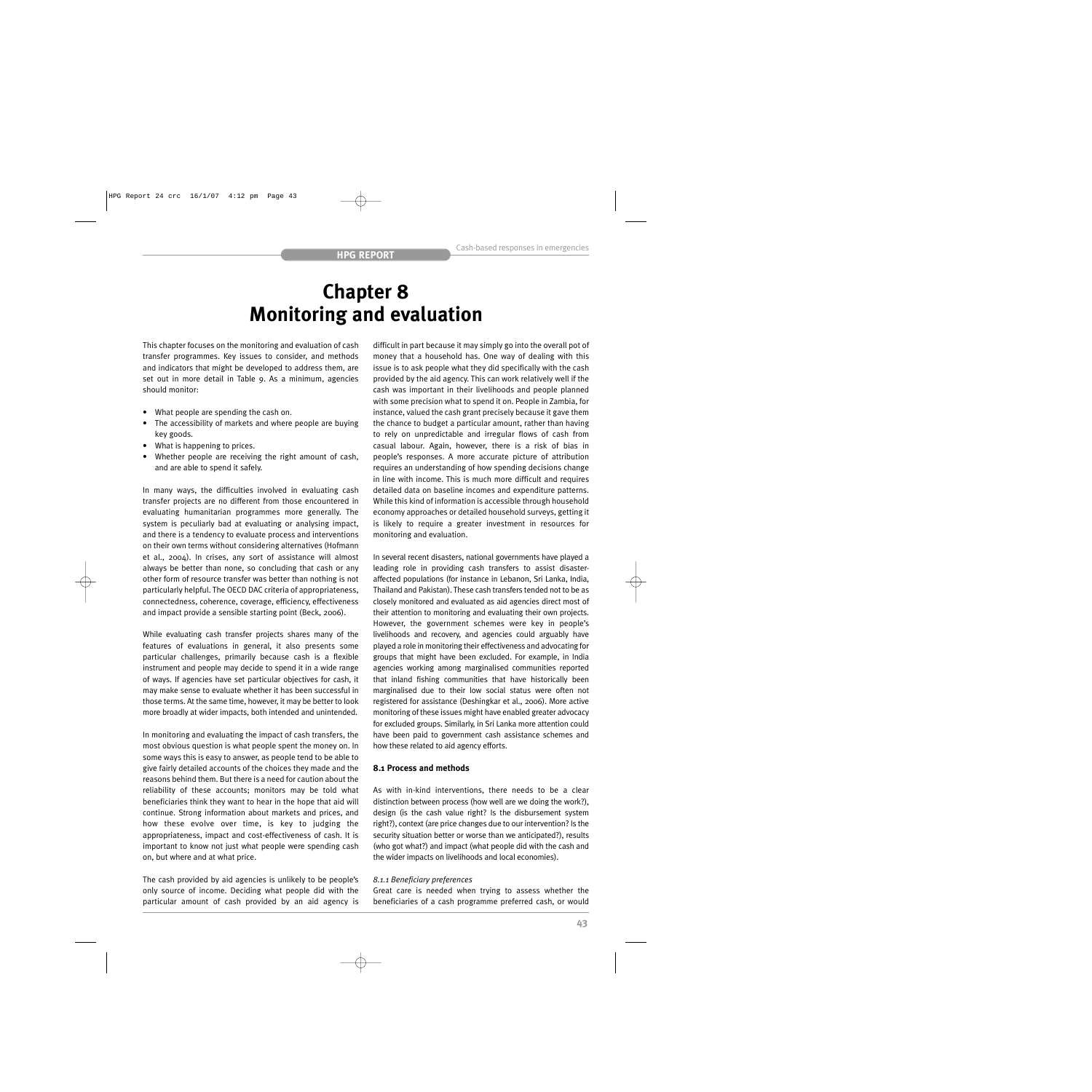## **Chapter 8 Monitoring and evaluation**

This chapter focuses on the monitoring and evaluation of cash transfer programmes. Key issues to consider, and methods and indicators that might be developed to address them, are set out in more detail in Table 9. As a minimum, agencies should monitor:

- What people are spending the cash on.
- The accessibility of markets and where people are buying key goods.
- What is happening to prices.
- Whether people are receiving the right amount of cash, and are able to spend it safely.

In many ways, the difficulties involved in evaluating cash transfer projects are no different from those encountered in evaluating humanitarian programmes more generally. The system is peculiarly bad at evaluating or analysing impact, and there is a tendency to evaluate process and interventions on their own terms without considering alternatives (Hofmann et al., 2004). In crises, any sort of assistance will almost always be better than none, so concluding that cash or any other form of resource transfer was better than nothing is not particularly helpful. The OECD DAC criteria of appropriateness, connectedness, coherence, coverage, efficiency, effectiveness and impact provide a sensible starting point (Beck, 2006).

While evaluating cash transfer projects shares many of the features of evaluations in general, it also presents some particular challenges, primarily because cash is a flexible instrument and people may decide to spend it in a wide range of ways. If agencies have set particular objectives for cash, it may make sense to evaluate whether it has been successful in those terms. At the same time, however, it may be better to look more broadly at wider impacts, both intended and unintended.

In monitoring and evaluating the impact of cash transfers, the most obvious question is what people spent the money on. In some ways this is easy to answer, as people tend to be able to give fairly detailed accounts of the choices they made and the reasons behind them. But there is a need for caution about the reliability of these accounts; monitors may be told what beneficiaries think they want to hear in the hope that aid will continue. Strong information about markets and prices, and how these evolve over time, is key to judging the appropriateness, impact and cost-effectiveness of cash. It is important to know not just what people were spending cash on, but where and at what price.

The cash provided by aid agencies is unlikely to be people's only source of income. Deciding what people did with the particular amount of cash provided by an aid agency is difficult in part because it may simply go into the overall pot of money that a household has. One way of dealing with this issue is to ask people what they did specifically with the cash provided by the aid agency. This can work relatively well if the cash was important in their livelihoods and people planned with some precision what to spend it on. People in Zambia, for instance, valued the cash grant precisely because it gave them the chance to budget a particular amount, rather than having to rely on unpredictable and irregular flows of cash from casual labour. Again, however, there is a risk of bias in people's responses. A more accurate picture of attribution requires an understanding of how spending decisions change in line with income. This is much more difficult and requires detailed data on baseline incomes and expenditure patterns. While this kind of information is accessible through household economy approaches or detailed household surveys, getting it is likely to require a greater investment in resources for monitoring and evaluation.

In several recent disasters, national governments have played a leading role in providing cash transfers to assist disasteraffected populations (for instance in Lebanon, Sri Lanka, India, Thailand and Pakistan). These cash transfers tended not to be as closely monitored and evaluated as aid agencies direct most of their attention to monitoring and evaluating their own projects. However, the government schemes were key in people's livelihoods and recovery, and agencies could arguably have played a role in monitoring their effectiveness and advocating for groups that might have been excluded. For example, in India agencies working among marginalised communities reported that inland fishing communities that have historically been marginalised due to their low social status were often not registered for assistance (Deshingkar et al., 2006). More active monitoring of these issues might have enabled greater advocacy for excluded groups. Similarly, in Sri Lanka more attention could have been paid to government cash assistance schemes and how these related to aid agency efforts.

### **8.1 Process and methods**

As with in-kind interventions, there needs to be a clear distinction between process (how well are we doing the work?), design (is the cash value right? Is the disbursement system right?), context (are price changes due to our intervention? Is the security situation better or worse than we anticipated?), results (who got what?) and impact (what people did with the cash and the wider impacts on livelihoods and local economies).

#### *8.1.1 Beneficiary preferences*

Great care is needed when trying to assess whether the beneficiaries of a cash programme preferred cash, or would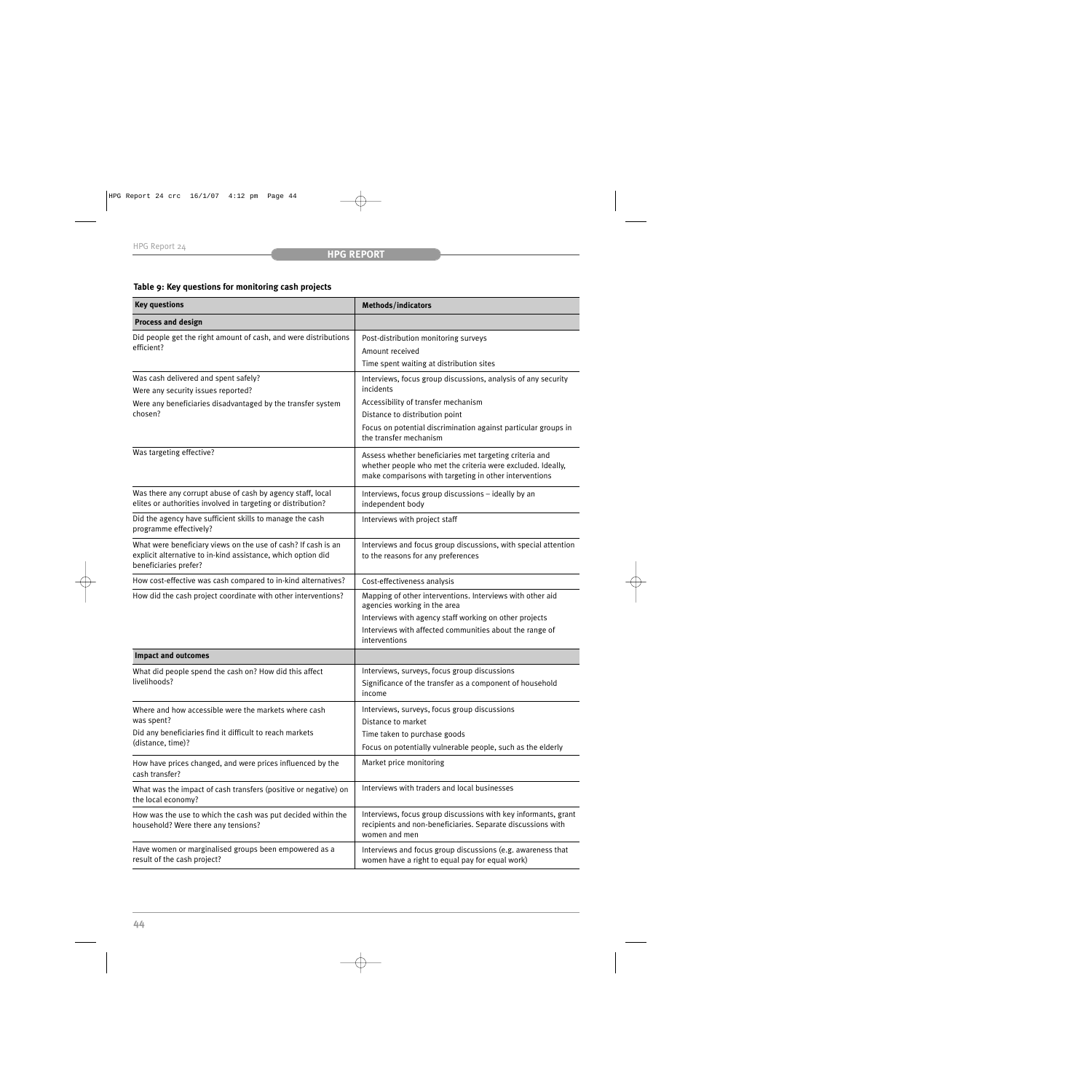## **Table 9: Key questions for monitoring cash projects**

| <b>Key questions</b><br>Methods/indicators                                                                                                             |                                                                                                                                                                                  |  |
|--------------------------------------------------------------------------------------------------------------------------------------------------------|----------------------------------------------------------------------------------------------------------------------------------------------------------------------------------|--|
| <b>Process and design</b>                                                                                                                              |                                                                                                                                                                                  |  |
| Did people get the right amount of cash, and were distributions<br>efficient?                                                                          | Post-distribution monitoring surveys<br>Amount received                                                                                                                          |  |
|                                                                                                                                                        | Time spent waiting at distribution sites                                                                                                                                         |  |
| Was cash delivered and spent safely?<br>Were any security issues reported?                                                                             | Interviews, focus group discussions, analysis of any security<br>incidents                                                                                                       |  |
| Were any beneficiaries disadvantaged by the transfer system                                                                                            | Accessibility of transfer mechanism                                                                                                                                              |  |
| chosen?                                                                                                                                                | Distance to distribution point                                                                                                                                                   |  |
|                                                                                                                                                        | Focus on potential discrimination against particular groups in<br>the transfer mechanism                                                                                         |  |
| Was targeting effective?                                                                                                                               | Assess whether beneficiaries met targeting criteria and<br>whether people who met the criteria were excluded. Ideally,<br>make comparisons with targeting in other interventions |  |
| Was there any corrupt abuse of cash by agency staff, local<br>elites or authorities involved in targeting or distribution?                             | Interviews, focus group discussions - ideally by an<br>independent body                                                                                                          |  |
| Did the agency have sufficient skills to manage the cash<br>programme effectively?                                                                     | Interviews with project staff                                                                                                                                                    |  |
| What were beneficiary views on the use of cash? If cash is an<br>explicit alternative to in-kind assistance, which option did<br>beneficiaries prefer? | Interviews and focus group discussions, with special attention<br>to the reasons for any preferences                                                                             |  |
| How cost-effective was cash compared to in-kind alternatives?                                                                                          | Cost-effectiveness analysis                                                                                                                                                      |  |
| How did the cash project coordinate with other interventions?                                                                                          | Mapping of other interventions. Interviews with other aid<br>agencies working in the area                                                                                        |  |
|                                                                                                                                                        | Interviews with agency staff working on other projects<br>Interviews with affected communities about the range of<br>interventions                                               |  |
| <b>Impact and outcomes</b>                                                                                                                             |                                                                                                                                                                                  |  |
| What did people spend the cash on? How did this affect                                                                                                 | Interviews, surveys, focus group discussions                                                                                                                                     |  |
| livelihoods?                                                                                                                                           | Significance of the transfer as a component of household<br>income                                                                                                               |  |
| Where and how accessible were the markets where cash<br>was spent?                                                                                     | Interviews, surveys, focus group discussions<br>Distance to market                                                                                                               |  |
| Did any beneficiaries find it difficult to reach markets                                                                                               | Time taken to purchase goods                                                                                                                                                     |  |
| (distance, time)?                                                                                                                                      | Focus on potentially vulnerable people, such as the elderly                                                                                                                      |  |
| How have prices changed, and were prices influenced by the<br>cash transfer?                                                                           | Market price monitoring                                                                                                                                                          |  |
| What was the impact of cash transfers (positive or negative) on<br>the local economy?                                                                  | Interviews with traders and local businesses                                                                                                                                     |  |
| How was the use to which the cash was put decided within the<br>household? Were there any tensions?                                                    | Interviews, focus group discussions with key informants, grant<br>recipients and non-beneficiaries. Separate discussions with<br>women and men                                   |  |
| Have women or marginalised groups been empowered as a<br>result of the cash project?                                                                   | Interviews and focus group discussions (e.g. awareness that<br>women have a right to equal pay for equal work)                                                                   |  |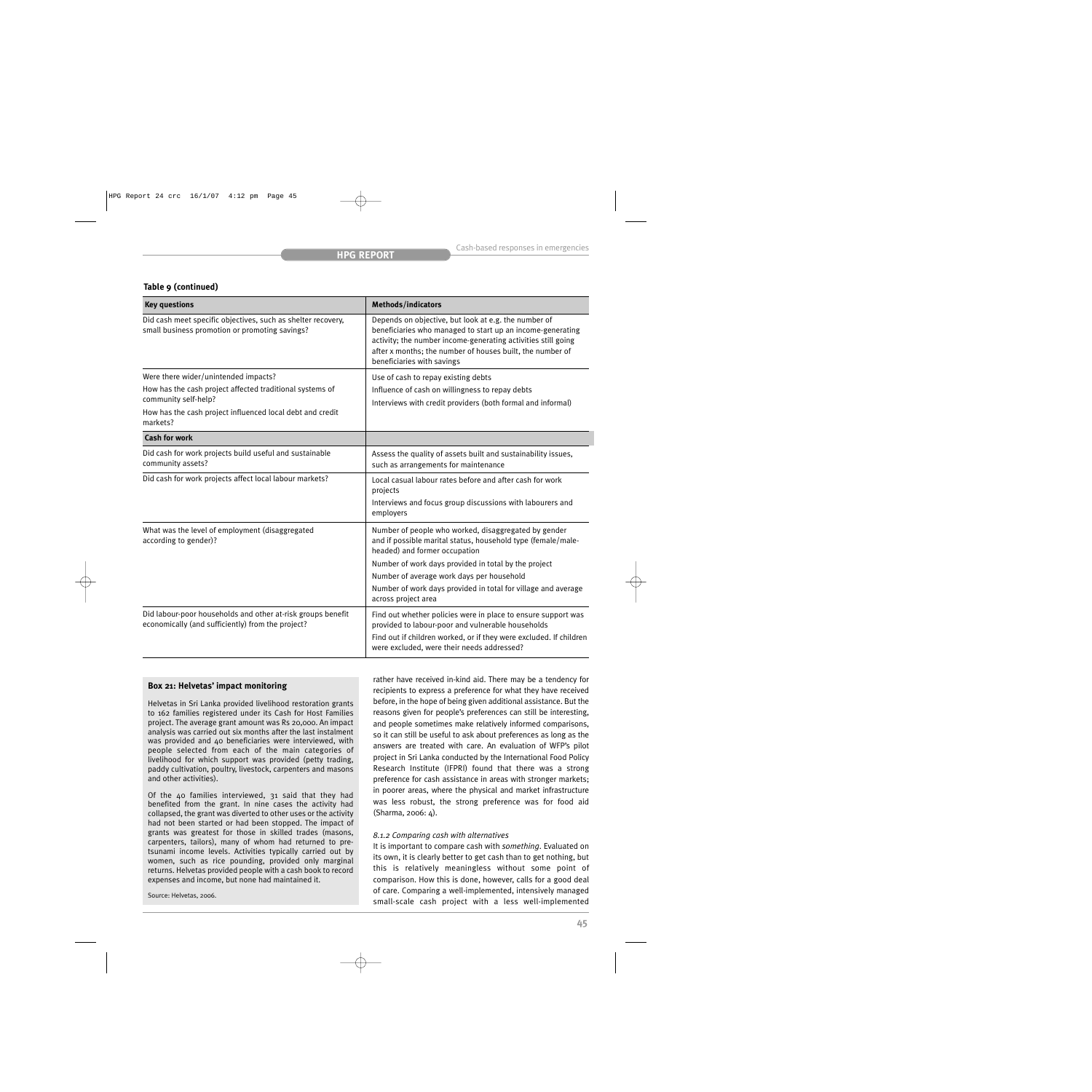## **Table 9 (continued)**

| <b>Key questions</b>                                                                                                                                                                              | Methods/indicators                                                                                                                                                                                                                                                                                                                                 |  |
|---------------------------------------------------------------------------------------------------------------------------------------------------------------------------------------------------|----------------------------------------------------------------------------------------------------------------------------------------------------------------------------------------------------------------------------------------------------------------------------------------------------------------------------------------------------|--|
| Did cash meet specific objectives, such as shelter recovery,<br>small business promotion or promoting savings?                                                                                    | Depends on objective, but look at e.g. the number of<br>beneficiaries who managed to start up an income-generating<br>activity; the number income-generating activities still going<br>after x months; the number of houses built, the number of<br>beneficiaries with savings                                                                     |  |
| Were there wider/unintended impacts?<br>How has the cash project affected traditional systems of<br>community self-help?<br>How has the cash project influenced local debt and credit<br>markets? | Use of cash to repay existing debts<br>Influence of cash on willingness to repay debts<br>Interviews with credit providers (both formal and informal)                                                                                                                                                                                              |  |
| <b>Cash for work</b>                                                                                                                                                                              |                                                                                                                                                                                                                                                                                                                                                    |  |
| Did cash for work projects build useful and sustainable<br>community assets?                                                                                                                      | Assess the quality of assets built and sustainability issues,<br>such as arrangements for maintenance                                                                                                                                                                                                                                              |  |
| Did cash for work projects affect local labour markets?                                                                                                                                           | Local casual labour rates before and after cash for work<br>projects<br>Interviews and focus group discussions with labourers and<br>employers                                                                                                                                                                                                     |  |
| What was the level of employment (disaggregated<br>according to gender)?                                                                                                                          | Number of people who worked, disaggregated by gender<br>and if possible marital status, household type (female/male-<br>headed) and former occupation<br>Number of work days provided in total by the project<br>Number of average work days per household<br>Number of work days provided in total for village and average<br>across project area |  |
| Did labour-poor households and other at-risk groups benefit<br>economically (and sufficiently) from the project?                                                                                  | Find out whether policies were in place to ensure support was<br>provided to labour-poor and vulnerable households<br>Find out if children worked, or if they were excluded. If children<br>were excluded, were their needs addressed?                                                                                                             |  |

## **Box 21: Helvetas' impact monitoring**

Helvetas in Sri Lanka provided livelihood restoration grants to 162 families registered under its Cash for Host Families project. The average grant amount was Rs 20,000. An impact analysis was carried out six months after the last instalment was provided and 40 beneficiaries were interviewed, with people selected from each of the main categories of livelihood for which support was provided (petty trading, paddy cultivation, poultry, livestock, carpenters and masons and other activities).

Of the 40 families interviewed, 31 said that they had benefited from the grant. In nine cases the activity had collapsed, the grant was diverted to other uses or the activity had not been started or had been stopped. The impact of grants was greatest for those in skilled trades (masons, carpenters, tailors), many of whom had returned to pretsunami income levels. Activities typically carried out by women, such as rice pounding, provided only marginal returns. Helvetas provided people with a cash book to record expenses and income, but none had maintained it.

Source: Helvetas, 2006.

rather have received in-kind aid. There may be a tendency for recipients to express a preference for what they have received before, in the hope of being given additional assistance. But the reasons given for people's preferences can still be interesting, and people sometimes make relatively informed comparisons, so it can still be useful to ask about preferences as long as the answers are treated with care. An evaluation of WFP's pilot project in Sri Lanka conducted by the International Food Policy Research Institute (IFPRI) found that there was a strong preference for cash assistance in areas with stronger markets; in poorer areas, where the physical and market infrastructure was less robust, the strong preference was for food aid (Sharma, 2006: 4).

## *8.1.2 Comparing cash with alternatives*

It is important to compare cash with *something*. Evaluated on its own, it is clearly better to get cash than to get nothing, but this is relatively meaningless without some point of comparison. How this is done, however, calls for a good deal of care. Comparing a well-implemented, intensively managed small-scale cash project with a less well-implemented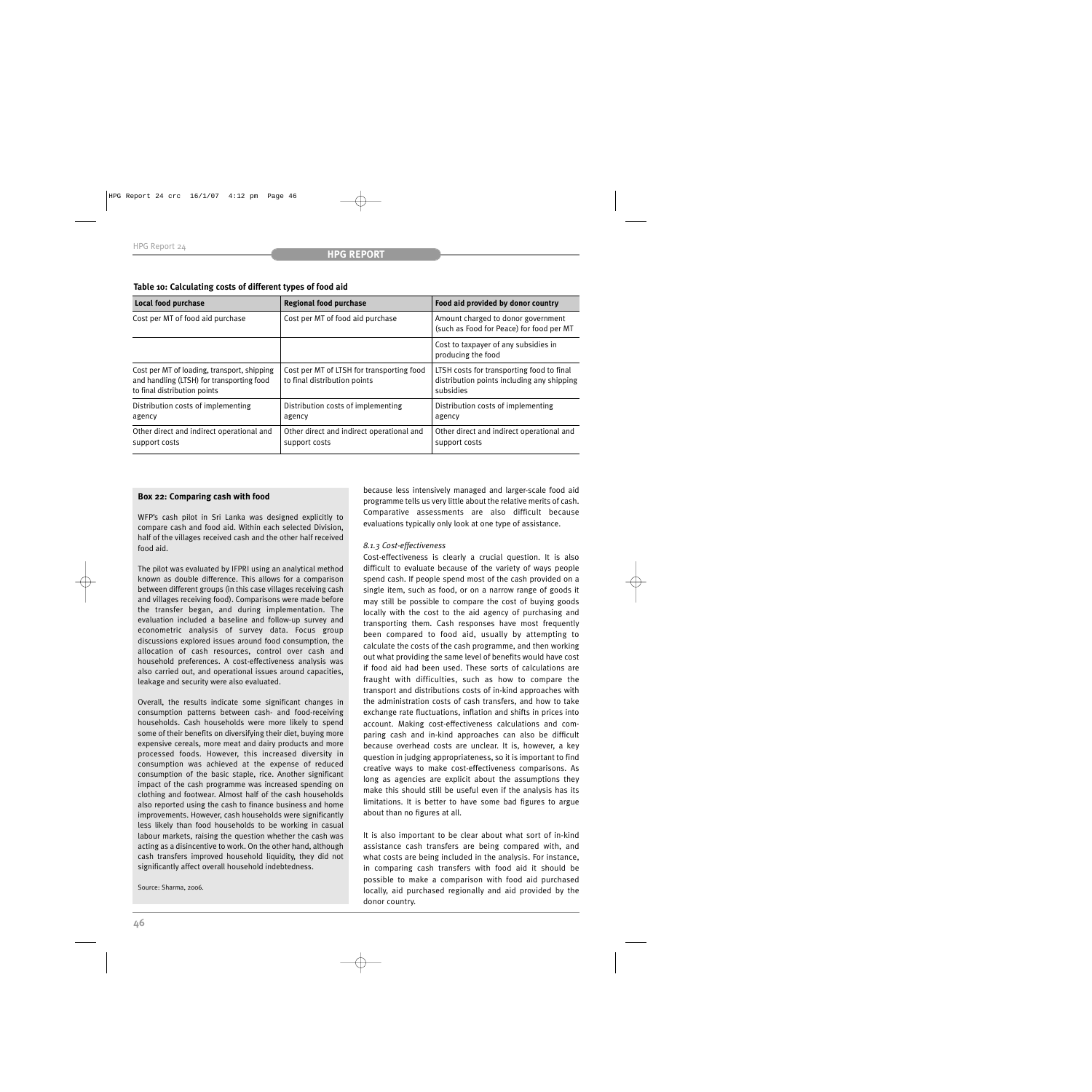|  |  | Table 10: Calculating costs of different types of food aid |  |
|--|--|------------------------------------------------------------|--|
|--|--|------------------------------------------------------------|--|

| <b>Local food purchase</b>                                                                                               | <b>Regional food purchase</b>                                             | Food aid provided by donor country                                                                   |
|--------------------------------------------------------------------------------------------------------------------------|---------------------------------------------------------------------------|------------------------------------------------------------------------------------------------------|
| Cost per MT of food aid purchase                                                                                         | Cost per MT of food aid purchase                                          | Amount charged to donor government<br>(such as Food for Peace) for food per MT                       |
|                                                                                                                          |                                                                           | Cost to taxpayer of any subsidies in<br>producing the food                                           |
| Cost per MT of loading, transport, shipping<br>and handling (LTSH) for transporting food<br>to final distribution points | Cost per MT of LTSH for transporting food<br>to final distribution points | LTSH costs for transporting food to final<br>distribution points including any shipping<br>subsidies |
| Distribution costs of implementing<br>agency                                                                             | Distribution costs of implementing<br>agency                              | Distribution costs of implementing<br>agency                                                         |
| Other direct and indirect operational and<br>support costs                                                               | Other direct and indirect operational and<br>support costs                | Other direct and indirect operational and<br>support costs                                           |

## **Box 22: Comparing cash with food**

WFP's cash pilot in Sri Lanka was designed explicitly to compare cash and food aid. Within each selected Division, half of the villages received cash and the other half received food aid.

The pilot was evaluated by IFPRI using an analytical method known as double difference. This allows for a comparison between different groups (in this case villages receiving cash and villages receiving food). Comparisons were made before the transfer began, and during implementation. The evaluation included a baseline and follow-up survey and econometric analysis of survey data. Focus group discussions explored issues around food consumption, the allocation of cash resources, control over cash and household preferences. A cost-effectiveness analysis was also carried out, and operational issues around capacities, leakage and security were also evaluated.

Overall, the results indicate some significant changes in consumption patterns between cash- and food-receiving households. Cash households were more likely to spend some of their benefits on diversifying their diet, buying more expensive cereals, more meat and dairy products and more processed foods. However, this increased diversity in consumption was achieved at the expense of reduced consumption of the basic staple, rice. Another significant impact of the cash programme was increased spending on clothing and footwear. Almost half of the cash households also reported using the cash to finance business and home improvements. However, cash households were significantly less likely than food households to be working in casual labour markets, raising the question whether the cash was acting as a disincentive to work. On the other hand, although cash transfers improved household liquidity, they did not significantly affect overall household indebtedness.

Source: Sharma, 2006.

because less intensively managed and larger-scale food aid programme tells us very little about the relative merits of cash. Comparative assessments are also difficult because evaluations typically only look at one type of assistance.

## *8.1.3 Cost-effectiveness*

Cost-effectiveness is clearly a crucial question. It is also difficult to evaluate because of the variety of ways people spend cash. If people spend most of the cash provided on a single item, such as food, or on a narrow range of goods it may still be possible to compare the cost of buying goods locally with the cost to the aid agency of purchasing and transporting them. Cash responses have most frequently been compared to food aid, usually by attempting to calculate the costs of the cash programme, and then working out what providing the same level of benefits would have cost if food aid had been used. These sorts of calculations are fraught with difficulties, such as how to compare the transport and distributions costs of in-kind approaches with the administration costs of cash transfers, and how to take exchange rate fluctuations, inflation and shifts in prices into account. Making cost-effectiveness calculations and comparing cash and in-kind approaches can also be difficult because overhead costs are unclear. It is, however, a key question in judging appropriateness, so it is important to find creative ways to make cost-effectiveness comparisons. As long as agencies are explicit about the assumptions they make this should still be useful even if the analysis has its limitations. It is better to have some bad figures to argue about than no figures at all.

It is also important to be clear about what sort of in-kind assistance cash transfers are being compared with, and what costs are being included in the analysis. For instance, in comparing cash transfers with food aid it should be possible to make a comparison with food aid purchased locally, aid purchased regionally and aid provided by the donor country.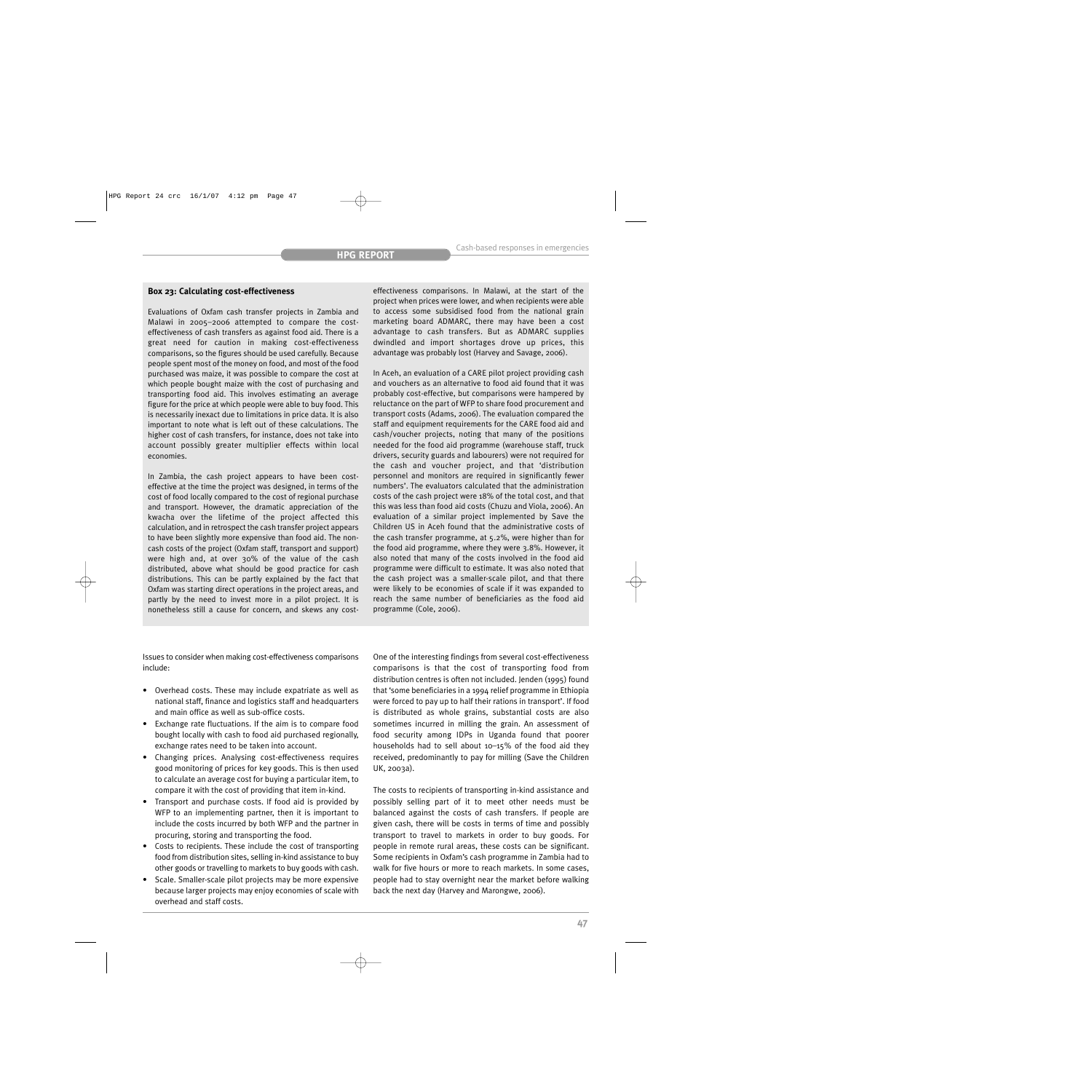## **Box 23: Calculating cost-effectiveness**

Evaluations of Oxfam cash transfer projects in Zambia and Malawi in 2005–2006 attempted to compare the costeffectiveness of cash transfers as against food aid. There is a great need for caution in making cost-effectiveness comparisons, so the figures should be used carefully. Because people spent most of the money on food, and most of the food purchased was maize, it was possible to compare the cost at which people bought maize with the cost of purchasing and transporting food aid. This involves estimating an average figure for the price at which people were able to buy food. This is necessarily inexact due to limitations in price data. It is also important to note what is left out of these calculations. The higher cost of cash transfers, for instance, does not take into account possibly greater multiplier effects within local economies.

In Zambia, the cash project appears to have been costeffective at the time the project was designed, in terms of the cost of food locally compared to the cost of regional purchase and transport. However, the dramatic appreciation of the kwacha over the lifetime of the project affected this calculation, and in retrospect the cash transfer project appears to have been slightly more expensive than food aid. The noncash costs of the project (Oxfam staff, transport and support) were high and, at over 30% of the value of the cash distributed, above what should be good practice for cash distributions. This can be partly explained by the fact that Oxfam was starting direct operations in the project areas, and partly by the need to invest more in a pilot project. It is nonetheless still a cause for concern, and skews any costeffectiveness comparisons. In Malawi, at the start of the project when prices were lower, and when recipients were able to access some subsidised food from the national grain marketing board ADMARC, there may have been a cost advantage to cash transfers. But as ADMARC supplies dwindled and import shortages drove up prices, this advantage was probably lost (Harvey and Savage, 2006).

In Aceh, an evaluation of a CARE pilot project providing cash and vouchers as an alternative to food aid found that it was probably cost-effective, but comparisons were hampered by reluctance on the part of WFP to share food procurement and transport costs (Adams, 2006). The evaluation compared the staff and equipment requirements for the CARE food aid and cash/voucher projects, noting that many of the positions needed for the food aid programme (warehouse staff, truck drivers, security guards and labourers) were not required for the cash and voucher project, and that 'distribution personnel and monitors are required in significantly fewer numbers'. The evaluators calculated that the administration costs of the cash project were 18% of the total cost, and that this was less than food aid costs (Chuzu and Viola, 2006). An evaluation of a similar project implemented by Save the Children US in Aceh found that the administrative costs of the cash transfer programme, at 5.2%, were higher than for the food aid programme, where they were 3.8%. However, it also noted that many of the costs involved in the food aid programme were difficult to estimate. It was also noted that the cash project was a smaller-scale pilot, and that there were likely to be economies of scale if it was expanded to reach the same number of beneficiaries as the food aid programme (Cole, 2006).

Issues to consider when making cost-effectiveness comparisons include:

- Overhead costs. These may include expatriate as well as national staff, finance and logistics staff and headquarters and main office as well as sub-office costs.
- Exchange rate fluctuations. If the aim is to compare food bought locally with cash to food aid purchased regionally, exchange rates need to be taken into account.
- Changing prices. Analysing cost-effectiveness requires good monitoring of prices for key goods. This is then used to calculate an average cost for buying a particular item, to compare it with the cost of providing that item in-kind.
- Transport and purchase costs. If food aid is provided by WFP to an implementing partner, then it is important to include the costs incurred by both WFP and the partner in procuring, storing and transporting the food.
- Costs to recipients. These include the cost of transporting food from distribution sites, selling in-kind assistance to buy other goods or travelling to markets to buy goods with cash.
- Scale. Smaller-scale pilot projects may be more expensive because larger projects may enjoy economies of scale with overhead and staff costs.

One of the interesting findings from several cost-effectiveness comparisons is that the cost of transporting food from distribution centres is often not included. Jenden (1995) found that 'some beneficiaries in a 1994 relief programme in Ethiopia were forced to pay up to half their rations in transport'. If food is distributed as whole grains, substantial costs are also sometimes incurred in milling the grain. An assessment of food security among IDPs in Uganda found that poorer households had to sell about 10–15% of the food aid they received, predominantly to pay for milling (Save the Children UK, 2003a).

The costs to recipients of transporting in-kind assistance and possibly selling part of it to meet other needs must be balanced against the costs of cash transfers. If people are given cash, there will be costs in terms of time and possibly transport to travel to markets in order to buy goods. For people in remote rural areas, these costs can be significant. Some recipients in Oxfam's cash programme in Zambia had to walk for five hours or more to reach markets. In some cases, people had to stay overnight near the market before walking back the next day (Harvey and Marongwe, 2006).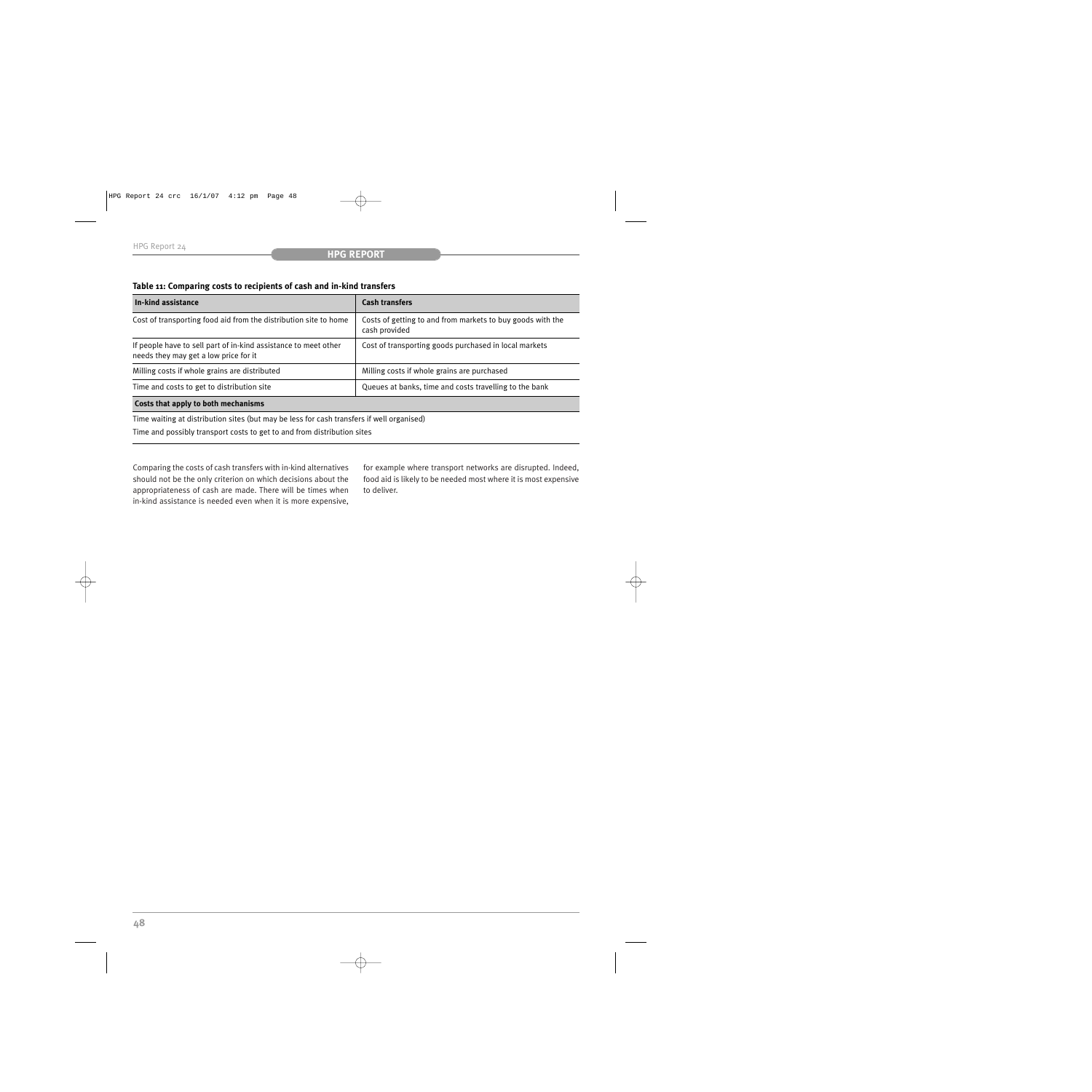## **Table 11: Comparing costs to recipients of cash and in-kind transfers**

| In-kind assistance                                                                                       | <b>Cash transfers</b>                                                       |  |
|----------------------------------------------------------------------------------------------------------|-----------------------------------------------------------------------------|--|
| Cost of transporting food aid from the distribution site to home                                         | Costs of getting to and from markets to buy goods with the<br>cash provided |  |
| If people have to sell part of in-kind assistance to meet other<br>needs they may get a low price for it | Cost of transporting goods purchased in local markets                       |  |
| Milling costs if whole grains are distributed                                                            | Milling costs if whole grains are purchased                                 |  |
| Time and costs to get to distribution site                                                               | Queues at banks, time and costs travelling to the bank                      |  |
| Costs that apply to both mechanisms                                                                      |                                                                             |  |
| Time waiting at distribution sites (but may be less for cash transfers if well organised)                |                                                                             |  |

Time and possibly transport costs to get to and from distribution sites

Comparing the costs of cash transfers with in-kind alternatives should not be the only criterion on which decisions about the appropriateness of cash are made. There will be times when in-kind assistance is needed even when it is more expensive, for example where transport networks are disrupted. Indeed, food aid is likely to be needed most where it is most expensive to deliver.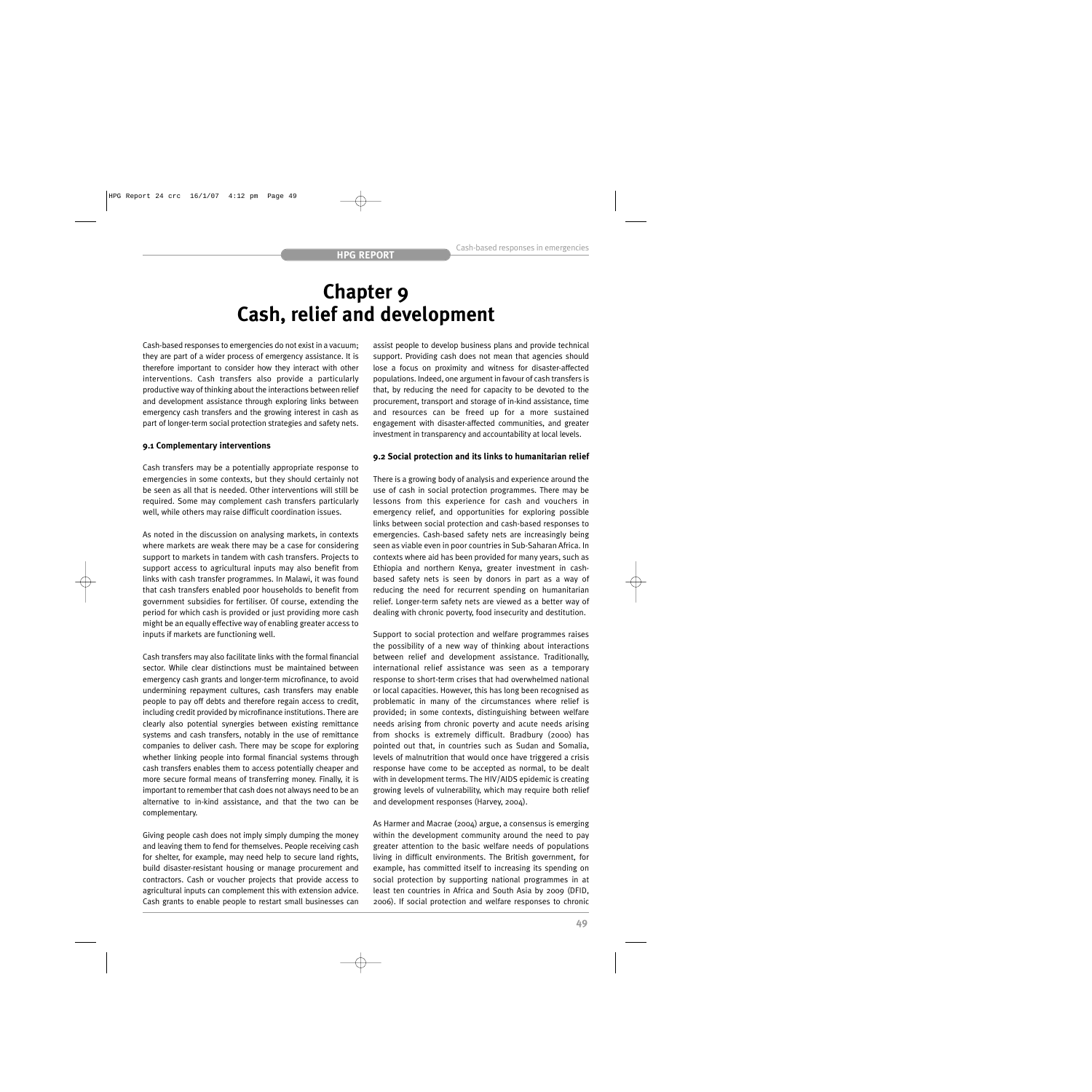## **Chapter 9 Cash, relief and development**

Cash-based responses to emergencies do not exist in a vacuum; they are part of a wider process of emergency assistance. It is therefore important to consider how they interact with other interventions. Cash transfers also provide a particularly productive way of thinking about the interactions between relief and development assistance through exploring links between emergency cash transfers and the growing interest in cash as part of longer-term social protection strategies and safety nets.

## **9.1 Complementary interventions**

Cash transfers may be a potentially appropriate response to emergencies in some contexts, but they should certainly not be seen as all that is needed. Other interventions will still be required. Some may complement cash transfers particularly well, while others may raise difficult coordination issues.

As noted in the discussion on analysing markets, in contexts where markets are weak there may be a case for considering support to markets in tandem with cash transfers. Projects to support access to agricultural inputs may also benefit from links with cash transfer programmes. In Malawi, it was found that cash transfers enabled poor households to benefit from government subsidies for fertiliser. Of course, extending the period for which cash is provided or just providing more cash might be an equally effective way of enabling greater access to inputs if markets are functioning well.

Cash transfers may also facilitate links with the formal financial sector. While clear distinctions must be maintained between emergency cash grants and longer-term microfinance, to avoid undermining repayment cultures, cash transfers may enable people to pay off debts and therefore regain access to credit, including credit provided by microfinance institutions. There are clearly also potential synergies between existing remittance systems and cash transfers, notably in the use of remittance companies to deliver cash. There may be scope for exploring whether linking people into formal financial systems through cash transfers enables them to access potentially cheaper and more secure formal means of transferring money. Finally, it is important to remember that cash does not always need to be an alternative to in-kind assistance, and that the two can be complementary.

Giving people cash does not imply simply dumping the money and leaving them to fend for themselves. People receiving cash for shelter, for example, may need help to secure land rights, build disaster-resistant housing or manage procurement and contractors. Cash or voucher projects that provide access to agricultural inputs can complement this with extension advice. Cash grants to enable people to restart small businesses can assist people to develop business plans and provide technical support. Providing cash does not mean that agencies should lose a focus on proximity and witness for disaster-affected populations. Indeed, one argument in favour of cash transfers is that, by reducing the need for capacity to be devoted to the procurement, transport and storage of in-kind assistance, time and resources can be freed up for a more sustained engagement with disaster-affected communities, and greater investment in transparency and accountability at local levels.

## **9.2 Social protection and its links to humanitarian relief**

There is a growing body of analysis and experience around the use of cash in social protection programmes. There may be lessons from this experience for cash and vouchers in emergency relief, and opportunities for exploring possible links between social protection and cash-based responses to emergencies. Cash-based safety nets are increasingly being seen as viable even in poor countries in Sub-Saharan Africa. In contexts where aid has been provided for many years, such as Ethiopia and northern Kenya, greater investment in cashbased safety nets is seen by donors in part as a way of reducing the need for recurrent spending on humanitarian relief. Longer-term safety nets are viewed as a better way of dealing with chronic poverty, food insecurity and destitution.

Support to social protection and welfare programmes raises the possibility of a new way of thinking about interactions between relief and development assistance. Traditionally, international relief assistance was seen as a temporary response to short-term crises that had overwhelmed national or local capacities. However, this has long been recognised as problematic in many of the circumstances where relief is provided; in some contexts, distinguishing between welfare needs arising from chronic poverty and acute needs arising from shocks is extremely difficult. Bradbury (2000) has pointed out that, in countries such as Sudan and Somalia, levels of malnutrition that would once have triggered a crisis response have come to be accepted as normal, to be dealt with in development terms. The HIV/AIDS epidemic is creating growing levels of vulnerability, which may require both relief and development responses (Harvey, 2004).

As Harmer and Macrae (2004) argue, a consensus is emerging within the development community around the need to pay greater attention to the basic welfare needs of populations living in difficult environments. The British government, for example, has committed itself to increasing its spending on social protection by supporting national programmes in at least ten countries in Africa and South Asia by 2009 (DFID, 2006). If social protection and welfare responses to chronic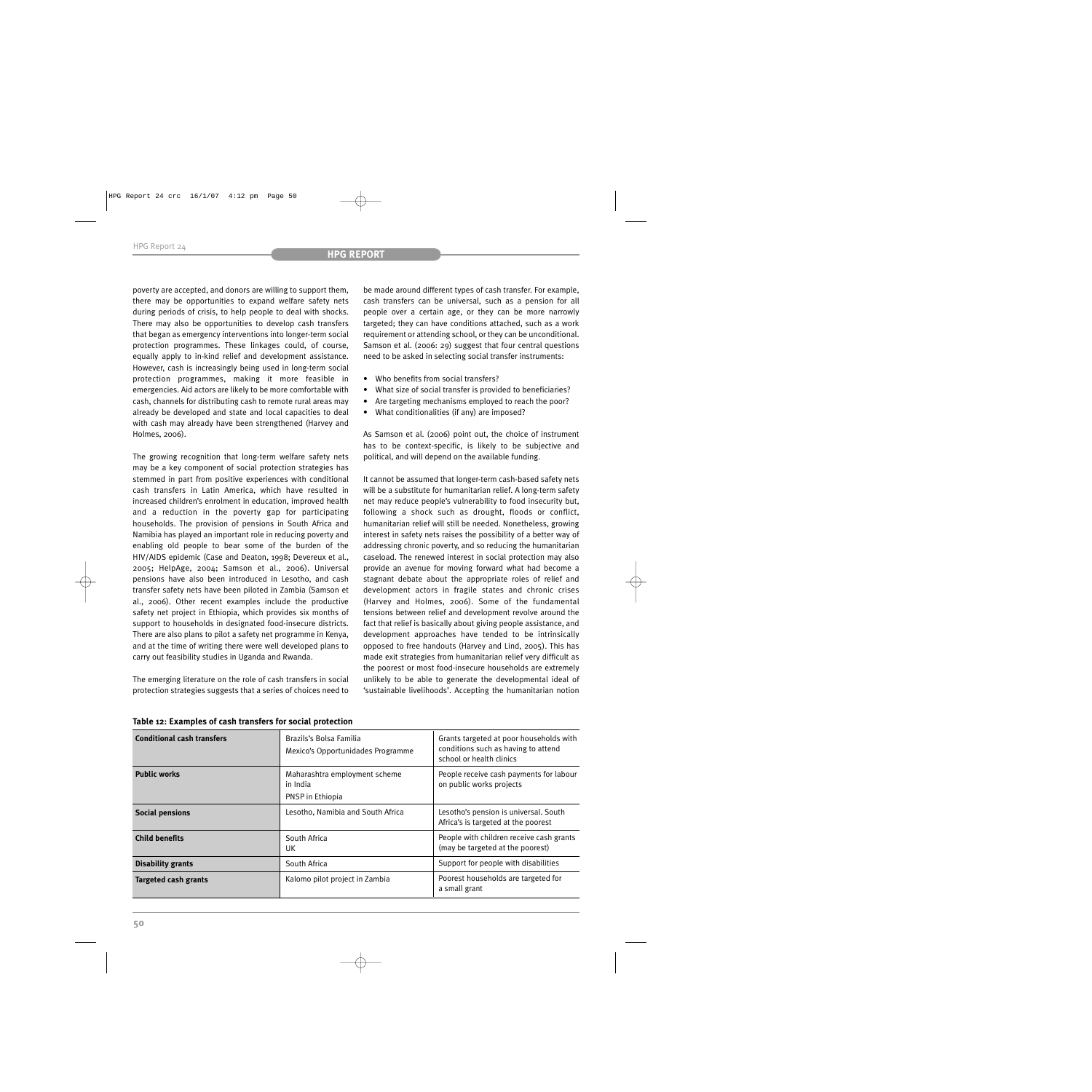poverty are accepted, and donors are willing to support them, there may be opportunities to expand welfare safety nets during periods of crisis, to help people to deal with shocks. There may also be opportunities to develop cash transfers that began as emergency interventions into longer-term social protection programmes. These linkages could, of course, equally apply to in-kind relief and development assistance. However, cash is increasingly being used in long-term social protection programmes, making it more feasible in emergencies. Aid actors are likely to be more comfortable with cash, channels for distributing cash to remote rural areas may already be developed and state and local capacities to deal with cash may already have been strengthened (Harvey and Holmes, 2006).

The growing recognition that long-term welfare safety nets may be a key component of social protection strategies has stemmed in part from positive experiences with conditional cash transfers in Latin America, which have resulted in increased children's enrolment in education, improved health and a reduction in the poverty gap for participating households. The provision of pensions in South Africa and Namibia has played an important role in reducing poverty and enabling old people to bear some of the burden of the HIV/AIDS epidemic (Case and Deaton, 1998; Devereux et al., 2005; HelpAge, 2004; Samson et al., 2006). Universal pensions have also been introduced in Lesotho, and cash transfer safety nets have been piloted in Zambia (Samson et al., 2006). Other recent examples include the productive safety net project in Ethiopia, which provides six months of support to households in designated food-insecure districts. There are also plans to pilot a safety net programme in Kenya, and at the time of writing there were well developed plans to carry out feasibility studies in Uganda and Rwanda.

The emerging literature on the role of cash transfers in social protection strategies suggests that a series of choices need to be made around different types of cash transfer. For example, cash transfers can be universal, such as a pension for all people over a certain age, or they can be more narrowly targeted; they can have conditions attached, such as a work requirement or attending school, or they can be unconditional. Samson et al. (2006: 29) suggest that four central questions need to be asked in selecting social transfer instruments:

- Who benefits from social transfers?
- What size of social transfer is provided to beneficiaries?
- Are targeting mechanisms employed to reach the poor?
- What conditionalities (if any) are imposed?

As Samson et al. (2006) point out, the choice of instrument has to be context-specific, is likely to be subjective and political, and will depend on the available funding.

It cannot be assumed that longer-term cash-based safety nets will be a substitute for humanitarian relief. A long-term safety net may reduce people's vulnerability to food insecurity but, following a shock such as drought, floods or conflict, humanitarian relief will still be needed. Nonetheless, growing interest in safety nets raises the possibility of a better way of addressing chronic poverty, and so reducing the humanitarian caseload. The renewed interest in social protection may also provide an avenue for moving forward what had become a stagnant debate about the appropriate roles of relief and development actors in fragile states and chronic crises (Harvey and Holmes, 2006). Some of the fundamental tensions between relief and development revolve around the fact that relief is basically about giving people assistance, and development approaches have tended to be intrinsically opposed to free handouts (Harvey and Lind, 2005). This has made exit strategies from humanitarian relief very difficult as the poorest or most food-insecure households are extremely unlikely to be able to generate the developmental ideal of 'sustainable livelihoods'. Accepting the humanitarian notion

| <b>Conditional cash transfers</b> | Brazils's Bolsa Familia<br>Mexico's Opportunidades Programme  | Grants targeted at poor households with<br>conditions such as having to attend<br>school or health clinics |
|-----------------------------------|---------------------------------------------------------------|------------------------------------------------------------------------------------------------------------|
| <b>Public works</b>               | Maharashtra employment scheme<br>in India<br>PNSP in Ethiopia | People receive cash payments for labour<br>on public works projects                                        |
| <b>Social pensions</b>            | Lesotho, Namibia and South Africa                             | Lesotho's pension is universal. South<br>Africa's is targeted at the poorest                               |
| <b>Child benefits</b>             | South Africa<br>UK                                            | People with children receive cash grants<br>(may be targeted at the poorest)                               |
| <b>Disability grants</b>          | South Africa                                                  | Support for people with disabilities                                                                       |
| <b>Targeted cash grants</b>       | Kalomo pilot project in Zambia                                | Poorest households are targeted for<br>a small grant                                                       |

**Table 12: Examples of cash transfers for social protection**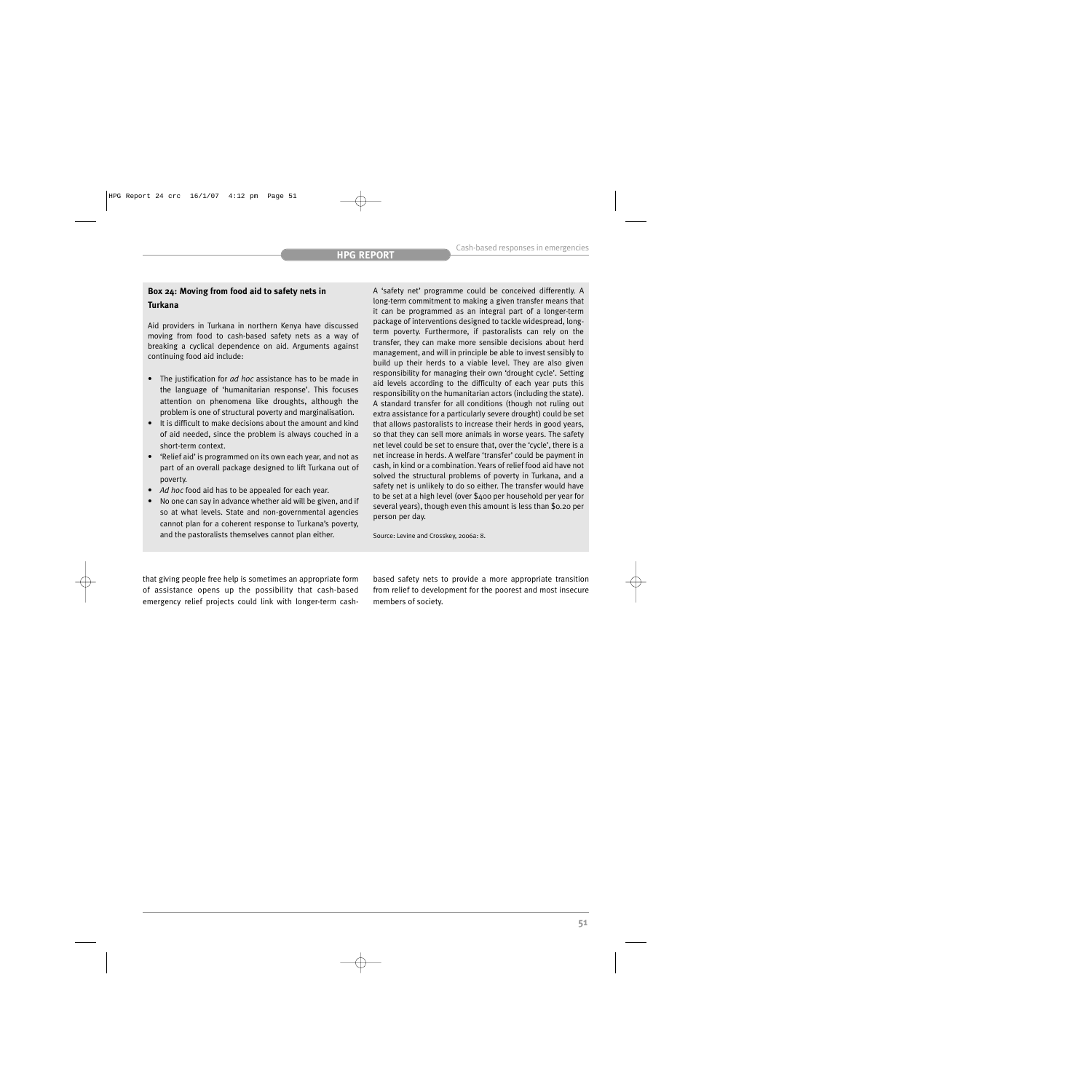## **Box 24: Moving from food aid to safety nets in Turkana**

Aid providers in Turkana in northern Kenya have discussed moving from food to cash-based safety nets as a way of breaking a cyclical dependence on aid. Arguments against continuing food aid include:

- The justification for *ad hoc* assistance has to be made in the language of 'humanitarian response'. This focuses attention on phenomena like droughts, although the problem is one of structural poverty and marginalisation.
- It is difficult to make decisions about the amount and kind of aid needed, since the problem is always couched in a short-term context.
- 'Relief aid' is programmed on its own each year, and not as part of an overall package designed to lift Turkana out of poverty.
- *Ad hoc* food aid has to be appealed for each year.
- No one can say in advance whether aid will be given, and if so at what levels. State and non-governmental agencies cannot plan for a coherent response to Turkana's poverty, and the pastoralists themselves cannot plan either.

A 'safety net' programme could be conceived differently. A long-term commitment to making a given transfer means that it can be programmed as an integral part of a longer-term package of interventions designed to tackle widespread, longterm poverty. Furthermore, if pastoralists can rely on the transfer, they can make more sensible decisions about herd management, and will in principle be able to invest sensibly to build up their herds to a viable level. They are also given responsibility for managing their own 'drought cycle'. Setting aid levels according to the difficulty of each year puts this responsibility on the humanitarian actors (including the state). A standard transfer for all conditions (though not ruling out extra assistance for a particularly severe drought) could be set that allows pastoralists to increase their herds in good years, so that they can sell more animals in worse years. The safety net level could be set to ensure that, over the 'cycle', there is a net increase in herds. A welfare 'transfer' could be payment in cash, in kind or a combination. Years of relief food aid have not solved the structural problems of poverty in Turkana, and a safety net is unlikely to do so either. The transfer would have to be set at a high level (over \$400 per household per year for several years), though even this amount is less than \$0.20 per person per day.

Source: Levine and Crosskey, 2006a: 8.

that giving people free help is sometimes an appropriate form of assistance opens up the possibility that cash-based emergency relief projects could link with longer-term cashbased safety nets to provide a more appropriate transition from relief to development for the poorest and most insecure members of society.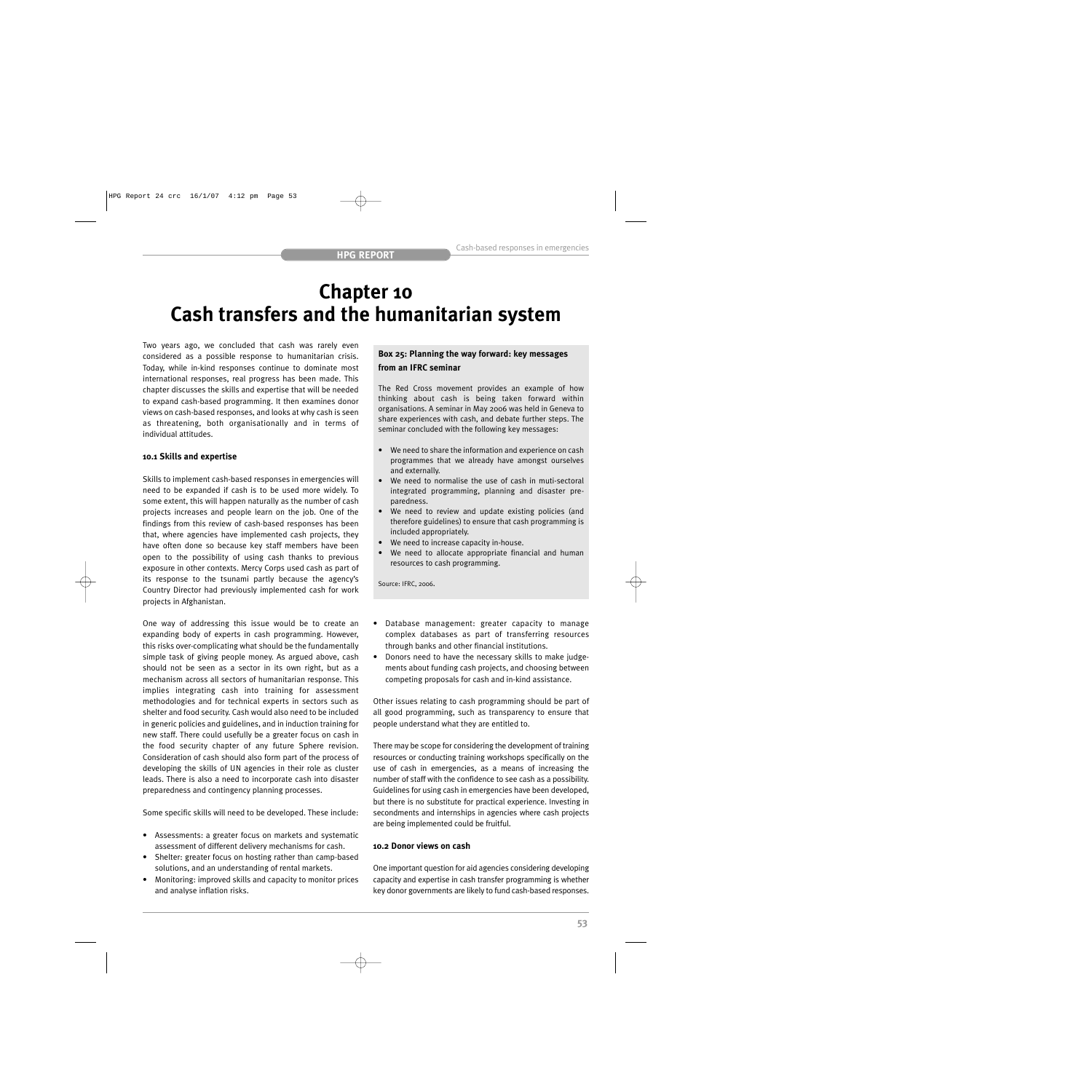# **Chapter 10 Cash transfers and the humanitarian system**

Two years ago, we concluded that cash was rarely even considered as a possible response to humanitarian crisis. Today, while in-kind responses continue to dominate most international responses, real progress has been made. This chapter discusses the skills and expertise that will be needed to expand cash-based programming. It then examines donor views on cash-based responses, and looks at why cash is seen as threatening, both organisationally and in terms of individual attitudes.

## **10.1 Skills and expertise**

Skills to implement cash-based responses in emergencies will need to be expanded if cash is to be used more widely. To some extent, this will happen naturally as the number of cash projects increases and people learn on the job. One of the findings from this review of cash-based responses has been that, where agencies have implemented cash projects, they have often done so because key staff members have been open to the possibility of using cash thanks to previous exposure in other contexts. Mercy Corps used cash as part of its response to the tsunami partly because the agency's Country Director had previously implemented cash for work projects in Afghanistan.

One way of addressing this issue would be to create an expanding body of experts in cash programming. However, this risks over-complicating what should be the fundamentally simple task of giving people money. As argued above, cash should not be seen as a sector in its own right, but as a mechanism across all sectors of humanitarian response. This implies integrating cash into training for assessment methodologies and for technical experts in sectors such as shelter and food security. Cash would also need to be included in generic policies and guidelines, and in induction training for new staff. There could usefully be a greater focus on cash in the food security chapter of any future Sphere revision. Consideration of cash should also form part of the process of developing the skills of UN agencies in their role as cluster leads. There is also a need to incorporate cash into disaster preparedness and contingency planning processes.

Some specific skills will need to be developed. These include:

- Assessments: a greater focus on markets and systematic assessment of different delivery mechanisms for cash.
- Shelter: greater focus on hosting rather than camp-based solutions, and an understanding of rental markets.
- Monitoring: improved skills and capacity to monitor prices and analyse inflation risks.

## **Box 25: Planning the way forward: key messages from an IFRC seminar**

The Red Cross movement provides an example of how thinking about cash is being taken forward within organisations. A seminar in May 2006 was held in Geneva to share experiences with cash, and debate further steps. The seminar concluded with the following key messages:

- We need to share the information and experience on cash programmes that we already have amongst ourselves and externally.
- We need to normalise the use of cash in muti-sectoral integrated programming, planning and disaster preparedness.
- We need to review and update existing policies (and therefore guidelines) to ensure that cash programming is included appropriately.
- We need to increase capacity in-house.
- We need to allocate appropriate financial and human resources to cash programming.

Source: IFRC, 2006.

- Database management: greater capacity to manage complex databases as part of transferring resources through banks and other financial institutions.
- Donors need to have the necessary skills to make judgements about funding cash projects, and choosing between competing proposals for cash and in-kind assistance.

Other issues relating to cash programming should be part of all good programming, such as transparency to ensure that people understand what they are entitled to.

There may be scope for considering the development of training resources or conducting training workshops specifically on the use of cash in emergencies, as a means of increasing the number of staff with the confidence to see cash as a possibility. Guidelines for using cash in emergencies have been developed, but there is no substitute for practical experience. Investing in secondments and internships in agencies where cash projects are being implemented could be fruitful.

## **10.2 Donor views on cash**

One important question for aid agencies considering developing capacity and expertise in cash transfer programming is whether key donor governments are likely to fund cash-based responses.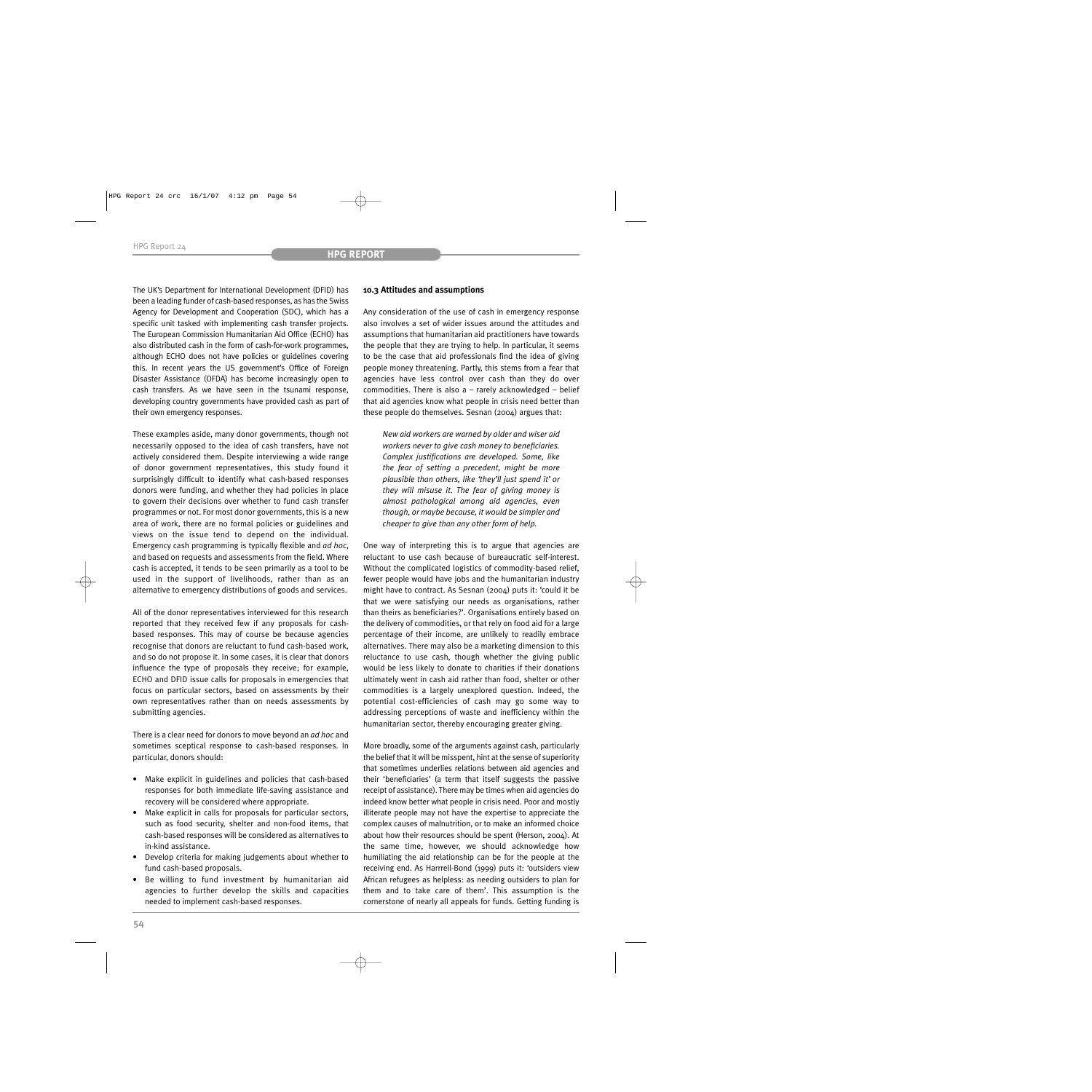The UK's Department for International Development (DFID) has been a leading funder of cash-based responses, as has the Swiss Agency for Development and Cooperation (SDC), which has a specific unit tasked with implementing cash transfer projects. The European Commission Humanitarian Aid Office (ECHO) has also distributed cash in the form of cash-for-work programmes, although ECHO does not have policies or guidelines covering this. In recent years the US government's Office of Foreign Disaster Assistance (OFDA) has become increasingly open to cash transfers. As we have seen in the tsunami response, developing country governments have provided cash as part of their own emergency responses.

These examples aside, many donor governments, though not necessarily opposed to the idea of cash transfers, have not actively considered them. Despite interviewing a wide range of donor government representatives, this study found it surprisingly difficult to identify what cash-based responses donors were funding, and whether they had policies in place to govern their decisions over whether to fund cash transfer programmes or not. For most donor governments, this is a new area of work, there are no formal policies or guidelines and views on the issue tend to depend on the individual. Emergency cash programming is typically flexible and *ad hoc*, and based on requests and assessments from the field. Where cash is accepted, it tends to be seen primarily as a tool to be used in the support of livelihoods, rather than as an alternative to emergency distributions of goods and services.

All of the donor representatives interviewed for this research reported that they received few if any proposals for cashbased responses. This may of course be because agencies recognise that donors are reluctant to fund cash-based work, and so do not propose it. In some cases, it is clear that donors influence the type of proposals they receive; for example, ECHO and DFID issue calls for proposals in emergencies that focus on particular sectors, based on assessments by their own representatives rather than on needs assessments by submitting agencies.

There is a clear need for donors to move beyond an *ad hoc* and sometimes sceptical response to cash-based responses. In particular, donors should:

- Make explicit in guidelines and policies that cash-based responses for both immediate life-saving assistance and recovery will be considered where appropriate.
- Make explicit in calls for proposals for particular sectors, such as food security, shelter and non-food items, that cash-based responses will be considered as alternatives to in-kind assistance.
- Develop criteria for making judgements about whether to fund cash-based proposals.
- Be willing to fund investment by humanitarian aid agencies to further develop the skills and capacities needed to implement cash-based responses.

## **10.3 Attitudes and assumptions**

Any consideration of the use of cash in emergency response also involves a set of wider issues around the attitudes and assumptions that humanitarian aid practitioners have towards the people that they are trying to help. In particular, it seems to be the case that aid professionals find the idea of giving people money threatening. Partly, this stems from a fear that agencies have less control over cash than they do over commodities. There is also  $a$  – rarely acknowledged – belief that aid agencies know what people in crisis need better than these people do themselves. Sesnan (2004) argues that:

*New aid workers are warned by older and wiser aid workers never to give cash money to beneficiaries. Complex justifications are developed. Some, like the fear of setting a precedent, might be more plausible than others, like 'they'll just spend it' or they will misuse it. The fear of giving money is almost pathological among aid agencies, even though, or maybe because, it would be simpler and cheaper to give than any other form of help.*

One way of interpreting this is to argue that agencies are reluctant to use cash because of bureaucratic self-interest. Without the complicated logistics of commodity-based relief, fewer people would have jobs and the humanitarian industry might have to contract. As Sesnan (2004) puts it: 'could it be that we were satisfying our needs as organisations, rather than theirs as beneficiaries?'. Organisations entirely based on the delivery of commodities, or that rely on food aid for a large percentage of their income, are unlikely to readily embrace alternatives. There may also be a marketing dimension to this reluctance to use cash, though whether the giving public would be less likely to donate to charities if their donations ultimately went in cash aid rather than food, shelter or other commodities is a largely unexplored question. Indeed, the potential cost-efficiencies of cash may go some way to addressing perceptions of waste and inefficiency within the humanitarian sector, thereby encouraging greater giving.

More broadly, some of the arguments against cash, particularly the belief that it will be misspent, hint at the sense of superiority that sometimes underlies relations between aid agencies and their 'beneficiaries' (a term that itself suggests the passive receipt of assistance). There may be times when aid agencies do indeed know better what people in crisis need. Poor and mostly illiterate people may not have the expertise to appreciate the complex causes of malnutrition, or to make an informed choice about how their resources should be spent (Herson, 2004). At the same time, however, we should acknowledge how humiliating the aid relationship can be for the people at the receiving end. As Harrrell-Bond (1999) puts it: 'outsiders view African refugees as helpless: as needing outsiders to plan for them and to take care of them'. This assumption is the cornerstone of nearly all appeals for funds. Getting funding is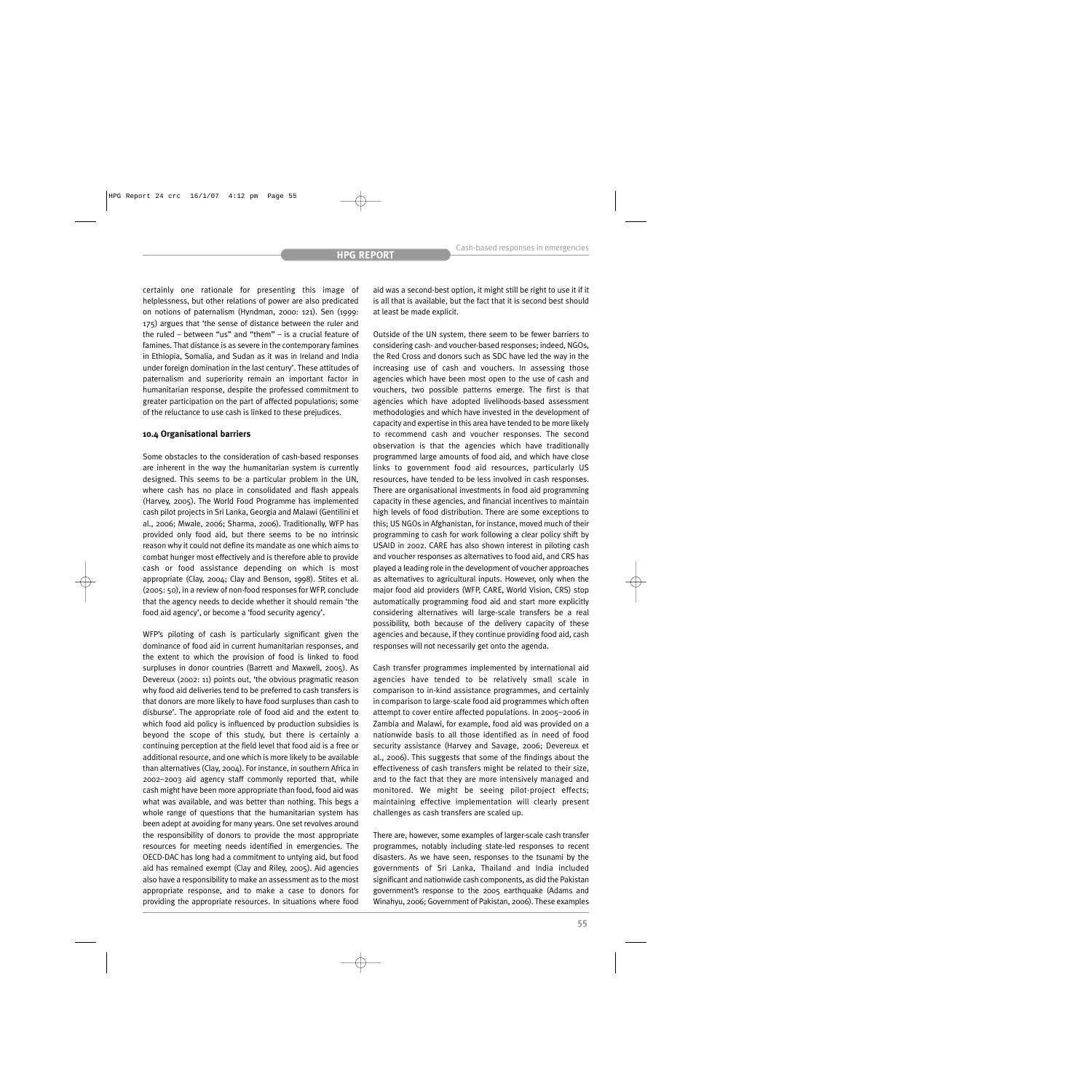certainly one rationale for presenting this image of helplessness, but other relations of power are also predicated on notions of paternalism (Hyndman, 2000: 121). Sen (1999: 175) argues that 'the sense of distance between the ruler and the ruled – between "us" and "them" – is a crucial feature of famines. That distance is as severe in the contemporary famines in Ethiopia, Somalia, and Sudan as it was in Ireland and India under foreign domination in the last century'. These attitudes of paternalism and superiority remain an important factor in humanitarian response, despite the professed commitment to greater participation on the part of affected populations; some of the reluctance to use cash is linked to these prejudices.

## **10.4 Organisational barriers**

Some obstacles to the consideration of cash-based responses are inherent in the way the humanitarian system is currently designed. This seems to be a particular problem in the UN, where cash has no place in consolidated and flash appeals (Harvey, 2005). The World Food Programme has implemented cash pilot projects in Sri Lanka, Georgia and Malawi (Gentilini et al., 2006; Mwale, 2006; Sharma, 2006). Traditionally, WFP has provided only food aid, but there seems to be no intrinsic reason why it could not define its mandate as one which aims to combat hunger most effectively and is therefore able to provide cash or food assistance depending on which is most appropriate (Clay, 2004; Clay and Benson, 1998). Stites et al. (2005: 50), in a review of non-food responses for WFP, conclude that the agency needs to decide whether it should remain 'the food aid agency', or become a 'food security agency'.

WFP's piloting of cash is particularly significant given the dominance of food aid in current humanitarian responses, and the extent to which the provision of food is linked to food surpluses in donor countries (Barrett and Maxwell, 2005). As Devereux (2002: 11) points out, 'the obvious pragmatic reason why food aid deliveries tend to be preferred to cash transfers is that donors are more likely to have food surpluses than cash to disburse'. The appropriate role of food aid and the extent to which food aid policy is influenced by production subsidies is beyond the scope of this study, but there is certainly a continuing perception at the field level that food aid is a free or additional resource, and one which is more likely to be available than alternatives (Clay, 2004). For instance, in southern Africa in 2002–2003 aid agency staff commonly reported that, while cash might have been more appropriate than food, food aid was what was available, and was better than nothing. This begs a whole range of questions that the humanitarian system has been adept at avoiding for many years. One set revolves around the responsibility of donors to provide the most appropriate resources for meeting needs identified in emergencies. The OECD-DAC has long had a commitment to untying aid, but food aid has remained exempt (Clay and Riley, 2005). Aid agencies also have a responsibility to make an assessment as to the most appropriate response, and to make a case to donors for providing the appropriate resources. In situations where food aid was a second-best option, it might still be right to use it if it is all that is available, but the fact that it is second best should at least be made explicit.

Outside of the UN system, there seem to be fewer barriers to considering cash- and voucher-based responses; indeed, NGOs, the Red Cross and donors such as SDC have led the way in the increasing use of cash and vouchers. In assessing those agencies which have been most open to the use of cash and vouchers, two possible patterns emerge. The first is that agencies which have adopted livelihoods-based assessment methodologies and which have invested in the development of capacity and expertise in this area have tended to be more likely to recommend cash and voucher responses. The second observation is that the agencies which have traditionally programmed large amounts of food aid, and which have close links to government food aid resources, particularly US resources, have tended to be less involved in cash responses. There are organisational investments in food aid programming capacity in these agencies, and financial incentives to maintain high levels of food distribution. There are some exceptions to this; US NGOs in Afghanistan, for instance, moved much of their programming to cash for work following a clear policy shift by USAID in 2002. CARE has also shown interest in piloting cash and voucher responses as alternatives to food aid, and CRS has played a leading role in the development of voucher approaches as alternatives to agricultural inputs. However, only when the major food aid providers (WFP, CARE, World Vision, CRS) stop automatically programming food aid and start more explicitly considering alternatives will large-scale transfers be a real possibility, both because of the delivery capacity of these agencies and because, if they continue providing food aid, cash responses will not necessarily get onto the agenda.

Cash transfer programmes implemented by international aid agencies have tended to be relatively small scale in comparison to in-kind assistance programmes, and certainly in comparison to large-scale food aid programmes which often attempt to cover entire affected populations. In 2005–2006 in Zambia and Malawi, for example, food aid was provided on a nationwide basis to all those identified as in need of food security assistance (Harvey and Savage, 2006; Devereux et al., 2006). This suggests that some of the findings about the effectiveness of cash transfers might be related to their size, and to the fact that they are more intensively managed and monitored. We might be seeing pilot-project effects; maintaining effective implementation will clearly present challenges as cash transfers are scaled up.

There are, however, some examples of larger-scale cash transfer programmes, notably including state-led responses to recent disasters. As we have seen, responses to the tsunami by the governments of Sri Lanka, Thailand and India included significant and nationwide cash components, as did the Pakistan government's response to the 2005 earthquake (Adams and Winahyu, 2006; Government of Pakistan, 2006). These examples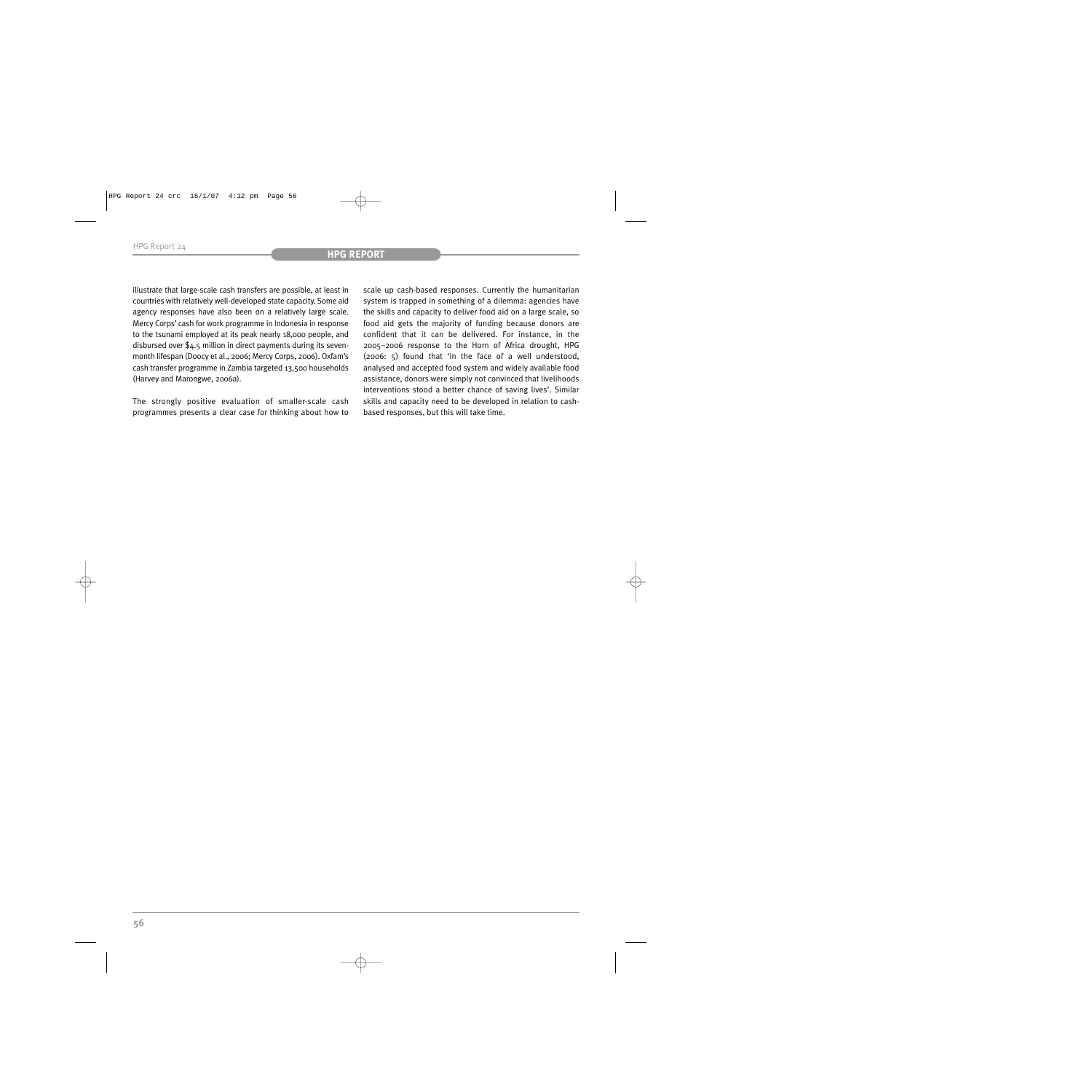illustrate that large-scale cash transfers are possible, at least in countries with relatively well-developed state capacity. Some aid agency responses have also been on a relatively large scale. Mercy Corps' cash for work programme in Indonesia in response to the tsunami employed at its peak nearly 18,000 people, and disbursed over \$4.5 million in direct payments during its sevenmonth lifespan (Doocy et al., 2006; Mercy Corps, 2006). Oxfam's cash transfer programme in Zambia targeted 13,500 households (Harvey and Marongwe, 2006a).

The strongly positive evaluation of smaller-scale cash programmes presents a clear case for thinking about how to scale up cash-based responses. Currently the humanitarian system is trapped in something of a dilemma: agencies have the skills and capacity to deliver food aid on a large scale, so food aid gets the majority of funding because donors are confident that it can be delivered. For instance, in the 2005–2006 response to the Horn of Africa drought, HPG (2006: 5) found that 'in the face of a well understood, analysed and accepted food system and widely available food assistance, donors were simply not convinced that livelihoods interventions stood a better chance of saving lives'. Similar skills and capacity need to be developed in relation to cashbased responses, but this will take time.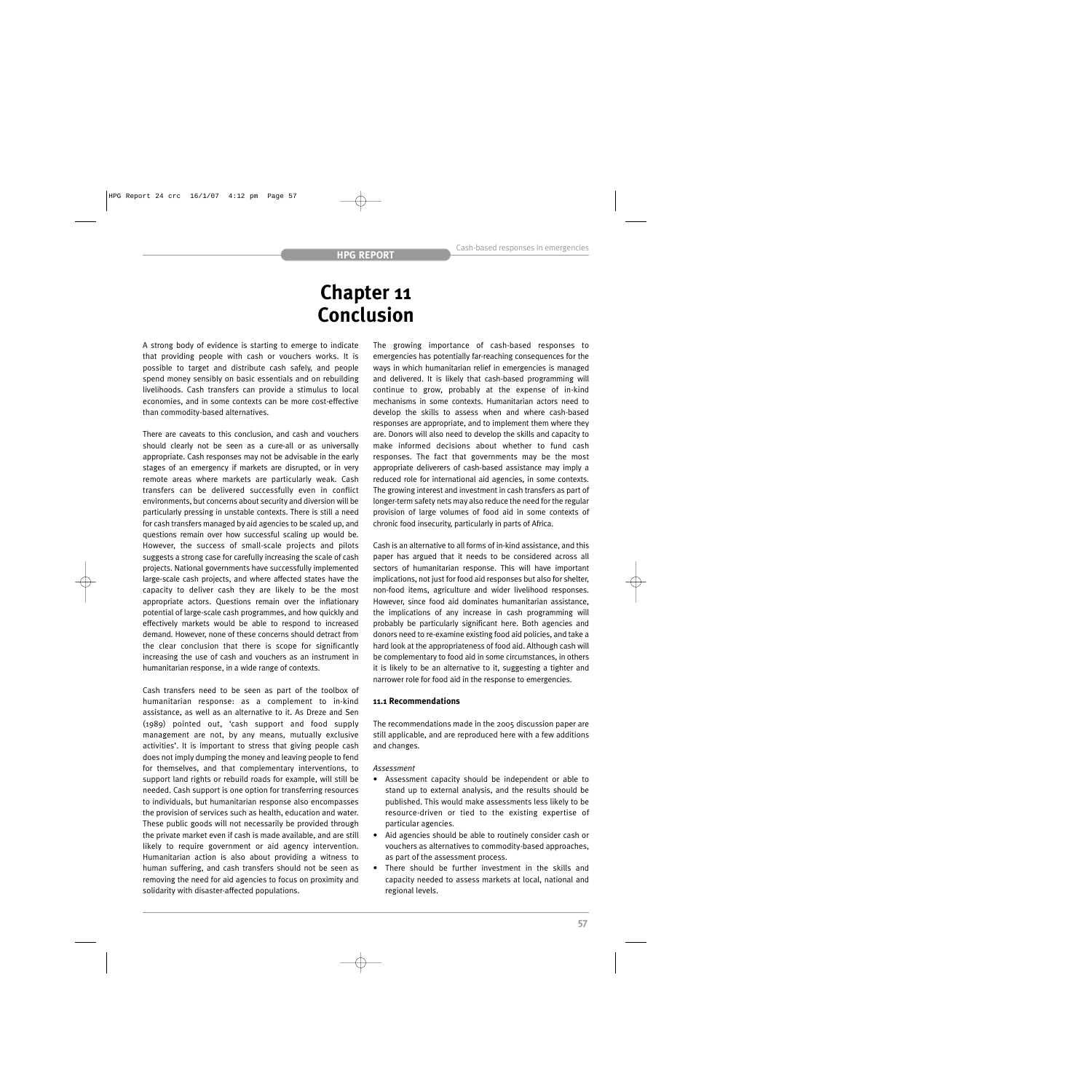## **Chapter 11 Conclusion**

A strong body of evidence is starting to emerge to indicate that providing people with cash or vouchers works. It is possible to target and distribute cash safely, and people spend money sensibly on basic essentials and on rebuilding livelihoods. Cash transfers can provide a stimulus to local economies, and in some contexts can be more cost-effective than commodity-based alternatives.

There are caveats to this conclusion, and cash and vouchers should clearly not be seen as a cure-all or as universally appropriate. Cash responses may not be advisable in the early stages of an emergency if markets are disrupted, or in very remote areas where markets are particularly weak. Cash transfers can be delivered successfully even in conflict environments, but concerns about security and diversion will be particularly pressing in unstable contexts. There is still a need for cash transfers managed by aid agencies to be scaled up, and questions remain over how successful scaling up would be. However, the success of small-scale projects and pilots suggests a strong case for carefully increasing the scale of cash projects. National governments have successfully implemented large-scale cash projects, and where affected states have the capacity to deliver cash they are likely to be the most appropriate actors. Questions remain over the inflationary potential of large-scale cash programmes, and how quickly and effectively markets would be able to respond to increased demand. However, none of these concerns should detract from the clear conclusion that there is scope for significantly increasing the use of cash and vouchers as an instrument in humanitarian response, in a wide range of contexts.

Cash transfers need to be seen as part of the toolbox of humanitarian response: as a complement to in-kind assistance, as well as an alternative to it. As Dreze and Sen (1989) pointed out, 'cash support and food supply management are not, by any means, mutually exclusive activities'. It is important to stress that giving people cash does not imply dumping the money and leaving people to fend for themselves, and that complementary interventions, to support land rights or rebuild roads for example, will still be needed. Cash support is one option for transferring resources to individuals, but humanitarian response also encompasses the provision of services such as health, education and water. These public goods will not necessarily be provided through the private market even if cash is made available, and are still likely to require government or aid agency intervention. Humanitarian action is also about providing a witness to human suffering, and cash transfers should not be seen as removing the need for aid agencies to focus on proximity and solidarity with disaster-affected populations.

The growing importance of cash-based responses to emergencies has potentially far-reaching consequences for the ways in which humanitarian relief in emergencies is managed and delivered. It is likely that cash-based programming will continue to grow, probably at the expense of in-kind mechanisms in some contexts. Humanitarian actors need to develop the skills to assess when and where cash-based responses are appropriate, and to implement them where they are. Donors will also need to develop the skills and capacity to make informed decisions about whether to fund cash responses. The fact that governments may be the most appropriate deliverers of cash-based assistance may imply a reduced role for international aid agencies, in some contexts. The growing interest and investment in cash transfers as part of longer-term safety nets may also reduce the need for the regular provision of large volumes of food aid in some contexts of chronic food insecurity, particularly in parts of Africa.

Cash is an alternative to all forms of in-kind assistance, and this paper has argued that it needs to be considered across all sectors of humanitarian response. This will have important implications, not just for food aid responses but also for shelter, non-food items, agriculture and wider livelihood responses. However, since food aid dominates humanitarian assistance, the implications of any increase in cash programming will probably be particularly significant here. Both agencies and donors need to re-examine existing food aid policies, and take a hard look at the appropriateness of food aid. Although cash will be complementary to food aid in some circumstances, in others it is likely to be an alternative to it, suggesting a tighter and narrower role for food aid in the response to emergencies.

## **11.1 Recommendations**

The recommendations made in the 2005 discussion paper are still applicable, and are reproduced here with a few additions and changes.

## *Assessment*

- Assessment capacity should be independent or able to stand up to external analysis, and the results should be published. This would make assessments less likely to be resource-driven or tied to the existing expertise of particular agencies.
- Aid agencies should be able to routinely consider cash or vouchers as alternatives to commodity-based approaches, as part of the assessment process.
- There should be further investment in the skills and capacity needed to assess markets at local, national and regional levels.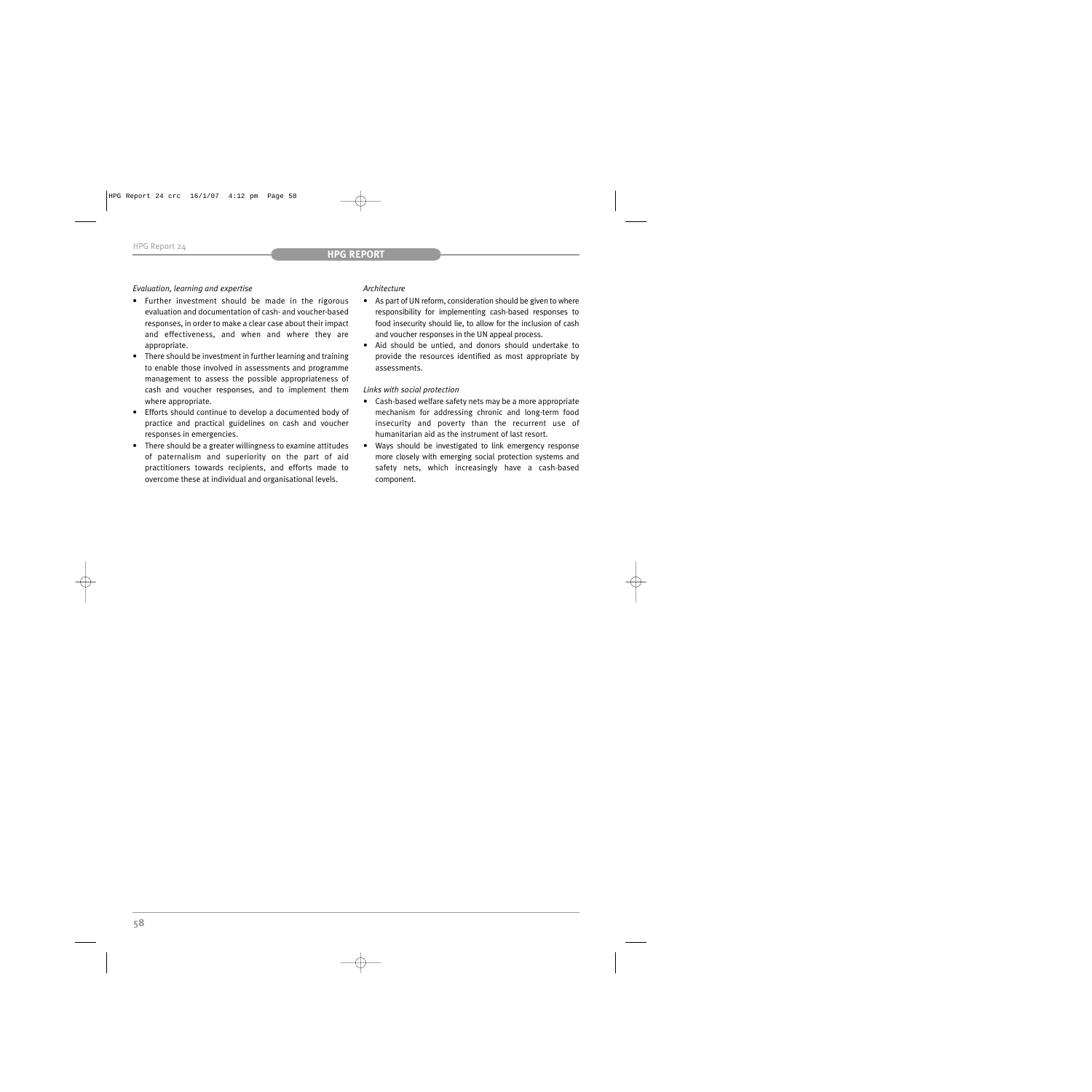## *Evaluation, learning and expertise*

- Further investment should be made in the rigorous evaluation and documentation of cash- and voucher-based responses, in order to make a clear case about their impact and effectiveness, and when and where they are appropriate.
- There should be investment in further learning and training to enable those involved in assessments and programme management to assess the possible appropriateness of cash and voucher responses, and to implement them where appropriate.
- Efforts should continue to develop a documented body of practice and practical guidelines on cash and voucher responses in emergencies.
- There should be a greater willingness to examine attitudes of paternalism and superiority on the part of aid practitioners towards recipients, and efforts made to overcome these at individual and organisational levels.

## *Architecture*

- As part of UN reform, consideration should be given to where responsibility for implementing cash-based responses to food insecurity should lie, to allow for the inclusion of cash and voucher responses in the UN appeal process.
- Aid should be untied, and donors should undertake to provide the resources identified as most appropriate by assessments.

## *Links with social protection*

- Cash-based welfare safety nets may be a more appropriate mechanism for addressing chronic and long-term food insecurity and poverty than the recurrent use of humanitarian aid as the instrument of last resort.
- Ways should be investigated to link emergency response more closely with emerging social protection systems and safety nets, which increasingly have a cash-based component.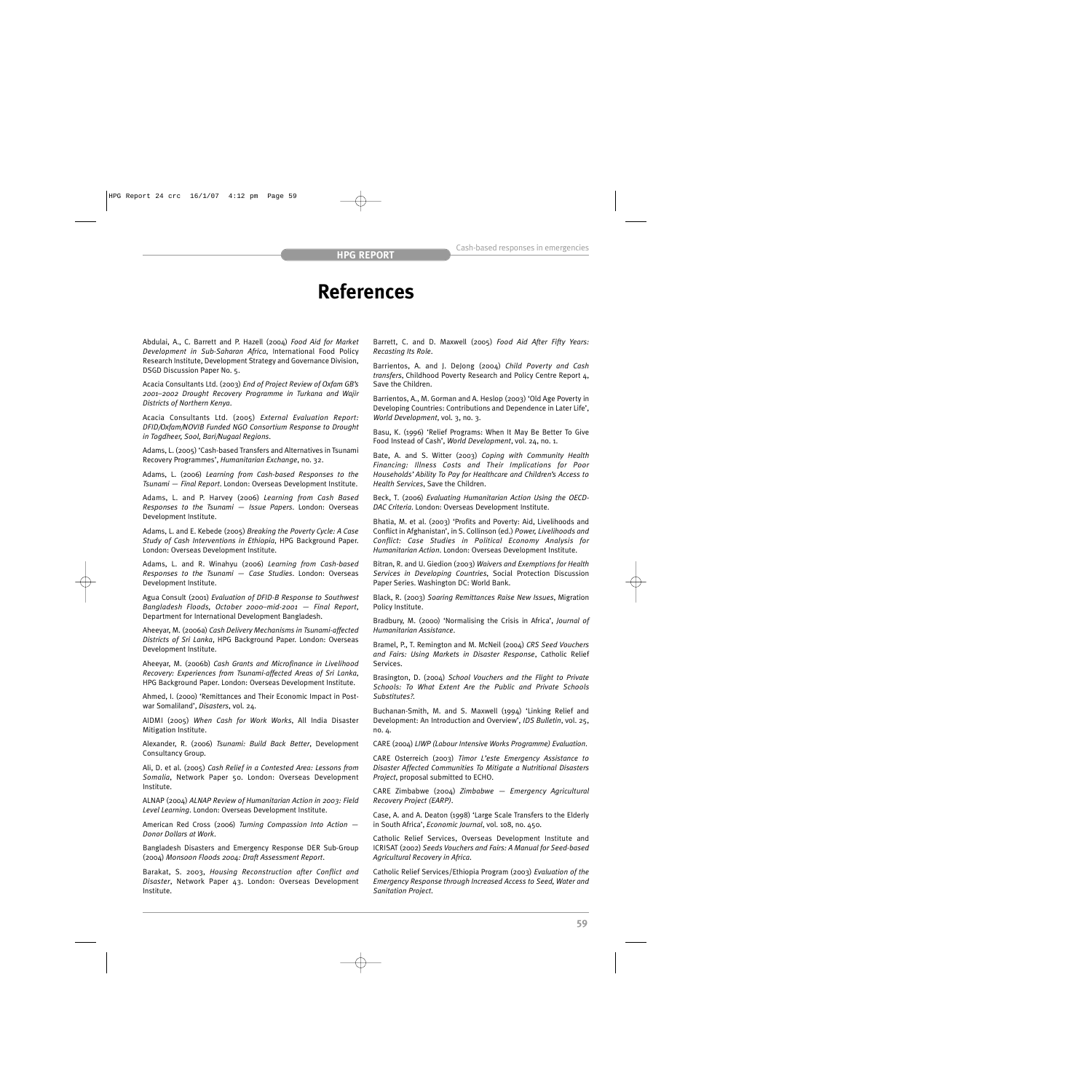## **References**

Abdulai, A., C. Barrett and P. Hazell (2004) *Food Aid for Market Development in Sub-Saharan Africa*, International Food Policy Research Institute, Development Strategy and Governance Division, DSGD Discussion Paper No. 5.

Acacia Consultants Ltd. (2003) *End of Project Review of Oxfam GB's 2001–2002 Drought Recovery Programme in Turkana and Wajir Districts of Northern Kenya*.

Acacia Consultants Ltd. (2005) *External Evaluation Report: DFID/Oxfam/NOVIB Funded NGO Consortium Response to Drought in Togdheer, Sool, Bari/Nugaal Regions*.

Adams, L. (2005) 'Cash-based Transfers and Alternatives in Tsunami Recovery Programmes', *Humanitarian Exchange*, no. 32.

Adams, L. (2006) *Learning from Cash-based Responses to the Tsunami — Final Report*. London: Overseas Development Institute.

Adams, L. and P. Harvey (2006) *Learning from Cash Based Responses to the Tsunami — Issue Papers*. London: Overseas Development Institute.

Adams, L. and E. Kebede (2005) *Breaking the Poverty Cycle: A Case Study of Cash Interventions in Ethiopia*, HPG Background Paper. London: Overseas Development Institute.

Adams, L. and R. Winahyu (2006) *Learning from Cash-based Responses to the Tsunami — Case Studies*. London: Overseas Development Institute.

Agua Consult (2001) *Evaluation of DFID-B Response to Southwest Bangladesh Floods, October 2000–mid-2001 — Final Report*, Department for International Development Bangladesh.

Aheeyar, M. (2006a) *Cash Delivery Mechanisms in Tsunami-affected Districts of Sri Lanka*, HPG Background Paper. London: Overseas Development Institute.

Aheeyar, M. (2006b) *Cash Grants and Microfinance in Livelihood Recovery: Experiences from Tsunami-affected Areas of Sri Lanka*, HPG Background Paper. London: Overseas Development Institute.

Ahmed, I. (2000) 'Remittances and Their Economic Impact in Postwar Somaliland', *Disasters*, vol. 24.

AIDMI (2005) *When Cash for Work Works*, All India Disaster Mitigation Institute.

Alexander, R. (2006) *Tsunami: Build Back Better*, Development Consultancy Group.

Ali, D. et al. (2005) *Cash Relief in a Contested Area: Lessons from Somalia*, Network Paper 50. London: Overseas Development Institute.

ALNAP (2004) *ALNAP Review of Humanitarian Action in 2003: Field Level Learning*. London: Overseas Development Institute.

American Red Cross (2006) *Turning Compassion Into Action — Donor Dollars at Work*.

Bangladesh Disasters and Emergency Response DER Sub-Group (2004) *Monsoon Floods 2004: Draft Assessment Report*.

Barakat, S. 2003, *Housing Reconstruction after Conflict and Disaster*, Network Paper 43. London: Overseas Development Institute.

Barrett, C. and D. Maxwell (2005) *Food Aid After Fifty Years: Recasting Its Role*.

Barrientos, A. and J. DeJong (2004) *Child Poverty and Cash transfers*, Childhood Poverty Research and Policy Centre Report 4, Save the Children.

Barrientos, A., M. Gorman and A. Heslop (2003) 'Old Age Poverty in Developing Countries: Contributions and Dependence in Later Life', *World Development*, vol. 3, no. 3.

Basu, K. (1996) 'Relief Programs: When It May Be Better To Give Food Instead of Cash', *World Development*, vol. 24, no. 1.

Bate, A. and S. Witter (2003) *Coping with Community Health Financing: Illness Costs and Their Implications for Poor Households' Ability To Pay for Healthcare and Children's Access to Health Services*, Save the Children.

Beck, T. (2006) *Evaluating Humanitarian Action Using the OECD-DAC Criteria*. London: Overseas Development Institute.

Bhatia, M. et al. (2003) 'Profits and Poverty: Aid, Livelihoods and Conflict in Afghanistan', in S. Collinson (ed.) *Power, Livelihoods and Conflict: Case Studies in Political Economy Analysis for Humanitarian Action*. London: Overseas Development Institute.

Bitran, R. and U. Giedion (2003) *Waivers and Exemptions for Health Services in Developing Countries*, Social Protection Discussion Paper Series. Washington DC: World Bank.

Black, R. (2003) *Soaring Remittances Raise New Issues*, Migration Policy Institute.

Bradbury, M. (2000) 'Normalising the Crisis in Africa', *Journal of Humanitarian Assistance*.

Bramel, P., T. Remington and M. McNeil (2004) *CRS Seed Vouchers and Fairs: Using Markets in Disaster Response*, Catholic Relief Services.

Brasington, D. (2004) *School Vouchers and the Flight to Private Schools: To What Extent Are the Public and Private Schools Substitutes?*.

Buchanan-Smith, M. and S. Maxwell (1994) 'Linking Relief and Development: An Introduction and Overview', *IDS Bulletin*, vol. 25, no. 4.

CARE (2004) *LIWP (Labour Intensive Works Programme) Evaluation*.

CARE Osterreich (2003) *Timor L'este Emergency Assistance to Disaster Affected Communities To Mitigate a Nutritional Disasters Project*, proposal submitted to ECHO.

CARE Zimbabwe (2004) *Zimbabwe — Emergency Agricultural Recovery Project (EARP)*.

Case, A. and A. Deaton (1998) 'Large Scale Transfers to the Elderly in South Africa', *Economic Journal*, vol. 108, no. 450.

Catholic Relief Services, Overseas Development Institute and ICRISAT (2002) *Seeds Vouchers and Fairs: A Manual for Seed-based Agricultural Recovery in Africa*.

Catholic Relief Services/Ethiopia Program (2003) *Evaluation of the Emergency Response through Increased Access to Seed, Water and Sanitation Project*.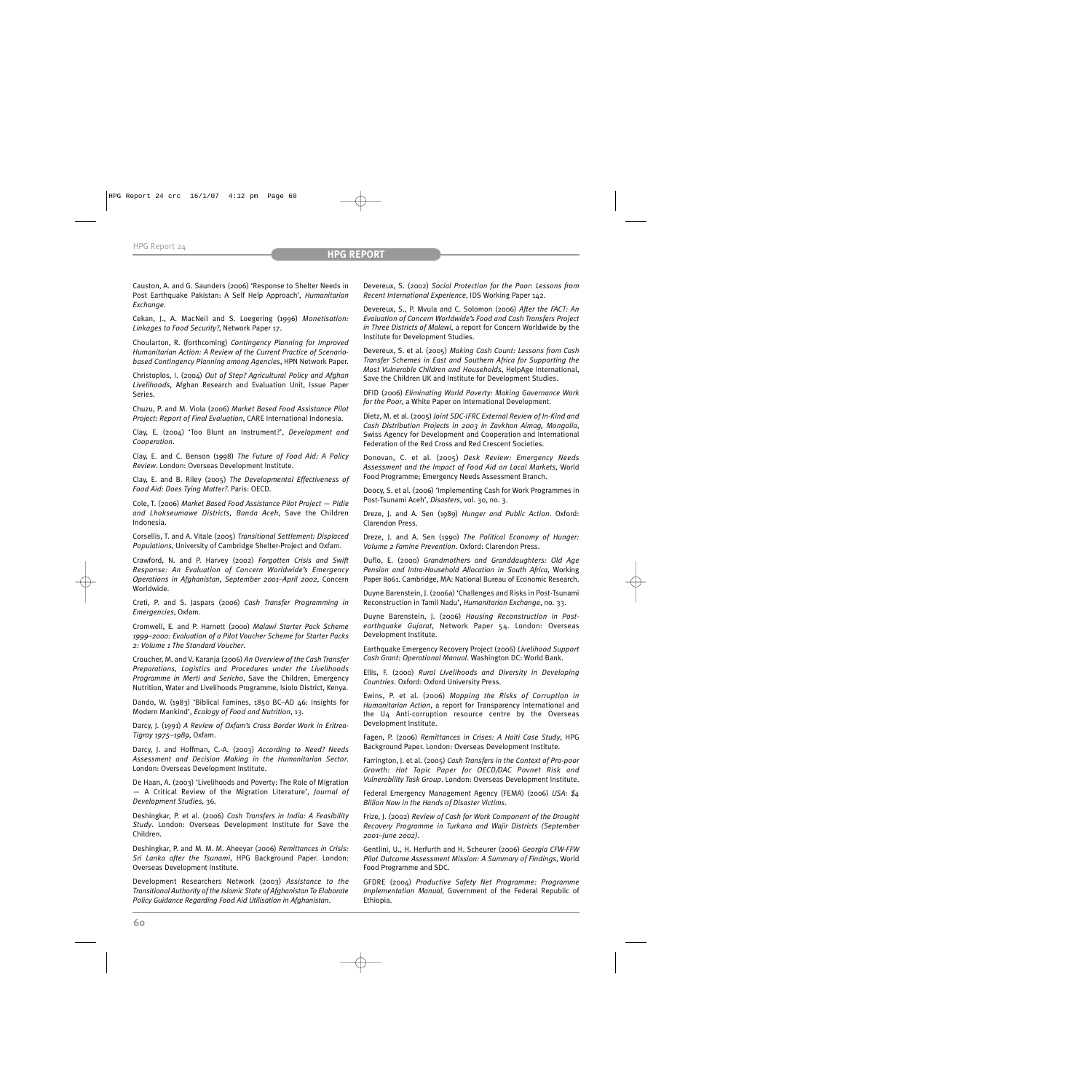Causton, A. and G. Saunders (2006) 'Response to Shelter Needs in Post Earthquake Pakistan: A Self Help Approach', *Humanitarian Exchange*.

Cekan, J., A. MacNeil and S. Loegering (1996) *Monetisation: Linkages to Food Security?*, Network Paper 17.

Choularton, R. (forthcoming) *Contingency Planning for Improved Humanitarian Action: A Review of the Current Practice of Scenariobased Contingency Planning among Agencies*, HPN Network Paper.

Christoplos, I. (2004) *Out of Step? Agricultural Policy and Afghan Livelihoods*, Afghan Research and Evaluation Unit, Issue Paper Series.

Chuzu, P. and M. Viola (2006) *Market Based Food Assistance Pilot Project: Report of Final Evaluation*, CARE International Indonesia.

Clay, E. (2004) 'Too Blunt an Instrument?', *Development and Cooperation*.

Clay, E. and C. Benson (1998) *The Future of Food Aid: A Policy Review*. London: Overseas Development Institute.

Clay, E. and B. Riley (2005) *The Developmental Effectiveness of Food Aid: Does Tying Matter?*. Paris: OECD.

Cole, T. (2006) *Market Based Food Assistance Pilot Project — Pidie and Lhokseumawe Districts, Banda Aceh*, Save the Children Indonesia.

Corsellis, T. and A. Vitale (2005) *Transitional Settlement: Displaced Populations*, University of Cambridge Shelter-Project and Oxfam.

Crawford, N. and P. Harvey (2002) *Forgotten Crisis and Swift Response: An Evaluation of Concern Worldwide's Emergency Operations in Afghanistan, September 2001–April 2002*, Concern Worldwide.

Creti, P. and S. Jaspars (2006) *Cash Transfer Programming in Emergencies*, Oxfam.

Cromwell, E. and P. Harnett (2000) *Malawi Starter Pack Scheme 1999–2000: Evaluation of a Pilot Voucher Scheme for Starter Packs 2: Volume 1 The Standard Voucher*.

Croucher, M. and V. Karanja (2006) *An Overview of the Cash Transfer Preparations, Logistics and Procedures under the Livelihoods Programme in Merti and Sericho*, Save the Children, Emergency Nutrition, Water and Livelihoods Programme, Isiolo District, Kenya.

Dando, W. (1983) 'Biblical Famines, 1850 BC–AD 46: Insights for Modern Mankind', *Ecology of Food and Nutrition*, 13.

Darcy, J. (1991) *A Review of Oxfam's Cross Border Work in Eritrea-Tigray 1975–1989*, Oxfam.

Darcy, J. and Hoffman, C.-A. (2003) *According to Need? Needs Assessment and Decision Making in the Humanitarian Sector*. London: Overseas Development Institute.

De Haan, A. (2003) 'Livelihoods and Poverty: The Role of Migration — A Critical Review of the Migration Literature', *Journal of Development Studies*, 36.

Deshingkar, P. et al. (2006) *Cash Transfers in India: A Feasibility Study*. London: Overseas Development Institute for Save the Children.

Deshingkar, P. and M. M. M. Aheeyar (2006) *Remittances in Crisis: Sri Lanka after the Tsunami*, HPG Background Paper. London: Overseas Development Institute.

Development Researchers Network (2003) *Assistance to the Transitional Authority of the Islamic State of Afghanistan To Elaborate Policy Guidance Regarding Food Aid Utilisation in Afghanistan*.

Devereux, S. (2002) *Social Protection for the Poor: Lessons from Recent International Experience*, IDS Working Paper 142.

Devereux, S., P. Mvula and C. Solomon (2006) *After the FACT: An Evaluation of Concern Worldwide's Food and Cash Transfers Project in Three Districts of Malawi*, a report for Concern Worldwide by the Institute for Development Studies.

Devereux, S. et al. (2005) *Making Cash Count: Lessons from Cash Transfer Schemes in East and Southern Africa for Supporting the Most Vulnerable Children and Households*, HelpAge International, Save the Children UK and Institute for Development Studies.

DFID (2006) *Eliminating World Poverty: Making Governance Work for the Poor*, a White Paper on International Development.

Dietz, M. et al. (2005) *Joint SDC-IFRC External Review of In-Kind and Cash Distribution Projects in 2003 in Zavkhan Aimag, Mongolia*, Swiss Agency for Development and Cooperation and International Federation of the Red Cross and Red Crescent Societies.

Donovan, C. et al. (2005) *Desk Review: Emergency Needs Assessment and the Impact of Food Aid on Local Markets*, World Food Programme; Emergency Needs Assessment Branch.

Doocy, S. et al. (2006) 'Implementing Cash for Work Programmes in Post-Tsunami Aceh', *Disasters*, vol. 30, no. 3.

Dreze, J. and A. Sen (1989) *Hunger and Public Action*. Oxford: Clarendon Press.

Dreze, J. and A. Sen (1990) *The Political Economy of Hunger: Volume 2 Famine Prevention*. Oxford: Clarendon Press.

Duflo, E. (2000) *Grandmothers and Granddaughters: Old Age Pension and Intra-Household Allocation in South Africa*, Working Paper 8061. Cambridge, MA: National Bureau of Economic Research.

Duyne Barenstein, J. (2006a) 'Challenges and Risks in Post-Tsunami Reconstruction in Tamil Nadu', *Humanitarian Exchange*, no. 33.

Duyne Barenstein, J. (2006) *Housing Reconstruction in Postearthquake Gujarat*, Network Paper 54. London: Overseas Development Institute.

Earthquake Emergency Recovery Project (2006) *Livelihood Support Cash Grant: Operational Manual*. Washington DC: World Bank.

Ellis, F. (2000) *Rural Livelihoods and Diversity in Developing Countries*. Oxford: Oxford University Press.

Ewins, P. et al. (2006) *Mapping the Risks of Corruption in Humanitarian Action*, a report for Transparency International and the U4 Anti-corruption resource centre by the Overseas Development Institute.

Fagen, P. (2006) *Remittances in Crises: A Haiti Case Study*, HPG Background Paper. London: Overseas Development Institute.

Farrington, J. et al. (2005) *Cash Transfers in the Context of Pro-poor Growth: Hot Topic Paper for OECD/DAC Povnet Risk and Vulnerability Task Group*. London: Overseas Development Institute.

Federal Emergency Management Agency (FEMA) (2006) *USA: \$4 Billion Now in the Hands of Disaster Victims*.

Frize, J. (2002) *Review of Cash for Work Component of the Drought Recovery Programme in Turkana and Wajir Districts (September 2001–June 2002)*.

Gentlini, U., H. Herfurth and H. Scheurer (2006) *Georgia CFW-FFW Pilot Outcome Assessment Mission: A Summary of Findings*, World Food Programme and SDC.

GFDRE (2004) *Productive Safety Net Programme: Programme Implementation Manual*, Government of the Federal Republic of Ethiopia.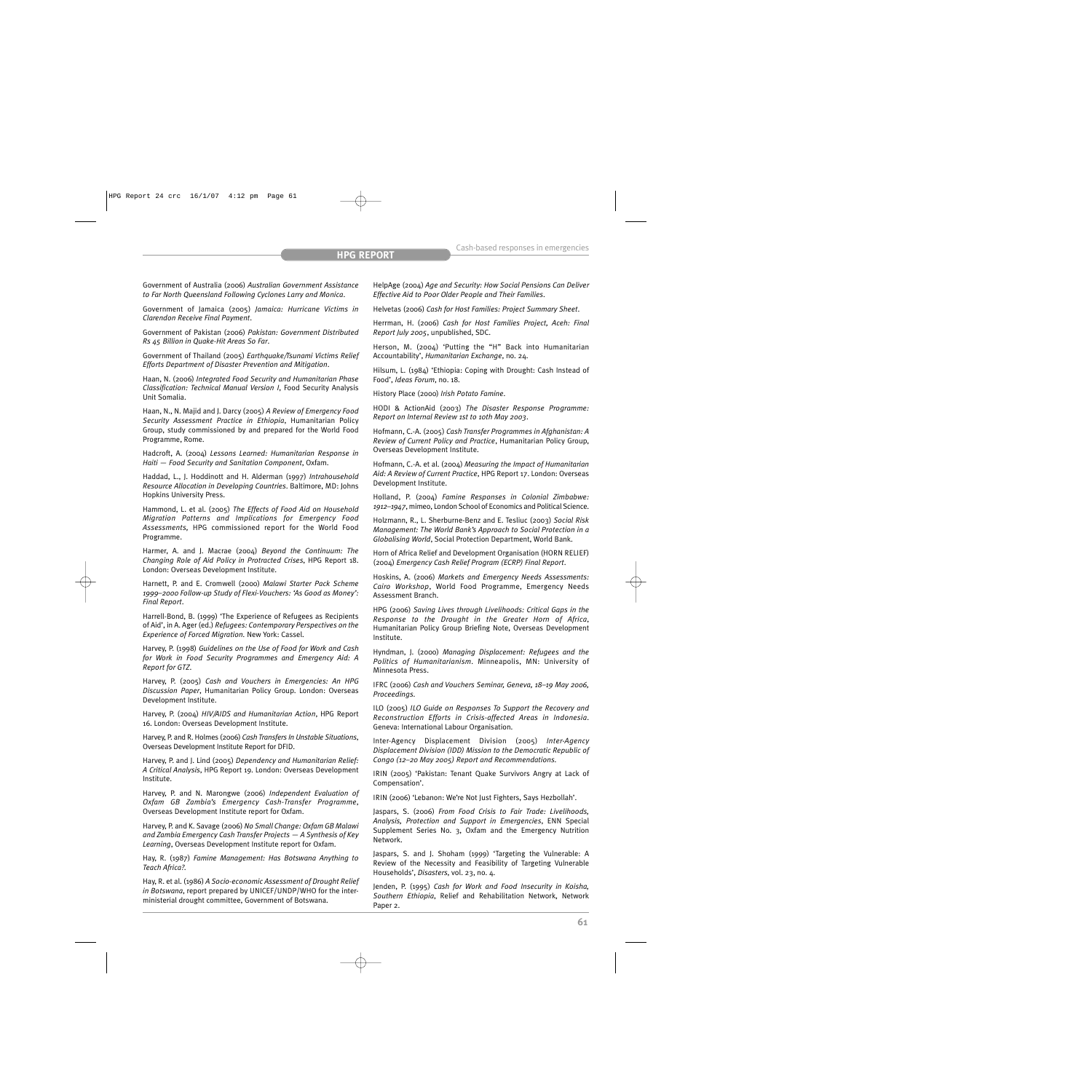Government of Australia (2006) *Australian Government Assistance to Far North Queensland Following Cyclones Larry and Monica*.

Government of Jamaica (2005) *Jamaica: Hurricane Victims in Clarendon Receive Final Payment*.

Government of Pakistan (2006) *Pakistan: Government Distributed Rs 45 Billion in Quake-Hit Areas So Far*.

Government of Thailand (2005) *Earthquake/Tsunami Victims Relief Efforts Department of Disaster Prevention and Mitigation*.

Haan, N. (2006) *Integrated Food Security and Humanitarian Phase Classification: Technical Manual Version I*, Food Security Analysis Unit Somalia.

Haan, N., N. Majid and J. Darcy (2005) *A Review of Emergency Food Security Assessment Practice in Ethiopia*, Humanitarian Policy Group, study commissioned by and prepared for the World Food Programme, Rome.

Hadcroft, A. (2004) *Lessons Learned: Humanitarian Response in Haiti — Food Security and Sanitation Component*, Oxfam.

Haddad, L., J. Hoddinott and H. Alderman (1997) *Intrahousehold Resource Allocation in Developing Countries*. Baltimore, MD: Johns Hopkins University Press.

Hammond, L. et al. (2005) *The Effects of Food Aid on Household Migration Patterns and Implications for Emergency Food Assessments,* HPG commissioned report for the World Food Programme.

Harmer, A. and J. Macrae (2004) *Beyond the Continuum: The Changing Role of Aid Policy in Protracted Crises*, HPG Report 18. London: Overseas Development Institute.

Harnett, P. and E. Cromwell (2000) *Malawi Starter Pack Scheme 1999–2000 Follow-up Study of Flexi-Vouchers: 'As Good as Money': Final Report*.

Harrell-Bond, B. (1999) 'The Experience of Refugees as Recipients of Aid', in A. Ager (ed.) *Refugees: Contemporary Perspectives on the Experience of Forced Migration.* New York: Cassel.

Harvey, P. (1998) *Guidelines on the Use of Food for Work and Cash for Work in Food Security Programmes and Emergency Aid: A Report for GTZ*.

Harvey, P. (2005) *Cash and Vouchers in Emergencies: An HPG Discussion Paper*, Humanitarian Policy Group. London: Overseas Development Institute.

Harvey, P. (2004) *HIV/AIDS and Humanitarian Action*, HPG Report 16. London: Overseas Development Institute.

Harvey, P. and R. Holmes (2006) *Cash Transfers In Unstable Situations*, Overseas Development Institute Report for DFID.

Harvey, P. and J. Lind (2005) *Dependency and Humanitarian Relief: A Critical Analysis*, HPG Report 19. London: Overseas Development Institute.

Harvey, P. and N. Marongwe (2006) *Independent Evaluation of Oxfam GB Zambia's Emergency Cash-Transfer Programme*, Overseas Development Institute report for Oxfam.

Harvey, P. and K. Savage (2006) *No Small Change: Oxfam GB Malawi and Zambia Emergency Cash Transfer Projects — A Synthesis of Key Learning*, Overseas Development Institute report for Oxfam.

Hay, R. (1987) *Famine Management: Has Botswana Anything to Teach Africa?*.

Hay, R. et al. (1986) *A Socio-economic Assessment of Drought Relief in Botswana*, report prepared by UNICEF/UNDP/WHO for the interministerial drought committee, Government of Botswana.

HelpAge (2004) *Age and Security: How Social Pensions Can Deliver Effective Aid to Poor Older People and Their Families*.

Helvetas (2006) *Cash for Host Families: Project Summary Sheet*.

Herrman, H. (2006) *Cash for Host Families Project, Aceh: Final Report July 2005*, unpublished, SDC.

Herson, M. (2004) 'Putting the "H" Back into Humanitarian Accountability', *Humanitarian Exchange*, no. 24.

Hilsum, L. (1984) 'Ethiopia: Coping with Drought: Cash Instead of Food', *Ideas Forum*, no. 18.

History Place (2000) *Irish Potato Famine*.

HODI & ActionAid (2003) *The Disaster Response Programme: Report on Internal Review 1st to 10th May 2003*.

Hofmann, C.-A. (2005) *Cash Transfer Programmes in Afghanistan: A Review of Current Policy and Practice*, Humanitarian Policy Group, Overseas Development Institute.

Hofmann, C.-A. et al. (2004) *Measuring the Impact of Humanitarian Aid: A Review of Current Practice*, HPG Report 17. London: Overseas Development Institute.

Holland, P. (2004) *Famine Responses in Colonial Zimbabwe: 1912–1947*, mimeo, London School of Economics and Political Science.

Holzmann, R., L. Sherburne-Benz and E. Tesliuc (2003) *Social Risk Management: The World Bank's Approach to Social Protection in a Globalising World*, Social Protection Department, World Bank.

Horn of Africa Relief and Development Organisation (HORN RELIEF) (2004) *Emergency Cash Relief Program (ECRP) Final Report*.

Hoskins, A. (2006) *Markets and Emergency Needs Assessments: Cairo Workshop*, World Food Programme, Emergency Needs Assessment Branch.

HPG (2006) *Saving Lives through Livelihoods: Critical Gaps in the Response to the Drought in the Greater Horn of Africa*, Humanitarian Policy Group Briefing Note, Overseas Development Institute.

Hyndman, J. (2000) *Managing Displacement: Refugees and the Politics of Humanitarianism*. Minneapolis, MN: University of Minnesota Press.

IFRC (2006) *Cash and Vouchers Seminar, Geneva, 18–19 May 2006, Proceedings*.

ILO (2005) *ILO Guide on Responses To Support the Recovery and Reconstruction Efforts in Crisis-affected Areas in Indonesia*. Geneva: International Labour Organisation.

Inter-Agency Displacement Division (2005) *Inter-Agency Displacement Division (IDD) Mission to the Democratic Republic of Congo (12–20 May 2005) Report and Recommendations*.

IRIN (2005) 'Pakistan: Tenant Quake Survivors Angry at Lack of Compensation'.

IRIN (2006) 'Lebanon: We're Not Just Fighters, Says Hezbollah'.

Jaspars, S. (2006) *From Food Crisis to Fair Trade: Livelihoods, Analysis, Protection and Support in Emergencies*, ENN Special Supplement Series No. 3, Oxfam and the Emergency Nutrition Network.

Jaspars, S. and J. Shoham (1999) 'Targeting the Vulnerable: A Review of the Necessity and Feasibility of Targeting Vulnerable Households', *Disasters*, vol. 23, no. 4.

Jenden, P. (1995) *Cash for Work and Food Insecurity in Koisha, Southern Ethiopia*, Relief and Rehabilitation Network, Network Paper 2.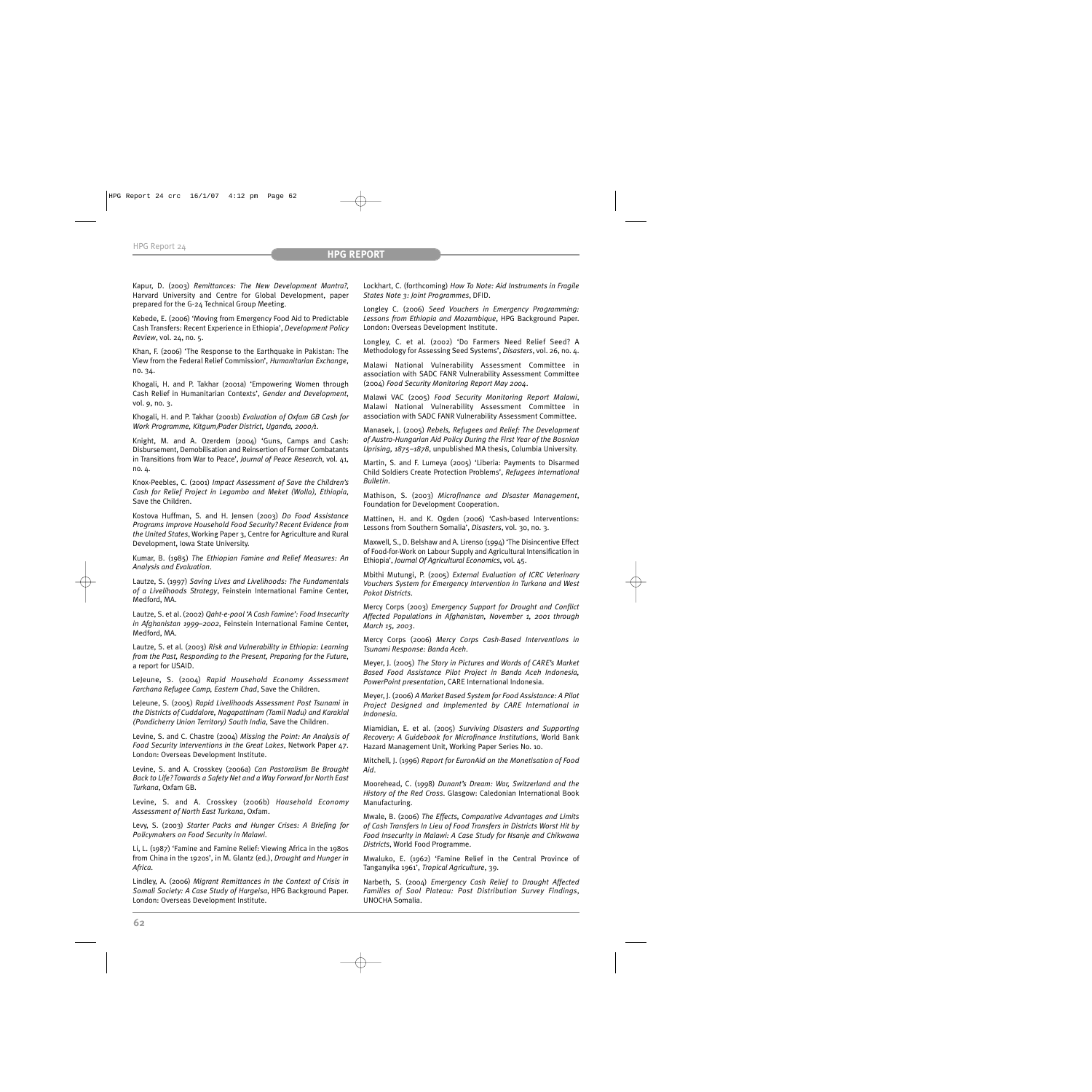Kapur, D. (2003) *Remittances: The New Development Mantra?*, Harvard University and Centre for Global Development, paper prepared for the G-24 Technical Group Meeting.

Kebede, E. (2006) 'Moving from Emergency Food Aid to Predictable Cash Transfers: Recent Experience in Ethiopia', *Development Policy Review*, vol. 24, no. 5.

Khan, F. (2006) 'The Response to the Earthquake in Pakistan: The View from the Federal Relief Commission', *Humanitarian Exchange*, no. 34.

Khogali, H. and P. Takhar (2001a) 'Empowering Women through Cash Relief in Humanitarian Contexts', *Gender and Development*, vol. 9, no. 3.

Khogali, H. and P. Takhar (2001b) *Evaluation of Oxfam GB Cash for Work Programme, Kitgum/Pader District, Uganda, 2000/1*.

Knight, M. and A. Ozerdem (2004) 'Guns, Camps and Cash: Disbursement, Demobilisation and Reinsertion of Former Combatants in Transitions from War to Peace', *Journal of Peace Research*, vol. 41, no.  $4$ .

Knox-Peebles, C. (2001) *Impact Assessment of Save the Children's Cash for Relief Project in Legambo and Meket (Wollo), Ethiopia*, Save the Children.

Kostova Huffman, S. and H. Jensen (2003) *Do Food Assistance Programs Improve Household Food Security? Recent Evidence from the United States*, Working Paper 3, Centre for Agriculture and Rural Development, Iowa State University.

Kumar, B. (1985) *The Ethiopian Famine and Relief Measures: An Analysis and Evaluation*.

Lautze, S. (1997) *Saving Lives and Livelihoods: The Fundamentals of a Livelihoods Strategy*, Feinstein International Famine Center, Medford, MA.

Lautze, S. et al. (2002) *Qaht-e-pool 'A Cash Famine': Food Insecurity in Afghanistan 1999–2002*, Feinstein International Famine Center, Medford, MA.

Lautze, S. et al. (2003) *Risk and Vulnerability in Ethiopia: Learning from the Past, Responding to the Present, Preparing for the Future*, a report for USAID.

LeJeune, S. (2004) *Rapid Household Economy Assessment Farchana Refugee Camp, Eastern Chad*, Save the Children.

LeJeune, S. (2005) *Rapid Livelihoods Assessment Post Tsunami in the Districts of Cuddalore, Nagapattinam (Tamil Nadu) and Karakial (Pondicherry Union Territory) South India*, Save the Children.

Levine, S. and C. Chastre (2004) *Missing the Point: An Analysis of Food Security Interventions in the Great Lakes*, Network Paper 47. London: Overseas Development Institute.

Levine, S. and A. Crosskey (2006a) *Can Pastoralism Be Brought Back to Life? Towards a Safety Net and a Way Forward for North East Turkana*, Oxfam GB.

Levine, S. and A. Crosskey (2006b) *Household Economy Assessment of North East Turkana*, Oxfam.

Levy, S. (2003) *Starter Packs and Hunger Crises: A Briefing for Policymakers on Food Security in Malawi*.

Li, L. (1987) 'Famine and Famine Relief: Viewing Africa in the 1980s from China in the 1920s', in M. Glantz (ed.), *Drought and Hunger in Africa*.

Lindley, A. (2006) *Migrant Remittances in the Context of Crisis in Somali Society: A Case Study of Hargeisa*, HPG Background Paper. London: Overseas Development Institute.

Lockhart, C. (forthcoming) *How To Note: Aid Instruments in Fragile States Note 3: Joint Programmes*, DFID.

Longley C. (2006) *Seed Vouchers in Emergency Programming: Lessons from Ethiopia and Mozambique*, HPG Background Paper. London: Overseas Development Institute.

Longley, C. et al. (2002) 'Do Farmers Need Relief Seed? A Methodology for Assessing Seed Systems', *Disasters*, vol. 26, no. 4.

Malawi National Vulnerability Assessment Committee in association with SADC FANR Vulnerability Assessment Committee (2004) *Food Security Monitoring Report May 2004*.

Malawi VAC (2005) *Food Security Monitoring Report Malawi*, Malawi National Vulnerability Assessment Committee in association with SADC FANR Vulnerability Assessment Committee.

Manasek, J. (2005) *Rebels, Refugees and Relief: The Development of Austro-Hungarian Aid Policy During the First Year of the Bosnian Uprising, 1875–1878*, unpublished MA thesis, Columbia University.

Martin, S. and F. Lumeya (2005) 'Liberia: Payments to Disarmed Child Soldiers Create Protection Problems', *Refugees International Bulletin*.

Mathison, S. (2003) *Microfinance and Disaster Management*, Foundation for Development Cooperation.

Mattinen, H. and K. Ogden (2006) 'Cash-based Interventions: Lessons from Southern Somalia', *Disasters*, vol. 30, no. 3.

Maxwell, S., D. Belshaw and A. Lirenso (1994) 'The Disincentive Effect of Food-for-Work on Labour Supply and Agricultural Intensification in Ethiopia', *Journal Of Agricultural Economics*, vol. 45.

Mbithi Mutungi, P. (2005) *External Evaluation of ICRC Veterinary Vouchers System for Emergency Intervention in Turkana and West Pokot Districts*.

Mercy Corps (2003) *Emergency Support for Drought and Conflict Affected Populations in Afghanistan, November 1, 2001 through March 15, 2003*.

Mercy Corps (2006) *Mercy Corps Cash-Based Interventions in Tsunami Response: Banda Aceh*.

Meyer, J. (2005) *The Story in Pictures and Words of CARE's Market Based Food Assistance Pilot Project in Banda Aceh Indonesia, PowerPoint presentation*, CARE International Indonesia.

Meyer, J. (2006) *A Market Based System for Food Assistance: A Pilot Project Designed and Implemented by CARE International in Indonesia*.

Miamidian, E. et al. (2005) *Surviving Disasters and Supporting Recovery: A Guidebook for Microfinance Institutions*, World Bank Hazard Management Unit, Working Paper Series No. 10.

Mitchell, J. (1996) *Report for EuronAid on the Monetisation of Food Aid*.

Moorehead, C. (1998) *Dunant's Dream: War, Switzerland and the History of the Red Cross*. Glasgow: Caledonian International Book Manufacturing.

Mwale, B. (2006) *The Effects, Comparative Advantages and Limits of Cash Transfers In Lieu of Food Transfers in Districts Worst Hit by Food Insecurity in Malawi: A Case Study for Nsanje and Chikwawa Districts*, World Food Programme.

Mwaluko, E. (1962) 'Famine Relief in the Central Province of Tanganyika 1961', *Tropical Agriculture*, 39.

Narbeth, S. (2004) *Emergency Cash Relief to Drought Affected Families of Sool Plateau: Post Distribution Survey Findings*, UNOCHA Somalia.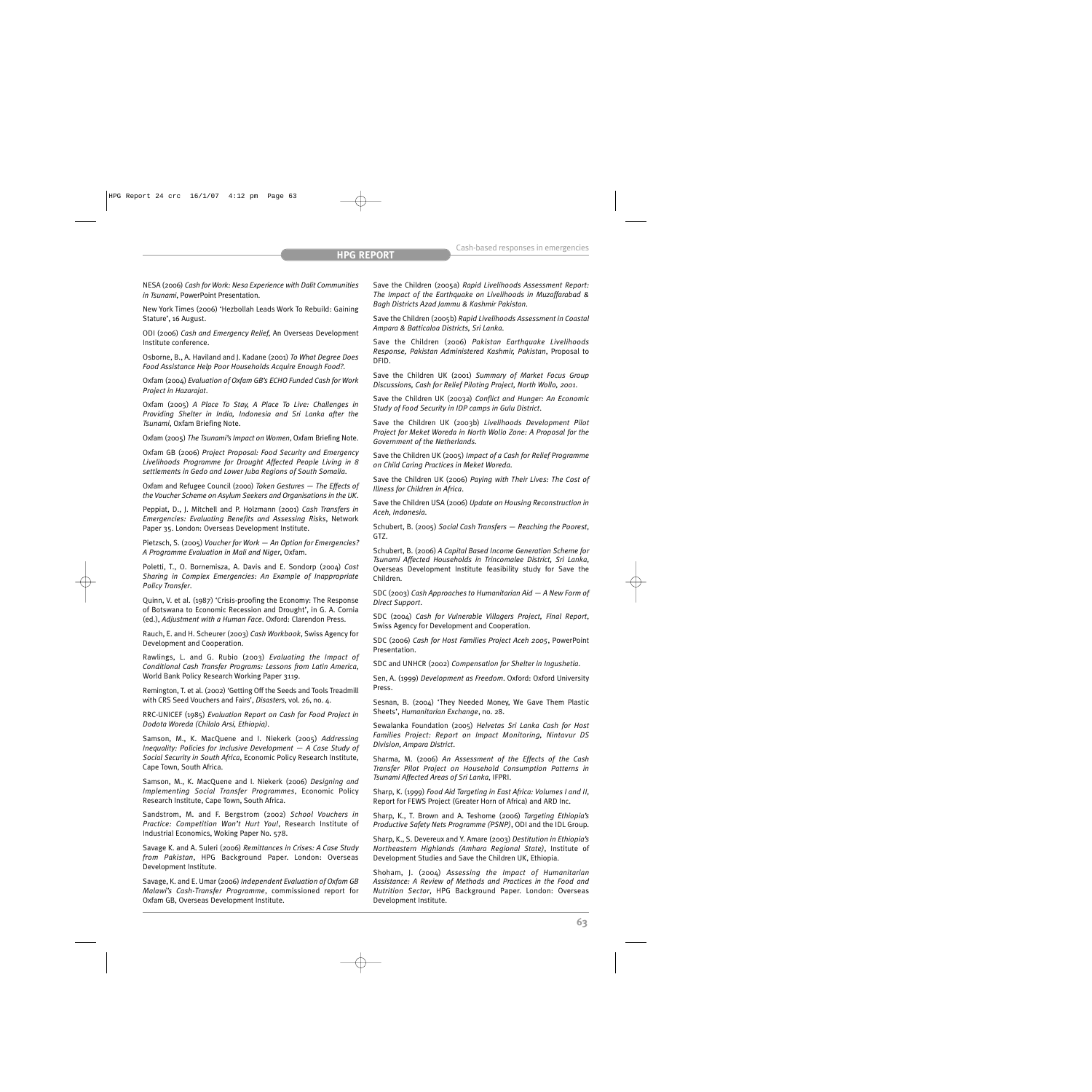NESA (2006) *Cash for Work: Nesa Experience with Dalit Communities in Tsunami*, PowerPoint Presentation.

New York Times (2006) 'Hezbollah Leads Work To Rebuild: Gaining Stature', 16 August.

ODI (2006) *Cash and Emergency Relief,* An Overseas Development Institute conference.

Osborne, B., A. Haviland and J. Kadane (2001) *To What Degree Does Food Assistance Help Poor Households Acquire Enough Food?*.

Oxfam (2004) *Evaluation of Oxfam GB's ECHO Funded Cash for Work Project in Hazarajat*.

Oxfam (2005) *A Place To Stay, A Place To Live: Challenges in Providing Shelter in India, Indonesia and Sri Lanka after the Tsunami*, Oxfam Briefing Note.

Oxfam (2005) *The Tsunami's Impact on Women*, Oxfam Briefing Note.

Oxfam GB (2006) *Project Proposal: Food Security and Emergency Livelihoods Programme for Drought Affected People Living in 8 settlements in Gedo and Lower Juba Regions of South Somalia*.

Oxfam and Refugee Council (2000) *Token Gestures — The Effects of the Voucher Scheme on Asylum Seekers and Organisations in the UK*.

Peppiat, D., J. Mitchell and P. Holzmann (2001) *Cash Transfers in Emergencies: Evaluating Benefits and Assessing Risks*, Network Paper 35. London: Overseas Development Institute.

Pietzsch, S. (2005) *Voucher for Work — An Option for Emergencies? A Programme Evaluation in Mali and Niger*, Oxfam.

Poletti, T., O. Bornemisza, A. Davis and E. Sondorp (2004) *Cost Sharing in Complex Emergencies: An Example of Inappropriate Policy Transfer*.

Quinn, V. et al. (1987) 'Crisis-proofing the Economy: The Response of Botswana to Economic Recession and Drought', in G. A. Cornia (ed.), *Adjustment with a Human Face*. Oxford: Clarendon Press.

Rauch, E. and H. Scheurer (2003) *Cash Workbook*, Swiss Agency for Development and Cooperation.

Rawlings, L. and G. Rubio (2003) *Evaluating the Impact of Conditional Cash Transfer Programs: Lessons from Latin America*, World Bank Policy Research Working Paper 3119.

Remington, T. et al. (2002) 'Getting Off the Seeds and Tools Treadmill with CRS Seed Vouchers and Fairs', *Disasters*, vol. 26, no. 4.

RRC-UNICEF (1985) *Evaluation Report on Cash for Food Project in Dodota Woreda (Chilalo Arsi, Ethiopia)*.

Samson, M., K. MacQuene and I. Niekerk (2005) *Addressing Inequality: Policies for Inclusive Development — A Case Study of Social Security in South Africa*, Economic Policy Research Institute, Cape Town, South Africa.

Samson, M., K. MacQuene and I. Niekerk (2006) *Designing and Implementing Social Transfer Programmes*, Economic Policy Research Institute, Cape Town, South Africa.

Sandstrom, M. and F. Bergstrom (2002) *School Vouchers in Practice: Competition Won't Hurt You!*, Research Institute of Industrial Economics, Woking Paper No. 578.

Savage K. and A. Suleri (2006) *Remittances in Crises: A Case Study from Pakistan*, HPG Background Paper. London: Overseas Development Institute.

Savage, K. and E. Umar (2006) *Independent Evaluation of Oxfam GB Malawi's Cash-Transfer Programme*, commissioned report for Oxfam GB, Overseas Development Institute.

Save the Children (2005a) *Rapid Livelihoods Assessment Report: The Impact of the Earthquake on Livelihoods in Muzaffarabad & Bagh Districts Azad Jammu & Kashmir Pakistan*.

Save the Children (2005b) *Rapid Livelihoods Assessment in Coastal Ampara & Batticaloa Districts, Sri Lanka*.

Save the Children (2006) *Pakistan Earthquake Livelihoods Response, Pakistan Administered Kashmir, Pakistan*, Proposal to DFID.

Save the Children UK (2001) *Summary of Market Focus Group Discussions, Cash for Relief Piloting Project, North Wollo, 2001*.

Save the Children UK (2003a) *Conflict and Hunger: An Economic Study of Food Security in IDP camps in Gulu District*.

Save the Children UK (2003b) *Livelihoods Development Pilot Project for Meket Woreda in North Wollo Zone: A Proposal for the Government of the Netherlands*.

Save the Children UK (2005) *Impact of a Cash for Relief Programme on Child Caring Practices in Meket Woreda*.

Save the Children UK (2006) *Paying with Their Lives: The Cost of Illness for Children in Africa*.

Save the Children USA (2006) *Update on Housing Reconstruction in Aceh, Indonesia*.

Schubert, B. (2005) *Social Cash Transfers — Reaching the Poorest*, GTZ.

Schubert, B. (2006) *A Capital Based Income Generation Scheme for Tsunami Affected Households in Trincomalee District, Sri Lanka*, Overseas Development Institute feasibility study for Save the Children.

SDC (2003) *Cash Approaches to Humanitarian Aid — A New Form of Direct Support*.

SDC (2004) *Cash for Vulnerable Villagers Project, Final Report*, Swiss Agency for Development and Cooperation.

SDC (2006) *Cash for Host Families Project Aceh 2005*, PowerPoint Presentation.

SDC and UNHCR (2002) *Compensation for Shelter in Ingushetia*.

Sen, A. (1999) *Development as Freedom*. Oxford: Oxford University Press.

Sesnan, B. (2004) 'They Needed Money, We Gave Them Plastic Sheets', *Humanitarian Exchange*, no. 28.

Sewalanka Foundation (2005) *Helvetas Sri Lanka Cash for Host Families Project: Report on Impact Monitoring, Nintavur DS Division, Ampara District*.

Sharma, M. (2006) *An Assessment of the Effects of the Cash Transfer Pilot Project on Household Consumption Patterns in Tsunami Affected Areas of Sri Lanka*, IFPRI.

Sharp, K. (1999) *Food Aid Targeting in East Africa: Volumes I and II*, Report for FEWS Project (Greater Horn of Africa) and ARD Inc.

Sharp, K., T. Brown and A. Teshome (2006) *Targeting Ethiopia's Productive Safety Nets Programme (PSNP)*, ODI and the IDL Group.

Sharp, K., S. Devereux and Y. Amare (2003) *Destitution in Ethiopia's Northeastern Highlands (Amhara Regional State)*, Institute of Development Studies and Save the Children UK, Ethiopia.

Shoham, J. (2004) *Assessing the Impact of Humanitarian Assistance: A Review of Methods and Practices in the Food and Nutrition Sector*, HPG Background Paper. London: Overseas Development Institute.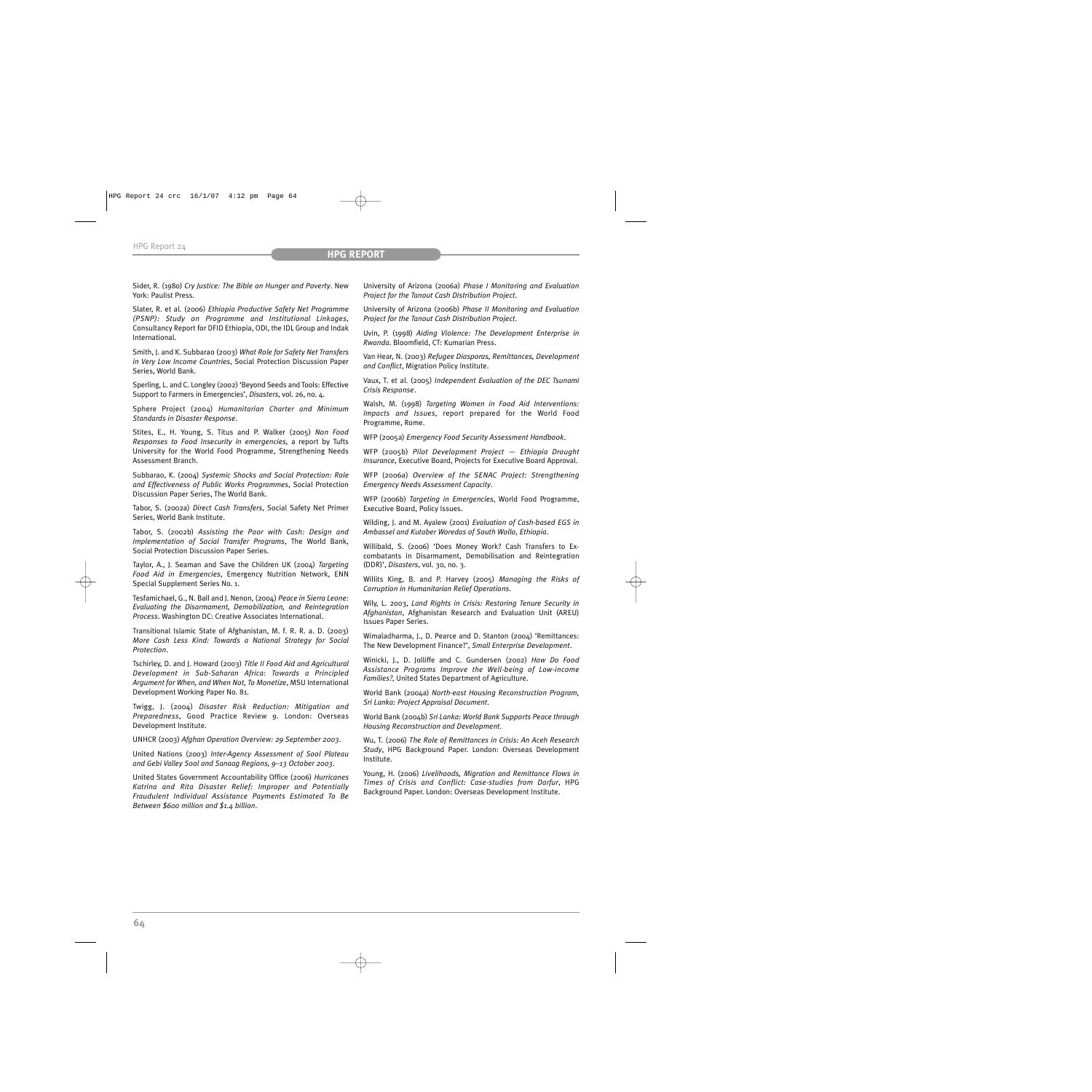Sider, R. (1980) *Cry Justice: The Bible on Hunger and Poverty*. New York: Paulist Press.

Slater, R. et al. (2006) *Ethiopia Productive Safety Net Programme (PSNP): Study on Programme and Institutional Linkages*, Consultancy Report for DFID Ethiopia, ODI, the IDL Group and Indak International.

Smith, J. and K. Subbarao (2003) *What Role for Safety Net Transfers in Very Low Income Countries*, Social Protection Discussion Paper Series, World Bank.

Sperling, L. and C. Longley (2002) 'Beyond Seeds and Tools: Effective Support to Farmers in Emergencies', *Disasters*, vol. 26, no. 4.

Sphere Project (2004) *Humanitarian Charter and Minimum Standards in Disaster Response*.

Stites, E., H. Young, S. Titus and P. Walker (2005) *Non Food Responses to Food Insecurity in emergencies,* a report by Tufts University for the World Food Programme, Strengthening Needs Assessment Branch.

Subbarao, K. (2004) *Systemic Shocks and Social Protection: Role and Effectiveness of Public Works Programmes*, Social Protection Discussion Paper Series, The World Bank.

Tabor, S. (2002a) *Direct Cash Transfers*, Social Safety Net Primer Series, World Bank Institute.

Tabor, S. (2002b) *Assisting the Poor with Cash: Design and Implementation of Social Transfer Programs*, The World Bank, Social Protection Discussion Paper Series.

Taylor, A., J. Seaman and Save the Children UK (2004) *Targeting Food Aid in Emergencies*, Emergency Nutrition Network, ENN Special Supplement Series No. 1.

Tesfamichael, G., N. Ball and J. Nenon, (2004) *Peace in Sierra Leone: Evaluating the Disarmament, Demobilization, and Reintegration Process*. Washington DC: Creative Associates International.

Transitional Islamic State of Afghanistan, M. f. R. R. a. D. (2003) *More Cash Less Kind: Towards a National Strategy for Social Protection*.

Tschirley, D. and J. Howard (2003) *Title II Food Aid and Agricultural Development in Sub-Saharan Africa: Towards a Principled Argument for When, and When Not, To Monetize*, MSU International Development Working Paper No. 81.

Twigg, J. (2004) *Disaster Risk Reduction: Mitigation and Preparedness*, Good Practice Review 9. London: Overseas Development Institute.

UNHCR (2003) *Afghan Operation Overview: 29 September 2003*.

United Nations (2003) *Inter-Agency Assessment of Sool Plateau and Gebi Valley Sool and Sanaag Regions, 9–13 October 2003*.

United States Government Accountability Office (2006) *Hurricanes Katrina and Rita Disaster Relief: Improper and Potentially Fraudulent Individual Assistance Payments Estimated To Be Between \$600 million and \$1.4 billion*.

University of Arizona (2006a) *Phase I Monitoring and Evaluation Project for the Tanout Cash Distribution Project*.

University of Arizona (2006b) *Phase II Monitoring and Evaluation Project for the Tanout Cash Distribution Project*.

Uvin, P. (1998) *Aiding Violence: The Development Enterprise in Rwanda*. Bloomfield, CT: Kumarian Press.

Van Hear, N. (2003) *Refugee Diasporas, Remittances, Development and Conflict*, Migration Policy Institute.

Vaux, T. et al. (2005) *Independent Evaluation of the DEC Tsunami Crisis Response*.

Walsh, M. (1998) *Targeting Women in Food Aid Interventions: Impacts and Issues*, report prepared for the World Food Programme, Rome.

WFP (2005a) *Emergency Food Security Assessment Handbook*.

WFP (2005b) *Pilot Development Project — Ethiopia Drought Insurance*, Executive Board, Projects for Executive Board Approval.

WFP (2006a) *Overview of the SENAC Project: Strengthening Emergency Needs Assessment Capacity*.

WFP (2006b) *Targeting in Emergencies*, World Food Programme, Executive Board, Policy Issues.

Wilding, J. and M. Ayalew (2001) *Evaluation of Cash-based EGS in Ambassel and Kutaber Woredas of South Wollo, Ethiopia*.

Willibald, S. (2006) 'Does Money Work? Cash Transfers to Excombatants in Disarmament, Demobilisation and Reintegration (DDR)', *Disasters*, vol. 30, no. 3.

Willits King, B. and P. Harvey (2005) *Managing the Risks of Corruption in Humanitarian Relief Operations*.

Wily, L. 2003, *Land Rights in Crisis: Restoring Tenure Security in Afghanistan*, Afghanistan Research and Evaluation Unit (AREU) Issues Paper Series.

Wimaladharma, J., D. Pearce and D. Stanton (2004) 'Remittances: The New Development Finance?', *Small Enterprise Development*.

Winicki, J., D. Jolliffe and C. Gundersen (2002) *How Do Food Assistance Programs Improve the Well-being of Low-income Families?*, United States Department of Agriculture.

World Bank (2004a) *North-east Housing Reconstruction Program, Sri Lanka: Project Appraisal Document*.

World Bank (2004b) *Sri Lanka: World Bank Supports Peace through Housing Reconstruction and Development*.

Wu, T. (2006) *The Role of Remittances in Crisis: An Aceh Research Study*, HPG Background Paper. London: Overseas Development Institute.

Young, H. (2006) *Livelihoods, Migration and Remittance Flows in Times of Crisis and Conflict: Case-studies from Darfur*, HPG Background Paper. London: Overseas Development Institute.